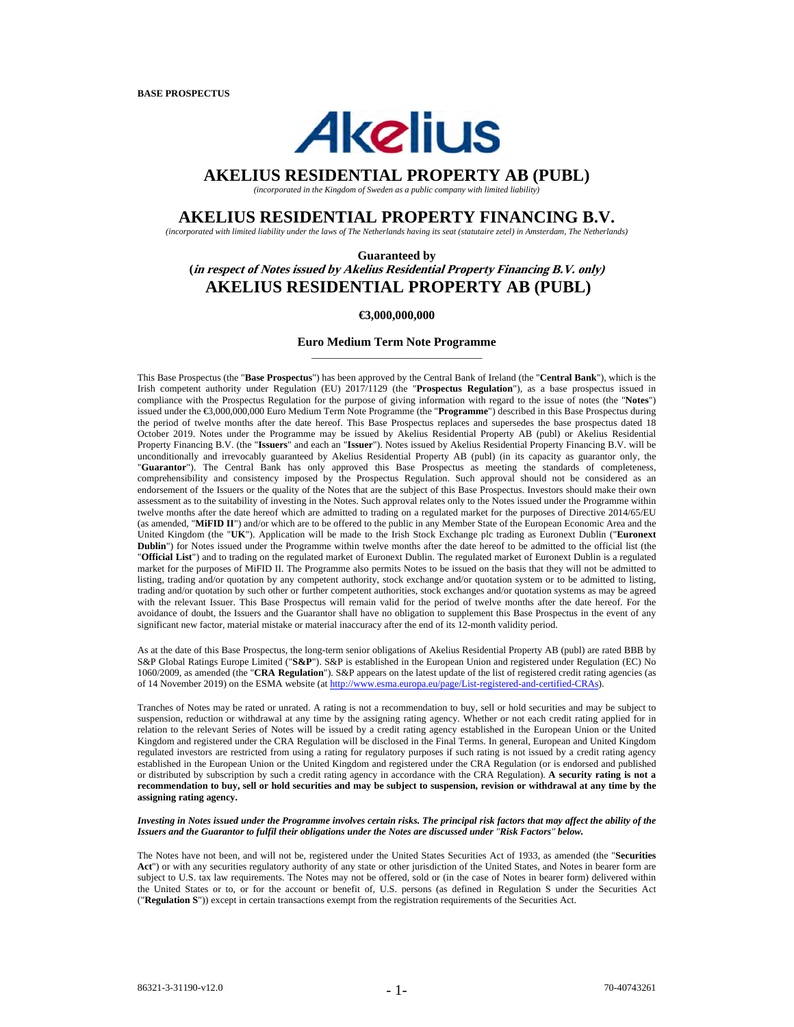# **Akelius**

# **AKELIUS RESIDENTIAL PROPERTY AB (PUBL)**

*(incorporated in the Kingdom of Sweden as a public company with limited liability)* 

# **AKELIUS RESIDENTIAL PROPERTY FINANCING B.V.**

*(incorporated with limited liability under the laws of The Netherlands having its seat (statutaire zetel) in Amsterdam, The Netherlands)*

**Guaranteed by (in respect of Notes issued by Akelius Residential Property Financing B.V. only) AKELIUS RESIDENTIAL PROPERTY AB (PUBL)**

#### **€3,000,000,000**

#### **Euro Medium Term Note Programme** \_\_\_\_\_\_\_\_\_\_\_\_\_\_\_\_\_\_\_\_\_\_\_\_\_\_\_\_\_\_\_\_\_\_\_

This Base Prospectus (the "**Base Prospectus**") has been approved by the Central Bank of Ireland (the "**Central Bank**"), which is the Irish competent authority under Regulation (EU) 2017/1129 (the "**Prospectus Regulation**"), as a base prospectus issued in compliance with the Prospectus Regulation for the purpose of giving information with regard to the issue of notes (the "**Notes**") issued under the €3,000,000,000 Euro Medium Term Note Programme (the "**Programme**") described in this Base Prospectus during the period of twelve months after the date hereof. This Base Prospectus replaces and supersedes the base prospectus dated 18 October 2019. Notes under the Programme may be issued by Akelius Residential Property AB (publ) or Akelius Residential Property Financing B.V. (the "**Issuers**" and each an "**Issuer**"). Notes issued by Akelius Residential Property Financing B.V. will be unconditionally and irrevocably guaranteed by Akelius Residential Property AB (publ) (in its capacity as guarantor only, the "**Guarantor**"). The Central Bank has only approved this Base Prospectus as meeting the standards of completeness, comprehensibility and consistency imposed by the Prospectus Regulation. Such approval should not be considered as an endorsement of the Issuers or the quality of the Notes that are the subject of this Base Prospectus. Investors should make their own assessment as to the suitability of investing in the Notes. Such approval relates only to the Notes issued under the Programme within twelve months after the date hereof which are admitted to trading on a regulated market for the purposes of Directive 2014/65/EU (as amended, "**MiFID II**") and/or which are to be offered to the public in any Member State of the European Economic Area and the United Kingdom (the "**UK**"). Application will be made to the Irish Stock Exchange plc trading as Euronext Dublin ("**Euronext Dublin**") for Notes issued under the Programme within twelve months after the date hereof to be admitted to the official list (the "**Official List**") and to trading on the regulated market of Euronext Dublin. The regulated market of Euronext Dublin is a regulated market for the purposes of MiFID II. The Programme also permits Notes to be issued on the basis that they will not be admitted to listing, trading and/or quotation by any competent authority, stock exchange and/or quotation system or to be admitted to listing, trading and/or quotation by such other or further competent authorities, stock exchanges and/or quotation systems as may be agreed with the relevant Issuer. This Base Prospectus will remain valid for the period of twelve months after the date hereof. For the avoidance of doubt, the Issuers and the Guarantor shall have no obligation to supplement this Base Prospectus in the event of any significant new factor, material mistake or material inaccuracy after the end of its 12-month validity period.

As at the date of this Base Prospectus, the long-term senior obligations of Akelius Residential Property AB (publ) are rated BBB by S&P Global Ratings Europe Limited ("**S&P**"). S&P is established in the European Union and registered under Regulation (EC) No 1060/2009, as amended (the "**CRA Regulation**"). S&P appears on the latest update of the list of registered credit rating agencies (as of 14 November 2019) on the ESMA website (at http://www.esma.europa.eu/page/List-registered-and-certified-CRAs).

Tranches of Notes may be rated or unrated. A rating is not a recommendation to buy, sell or hold securities and may be subject to suspension, reduction or withdrawal at any time by the assigning rating agency. Whether or not each credit rating applied for in relation to the relevant Series of Notes will be issued by a credit rating agency established in the European Union or the United Kingdom and registered under the CRA Regulation will be disclosed in the Final Terms. In general, European and United Kingdom regulated investors are restricted from using a rating for regulatory purposes if such rating is not issued by a credit rating agency established in the European Union or the United Kingdom and registered under the CRA Regulation (or is endorsed and published or distributed by subscription by such a credit rating agency in accordance with the CRA Regulation). **A security rating is not a recommendation to buy, sell or hold securities and may be subject to suspension, revision or withdrawal at any time by the assigning rating agency.**

#### *Investing in Notes issued under the Programme involves certain risks. The principal risk factors that may affect the ability of the Issuers and the Guarantor to fulfil their obligations under the Notes are discussed under "Risk Factors" below.*

The Notes have not been, and will not be, registered under the United States Securities Act of 1933, as amended (the "**Securities**  Act<sup>"</sup>) or with any securities regulatory authority of any state or other jurisdiction of the United States, and Notes in bearer form are subject to U.S. tax law requirements. The Notes may not be offered, sold or (in the case of Notes in bearer form) delivered within the United States or to, or for the account or benefit of, U.S. persons (as defined in Regulation S under the Securities Act ("**Regulation S**")) except in certain transactions exempt from the registration requirements of the Securities Act.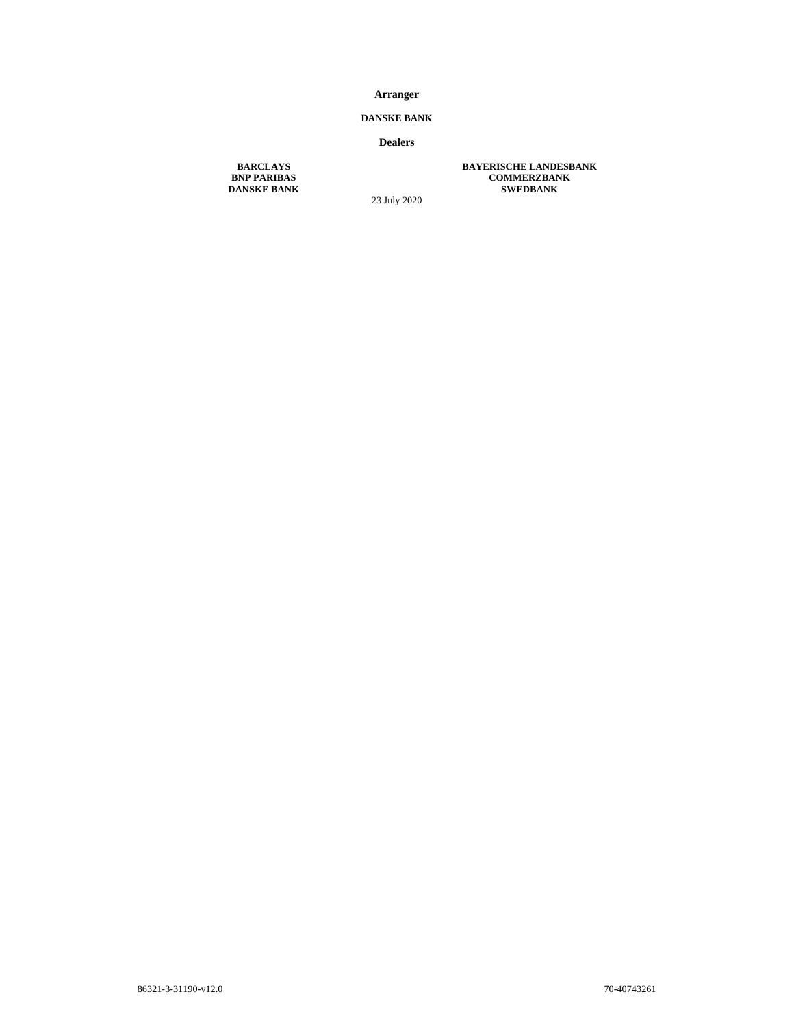# **Arranger**

# **DANSKE BANK**

## **Dealers**

23 July 2020

**BARCLAYS BAYERISCHE LANDESBANK BNP PARIBAS COMMERZBANK DANSKE BANK SWEDBANK** 

86321-3-31190-v12.0 70-40743261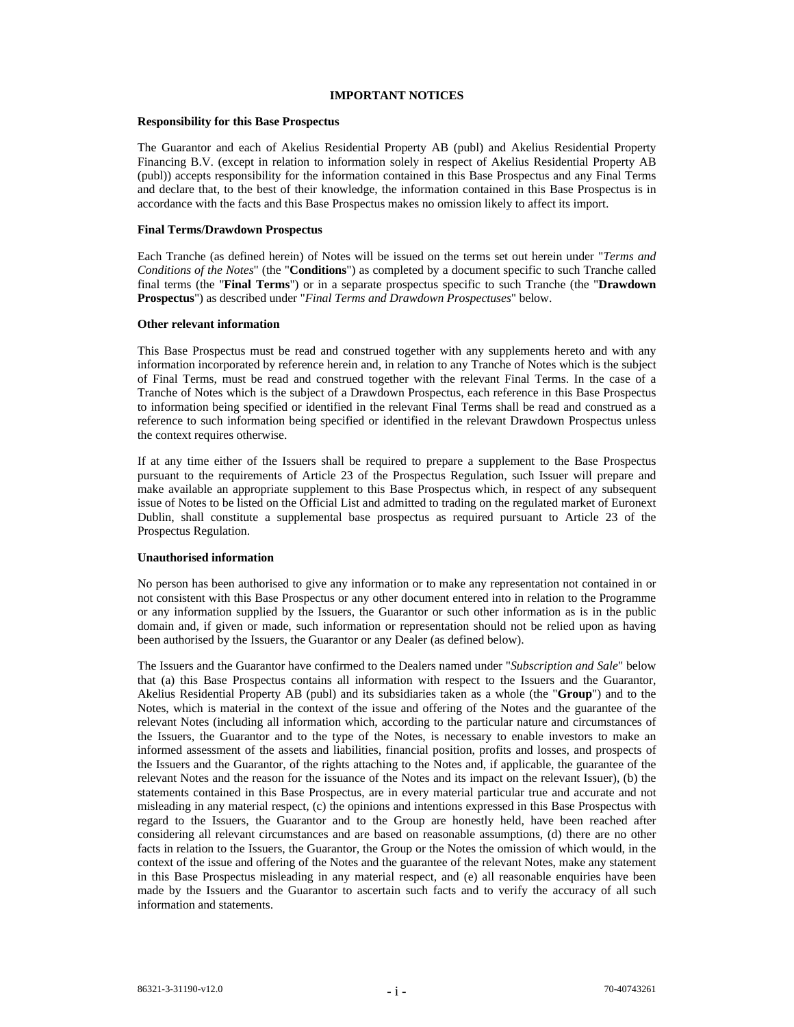#### **IMPORTANT NOTICES**

#### **Responsibility for this Base Prospectus**

The Guarantor and each of Akelius Residential Property AB (publ) and Akelius Residential Property Financing B.V. (except in relation to information solely in respect of Akelius Residential Property AB (publ)) accepts responsibility for the information contained in this Base Prospectus and any Final Terms and declare that, to the best of their knowledge, the information contained in this Base Prospectus is in accordance with the facts and this Base Prospectus makes no omission likely to affect its import.

#### **Final Terms/Drawdown Prospectus**

Each Tranche (as defined herein) of Notes will be issued on the terms set out herein under "*Terms and Conditions of the Notes*" (the "**Conditions**") as completed by a document specific to such Tranche called final terms (the "**Final Terms**") or in a separate prospectus specific to such Tranche (the "**Drawdown Prospectus**") as described under "*Final Terms and Drawdown Prospectuses*" below.

#### **Other relevant information**

This Base Prospectus must be read and construed together with any supplements hereto and with any information incorporated by reference herein and, in relation to any Tranche of Notes which is the subject of Final Terms, must be read and construed together with the relevant Final Terms. In the case of a Tranche of Notes which is the subject of a Drawdown Prospectus, each reference in this Base Prospectus to information being specified or identified in the relevant Final Terms shall be read and construed as a reference to such information being specified or identified in the relevant Drawdown Prospectus unless the context requires otherwise.

If at any time either of the Issuers shall be required to prepare a supplement to the Base Prospectus pursuant to the requirements of Article 23 of the Prospectus Regulation, such Issuer will prepare and make available an appropriate supplement to this Base Prospectus which, in respect of any subsequent issue of Notes to be listed on the Official List and admitted to trading on the regulated market of Euronext Dublin, shall constitute a supplemental base prospectus as required pursuant to Article 23 of the Prospectus Regulation.

#### **Unauthorised information**

No person has been authorised to give any information or to make any representation not contained in or not consistent with this Base Prospectus or any other document entered into in relation to the Programme or any information supplied by the Issuers, the Guarantor or such other information as is in the public domain and, if given or made, such information or representation should not be relied upon as having been authorised by the Issuers, the Guarantor or any Dealer (as defined below).

The Issuers and the Guarantor have confirmed to the Dealers named under "*Subscription and Sale*" below that (a) this Base Prospectus contains all information with respect to the Issuers and the Guarantor, Akelius Residential Property AB (publ) and its subsidiaries taken as a whole (the "**Group**") and to the Notes, which is material in the context of the issue and offering of the Notes and the guarantee of the relevant Notes (including all information which, according to the particular nature and circumstances of the Issuers, the Guarantor and to the type of the Notes, is necessary to enable investors to make an informed assessment of the assets and liabilities, financial position, profits and losses, and prospects of the Issuers and the Guarantor, of the rights attaching to the Notes and, if applicable, the guarantee of the relevant Notes and the reason for the issuance of the Notes and its impact on the relevant Issuer), (b) the statements contained in this Base Prospectus, are in every material particular true and accurate and not misleading in any material respect, (c) the opinions and intentions expressed in this Base Prospectus with regard to the Issuers, the Guarantor and to the Group are honestly held, have been reached after considering all relevant circumstances and are based on reasonable assumptions, (d) there are no other facts in relation to the Issuers, the Guarantor, the Group or the Notes the omission of which would, in the context of the issue and offering of the Notes and the guarantee of the relevant Notes, make any statement in this Base Prospectus misleading in any material respect, and (e) all reasonable enquiries have been made by the Issuers and the Guarantor to ascertain such facts and to verify the accuracy of all such information and statements.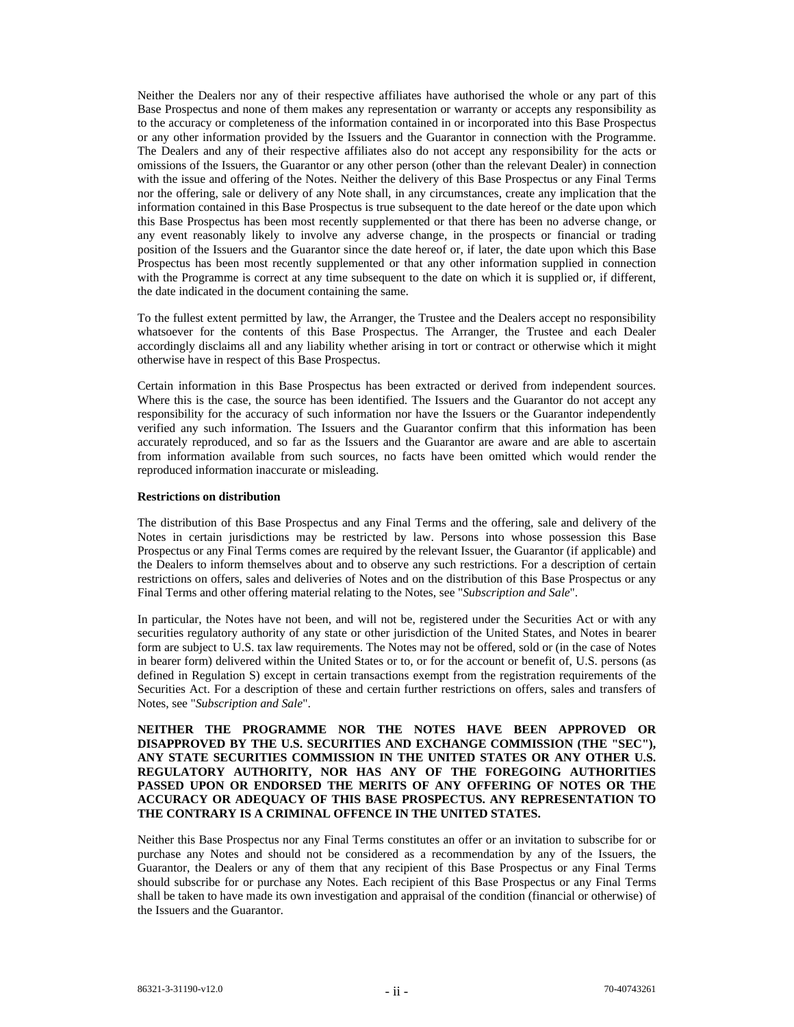Neither the Dealers nor any of their respective affiliates have authorised the whole or any part of this Base Prospectus and none of them makes any representation or warranty or accepts any responsibility as to the accuracy or completeness of the information contained in or incorporated into this Base Prospectus or any other information provided by the Issuers and the Guarantor in connection with the Programme. The Dealers and any of their respective affiliates also do not accept any responsibility for the acts or omissions of the Issuers, the Guarantor or any other person (other than the relevant Dealer) in connection with the issue and offering of the Notes. Neither the delivery of this Base Prospectus or any Final Terms nor the offering, sale or delivery of any Note shall, in any circumstances, create any implication that the information contained in this Base Prospectus is true subsequent to the date hereof or the date upon which this Base Prospectus has been most recently supplemented or that there has been no adverse change, or any event reasonably likely to involve any adverse change, in the prospects or financial or trading position of the Issuers and the Guarantor since the date hereof or, if later, the date upon which this Base Prospectus has been most recently supplemented or that any other information supplied in connection with the Programme is correct at any time subsequent to the date on which it is supplied or, if different, the date indicated in the document containing the same.

To the fullest extent permitted by law, the Arranger, the Trustee and the Dealers accept no responsibility whatsoever for the contents of this Base Prospectus. The Arranger, the Trustee and each Dealer accordingly disclaims all and any liability whether arising in tort or contract or otherwise which it might otherwise have in respect of this Base Prospectus.

Certain information in this Base Prospectus has been extracted or derived from independent sources. Where this is the case, the source has been identified. The Issuers and the Guarantor do not accept any responsibility for the accuracy of such information nor have the Issuers or the Guarantor independently verified any such information. The Issuers and the Guarantor confirm that this information has been accurately reproduced, and so far as the Issuers and the Guarantor are aware and are able to ascertain from information available from such sources, no facts have been omitted which would render the reproduced information inaccurate or misleading.

#### **Restrictions on distribution**

The distribution of this Base Prospectus and any Final Terms and the offering, sale and delivery of the Notes in certain jurisdictions may be restricted by law. Persons into whose possession this Base Prospectus or any Final Terms comes are required by the relevant Issuer, the Guarantor (if applicable) and the Dealers to inform themselves about and to observe any such restrictions. For a description of certain restrictions on offers, sales and deliveries of Notes and on the distribution of this Base Prospectus or any Final Terms and other offering material relating to the Notes, see "*Subscription and Sale*".

In particular, the Notes have not been, and will not be, registered under the Securities Act or with any securities regulatory authority of any state or other jurisdiction of the United States, and Notes in bearer form are subject to U.S. tax law requirements. The Notes may not be offered, sold or (in the case of Notes in bearer form) delivered within the United States or to, or for the account or benefit of, U.S. persons (as defined in Regulation S) except in certain transactions exempt from the registration requirements of the Securities Act. For a description of these and certain further restrictions on offers, sales and transfers of Notes, see "*Subscription and Sale*".

# **NEITHER THE PROGRAMME NOR THE NOTES HAVE BEEN APPROVED OR DISAPPROVED BY THE U.S. SECURITIES AND EXCHANGE COMMISSION (THE "SEC"), ANY STATE SECURITIES COMMISSION IN THE UNITED STATES OR ANY OTHER U.S. REGULATORY AUTHORITY, NOR HAS ANY OF THE FOREGOING AUTHORITIES PASSED UPON OR ENDORSED THE MERITS OF ANY OFFERING OF NOTES OR THE ACCURACY OR ADEQUACY OF THIS BASE PROSPECTUS. ANY REPRESENTATION TO THE CONTRARY IS A CRIMINAL OFFENCE IN THE UNITED STATES.**

Neither this Base Prospectus nor any Final Terms constitutes an offer or an invitation to subscribe for or purchase any Notes and should not be considered as a recommendation by any of the Issuers, the Guarantor, the Dealers or any of them that any recipient of this Base Prospectus or any Final Terms should subscribe for or purchase any Notes. Each recipient of this Base Prospectus or any Final Terms shall be taken to have made its own investigation and appraisal of the condition (financial or otherwise) of the Issuers and the Guarantor.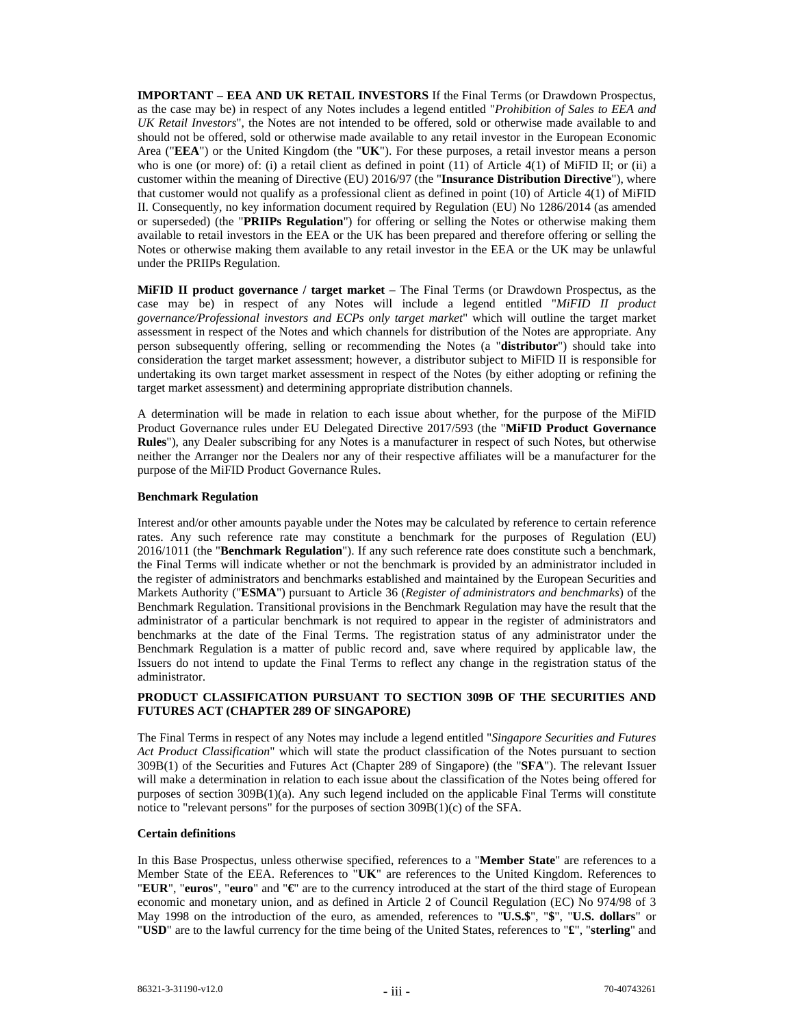**IMPORTANT – EEA AND UK RETAIL INVESTORS** If the Final Terms (or Drawdown Prospectus, as the case may be) in respect of any Notes includes a legend entitled "*Prohibition of Sales to EEA and UK Retail Investors*", the Notes are not intended to be offered, sold or otherwise made available to and should not be offered, sold or otherwise made available to any retail investor in the European Economic Area ("**EEA**") or the United Kingdom (the "**UK**"). For these purposes, a retail investor means a person who is one (or more) of: (i) a retail client as defined in point (11) of Article 4(1) of MiFID II; or (ii) a customer within the meaning of Directive (EU) 2016/97 (the "**Insurance Distribution Directive**"), where that customer would not qualify as a professional client as defined in point (10) of Article 4(1) of MiFID II. Consequently, no key information document required by Regulation (EU) No 1286/2014 (as amended or superseded) (the "**PRIIPs Regulation**") for offering or selling the Notes or otherwise making them available to retail investors in the EEA or the UK has been prepared and therefore offering or selling the Notes or otherwise making them available to any retail investor in the EEA or the UK may be unlawful under the PRIIPs Regulation.

**MiFID II product governance / target market** – The Final Terms (or Drawdown Prospectus, as the case may be) in respect of any Notes will include a legend entitled "*MiFID II product governance/Professional investors and ECPs only target market*" which will outline the target market assessment in respect of the Notes and which channels for distribution of the Notes are appropriate. Any person subsequently offering, selling or recommending the Notes (a "**distributor**") should take into consideration the target market assessment; however, a distributor subject to MiFID II is responsible for undertaking its own target market assessment in respect of the Notes (by either adopting or refining the target market assessment) and determining appropriate distribution channels.

A determination will be made in relation to each issue about whether, for the purpose of the MiFID Product Governance rules under EU Delegated Directive 2017/593 (the "**MiFID Product Governance Rules**"), any Dealer subscribing for any Notes is a manufacturer in respect of such Notes, but otherwise neither the Arranger nor the Dealers nor any of their respective affiliates will be a manufacturer for the purpose of the MiFID Product Governance Rules.

#### **Benchmark Regulation**

Interest and/or other amounts payable under the Notes may be calculated by reference to certain reference rates. Any such reference rate may constitute a benchmark for the purposes of Regulation (EU) 2016/1011 (the "**Benchmark Regulation**"). If any such reference rate does constitute such a benchmark, the Final Terms will indicate whether or not the benchmark is provided by an administrator included in the register of administrators and benchmarks established and maintained by the European Securities and Markets Authority ("**ESMA**") pursuant to Article 36 (*Register of administrators and benchmarks*) of the Benchmark Regulation. Transitional provisions in the Benchmark Regulation may have the result that the administrator of a particular benchmark is not required to appear in the register of administrators and benchmarks at the date of the Final Terms. The registration status of any administrator under the Benchmark Regulation is a matter of public record and, save where required by applicable law, the Issuers do not intend to update the Final Terms to reflect any change in the registration status of the administrator.

# **PRODUCT CLASSIFICATION PURSUANT TO SECTION 309B OF THE SECURITIES AND FUTURES ACT (CHAPTER 289 OF SINGAPORE)**

The Final Terms in respect of any Notes may include a legend entitled "*Singapore Securities and Futures Act Product Classification*" which will state the product classification of the Notes pursuant to section 309B(1) of the Securities and Futures Act (Chapter 289 of Singapore) (the "**SFA**"). The relevant Issuer will make a determination in relation to each issue about the classification of the Notes being offered for purposes of section 309B(1)(a). Any such legend included on the applicable Final Terms will constitute notice to "relevant persons" for the purposes of section 309B(1)(c) of the SFA.

#### **Certain definitions**

In this Base Prospectus, unless otherwise specified, references to a "**Member State**" are references to a Member State of the EEA. References to "**UK**" are references to the United Kingdom. References to "**EUR**", "**euros**", "**euro**" and "**€**" are to the currency introduced at the start of the third stage of European economic and monetary union, and as defined in Article 2 of Council Regulation (EC) No 974/98 of 3 May 1998 on the introduction of the euro, as amended, references to "**U.S.\$**", "**\$**", "**U.S. dollars**" or "**USD**" are to the lawful currency for the time being of the United States, references to "**£**", "**sterling**" and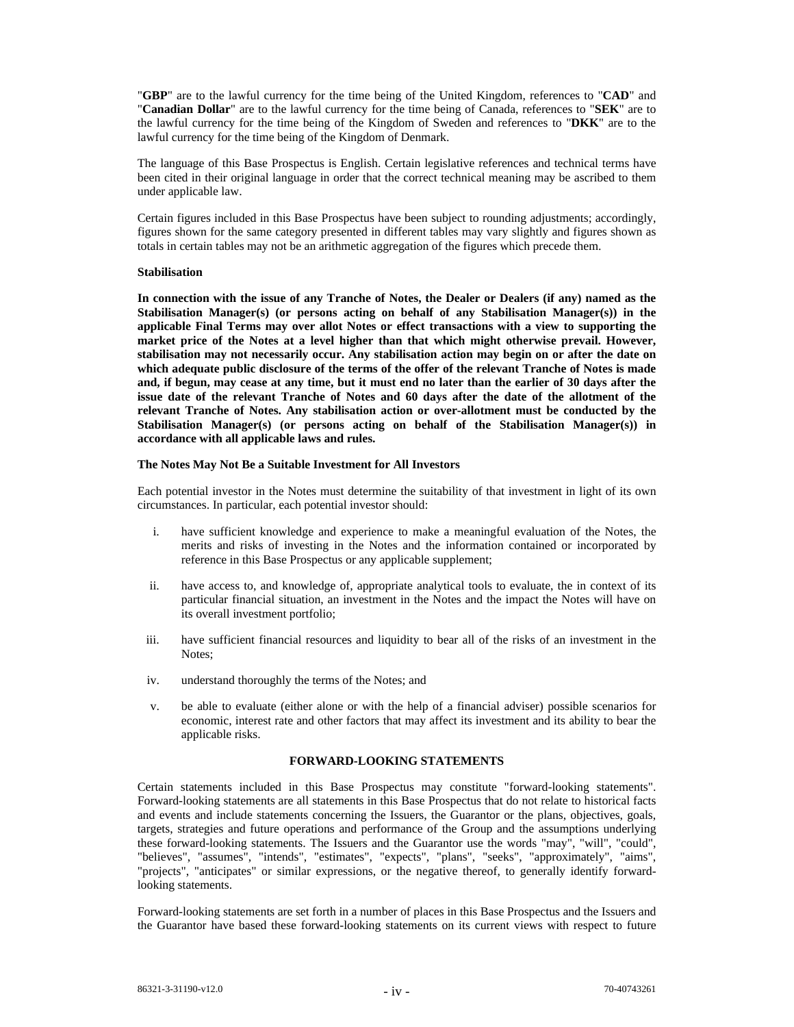"**GBP**" are to the lawful currency for the time being of the United Kingdom, references to "**CAD**" and "**Canadian Dollar**" are to the lawful currency for the time being of Canada, references to "**SEK**" are to the lawful currency for the time being of the Kingdom of Sweden and references to "**DKK**" are to the lawful currency for the time being of the Kingdom of Denmark.

The language of this Base Prospectus is English. Certain legislative references and technical terms have been cited in their original language in order that the correct technical meaning may be ascribed to them under applicable law.

Certain figures included in this Base Prospectus have been subject to rounding adjustments; accordingly, figures shown for the same category presented in different tables may vary slightly and figures shown as totals in certain tables may not be an arithmetic aggregation of the figures which precede them.

#### **Stabilisation**

**In connection with the issue of any Tranche of Notes, the Dealer or Dealers (if any) named as the Stabilisation Manager(s) (or persons acting on behalf of any Stabilisation Manager(s)) in the applicable Final Terms may over allot Notes or effect transactions with a view to supporting the market price of the Notes at a level higher than that which might otherwise prevail. However, stabilisation may not necessarily occur. Any stabilisation action may begin on or after the date on which adequate public disclosure of the terms of the offer of the relevant Tranche of Notes is made and, if begun, may cease at any time, but it must end no later than the earlier of 30 days after the issue date of the relevant Tranche of Notes and 60 days after the date of the allotment of the relevant Tranche of Notes. Any stabilisation action or over-allotment must be conducted by the Stabilisation Manager(s) (or persons acting on behalf of the Stabilisation Manager(s)) in accordance with all applicable laws and rules.** 

#### **The Notes May Not Be a Suitable Investment for All Investors**

Each potential investor in the Notes must determine the suitability of that investment in light of its own circumstances. In particular, each potential investor should:

- i. have sufficient knowledge and experience to make a meaningful evaluation of the Notes, the merits and risks of investing in the Notes and the information contained or incorporated by reference in this Base Prospectus or any applicable supplement;
- ii. have access to, and knowledge of, appropriate analytical tools to evaluate, the in context of its particular financial situation, an investment in the Notes and the impact the Notes will have on its overall investment portfolio;
- iii. have sufficient financial resources and liquidity to bear all of the risks of an investment in the Notes;
- iv. understand thoroughly the terms of the Notes; and
- v. be able to evaluate (either alone or with the help of a financial adviser) possible scenarios for economic, interest rate and other factors that may affect its investment and its ability to bear the applicable risks.

# **FORWARD-LOOKING STATEMENTS**

Certain statements included in this Base Prospectus may constitute "forward-looking statements". Forward-looking statements are all statements in this Base Prospectus that do not relate to historical facts and events and include statements concerning the Issuers, the Guarantor or the plans, objectives, goals, targets, strategies and future operations and performance of the Group and the assumptions underlying these forward-looking statements. The Issuers and the Guarantor use the words "may", "will", "could", "believes", "assumes", "intends", "estimates", "expects", "plans", "seeks", "approximately", "aims", "projects", "anticipates" or similar expressions, or the negative thereof, to generally identify forwardlooking statements.

Forward-looking statements are set forth in a number of places in this Base Prospectus and the Issuers and the Guarantor have based these forward-looking statements on its current views with respect to future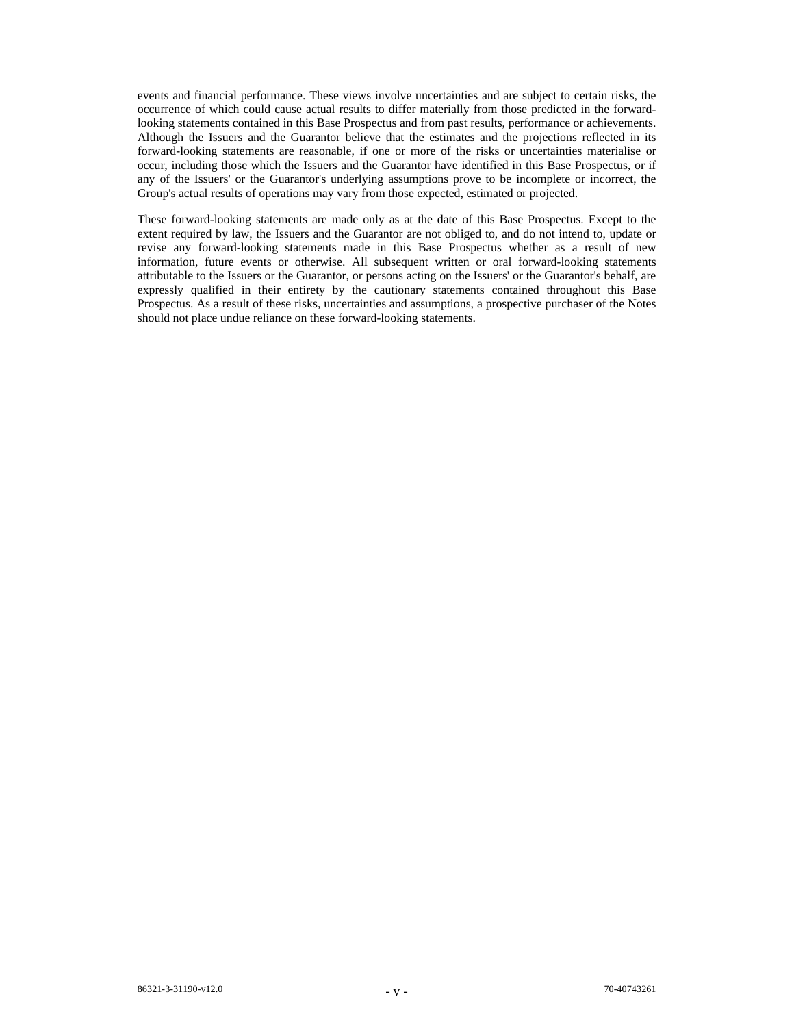events and financial performance. These views involve uncertainties and are subject to certain risks, the occurrence of which could cause actual results to differ materially from those predicted in the forwardlooking statements contained in this Base Prospectus and from past results, performance or achievements. Although the Issuers and the Guarantor believe that the estimates and the projections reflected in its forward-looking statements are reasonable, if one or more of the risks or uncertainties materialise or occur, including those which the Issuers and the Guarantor have identified in this Base Prospectus, or if any of the Issuers' or the Guarantor's underlying assumptions prove to be incomplete or incorrect, the Group's actual results of operations may vary from those expected, estimated or projected.

These forward-looking statements are made only as at the date of this Base Prospectus. Except to the extent required by law, the Issuers and the Guarantor are not obliged to, and do not intend to, update or revise any forward-looking statements made in this Base Prospectus whether as a result of new information, future events or otherwise. All subsequent written or oral forward-looking statements attributable to the Issuers or the Guarantor, or persons acting on the Issuers' or the Guarantor's behalf, are expressly qualified in their entirety by the cautionary statements contained throughout this Base Prospectus. As a result of these risks, uncertainties and assumptions, a prospective purchaser of the Notes should not place undue reliance on these forward-looking statements.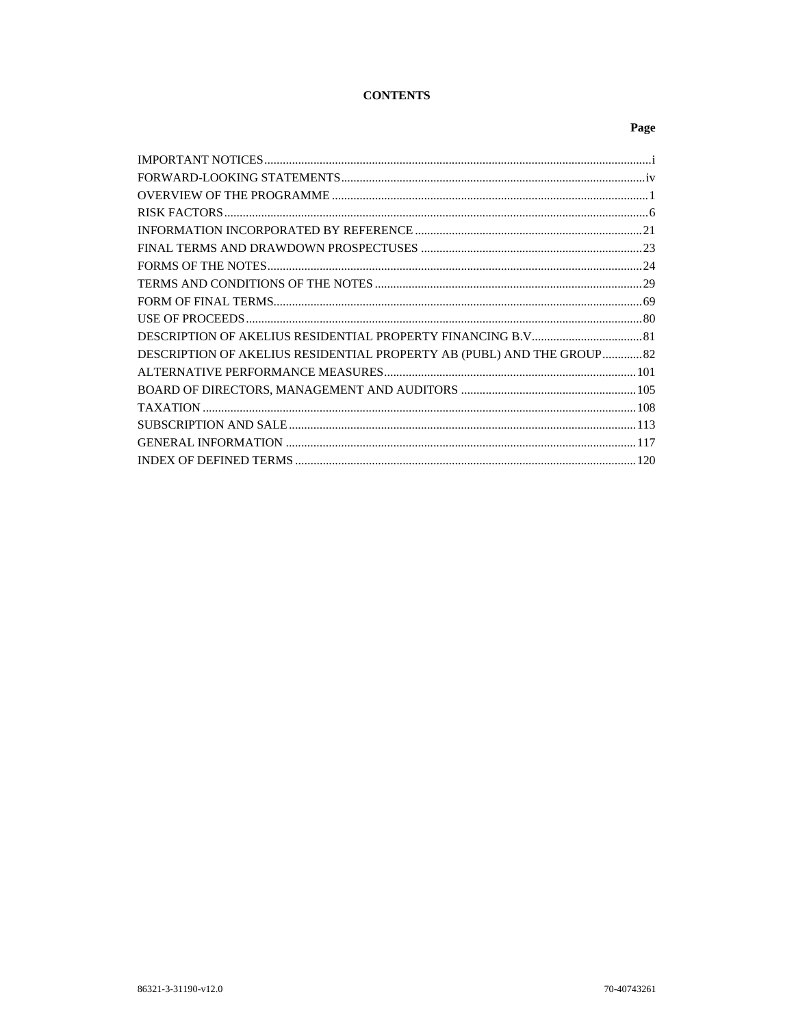# **CONTENTS**

# Page

| DESCRIPTION OF AKELIUS RESIDENTIAL PROPERTY AB (PUBL) AND THE GROUP82 |  |
|-----------------------------------------------------------------------|--|
|                                                                       |  |
|                                                                       |  |
|                                                                       |  |
|                                                                       |  |
|                                                                       |  |
|                                                                       |  |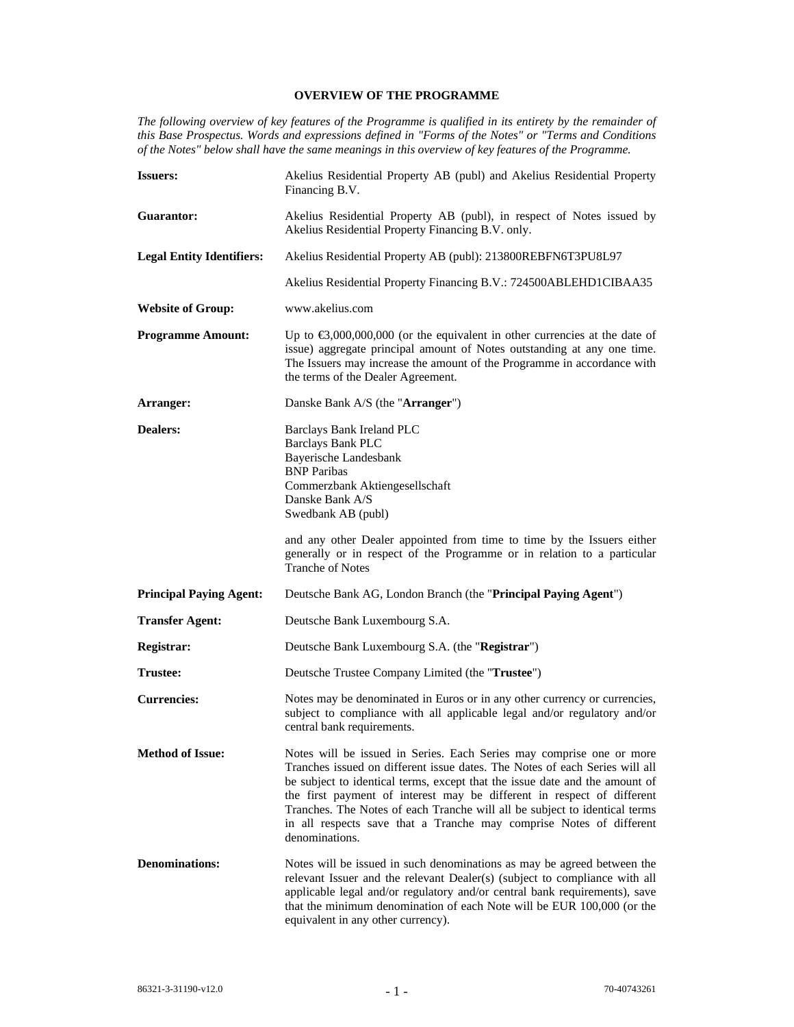# **OVERVIEW OF THE PROGRAMME**

*The following overview of key features of the Programme is qualified in its entirety by the remainder of this Base Prospectus. Words and expressions defined in "Forms of the Notes" or "Terms and Conditions of the Notes" below shall have the same meanings in this overview of key features of the Programme.* 

| <b>Issuers:</b>                  | Akelius Residential Property AB (publ) and Akelius Residential Property<br>Financing B.V.                                                                                                                                                                                                                                                                                                                                                                                           |
|----------------------------------|-------------------------------------------------------------------------------------------------------------------------------------------------------------------------------------------------------------------------------------------------------------------------------------------------------------------------------------------------------------------------------------------------------------------------------------------------------------------------------------|
| <b>Guarantor:</b>                | Akelius Residential Property AB (publ), in respect of Notes issued by<br>Akelius Residential Property Financing B.V. only.                                                                                                                                                                                                                                                                                                                                                          |
| <b>Legal Entity Identifiers:</b> | Akelius Residential Property AB (publ): 213800REBFN6T3PU8L97                                                                                                                                                                                                                                                                                                                                                                                                                        |
|                                  | Akelius Residential Property Financing B.V.: 724500ABLEHD1CIBAA35                                                                                                                                                                                                                                                                                                                                                                                                                   |
| <b>Website of Group:</b>         | www.akelius.com                                                                                                                                                                                                                                                                                                                                                                                                                                                                     |
| <b>Programme Amount:</b>         | Up to $\epsilon$ 3,000,000,000 (or the equivalent in other currencies at the date of<br>issue) aggregate principal amount of Notes outstanding at any one time.<br>The Issuers may increase the amount of the Programme in accordance with<br>the terms of the Dealer Agreement.                                                                                                                                                                                                    |
| Arranger:                        | Danske Bank A/S (the "Arranger")                                                                                                                                                                                                                                                                                                                                                                                                                                                    |
| <b>Dealers:</b>                  | <b>Barclays Bank Ireland PLC</b><br><b>Barclays Bank PLC</b><br>Bayerische Landesbank<br><b>BNP</b> Paribas<br>Commerzbank Aktiengesellschaft<br>Danske Bank A/S<br>Swedbank AB (publ)                                                                                                                                                                                                                                                                                              |
|                                  | and any other Dealer appointed from time to time by the Issuers either<br>generally or in respect of the Programme or in relation to a particular<br><b>Tranche of Notes</b>                                                                                                                                                                                                                                                                                                        |
| <b>Principal Paying Agent:</b>   | Deutsche Bank AG, London Branch (the " <b>Principal Paying Agent</b> ")                                                                                                                                                                                                                                                                                                                                                                                                             |
| <b>Transfer Agent:</b>           | Deutsche Bank Luxembourg S.A.                                                                                                                                                                                                                                                                                                                                                                                                                                                       |
| <b>Registrar:</b>                | Deutsche Bank Luxembourg S.A. (the "Registrar")                                                                                                                                                                                                                                                                                                                                                                                                                                     |
| Trustee:                         | Deutsche Trustee Company Limited (the "Trustee")                                                                                                                                                                                                                                                                                                                                                                                                                                    |
| <b>Currencies:</b>               | Notes may be denominated in Euros or in any other currency or currencies,<br>subject to compliance with all applicable legal and/or regulatory and/or<br>central bank requirements.                                                                                                                                                                                                                                                                                                 |
| <b>Method of Issue:</b>          | Notes will be issued in Series. Each Series may comprise one or more<br>Tranches issued on different issue dates. The Notes of each Series will all<br>be subject to identical terms, except that the issue date and the amount of<br>the first payment of interest may be different in respect of different<br>Tranches. The Notes of each Tranche will all be subject to identical terms<br>in all respects save that a Tranche may comprise Notes of different<br>denominations. |
| <b>Denominations:</b>            | Notes will be issued in such denominations as may be agreed between the<br>relevant Issuer and the relevant Dealer(s) (subject to compliance with all<br>applicable legal and/or regulatory and/or central bank requirements), save<br>that the minimum denomination of each Note will be EUR 100,000 (or the<br>equivalent in any other currency).                                                                                                                                 |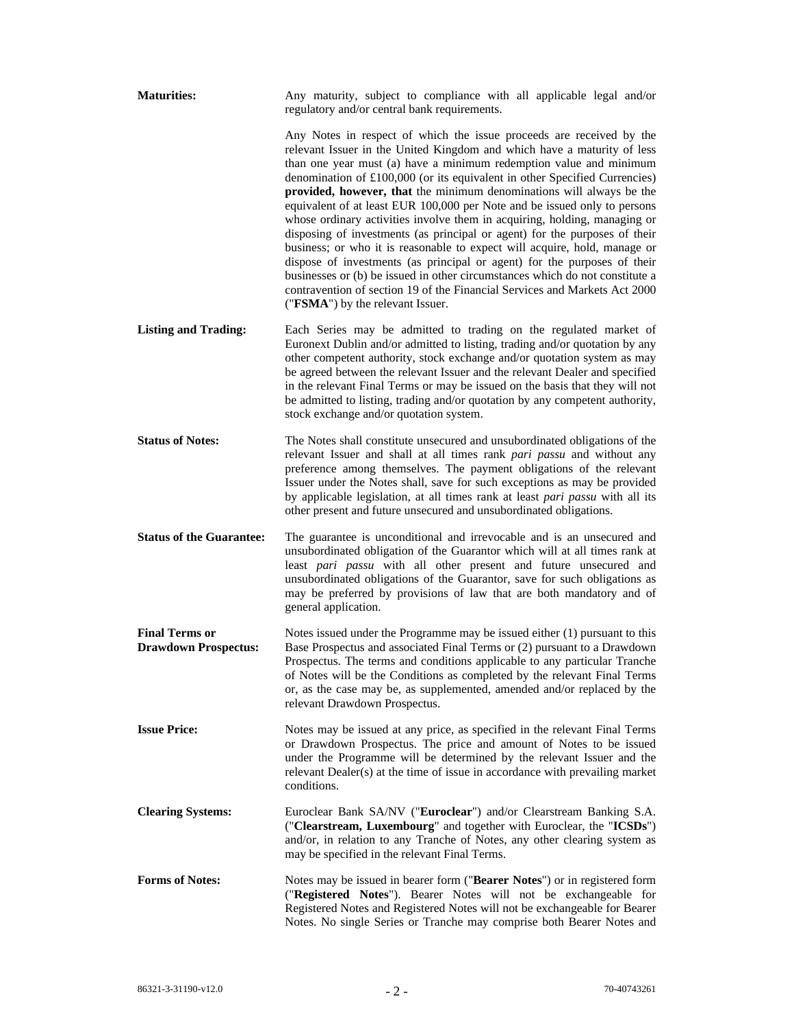| <b>Maturities:</b>                                   | Any maturity, subject to compliance with all applicable legal and/or<br>regulatory and/or central bank requirements.                                                                                                                                                                                                                                                                                                                                                                                                                                                                                                                                                                                                                                                                                                                                                                                                                                                           |
|------------------------------------------------------|--------------------------------------------------------------------------------------------------------------------------------------------------------------------------------------------------------------------------------------------------------------------------------------------------------------------------------------------------------------------------------------------------------------------------------------------------------------------------------------------------------------------------------------------------------------------------------------------------------------------------------------------------------------------------------------------------------------------------------------------------------------------------------------------------------------------------------------------------------------------------------------------------------------------------------------------------------------------------------|
|                                                      | Any Notes in respect of which the issue proceeds are received by the<br>relevant Issuer in the United Kingdom and which have a maturity of less<br>than one year must (a) have a minimum redemption value and minimum<br>denomination of £100,000 (or its equivalent in other Specified Currencies)<br>provided, however, that the minimum denominations will always be the<br>equivalent of at least EUR 100,000 per Note and be issued only to persons<br>whose ordinary activities involve them in acquiring, holding, managing or<br>disposing of investments (as principal or agent) for the purposes of their<br>business; or who it is reasonable to expect will acquire, hold, manage or<br>dispose of investments (as principal or agent) for the purposes of their<br>businesses or (b) be issued in other circumstances which do not constitute a<br>contravention of section 19 of the Financial Services and Markets Act 2000<br>("FSMA") by the relevant Issuer. |
| <b>Listing and Trading:</b>                          | Each Series may be admitted to trading on the regulated market of<br>Euronext Dublin and/or admitted to listing, trading and/or quotation by any<br>other competent authority, stock exchange and/or quotation system as may<br>be agreed between the relevant Issuer and the relevant Dealer and specified<br>in the relevant Final Terms or may be issued on the basis that they will not<br>be admitted to listing, trading and/or quotation by any competent authority,<br>stock exchange and/or quotation system.                                                                                                                                                                                                                                                                                                                                                                                                                                                         |
| <b>Status of Notes:</b>                              | The Notes shall constitute unsecured and unsubordinated obligations of the<br>relevant Issuer and shall at all times rank pari passu and without any<br>preference among themselves. The payment obligations of the relevant<br>Issuer under the Notes shall, save for such exceptions as may be provided<br>by applicable legislation, at all times rank at least pari passu with all its<br>other present and future unsecured and unsubordinated obligations.                                                                                                                                                                                                                                                                                                                                                                                                                                                                                                               |
| <b>Status of the Guarantee:</b>                      | The guarantee is unconditional and irrevocable and is an unsecured and<br>unsubordinated obligation of the Guarantor which will at all times rank at<br>least pari passu with all other present and future unsecured and<br>unsubordinated obligations of the Guarantor, save for such obligations as<br>may be preferred by provisions of law that are both mandatory and of<br>general application.                                                                                                                                                                                                                                                                                                                                                                                                                                                                                                                                                                          |
| <b>Final Terms or</b><br><b>Drawdown Prospectus:</b> | Notes issued under the Programme may be issued either $(1)$ pursuant to this<br>Base Prospectus and associated Final Terms or (2) pursuant to a Drawdown<br>Prospectus. The terms and conditions applicable to any particular Tranche<br>of Notes will be the Conditions as completed by the relevant Final Terms<br>or, as the case may be, as supplemented, amended and/or replaced by the<br>relevant Drawdown Prospectus.                                                                                                                                                                                                                                                                                                                                                                                                                                                                                                                                                  |
| <b>Issue Price:</b>                                  | Notes may be issued at any price, as specified in the relevant Final Terms<br>or Drawdown Prospectus. The price and amount of Notes to be issued<br>under the Programme will be determined by the relevant Issuer and the<br>relevant Dealer(s) at the time of issue in accordance with prevailing market<br>conditions.                                                                                                                                                                                                                                                                                                                                                                                                                                                                                                                                                                                                                                                       |
| <b>Clearing Systems:</b>                             | Euroclear Bank SA/NV ("Euroclear") and/or Clearstream Banking S.A.<br>("Clearstream, Luxembourg" and together with Euroclear, the "ICSDs")<br>and/or, in relation to any Tranche of Notes, any other clearing system as<br>may be specified in the relevant Final Terms.                                                                                                                                                                                                                                                                                                                                                                                                                                                                                                                                                                                                                                                                                                       |
| <b>Forms of Notes:</b>                               | Notes may be issued in bearer form ("Bearer Notes") or in registered form<br>("Registered Notes"). Bearer Notes will not be exchangeable for<br>Registered Notes and Registered Notes will not be exchangeable for Bearer<br>Notes. No single Series or Tranche may comprise both Bearer Notes and                                                                                                                                                                                                                                                                                                                                                                                                                                                                                                                                                                                                                                                                             |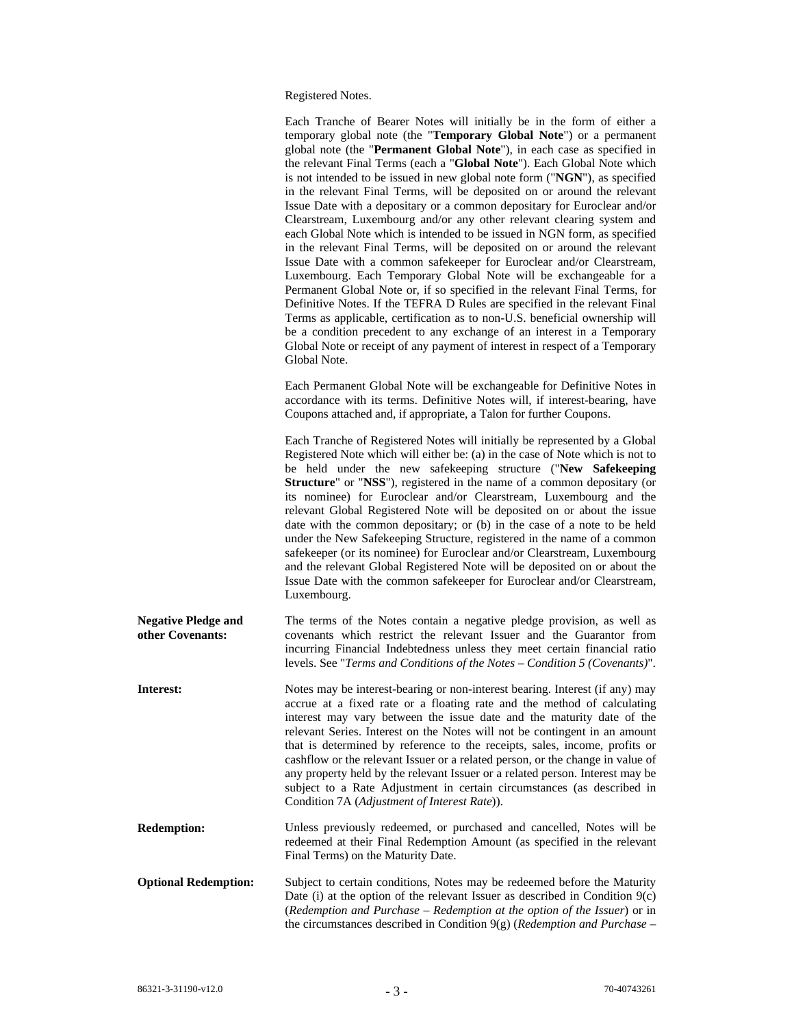Registered Notes.

|                                                | Each Tranche of Bearer Notes will initially be in the form of either a<br>temporary global note (the "Temporary Global Note") or a permanent<br>global note (the "Permanent Global Note"), in each case as specified in<br>the relevant Final Terms (each a "Global Note"). Each Global Note which<br>is not intended to be issued in new global note form ("NGN"), as specified<br>in the relevant Final Terms, will be deposited on or around the relevant<br>Issue Date with a depositary or a common depositary for Euroclear and/or<br>Clearstream, Luxembourg and/or any other relevant clearing system and<br>each Global Note which is intended to be issued in NGN form, as specified<br>in the relevant Final Terms, will be deposited on or around the relevant<br>Issue Date with a common safekeeper for Euroclear and/or Clearstream,<br>Luxembourg. Each Temporary Global Note will be exchangeable for a<br>Permanent Global Note or, if so specified in the relevant Final Terms, for<br>Definitive Notes. If the TEFRA D Rules are specified in the relevant Final<br>Terms as applicable, certification as to non-U.S. beneficial ownership will<br>be a condition precedent to any exchange of an interest in a Temporary<br>Global Note or receipt of any payment of interest in respect of a Temporary<br>Global Note. |
|------------------------------------------------|----------------------------------------------------------------------------------------------------------------------------------------------------------------------------------------------------------------------------------------------------------------------------------------------------------------------------------------------------------------------------------------------------------------------------------------------------------------------------------------------------------------------------------------------------------------------------------------------------------------------------------------------------------------------------------------------------------------------------------------------------------------------------------------------------------------------------------------------------------------------------------------------------------------------------------------------------------------------------------------------------------------------------------------------------------------------------------------------------------------------------------------------------------------------------------------------------------------------------------------------------------------------------------------------------------------------------------------------|
|                                                | Each Permanent Global Note will be exchangeable for Definitive Notes in<br>accordance with its terms. Definitive Notes will, if interest-bearing, have<br>Coupons attached and, if appropriate, a Talon for further Coupons.                                                                                                                                                                                                                                                                                                                                                                                                                                                                                                                                                                                                                                                                                                                                                                                                                                                                                                                                                                                                                                                                                                                 |
|                                                | Each Tranche of Registered Notes will initially be represented by a Global<br>Registered Note which will either be: (a) in the case of Note which is not to<br>be held under the new safekeeping structure ("New Safekeeping<br>Structure" or "NSS"), registered in the name of a common depositary (or<br>its nominee) for Euroclear and/or Clearstream, Luxembourg and the<br>relevant Global Registered Note will be deposited on or about the issue<br>date with the common depositary; or (b) in the case of a note to be held<br>under the New Safekeeping Structure, registered in the name of a common<br>safekeeper (or its nominee) for Euroclear and/or Clearstream, Luxembourg<br>and the relevant Global Registered Note will be deposited on or about the<br>Issue Date with the common safekeeper for Euroclear and/or Clearstream,<br>Luxembourg.                                                                                                                                                                                                                                                                                                                                                                                                                                                                            |
| <b>Negative Pledge and</b><br>other Covenants: | The terms of the Notes contain a negative pledge provision, as well as<br>covenants which restrict the relevant Issuer and the Guarantor from<br>incurring Financial Indebtedness unless they meet certain financial ratio<br>levels. See "Terms and Conditions of the Notes - Condition 5 (Covenants)".                                                                                                                                                                                                                                                                                                                                                                                                                                                                                                                                                                                                                                                                                                                                                                                                                                                                                                                                                                                                                                     |
| Interest:                                      | Notes may be interest-bearing or non-interest bearing. Interest (if any) may<br>accrue at a fixed rate or a floating rate and the method of calculating<br>interest may vary between the issue date and the maturity date of the<br>relevant Series. Interest on the Notes will not be contingent in an amount<br>that is determined by reference to the receipts, sales, income, profits or<br>cashflow or the relevant Issuer or a related person, or the change in value of<br>any property held by the relevant Issuer or a related person. Interest may be<br>subject to a Rate Adjustment in certain circumstances (as described in<br>Condition 7A (Adjustment of Interest Rate)).                                                                                                                                                                                                                                                                                                                                                                                                                                                                                                                                                                                                                                                    |
| <b>Redemption:</b>                             | Unless previously redeemed, or purchased and cancelled, Notes will be<br>redeemed at their Final Redemption Amount (as specified in the relevant<br>Final Terms) on the Maturity Date.                                                                                                                                                                                                                                                                                                                                                                                                                                                                                                                                                                                                                                                                                                                                                                                                                                                                                                                                                                                                                                                                                                                                                       |
| <b>Optional Redemption:</b>                    | Subject to certain conditions, Notes may be redeemed before the Maturity<br>Date (i) at the option of the relevant Issuer as described in Condition $9(c)$<br>(Redemption and Purchase - Redemption at the option of the Issuer) or in<br>the circumstances described in Condition $9(g)$ (Redemption and Purchase –                                                                                                                                                                                                                                                                                                                                                                                                                                                                                                                                                                                                                                                                                                                                                                                                                                                                                                                                                                                                                         |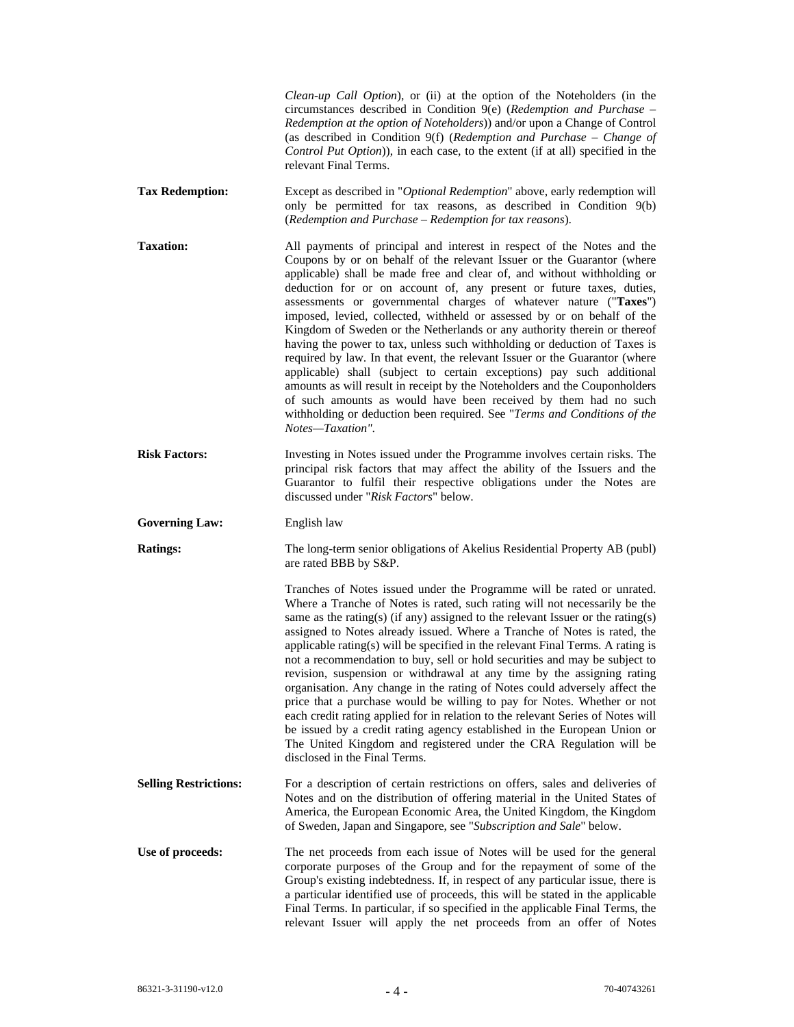|                              | Clean-up Call Option), or (ii) at the option of the Noteholders (in the<br>circumstances described in Condition $9(e)$ (Redemption and Purchase -<br>Redemption at the option of Noteholders)) and/or upon a Change of Control<br>(as described in Condition 9(f) (Redemption and Purchase – Change of<br>Control Put Option)), in each case, to the extent (if at all) specified in the<br>relevant Final Terms.                                                                                                                                                                                                                                                                                                                                                                                                                                                                                                                                                                                                    |
|------------------------------|----------------------------------------------------------------------------------------------------------------------------------------------------------------------------------------------------------------------------------------------------------------------------------------------------------------------------------------------------------------------------------------------------------------------------------------------------------------------------------------------------------------------------------------------------------------------------------------------------------------------------------------------------------------------------------------------------------------------------------------------------------------------------------------------------------------------------------------------------------------------------------------------------------------------------------------------------------------------------------------------------------------------|
| <b>Tax Redemption:</b>       | Except as described in "Optional Redemption" above, early redemption will<br>only be permitted for tax reasons, as described in Condition 9(b)<br>(Redemption and Purchase - Redemption for tax reasons).                                                                                                                                                                                                                                                                                                                                                                                                                                                                                                                                                                                                                                                                                                                                                                                                            |
| <b>Taxation:</b>             | All payments of principal and interest in respect of the Notes and the<br>Coupons by or on behalf of the relevant Issuer or the Guarantor (where<br>applicable) shall be made free and clear of, and without withholding or<br>deduction for or on account of, any present or future taxes, duties,<br>assessments or governmental charges of whatever nature ("Taxes")<br>imposed, levied, collected, withheld or assessed by or on behalf of the<br>Kingdom of Sweden or the Netherlands or any authority therein or thereof<br>having the power to tax, unless such withholding or deduction of Taxes is<br>required by law. In that event, the relevant Issuer or the Guarantor (where<br>applicable) shall (subject to certain exceptions) pay such additional<br>amounts as will result in receipt by the Noteholders and the Couponholders<br>of such amounts as would have been received by them had no such<br>withholding or deduction been required. See "Terms and Conditions of the<br>Notes-Taxation". |
| <b>Risk Factors:</b>         | Investing in Notes issued under the Programme involves certain risks. The<br>principal risk factors that may affect the ability of the Issuers and the<br>Guarantor to fulfil their respective obligations under the Notes are<br>discussed under "Risk Factors" below.                                                                                                                                                                                                                                                                                                                                                                                                                                                                                                                                                                                                                                                                                                                                              |
| <b>Governing Law:</b>        | English law                                                                                                                                                                                                                                                                                                                                                                                                                                                                                                                                                                                                                                                                                                                                                                                                                                                                                                                                                                                                          |
| <b>Ratings:</b>              | The long-term senior obligations of Akelius Residential Property AB (publ)<br>are rated BBB by S&P.                                                                                                                                                                                                                                                                                                                                                                                                                                                                                                                                                                                                                                                                                                                                                                                                                                                                                                                  |
|                              | Tranches of Notes issued under the Programme will be rated or unrated.<br>Where a Tranche of Notes is rated, such rating will not necessarily be the<br>same as the rating(s) (if any) assigned to the relevant Issuer or the rating(s)<br>assigned to Notes already issued. Where a Tranche of Notes is rated, the<br>applicable rating(s) will be specified in the relevant Final Terms. A rating is<br>not a recommendation to buy, sell or hold securities and may be subject to<br>revision, suspension or withdrawal at any time by the assigning rating<br>organisation. Any change in the rating of Notes could adversely affect the<br>price that a purchase would be willing to pay for Notes. Whether or not<br>each credit rating applied for in relation to the relevant Series of Notes will<br>be issued by a credit rating agency established in the European Union or<br>The United Kingdom and registered under the CRA Regulation will be<br>disclosed in the Final Terms.                        |
| <b>Selling Restrictions:</b> |                                                                                                                                                                                                                                                                                                                                                                                                                                                                                                                                                                                                                                                                                                                                                                                                                                                                                                                                                                                                                      |
|                              | For a description of certain restrictions on offers, sales and deliveries of<br>Notes and on the distribution of offering material in the United States of<br>America, the European Economic Area, the United Kingdom, the Kingdom<br>of Sweden, Japan and Singapore, see "Subscription and Sale" below.                                                                                                                                                                                                                                                                                                                                                                                                                                                                                                                                                                                                                                                                                                             |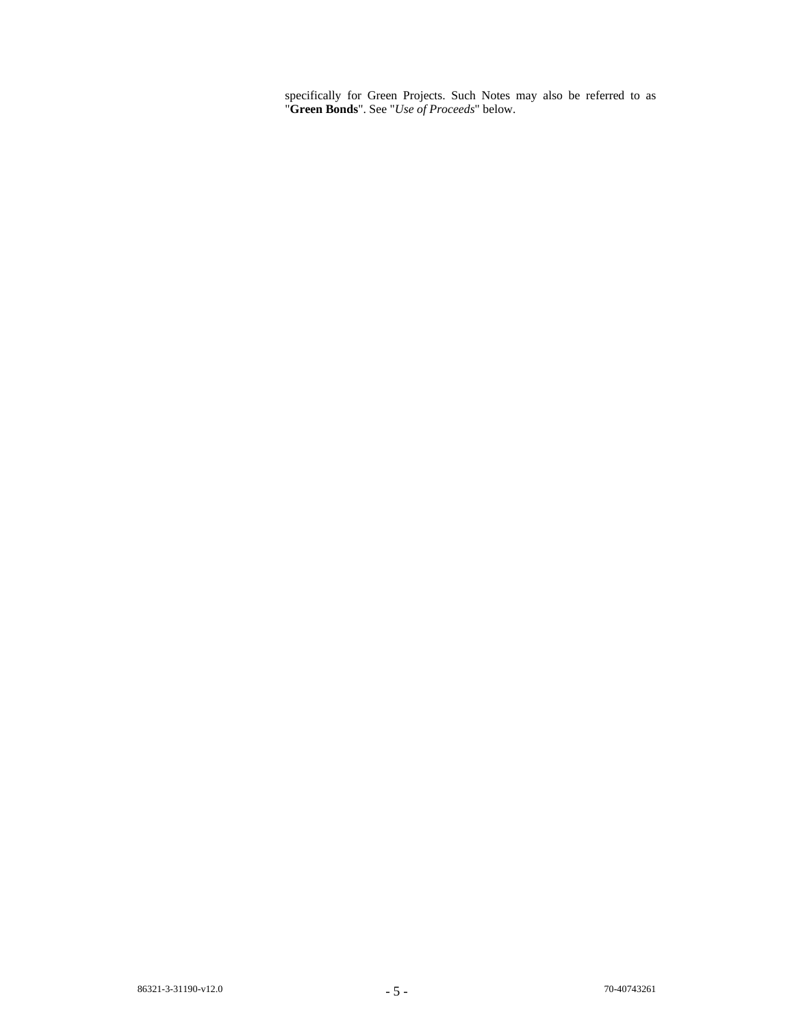specifically for Green Projects. Such Notes may also be referred to as "**Green Bonds**". See "*Use of Proceeds*" below.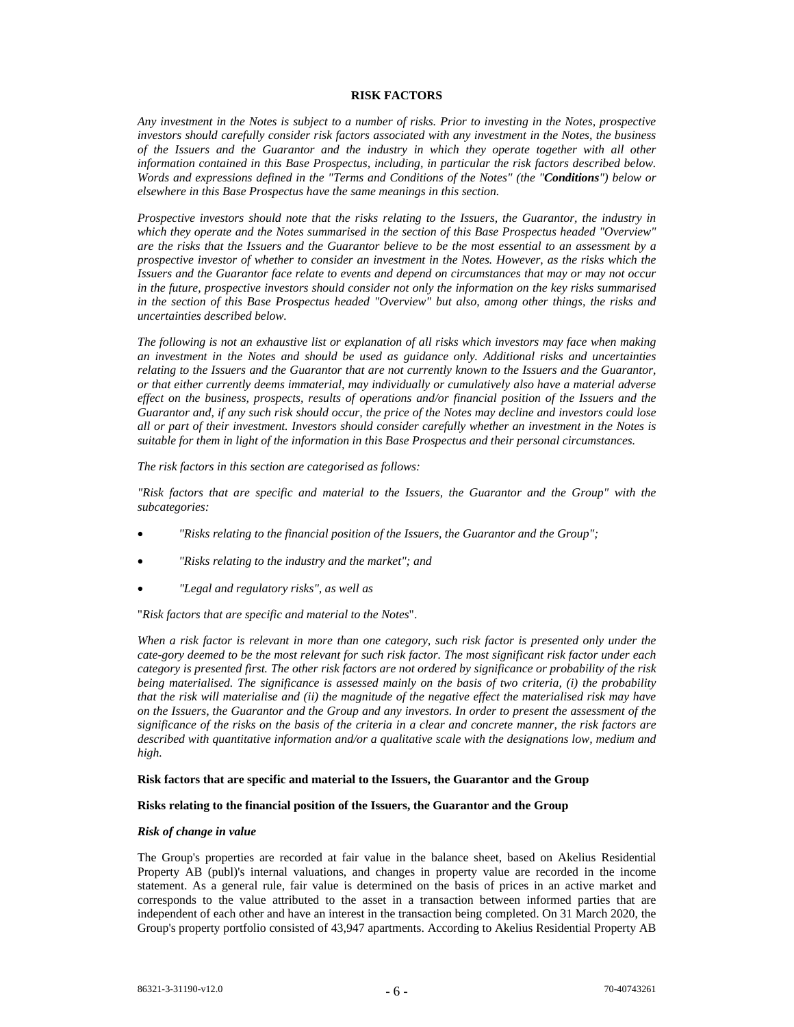#### **RISK FACTORS**

*Any investment in the Notes is subject to a number of risks. Prior to investing in the Notes, prospective investors should carefully consider risk factors associated with any investment in the Notes, the business of the Issuers and the Guarantor and the industry in which they operate together with all other information contained in this Base Prospectus, including, in particular the risk factors described below. Words and expressions defined in the "Terms and Conditions of the Notes" (the "Conditions") below or elsewhere in this Base Prospectus have the same meanings in this section.* 

*Prospective investors should note that the risks relating to the Issuers, the Guarantor, the industry in which they operate and the Notes summarised in the section of this Base Prospectus headed "Overview" are the risks that the Issuers and the Guarantor believe to be the most essential to an assessment by a prospective investor of whether to consider an investment in the Notes. However, as the risks which the Issuers and the Guarantor face relate to events and depend on circumstances that may or may not occur in the future, prospective investors should consider not only the information on the key risks summarised in the section of this Base Prospectus headed "Overview" but also, among other things, the risks and uncertainties described below.* 

*The following is not an exhaustive list or explanation of all risks which investors may face when making an investment in the Notes and should be used as guidance only. Additional risks and uncertainties relating to the Issuers and the Guarantor that are not currently known to the Issuers and the Guarantor, or that either currently deems immaterial, may individually or cumulatively also have a material adverse effect on the business, prospects, results of operations and/or financial position of the Issuers and the Guarantor and, if any such risk should occur, the price of the Notes may decline and investors could lose all or part of their investment. Investors should consider carefully whether an investment in the Notes is suitable for them in light of the information in this Base Prospectus and their personal circumstances.* 

*The risk factors in this section are categorised as follows:* 

*"Risk factors that are specific and material to the Issuers, the Guarantor and the Group" with the subcategories:* 

- *"Risks relating to the financial position of the Issuers, the Guarantor and the Group";*
- *"Risks relating to the industry and the market"; and*
- *"Legal and regulatory risks", as well as*

"*Risk factors that are specific and material to the Notes*".

*When a risk factor is relevant in more than one category, such risk factor is presented only under the cate-gory deemed to be the most relevant for such risk factor. The most significant risk factor under each category is presented first. The other risk factors are not ordered by significance or probability of the risk being materialised. The significance is assessed mainly on the basis of two criteria, (i) the probability that the risk will materialise and (ii) the magnitude of the negative effect the materialised risk may have on the Issuers, the Guarantor and the Group and any investors. In order to present the assessment of the significance of the risks on the basis of the criteria in a clear and concrete manner, the risk factors are described with quantitative information and/or a qualitative scale with the designations low, medium and high.*

#### **Risk factors that are specific and material to the Issuers, the Guarantor and the Group**

# **Risks relating to the financial position of the Issuers, the Guarantor and the Group**

#### *Risk of change in value*

The Group's properties are recorded at fair value in the balance sheet, based on Akelius Residential Property AB (publ)'s internal valuations, and changes in property value are recorded in the income statement. As a general rule, fair value is determined on the basis of prices in an active market and corresponds to the value attributed to the asset in a transaction between informed parties that are independent of each other and have an interest in the transaction being completed. On 31 March 2020, the Group's property portfolio consisted of 43,947 apartments. According to Akelius Residential Property AB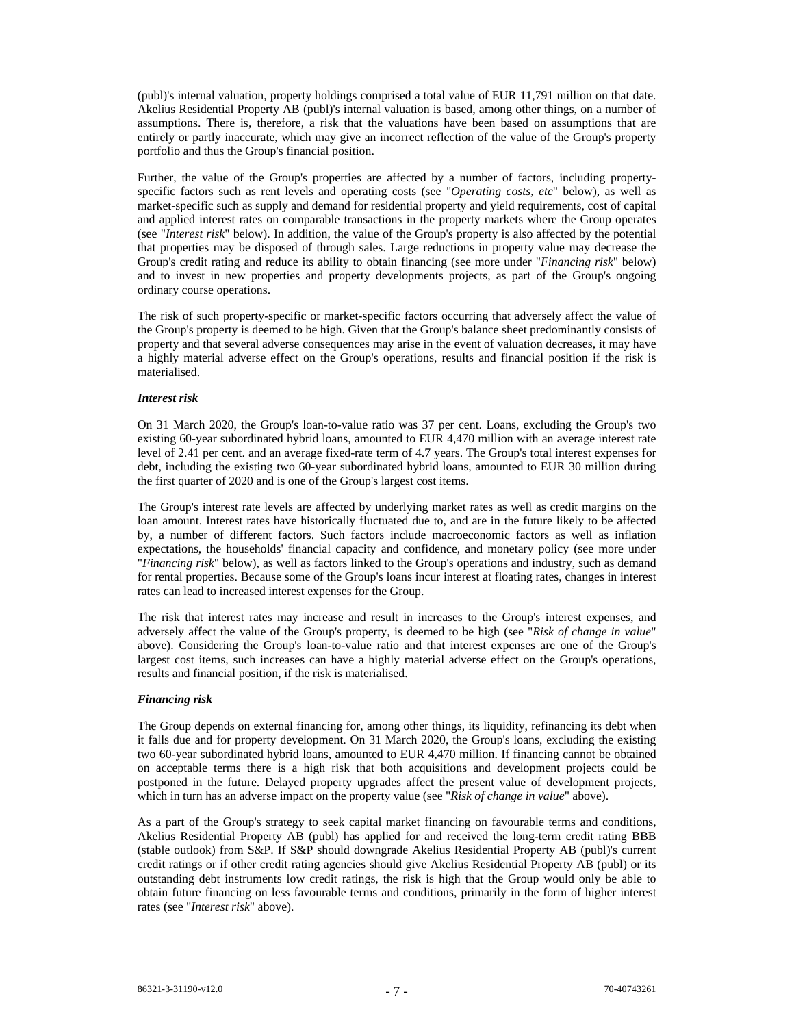(publ)'s internal valuation, property holdings comprised a total value of EUR 11,791 million on that date. Akelius Residential Property AB (publ)'s internal valuation is based, among other things, on a number of assumptions. There is, therefore, a risk that the valuations have been based on assumptions that are entirely or partly inaccurate, which may give an incorrect reflection of the value of the Group's property portfolio and thus the Group's financial position.

Further, the value of the Group's properties are affected by a number of factors, including propertyspecific factors such as rent levels and operating costs (see "*Operating costs, etc*" below), as well as market-specific such as supply and demand for residential property and yield requirements, cost of capital and applied interest rates on comparable transactions in the property markets where the Group operates (see "*Interest risk*" below). In addition, the value of the Group's property is also affected by the potential that properties may be disposed of through sales. Large reductions in property value may decrease the Group's credit rating and reduce its ability to obtain financing (see more under "*Financing risk*" below) and to invest in new properties and property developments projects, as part of the Group's ongoing ordinary course operations.

The risk of such property-specific or market-specific factors occurring that adversely affect the value of the Group's property is deemed to be high. Given that the Group's balance sheet predominantly consists of property and that several adverse consequences may arise in the event of valuation decreases, it may have a highly material adverse effect on the Group's operations, results and financial position if the risk is materialised.

# *Interest risk*

On 31 March 2020, the Group's loan-to-value ratio was 37 per cent. Loans, excluding the Group's two existing 60-year subordinated hybrid loans, amounted to EUR 4,470 million with an average interest rate level of 2.41 per cent. and an average fixed-rate term of 4.7 years. The Group's total interest expenses for debt, including the existing two 60-year subordinated hybrid loans, amounted to EUR 30 million during the first quarter of 2020 and is one of the Group's largest cost items.

The Group's interest rate levels are affected by underlying market rates as well as credit margins on the loan amount. Interest rates have historically fluctuated due to, and are in the future likely to be affected by, a number of different factors. Such factors include macroeconomic factors as well as inflation expectations, the households' financial capacity and confidence, and monetary policy (see more under "*Financing risk*" below), as well as factors linked to the Group's operations and industry, such as demand for rental properties. Because some of the Group's loans incur interest at floating rates, changes in interest rates can lead to increased interest expenses for the Group.

The risk that interest rates may increase and result in increases to the Group's interest expenses, and adversely affect the value of the Group's property, is deemed to be high (see "*Risk of change in value*" above). Considering the Group's loan-to-value ratio and that interest expenses are one of the Group's largest cost items, such increases can have a highly material adverse effect on the Group's operations, results and financial position, if the risk is materialised.

# *Financing risk*

The Group depends on external financing for, among other things, its liquidity, refinancing its debt when it falls due and for property development. On 31 March 2020, the Group's loans, excluding the existing two 60-year subordinated hybrid loans, amounted to EUR 4,470 million. If financing cannot be obtained on acceptable terms there is a high risk that both acquisitions and development projects could be postponed in the future. Delayed property upgrades affect the present value of development projects, which in turn has an adverse impact on the property value (see "*Risk of change in value*" above).

As a part of the Group's strategy to seek capital market financing on favourable terms and conditions, Akelius Residential Property AB (publ) has applied for and received the long-term credit rating BBB (stable outlook) from S&P. If S&P should downgrade Akelius Residential Property AB (publ)'s current credit ratings or if other credit rating agencies should give Akelius Residential Property AB (publ) or its outstanding debt instruments low credit ratings, the risk is high that the Group would only be able to obtain future financing on less favourable terms and conditions, primarily in the form of higher interest rates (see "*Interest risk*" above).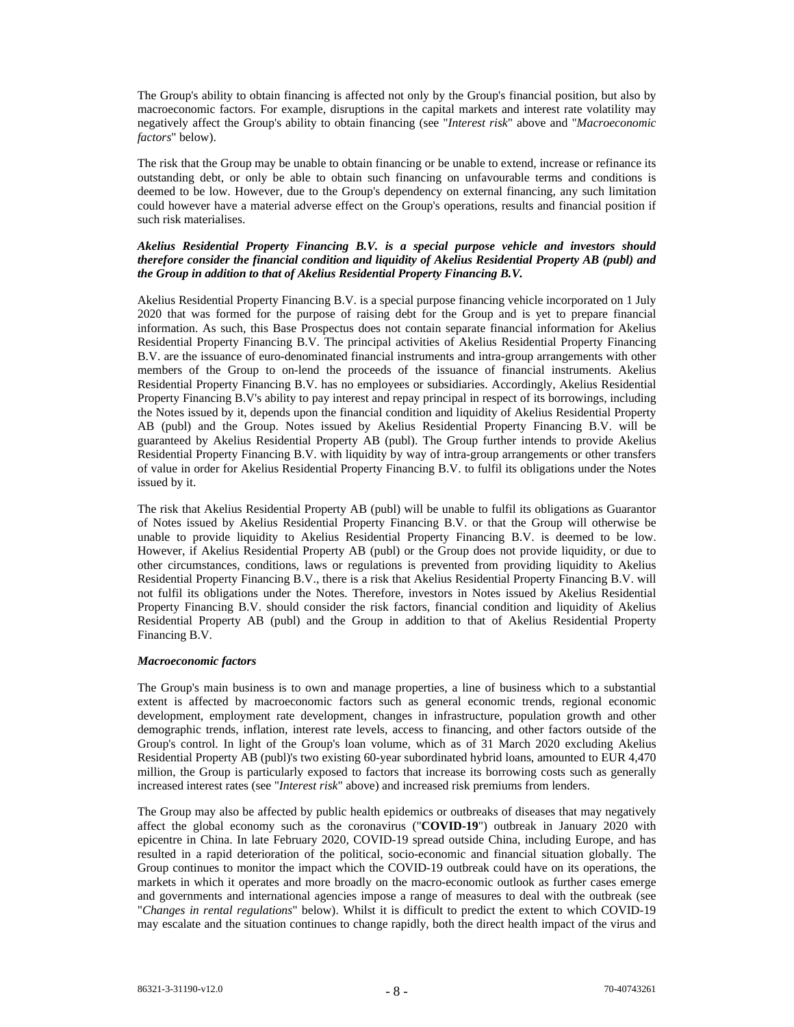The Group's ability to obtain financing is affected not only by the Group's financial position, but also by macroeconomic factors. For example, disruptions in the capital markets and interest rate volatility may negatively affect the Group's ability to obtain financing (see "*Interest risk*" above and "*Macroeconomic factors*" below).

The risk that the Group may be unable to obtain financing or be unable to extend, increase or refinance its outstanding debt, or only be able to obtain such financing on unfavourable terms and conditions is deemed to be low. However, due to the Group's dependency on external financing, any such limitation could however have a material adverse effect on the Group's operations, results and financial position if such risk materialises.

# *Akelius Residential Property Financing B.V. is a special purpose vehicle and investors should therefore consider the financial condition and liquidity of Akelius Residential Property AB (publ) and the Group in addition to that of Akelius Residential Property Financing B.V.*

Akelius Residential Property Financing B.V. is a special purpose financing vehicle incorporated on 1 July 2020 that was formed for the purpose of raising debt for the Group and is yet to prepare financial information. As such, this Base Prospectus does not contain separate financial information for Akelius Residential Property Financing B.V. The principal activities of Akelius Residential Property Financing B.V. are the issuance of euro-denominated financial instruments and intra-group arrangements with other members of the Group to on-lend the proceeds of the issuance of financial instruments. Akelius Residential Property Financing B.V. has no employees or subsidiaries. Accordingly, Akelius Residential Property Financing B.V's ability to pay interest and repay principal in respect of its borrowings, including the Notes issued by it, depends upon the financial condition and liquidity of Akelius Residential Property AB (publ) and the Group. Notes issued by Akelius Residential Property Financing B.V. will be guaranteed by Akelius Residential Property AB (publ). The Group further intends to provide Akelius Residential Property Financing B.V. with liquidity by way of intra-group arrangements or other transfers of value in order for Akelius Residential Property Financing B.V. to fulfil its obligations under the Notes issued by it.

The risk that Akelius Residential Property AB (publ) will be unable to fulfil its obligations as Guarantor of Notes issued by Akelius Residential Property Financing B.V. or that the Group will otherwise be unable to provide liquidity to Akelius Residential Property Financing B.V. is deemed to be low. However, if Akelius Residential Property AB (publ) or the Group does not provide liquidity, or due to other circumstances, conditions, laws or regulations is prevented from providing liquidity to Akelius Residential Property Financing B.V., there is a risk that Akelius Residential Property Financing B.V. will not fulfil its obligations under the Notes. Therefore, investors in Notes issued by Akelius Residential Property Financing B.V. should consider the risk factors, financial condition and liquidity of Akelius Residential Property AB (publ) and the Group in addition to that of Akelius Residential Property Financing B.V.

#### *Macroeconomic factors*

The Group's main business is to own and manage properties, a line of business which to a substantial extent is affected by macroeconomic factors such as general economic trends, regional economic development, employment rate development, changes in infrastructure, population growth and other demographic trends, inflation, interest rate levels, access to financing, and other factors outside of the Group's control. In light of the Group's loan volume, which as of 31 March 2020 excluding Akelius Residential Property AB (publ)'s two existing 60-year subordinated hybrid loans, amounted to EUR 4,470 million, the Group is particularly exposed to factors that increase its borrowing costs such as generally increased interest rates (see "*Interest risk*" above) and increased risk premiums from lenders.

The Group may also be affected by public health epidemics or outbreaks of diseases that may negatively affect the global economy such as the coronavirus ("**COVID-19**") outbreak in January 2020 with epicentre in China. In late February 2020, COVID-19 spread outside China, including Europe, and has resulted in a rapid deterioration of the political, socio-economic and financial situation globally. The Group continues to monitor the impact which the COVID-19 outbreak could have on its operations, the markets in which it operates and more broadly on the macro-economic outlook as further cases emerge and governments and international agencies impose a range of measures to deal with the outbreak (see "*Changes in rental regulations*" below). Whilst it is difficult to predict the extent to which COVID-19 may escalate and the situation continues to change rapidly, both the direct health impact of the virus and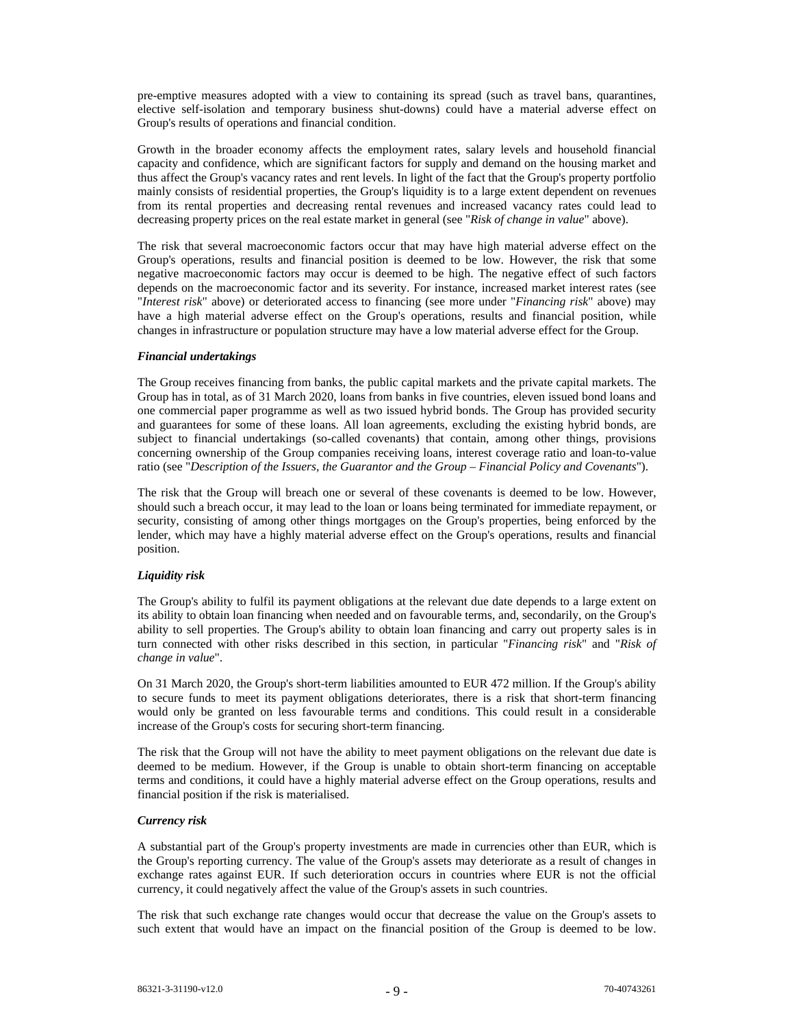pre-emptive measures adopted with a view to containing its spread (such as travel bans, quarantines, elective self-isolation and temporary business shut-downs) could have a material adverse effect on Group's results of operations and financial condition.

Growth in the broader economy affects the employment rates, salary levels and household financial capacity and confidence, which are significant factors for supply and demand on the housing market and thus affect the Group's vacancy rates and rent levels. In light of the fact that the Group's property portfolio mainly consists of residential properties, the Group's liquidity is to a large extent dependent on revenues from its rental properties and decreasing rental revenues and increased vacancy rates could lead to decreasing property prices on the real estate market in general (see "*Risk of change in value*" above).

The risk that several macroeconomic factors occur that may have high material adverse effect on the Group's operations, results and financial position is deemed to be low. However, the risk that some negative macroeconomic factors may occur is deemed to be high. The negative effect of such factors depends on the macroeconomic factor and its severity. For instance, increased market interest rates (see "*Interest risk*" above) or deteriorated access to financing (see more under "*Financing risk*" above) may have a high material adverse effect on the Group's operations, results and financial position, while changes in infrastructure or population structure may have a low material adverse effect for the Group.

# *Financial undertakings*

The Group receives financing from banks, the public capital markets and the private capital markets. The Group has in total, as of 31 March 2020, loans from banks in five countries, eleven issued bond loans and one commercial paper programme as well as two issued hybrid bonds. The Group has provided security and guarantees for some of these loans. All loan agreements, excluding the existing hybrid bonds, are subject to financial undertakings (so-called covenants) that contain, among other things, provisions concerning ownership of the Group companies receiving loans, interest coverage ratio and loan-to-value ratio (see "*Description of the Issuers, the Guarantor and the Group – Financial Policy and Covenants*").

The risk that the Group will breach one or several of these covenants is deemed to be low. However, should such a breach occur, it may lead to the loan or loans being terminated for immediate repayment, or security, consisting of among other things mortgages on the Group's properties, being enforced by the lender, which may have a highly material adverse effect on the Group's operations, results and financial position.

# *Liquidity risk*

The Group's ability to fulfil its payment obligations at the relevant due date depends to a large extent on its ability to obtain loan financing when needed and on favourable terms, and, secondarily, on the Group's ability to sell properties. The Group's ability to obtain loan financing and carry out property sales is in turn connected with other risks described in this section, in particular "*Financing risk*" and "*Risk of change in value*".

On 31 March 2020, the Group's short-term liabilities amounted to EUR 472 million. If the Group's ability to secure funds to meet its payment obligations deteriorates, there is a risk that short-term financing would only be granted on less favourable terms and conditions. This could result in a considerable increase of the Group's costs for securing short-term financing.

The risk that the Group will not have the ability to meet payment obligations on the relevant due date is deemed to be medium. However, if the Group is unable to obtain short-term financing on acceptable terms and conditions, it could have a highly material adverse effect on the Group operations, results and financial position if the risk is materialised.

# *Currency risk*

A substantial part of the Group's property investments are made in currencies other than EUR, which is the Group's reporting currency. The value of the Group's assets may deteriorate as a result of changes in exchange rates against EUR. If such deterioration occurs in countries where EUR is not the official currency, it could negatively affect the value of the Group's assets in such countries.

The risk that such exchange rate changes would occur that decrease the value on the Group's assets to such extent that would have an impact on the financial position of the Group is deemed to be low.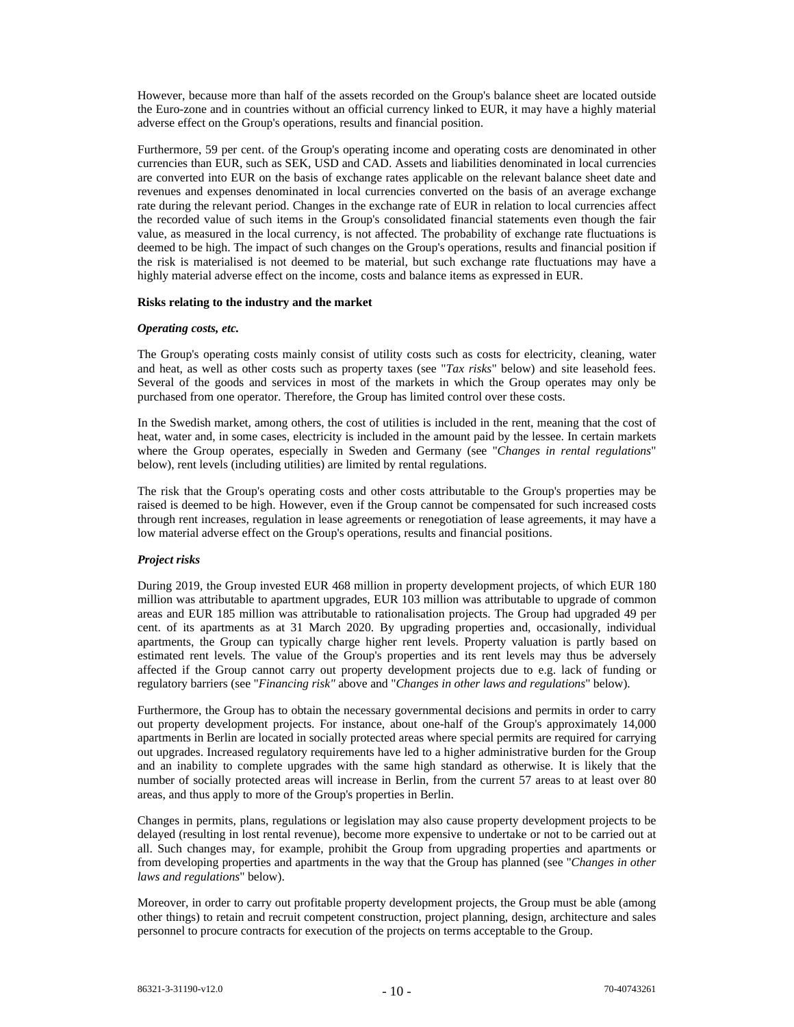However, because more than half of the assets recorded on the Group's balance sheet are located outside the Euro-zone and in countries without an official currency linked to EUR, it may have a highly material adverse effect on the Group's operations, results and financial position.

Furthermore, 59 per cent. of the Group's operating income and operating costs are denominated in other currencies than EUR, such as SEK, USD and CAD. Assets and liabilities denominated in local currencies are converted into EUR on the basis of exchange rates applicable on the relevant balance sheet date and revenues and expenses denominated in local currencies converted on the basis of an average exchange rate during the relevant period. Changes in the exchange rate of EUR in relation to local currencies affect the recorded value of such items in the Group's consolidated financial statements even though the fair value, as measured in the local currency, is not affected. The probability of exchange rate fluctuations is deemed to be high. The impact of such changes on the Group's operations, results and financial position if the risk is materialised is not deemed to be material, but such exchange rate fluctuations may have a highly material adverse effect on the income, costs and balance items as expressed in EUR.

#### **Risks relating to the industry and the market**

#### *Operating costs, etc.*

The Group's operating costs mainly consist of utility costs such as costs for electricity, cleaning, water and heat, as well as other costs such as property taxes (see "*Tax risks*" below) and site leasehold fees. Several of the goods and services in most of the markets in which the Group operates may only be purchased from one operator. Therefore, the Group has limited control over these costs.

In the Swedish market, among others, the cost of utilities is included in the rent, meaning that the cost of heat, water and, in some cases, electricity is included in the amount paid by the lessee. In certain markets where the Group operates, especially in Sweden and Germany (see "*Changes in rental regulations*" below), rent levels (including utilities) are limited by rental regulations.

The risk that the Group's operating costs and other costs attributable to the Group's properties may be raised is deemed to be high. However, even if the Group cannot be compensated for such increased costs through rent increases, regulation in lease agreements or renegotiation of lease agreements, it may have a low material adverse effect on the Group's operations, results and financial positions.

# *Project risks*

During 2019, the Group invested EUR 468 million in property development projects, of which EUR 180 million was attributable to apartment upgrades, EUR 103 million was attributable to upgrade of common areas and EUR 185 million was attributable to rationalisation projects. The Group had upgraded 49 per cent. of its apartments as at 31 March 2020. By upgrading properties and, occasionally, individual apartments, the Group can typically charge higher rent levels. Property valuation is partly based on estimated rent levels. The value of the Group's properties and its rent levels may thus be adversely affected if the Group cannot carry out property development projects due to e.g. lack of funding or regulatory barriers (see "*Financing risk"* above and "*Changes in other laws and regulations*" below).

Furthermore, the Group has to obtain the necessary governmental decisions and permits in order to carry out property development projects. For instance, about one-half of the Group's approximately 14,000 apartments in Berlin are located in socially protected areas where special permits are required for carrying out upgrades. Increased regulatory requirements have led to a higher administrative burden for the Group and an inability to complete upgrades with the same high standard as otherwise. It is likely that the number of socially protected areas will increase in Berlin, from the current 57 areas to at least over 80 areas, and thus apply to more of the Group's properties in Berlin.

Changes in permits, plans, regulations or legislation may also cause property development projects to be delayed (resulting in lost rental revenue), become more expensive to undertake or not to be carried out at all. Such changes may, for example, prohibit the Group from upgrading properties and apartments or from developing properties and apartments in the way that the Group has planned (see "*Changes in other laws and regulations*" below).

Moreover, in order to carry out profitable property development projects, the Group must be able (among other things) to retain and recruit competent construction, project planning, design, architecture and sales personnel to procure contracts for execution of the projects on terms acceptable to the Group.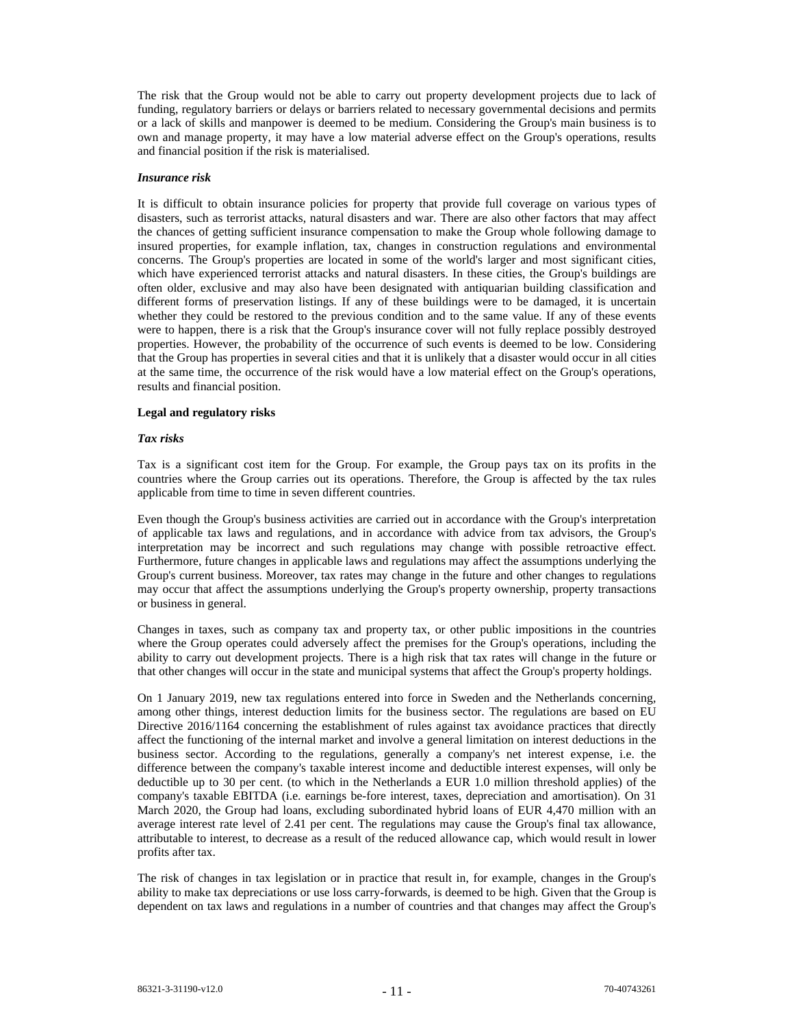The risk that the Group would not be able to carry out property development projects due to lack of funding, regulatory barriers or delays or barriers related to necessary governmental decisions and permits or a lack of skills and manpower is deemed to be medium. Considering the Group's main business is to own and manage property, it may have a low material adverse effect on the Group's operations, results and financial position if the risk is materialised.

#### *Insurance risk*

It is difficult to obtain insurance policies for property that provide full coverage on various types of disasters, such as terrorist attacks, natural disasters and war. There are also other factors that may affect the chances of getting sufficient insurance compensation to make the Group whole following damage to insured properties, for example inflation, tax, changes in construction regulations and environmental concerns. The Group's properties are located in some of the world's larger and most significant cities, which have experienced terrorist attacks and natural disasters. In these cities, the Group's buildings are often older, exclusive and may also have been designated with antiquarian building classification and different forms of preservation listings. If any of these buildings were to be damaged, it is uncertain whether they could be restored to the previous condition and to the same value. If any of these events were to happen, there is a risk that the Group's insurance cover will not fully replace possibly destroyed properties. However, the probability of the occurrence of such events is deemed to be low. Considering that the Group has properties in several cities and that it is unlikely that a disaster would occur in all cities at the same time, the occurrence of the risk would have a low material effect on the Group's operations, results and financial position.

#### **Legal and regulatory risks**

#### *Tax risks*

Tax is a significant cost item for the Group. For example, the Group pays tax on its profits in the countries where the Group carries out its operations. Therefore, the Group is affected by the tax rules applicable from time to time in seven different countries.

Even though the Group's business activities are carried out in accordance with the Group's interpretation of applicable tax laws and regulations, and in accordance with advice from tax advisors, the Group's interpretation may be incorrect and such regulations may change with possible retroactive effect. Furthermore, future changes in applicable laws and regulations may affect the assumptions underlying the Group's current business. Moreover, tax rates may change in the future and other changes to regulations may occur that affect the assumptions underlying the Group's property ownership, property transactions or business in general.

Changes in taxes, such as company tax and property tax, or other public impositions in the countries where the Group operates could adversely affect the premises for the Group's operations, including the ability to carry out development projects. There is a high risk that tax rates will change in the future or that other changes will occur in the state and municipal systems that affect the Group's property holdings.

On 1 January 2019, new tax regulations entered into force in Sweden and the Netherlands concerning, among other things, interest deduction limits for the business sector. The regulations are based on EU Directive 2016/1164 concerning the establishment of rules against tax avoidance practices that directly affect the functioning of the internal market and involve a general limitation on interest deductions in the business sector. According to the regulations, generally a company's net interest expense, i.e. the difference between the company's taxable interest income and deductible interest expenses, will only be deductible up to 30 per cent. (to which in the Netherlands a EUR 1.0 million threshold applies) of the company's taxable EBITDA (i.e. earnings be-fore interest, taxes, depreciation and amortisation). On 31 March 2020, the Group had loans, excluding subordinated hybrid loans of EUR 4,470 million with an average interest rate level of 2.41 per cent. The regulations may cause the Group's final tax allowance, attributable to interest, to decrease as a result of the reduced allowance cap, which would result in lower profits after tax.

The risk of changes in tax legislation or in practice that result in, for example, changes in the Group's ability to make tax depreciations or use loss carry-forwards, is deemed to be high. Given that the Group is dependent on tax laws and regulations in a number of countries and that changes may affect the Group's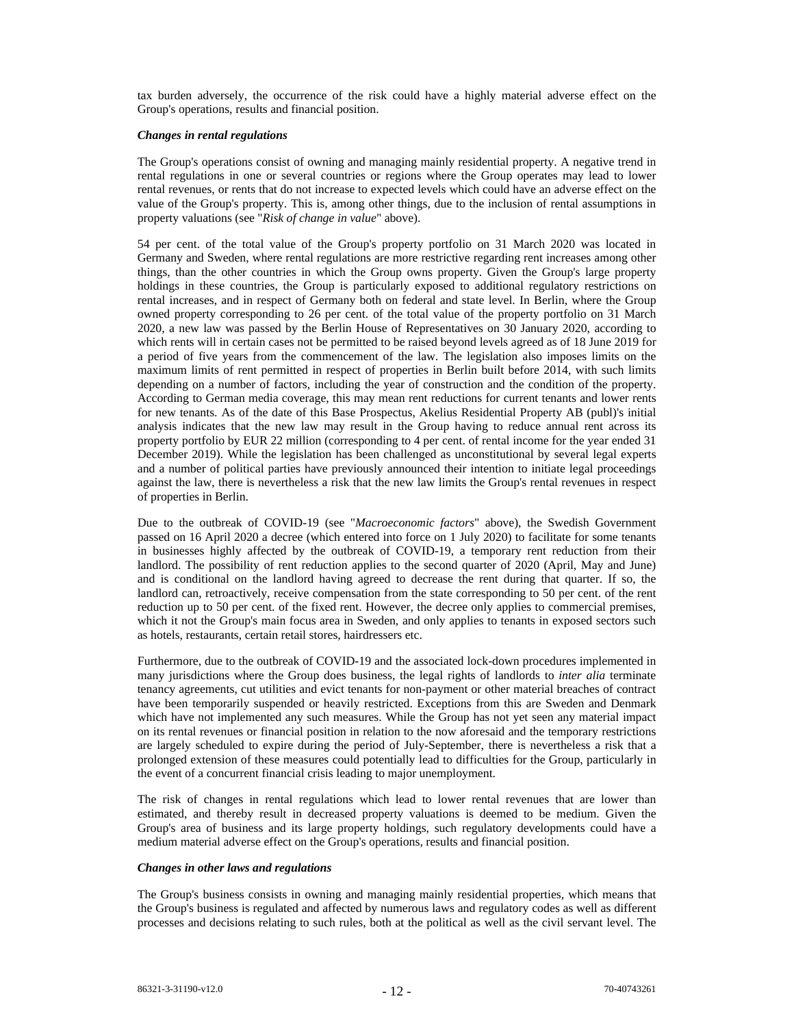tax burden adversely, the occurrence of the risk could have a highly material adverse effect on the Group's operations, results and financial position.

#### *Changes in rental regulations*

The Group's operations consist of owning and managing mainly residential property. A negative trend in rental regulations in one or several countries or regions where the Group operates may lead to lower rental revenues, or rents that do not increase to expected levels which could have an adverse effect on the value of the Group's property. This is, among other things, due to the inclusion of rental assumptions in property valuations (see "*Risk of change in value*" above).

54 per cent. of the total value of the Group's property portfolio on 31 March 2020 was located in Germany and Sweden, where rental regulations are more restrictive regarding rent increases among other things, than the other countries in which the Group owns property. Given the Group's large property holdings in these countries, the Group is particularly exposed to additional regulatory restrictions on rental increases, and in respect of Germany both on federal and state level. In Berlin, where the Group owned property corresponding to 26 per cent. of the total value of the property portfolio on 31 March 2020, a new law was passed by the Berlin House of Representatives on 30 January 2020, according to which rents will in certain cases not be permitted to be raised beyond levels agreed as of 18 June 2019 for a period of five years from the commencement of the law. The legislation also imposes limits on the maximum limits of rent permitted in respect of properties in Berlin built before 2014, with such limits depending on a number of factors, including the year of construction and the condition of the property. According to German media coverage, this may mean rent reductions for current tenants and lower rents for new tenants. As of the date of this Base Prospectus, Akelius Residential Property AB (publ)'s initial analysis indicates that the new law may result in the Group having to reduce annual rent across its property portfolio by EUR 22 million (corresponding to 4 per cent. of rental income for the year ended 31 December 2019). While the legislation has been challenged as unconstitutional by several legal experts and a number of political parties have previously announced their intention to initiate legal proceedings against the law, there is nevertheless a risk that the new law limits the Group's rental revenues in respect of properties in Berlin.

Due to the outbreak of COVID-19 (see "*Macroeconomic factors*" above), the Swedish Government passed on 16 April 2020 a decree (which entered into force on 1 July 2020) to facilitate for some tenants in businesses highly affected by the outbreak of COVID-19, a temporary rent reduction from their landlord. The possibility of rent reduction applies to the second quarter of 2020 (April, May and June) and is conditional on the landlord having agreed to decrease the rent during that quarter. If so, the landlord can, retroactively, receive compensation from the state corresponding to 50 per cent. of the rent reduction up to 50 per cent. of the fixed rent. However, the decree only applies to commercial premises, which it not the Group's main focus area in Sweden, and only applies to tenants in exposed sectors such as hotels, restaurants, certain retail stores, hairdressers etc.

Furthermore, due to the outbreak of COVID-19 and the associated lock-down procedures implemented in many jurisdictions where the Group does business, the legal rights of landlords to *inter alia* terminate tenancy agreements, cut utilities and evict tenants for non-payment or other material breaches of contract have been temporarily suspended or heavily restricted. Exceptions from this are Sweden and Denmark which have not implemented any such measures. While the Group has not yet seen any material impact on its rental revenues or financial position in relation to the now aforesaid and the temporary restrictions are largely scheduled to expire during the period of July-September, there is nevertheless a risk that a prolonged extension of these measures could potentially lead to difficulties for the Group, particularly in the event of a concurrent financial crisis leading to major unemployment.

The risk of changes in rental regulations which lead to lower rental revenues that are lower than estimated, and thereby result in decreased property valuations is deemed to be medium. Given the Group's area of business and its large property holdings, such regulatory developments could have a medium material adverse effect on the Group's operations, results and financial position.

#### *Changes in other laws and regulations*

The Group's business consists in owning and managing mainly residential properties, which means that the Group's business is regulated and affected by numerous laws and regulatory codes as well as different processes and decisions relating to such rules, both at the political as well as the civil servant level. The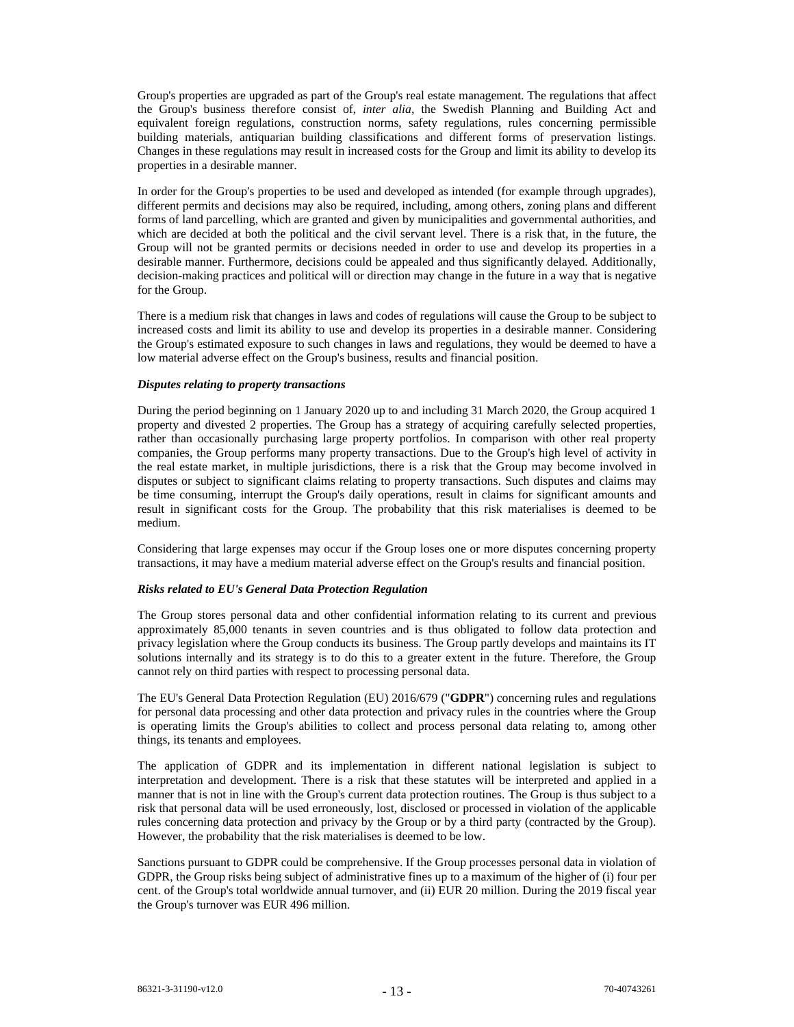Group's properties are upgraded as part of the Group's real estate management. The regulations that affect the Group's business therefore consist of, *inter alia*, the Swedish Planning and Building Act and equivalent foreign regulations, construction norms, safety regulations, rules concerning permissible building materials, antiquarian building classifications and different forms of preservation listings. Changes in these regulations may result in increased costs for the Group and limit its ability to develop its properties in a desirable manner.

In order for the Group's properties to be used and developed as intended (for example through upgrades), different permits and decisions may also be required, including, among others, zoning plans and different forms of land parcelling, which are granted and given by municipalities and governmental authorities, and which are decided at both the political and the civil servant level. There is a risk that, in the future, the Group will not be granted permits or decisions needed in order to use and develop its properties in a desirable manner. Furthermore, decisions could be appealed and thus significantly delayed. Additionally, decision-making practices and political will or direction may change in the future in a way that is negative for the Group.

There is a medium risk that changes in laws and codes of regulations will cause the Group to be subject to increased costs and limit its ability to use and develop its properties in a desirable manner. Considering the Group's estimated exposure to such changes in laws and regulations, they would be deemed to have a low material adverse effect on the Group's business, results and financial position.

#### *Disputes relating to property transactions*

During the period beginning on 1 January 2020 up to and including 31 March 2020, the Group acquired 1 property and divested 2 properties. The Group has a strategy of acquiring carefully selected properties, rather than occasionally purchasing large property portfolios. In comparison with other real property companies, the Group performs many property transactions. Due to the Group's high level of activity in the real estate market, in multiple jurisdictions, there is a risk that the Group may become involved in disputes or subject to significant claims relating to property transactions. Such disputes and claims may be time consuming, interrupt the Group's daily operations, result in claims for significant amounts and result in significant costs for the Group. The probability that this risk materialises is deemed to be medium.

Considering that large expenses may occur if the Group loses one or more disputes concerning property transactions, it may have a medium material adverse effect on the Group's results and financial position.

## *Risks related to EU's General Data Protection Regulation*

The Group stores personal data and other confidential information relating to its current and previous approximately 85,000 tenants in seven countries and is thus obligated to follow data protection and privacy legislation where the Group conducts its business. The Group partly develops and maintains its IT solutions internally and its strategy is to do this to a greater extent in the future. Therefore, the Group cannot rely on third parties with respect to processing personal data.

The EU's General Data Protection Regulation (EU) 2016/679 ("**GDPR**") concerning rules and regulations for personal data processing and other data protection and privacy rules in the countries where the Group is operating limits the Group's abilities to collect and process personal data relating to, among other things, its tenants and employees.

The application of GDPR and its implementation in different national legislation is subject to interpretation and development. There is a risk that these statutes will be interpreted and applied in a manner that is not in line with the Group's current data protection routines. The Group is thus subject to a risk that personal data will be used erroneously, lost, disclosed or processed in violation of the applicable rules concerning data protection and privacy by the Group or by a third party (contracted by the Group). However, the probability that the risk materialises is deemed to be low.

Sanctions pursuant to GDPR could be comprehensive. If the Group processes personal data in violation of GDPR, the Group risks being subject of administrative fines up to a maximum of the higher of (i) four per cent. of the Group's total worldwide annual turnover, and (ii) EUR 20 million. During the 2019 fiscal year the Group's turnover was EUR 496 million.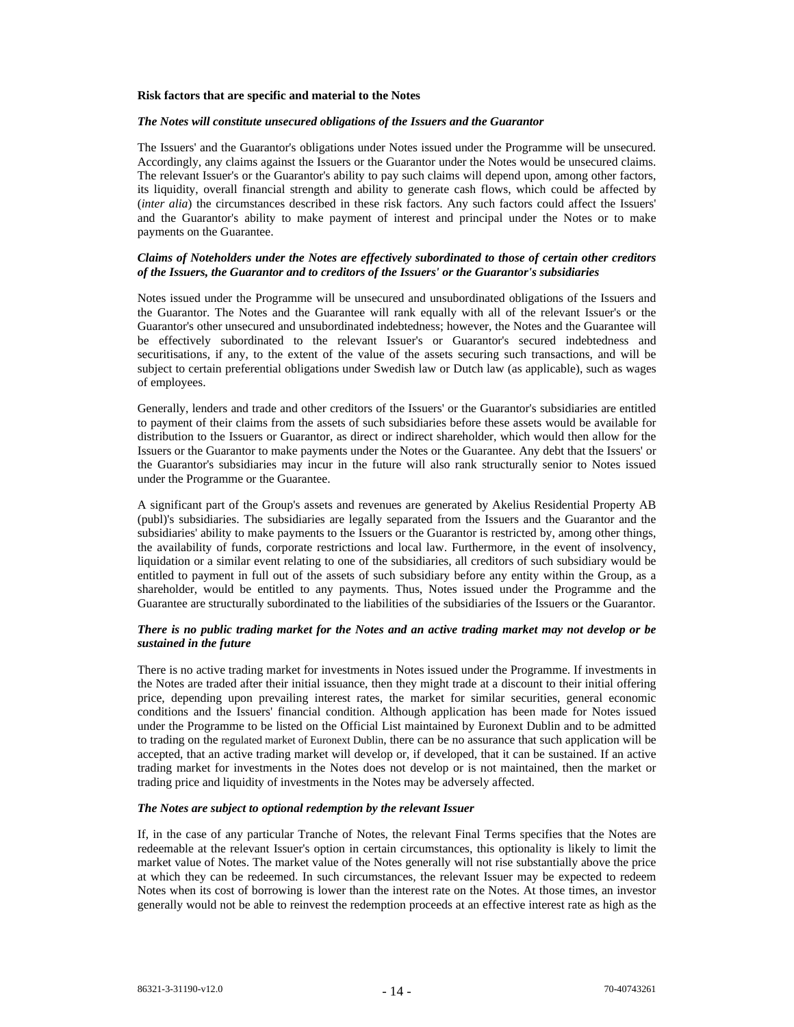#### **Risk factors that are specific and material to the Notes**

# *The Notes will constitute unsecured obligations of the Issuers and the Guarantor*

The Issuers' and the Guarantor's obligations under Notes issued under the Programme will be unsecured. Accordingly, any claims against the Issuers or the Guarantor under the Notes would be unsecured claims. The relevant Issuer's or the Guarantor's ability to pay such claims will depend upon, among other factors, its liquidity, overall financial strength and ability to generate cash flows, which could be affected by (*inter alia*) the circumstances described in these risk factors. Any such factors could affect the Issuers' and the Guarantor's ability to make payment of interest and principal under the Notes or to make payments on the Guarantee.

#### *Claims of Noteholders under the Notes are effectively subordinated to those of certain other creditors of the Issuers, the Guarantor and to creditors of the Issuers' or the Guarantor's subsidiaries*

Notes issued under the Programme will be unsecured and unsubordinated obligations of the Issuers and the Guarantor. The Notes and the Guarantee will rank equally with all of the relevant Issuer's or the Guarantor's other unsecured and unsubordinated indebtedness; however, the Notes and the Guarantee will be effectively subordinated to the relevant Issuer's or Guarantor's secured indebtedness and securitisations, if any, to the extent of the value of the assets securing such transactions, and will be subject to certain preferential obligations under Swedish law or Dutch law (as applicable), such as wages of employees.

Generally, lenders and trade and other creditors of the Issuers' or the Guarantor's subsidiaries are entitled to payment of their claims from the assets of such subsidiaries before these assets would be available for distribution to the Issuers or Guarantor, as direct or indirect shareholder, which would then allow for the Issuers or the Guarantor to make payments under the Notes or the Guarantee. Any debt that the Issuers' or the Guarantor's subsidiaries may incur in the future will also rank structurally senior to Notes issued under the Programme or the Guarantee.

A significant part of the Group's assets and revenues are generated by Akelius Residential Property AB (publ)'s subsidiaries. The subsidiaries are legally separated from the Issuers and the Guarantor and the subsidiaries' ability to make payments to the Issuers or the Guarantor is restricted by, among other things, the availability of funds, corporate restrictions and local law. Furthermore, in the event of insolvency, liquidation or a similar event relating to one of the subsidiaries, all creditors of such subsidiary would be entitled to payment in full out of the assets of such subsidiary before any entity within the Group, as a shareholder, would be entitled to any payments. Thus, Notes issued under the Programme and the Guarantee are structurally subordinated to the liabilities of the subsidiaries of the Issuers or the Guarantor.

# *There is no public trading market for the Notes and an active trading market may not develop or be sustained in the future*

There is no active trading market for investments in Notes issued under the Programme. If investments in the Notes are traded after their initial issuance, then they might trade at a discount to their initial offering price, depending upon prevailing interest rates, the market for similar securities, general economic conditions and the Issuers' financial condition. Although application has been made for Notes issued under the Programme to be listed on the Official List maintained by Euronext Dublin and to be admitted to trading on the regulated market of Euronext Dublin, there can be no assurance that such application will be accepted, that an active trading market will develop or, if developed, that it can be sustained. If an active trading market for investments in the Notes does not develop or is not maintained, then the market or trading price and liquidity of investments in the Notes may be adversely affected.

# *The Notes are subject to optional redemption by the relevant Issuer*

If, in the case of any particular Tranche of Notes, the relevant Final Terms specifies that the Notes are redeemable at the relevant Issuer's option in certain circumstances, this optionality is likely to limit the market value of Notes. The market value of the Notes generally will not rise substantially above the price at which they can be redeemed. In such circumstances, the relevant Issuer may be expected to redeem Notes when its cost of borrowing is lower than the interest rate on the Notes. At those times, an investor generally would not be able to reinvest the redemption proceeds at an effective interest rate as high as the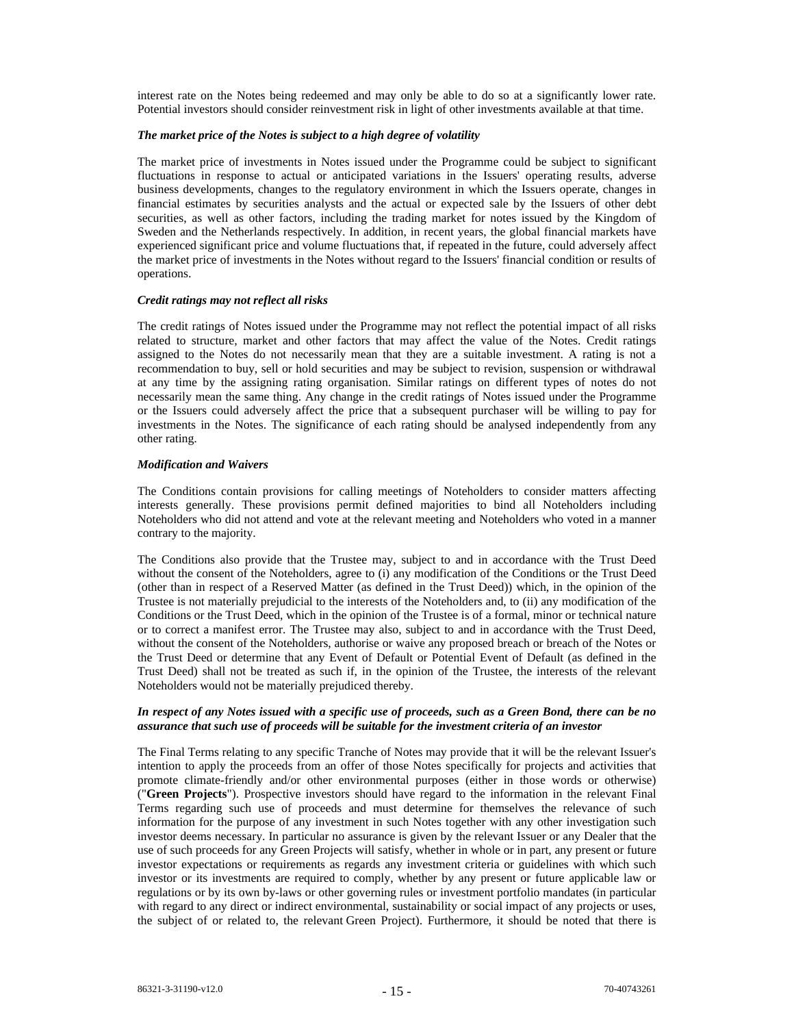interest rate on the Notes being redeemed and may only be able to do so at a significantly lower rate. Potential investors should consider reinvestment risk in light of other investments available at that time.

# *The market price of the Notes is subject to a high degree of volatility*

The market price of investments in Notes issued under the Programme could be subject to significant fluctuations in response to actual or anticipated variations in the Issuers' operating results, adverse business developments, changes to the regulatory environment in which the Issuers operate, changes in financial estimates by securities analysts and the actual or expected sale by the Issuers of other debt securities, as well as other factors, including the trading market for notes issued by the Kingdom of Sweden and the Netherlands respectively. In addition, in recent years, the global financial markets have experienced significant price and volume fluctuations that, if repeated in the future, could adversely affect the market price of investments in the Notes without regard to the Issuers' financial condition or results of operations.

#### *Credit ratings may not reflect all risks*

The credit ratings of Notes issued under the Programme may not reflect the potential impact of all risks related to structure, market and other factors that may affect the value of the Notes. Credit ratings assigned to the Notes do not necessarily mean that they are a suitable investment. A rating is not a recommendation to buy, sell or hold securities and may be subject to revision, suspension or withdrawal at any time by the assigning rating organisation. Similar ratings on different types of notes do not necessarily mean the same thing. Any change in the credit ratings of Notes issued under the Programme or the Issuers could adversely affect the price that a subsequent purchaser will be willing to pay for investments in the Notes. The significance of each rating should be analysed independently from any other rating.

# *Modification and Waivers*

The Conditions contain provisions for calling meetings of Noteholders to consider matters affecting interests generally. These provisions permit defined majorities to bind all Noteholders including Noteholders who did not attend and vote at the relevant meeting and Noteholders who voted in a manner contrary to the majority.

The Conditions also provide that the Trustee may, subject to and in accordance with the Trust Deed without the consent of the Noteholders, agree to (i) any modification of the Conditions or the Trust Deed (other than in respect of a Reserved Matter (as defined in the Trust Deed)) which, in the opinion of the Trustee is not materially prejudicial to the interests of the Noteholders and, to (ii) any modification of the Conditions or the Trust Deed, which in the opinion of the Trustee is of a formal, minor or technical nature or to correct a manifest error. The Trustee may also, subject to and in accordance with the Trust Deed, without the consent of the Noteholders, authorise or waive any proposed breach or breach of the Notes or the Trust Deed or determine that any Event of Default or Potential Event of Default (as defined in the Trust Deed) shall not be treated as such if, in the opinion of the Trustee, the interests of the relevant Noteholders would not be materially prejudiced thereby.

#### *In respect of any Notes issued with a specific use of proceeds, such as a Green Bond, there can be no assurance that such use of proceeds will be suitable for the investment criteria of an investor*

The Final Terms relating to any specific Tranche of Notes may provide that it will be the relevant Issuer's intention to apply the proceeds from an offer of those Notes specifically for projects and activities that promote climate-friendly and/or other environmental purposes (either in those words or otherwise) ("**Green Projects**"). Prospective investors should have regard to the information in the relevant Final Terms regarding such use of proceeds and must determine for themselves the relevance of such information for the purpose of any investment in such Notes together with any other investigation such investor deems necessary. In particular no assurance is given by the relevant Issuer or any Dealer that the use of such proceeds for any Green Projects will satisfy, whether in whole or in part, any present or future investor expectations or requirements as regards any investment criteria or guidelines with which such investor or its investments are required to comply, whether by any present or future applicable law or regulations or by its own by-laws or other governing rules or investment portfolio mandates (in particular with regard to any direct or indirect environmental, sustainability or social impact of any projects or uses, the subject of or related to, the relevant Green Project). Furthermore, it should be noted that there is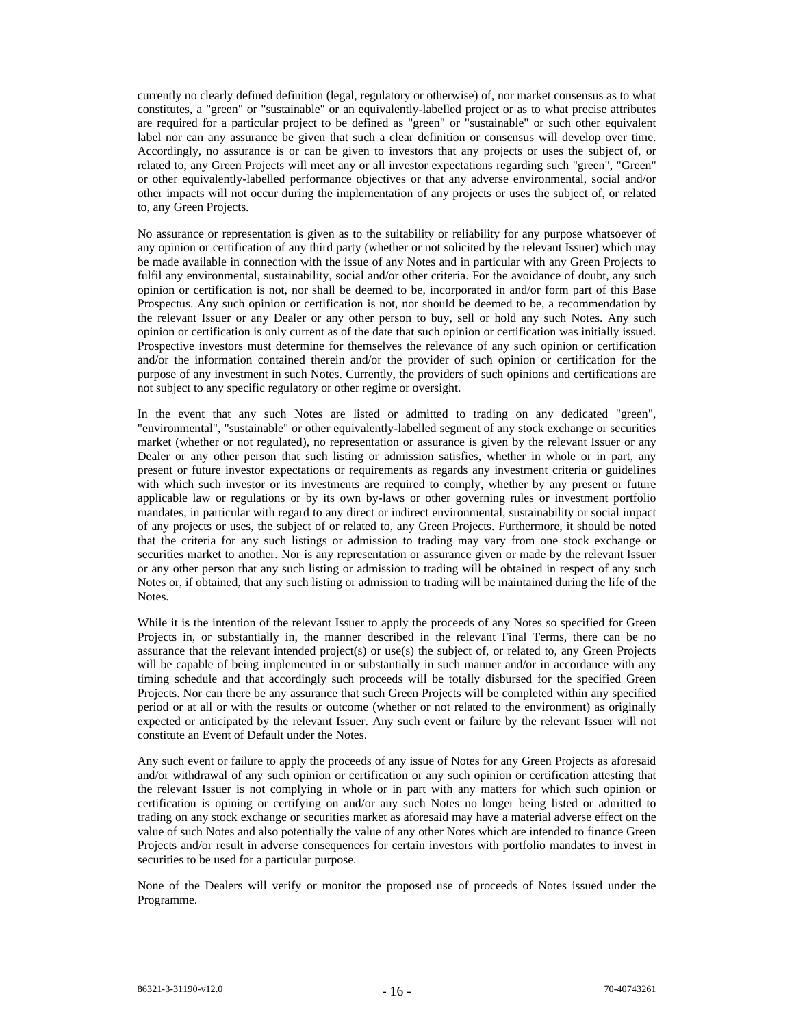currently no clearly defined definition (legal, regulatory or otherwise) of, nor market consensus as to what constitutes, a "green" or "sustainable" or an equivalently-labelled project or as to what precise attributes are required for a particular project to be defined as "green" or "sustainable" or such other equivalent label nor can any assurance be given that such a clear definition or consensus will develop over time. Accordingly, no assurance is or can be given to investors that any projects or uses the subject of, or related to, any Green Projects will meet any or all investor expectations regarding such "green", "Green" or other equivalently-labelled performance objectives or that any adverse environmental, social and/or other impacts will not occur during the implementation of any projects or uses the subject of, or related to, any Green Projects.

No assurance or representation is given as to the suitability or reliability for any purpose whatsoever of any opinion or certification of any third party (whether or not solicited by the relevant Issuer) which may be made available in connection with the issue of any Notes and in particular with any Green Projects to fulfil any environmental, sustainability, social and/or other criteria. For the avoidance of doubt, any such opinion or certification is not, nor shall be deemed to be, incorporated in and/or form part of this Base Prospectus. Any such opinion or certification is not, nor should be deemed to be, a recommendation by the relevant Issuer or any Dealer or any other person to buy, sell or hold any such Notes. Any such opinion or certification is only current as of the date that such opinion or certification was initially issued. Prospective investors must determine for themselves the relevance of any such opinion or certification and/or the information contained therein and/or the provider of such opinion or certification for the purpose of any investment in such Notes. Currently, the providers of such opinions and certifications are not subject to any specific regulatory or other regime or oversight.

In the event that any such Notes are listed or admitted to trading on any dedicated "green", "environmental", "sustainable" or other equivalently-labelled segment of any stock exchange or securities market (whether or not regulated), no representation or assurance is given by the relevant Issuer or any Dealer or any other person that such listing or admission satisfies, whether in whole or in part, any present or future investor expectations or requirements as regards any investment criteria or guidelines with which such investor or its investments are required to comply, whether by any present or future applicable law or regulations or by its own by-laws or other governing rules or investment portfolio mandates, in particular with regard to any direct or indirect environmental, sustainability or social impact of any projects or uses, the subject of or related to, any Green Projects. Furthermore, it should be noted that the criteria for any such listings or admission to trading may vary from one stock exchange or securities market to another. Nor is any representation or assurance given or made by the relevant Issuer or any other person that any such listing or admission to trading will be obtained in respect of any such Notes or, if obtained, that any such listing or admission to trading will be maintained during the life of the Notes.

While it is the intention of the relevant Issuer to apply the proceeds of any Notes so specified for Green Projects in, or substantially in, the manner described in the relevant Final Terms, there can be no assurance that the relevant intended project(s) or use(s) the subject of, or related to, any Green Projects will be capable of being implemented in or substantially in such manner and/or in accordance with any timing schedule and that accordingly such proceeds will be totally disbursed for the specified Green Projects. Nor can there be any assurance that such Green Projects will be completed within any specified period or at all or with the results or outcome (whether or not related to the environment) as originally expected or anticipated by the relevant Issuer. Any such event or failure by the relevant Issuer will not constitute an Event of Default under the Notes.

Any such event or failure to apply the proceeds of any issue of Notes for any Green Projects as aforesaid and/or withdrawal of any such opinion or certification or any such opinion or certification attesting that the relevant Issuer is not complying in whole or in part with any matters for which such opinion or certification is opining or certifying on and/or any such Notes no longer being listed or admitted to trading on any stock exchange or securities market as aforesaid may have a material adverse effect on the value of such Notes and also potentially the value of any other Notes which are intended to finance Green Projects and/or result in adverse consequences for certain investors with portfolio mandates to invest in securities to be used for a particular purpose.

None of the Dealers will verify or monitor the proposed use of proceeds of Notes issued under the Programme.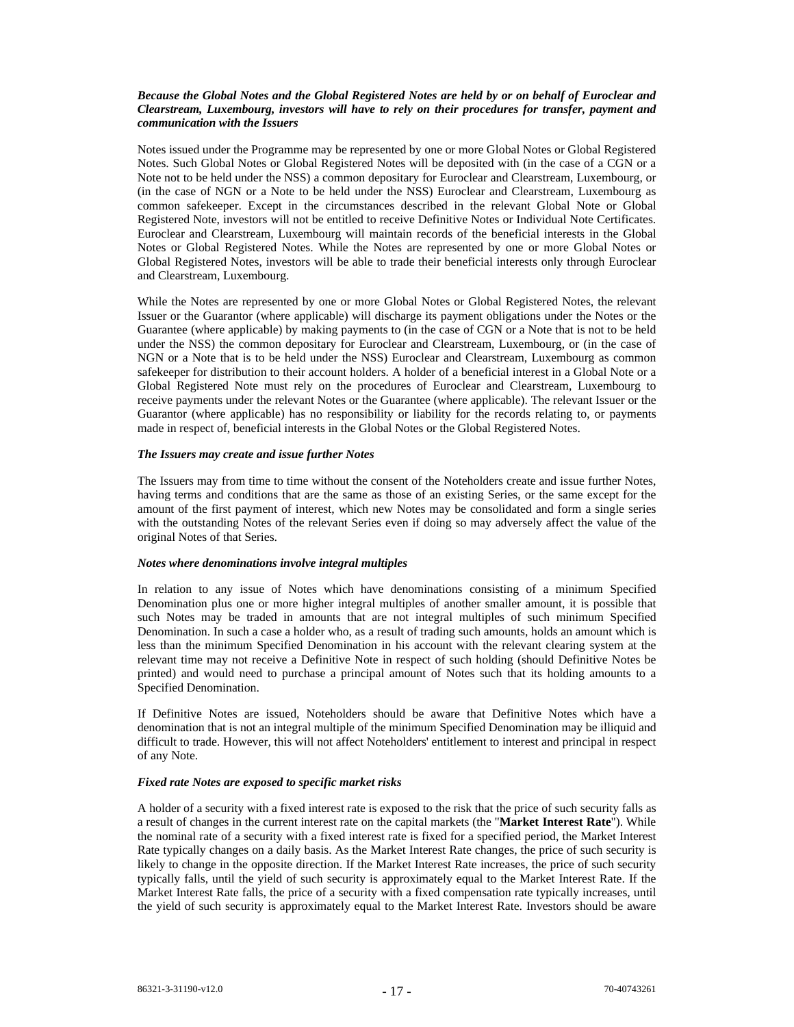## *Because the Global Notes and the Global Registered Notes are held by or on behalf of Euroclear and Clearstream, Luxembourg, investors will have to rely on their procedures for transfer, payment and communication with the Issuers*

Notes issued under the Programme may be represented by one or more Global Notes or Global Registered Notes. Such Global Notes or Global Registered Notes will be deposited with (in the case of a CGN or a Note not to be held under the NSS) a common depositary for Euroclear and Clearstream, Luxembourg, or (in the case of NGN or a Note to be held under the NSS) Euroclear and Clearstream, Luxembourg as common safekeeper. Except in the circumstances described in the relevant Global Note or Global Registered Note, investors will not be entitled to receive Definitive Notes or Individual Note Certificates. Euroclear and Clearstream, Luxembourg will maintain records of the beneficial interests in the Global Notes or Global Registered Notes. While the Notes are represented by one or more Global Notes or Global Registered Notes, investors will be able to trade their beneficial interests only through Euroclear and Clearstream, Luxembourg.

While the Notes are represented by one or more Global Notes or Global Registered Notes, the relevant Issuer or the Guarantor (where applicable) will discharge its payment obligations under the Notes or the Guarantee (where applicable) by making payments to (in the case of CGN or a Note that is not to be held under the NSS) the common depositary for Euroclear and Clearstream, Luxembourg, or (in the case of NGN or a Note that is to be held under the NSS) Euroclear and Clearstream, Luxembourg as common safekeeper for distribution to their account holders. A holder of a beneficial interest in a Global Note or a Global Registered Note must rely on the procedures of Euroclear and Clearstream, Luxembourg to receive payments under the relevant Notes or the Guarantee (where applicable). The relevant Issuer or the Guarantor (where applicable) has no responsibility or liability for the records relating to, or payments made in respect of, beneficial interests in the Global Notes or the Global Registered Notes.

#### *The Issuers may create and issue further Notes*

The Issuers may from time to time without the consent of the Noteholders create and issue further Notes, having terms and conditions that are the same as those of an existing Series, or the same except for the amount of the first payment of interest, which new Notes may be consolidated and form a single series with the outstanding Notes of the relevant Series even if doing so may adversely affect the value of the original Notes of that Series.

#### *Notes where denominations involve integral multiples*

In relation to any issue of Notes which have denominations consisting of a minimum Specified Denomination plus one or more higher integral multiples of another smaller amount, it is possible that such Notes may be traded in amounts that are not integral multiples of such minimum Specified Denomination. In such a case a holder who, as a result of trading such amounts, holds an amount which is less than the minimum Specified Denomination in his account with the relevant clearing system at the relevant time may not receive a Definitive Note in respect of such holding (should Definitive Notes be printed) and would need to purchase a principal amount of Notes such that its holding amounts to a Specified Denomination.

If Definitive Notes are issued, Noteholders should be aware that Definitive Notes which have a denomination that is not an integral multiple of the minimum Specified Denomination may be illiquid and difficult to trade. However, this will not affect Noteholders' entitlement to interest and principal in respect of any Note.

# *Fixed rate Notes are exposed to specific market risks*

A holder of a security with a fixed interest rate is exposed to the risk that the price of such security falls as a result of changes in the current interest rate on the capital markets (the "**Market Interest Rate**"). While the nominal rate of a security with a fixed interest rate is fixed for a specified period, the Market Interest Rate typically changes on a daily basis. As the Market Interest Rate changes, the price of such security is likely to change in the opposite direction. If the Market Interest Rate increases, the price of such security typically falls, until the yield of such security is approximately equal to the Market Interest Rate. If the Market Interest Rate falls, the price of a security with a fixed compensation rate typically increases, until the yield of such security is approximately equal to the Market Interest Rate. Investors should be aware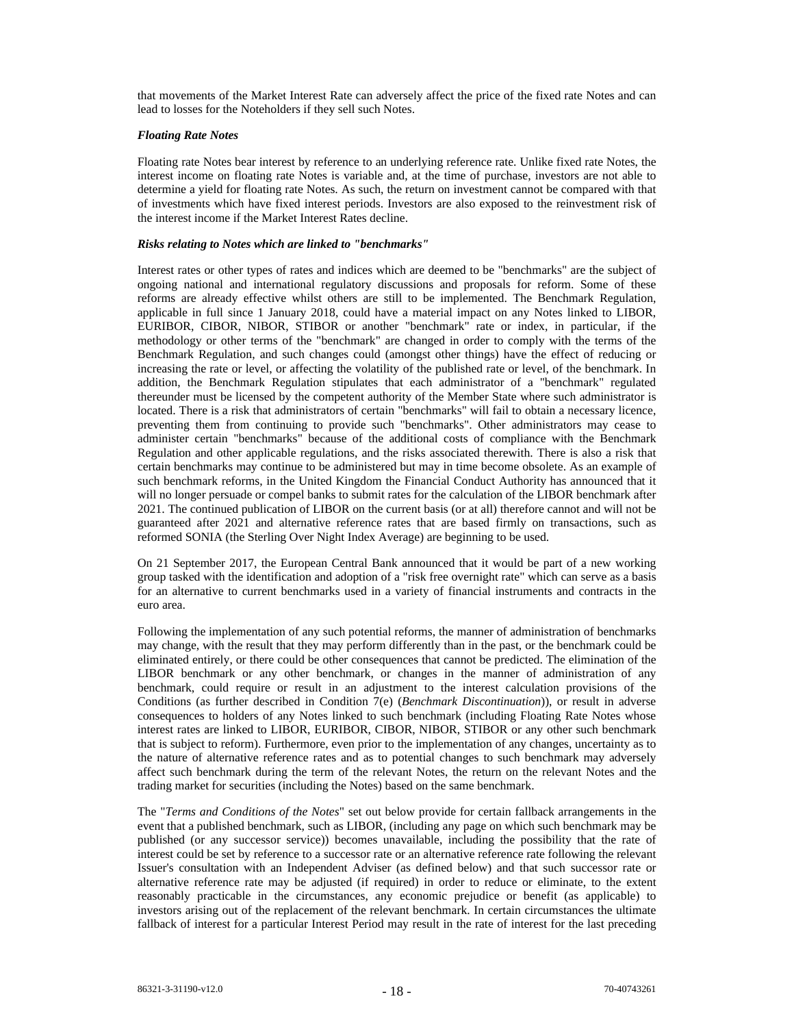that movements of the Market Interest Rate can adversely affect the price of the fixed rate Notes and can lead to losses for the Noteholders if they sell such Notes.

## *Floating Rate Notes*

Floating rate Notes bear interest by reference to an underlying reference rate. Unlike fixed rate Notes, the interest income on floating rate Notes is variable and, at the time of purchase, investors are not able to determine a yield for floating rate Notes. As such, the return on investment cannot be compared with that of investments which have fixed interest periods. Investors are also exposed to the reinvestment risk of the interest income if the Market Interest Rates decline.

# *Risks relating to Notes which are linked to "benchmarks"*

Interest rates or other types of rates and indices which are deemed to be "benchmarks" are the subject of ongoing national and international regulatory discussions and proposals for reform. Some of these reforms are already effective whilst others are still to be implemented. The Benchmark Regulation, applicable in full since 1 January 2018, could have a material impact on any Notes linked to LIBOR, EURIBOR, CIBOR, NIBOR, STIBOR or another "benchmark" rate or index, in particular, if the methodology or other terms of the "benchmark" are changed in order to comply with the terms of the Benchmark Regulation, and such changes could (amongst other things) have the effect of reducing or increasing the rate or level, or affecting the volatility of the published rate or level, of the benchmark. In addition, the Benchmark Regulation stipulates that each administrator of a "benchmark" regulated thereunder must be licensed by the competent authority of the Member State where such administrator is located. There is a risk that administrators of certain "benchmarks" will fail to obtain a necessary licence, preventing them from continuing to provide such "benchmarks". Other administrators may cease to administer certain "benchmarks" because of the additional costs of compliance with the Benchmark Regulation and other applicable regulations, and the risks associated therewith. There is also a risk that certain benchmarks may continue to be administered but may in time become obsolete. As an example of such benchmark reforms, in the United Kingdom the Financial Conduct Authority has announced that it will no longer persuade or compel banks to submit rates for the calculation of the LIBOR benchmark after 2021. The continued publication of LIBOR on the current basis (or at all) therefore cannot and will not be guaranteed after 2021 and alternative reference rates that are based firmly on transactions, such as reformed SONIA (the Sterling Over Night Index Average) are beginning to be used.

On 21 September 2017, the European Central Bank announced that it would be part of a new working group tasked with the identification and adoption of a "risk free overnight rate" which can serve as a basis for an alternative to current benchmarks used in a variety of financial instruments and contracts in the euro area.

Following the implementation of any such potential reforms, the manner of administration of benchmarks may change, with the result that they may perform differently than in the past, or the benchmark could be eliminated entirely, or there could be other consequences that cannot be predicted. The elimination of the LIBOR benchmark or any other benchmark, or changes in the manner of administration of any benchmark, could require or result in an adjustment to the interest calculation provisions of the Conditions (as further described in Condition 7(e) (*Benchmark Discontinuation*)), or result in adverse consequences to holders of any Notes linked to such benchmark (including Floating Rate Notes whose interest rates are linked to LIBOR, EURIBOR, CIBOR, NIBOR, STIBOR or any other such benchmark that is subject to reform). Furthermore, even prior to the implementation of any changes, uncertainty as to the nature of alternative reference rates and as to potential changes to such benchmark may adversely affect such benchmark during the term of the relevant Notes, the return on the relevant Notes and the trading market for securities (including the Notes) based on the same benchmark.

The "*Terms and Conditions of the Notes*" set out below provide for certain fallback arrangements in the event that a published benchmark, such as LIBOR, (including any page on which such benchmark may be published (or any successor service)) becomes unavailable, including the possibility that the rate of interest could be set by reference to a successor rate or an alternative reference rate following the relevant Issuer's consultation with an Independent Adviser (as defined below) and that such successor rate or alternative reference rate may be adjusted (if required) in order to reduce or eliminate, to the extent reasonably practicable in the circumstances, any economic prejudice or benefit (as applicable) to investors arising out of the replacement of the relevant benchmark. In certain circumstances the ultimate fallback of interest for a particular Interest Period may result in the rate of interest for the last preceding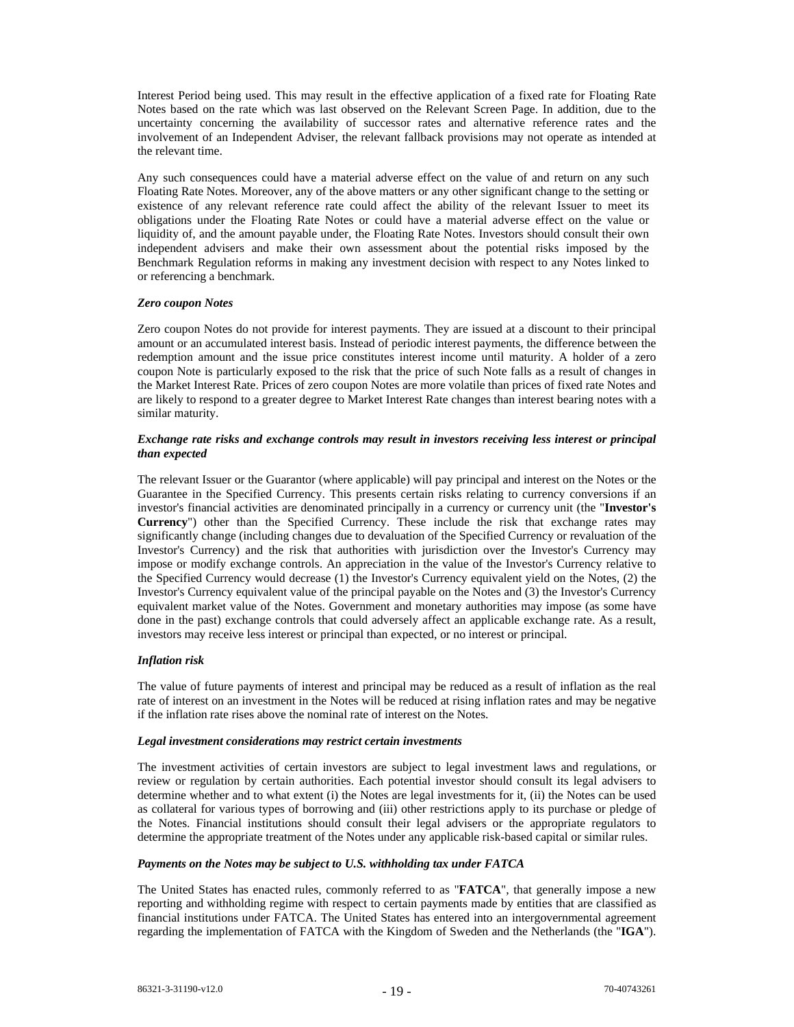Interest Period being used. This may result in the effective application of a fixed rate for Floating Rate Notes based on the rate which was last observed on the Relevant Screen Page. In addition, due to the uncertainty concerning the availability of successor rates and alternative reference rates and the involvement of an Independent Adviser, the relevant fallback provisions may not operate as intended at the relevant time.

Any such consequences could have a material adverse effect on the value of and return on any such Floating Rate Notes. Moreover, any of the above matters or any other significant change to the setting or existence of any relevant reference rate could affect the ability of the relevant Issuer to meet its obligations under the Floating Rate Notes or could have a material adverse effect on the value or liquidity of, and the amount payable under, the Floating Rate Notes. Investors should consult their own independent advisers and make their own assessment about the potential risks imposed by the Benchmark Regulation reforms in making any investment decision with respect to any Notes linked to or referencing a benchmark.

#### *Zero coupon Notes*

Zero coupon Notes do not provide for interest payments. They are issued at a discount to their principal amount or an accumulated interest basis. Instead of periodic interest payments, the difference between the redemption amount and the issue price constitutes interest income until maturity. A holder of a zero coupon Note is particularly exposed to the risk that the price of such Note falls as a result of changes in the Market Interest Rate. Prices of zero coupon Notes are more volatile than prices of fixed rate Notes and are likely to respond to a greater degree to Market Interest Rate changes than interest bearing notes with a similar maturity.

# *Exchange rate risks and exchange controls may result in investors receiving less interest or principal than expected*

The relevant Issuer or the Guarantor (where applicable) will pay principal and interest on the Notes or the Guarantee in the Specified Currency. This presents certain risks relating to currency conversions if an investor's financial activities are denominated principally in a currency or currency unit (the "**Investor's Currency**") other than the Specified Currency. These include the risk that exchange rates may significantly change (including changes due to devaluation of the Specified Currency or revaluation of the Investor's Currency) and the risk that authorities with jurisdiction over the Investor's Currency may impose or modify exchange controls. An appreciation in the value of the Investor's Currency relative to the Specified Currency would decrease (1) the Investor's Currency equivalent yield on the Notes, (2) the Investor's Currency equivalent value of the principal payable on the Notes and (3) the Investor's Currency equivalent market value of the Notes. Government and monetary authorities may impose (as some have done in the past) exchange controls that could adversely affect an applicable exchange rate. As a result, investors may receive less interest or principal than expected, or no interest or principal.

# *Inflation risk*

The value of future payments of interest and principal may be reduced as a result of inflation as the real rate of interest on an investment in the Notes will be reduced at rising inflation rates and may be negative if the inflation rate rises above the nominal rate of interest on the Notes.

#### *Legal investment considerations may restrict certain investments*

The investment activities of certain investors are subject to legal investment laws and regulations, or review or regulation by certain authorities. Each potential investor should consult its legal advisers to determine whether and to what extent (i) the Notes are legal investments for it, (ii) the Notes can be used as collateral for various types of borrowing and (iii) other restrictions apply to its purchase or pledge of the Notes. Financial institutions should consult their legal advisers or the appropriate regulators to determine the appropriate treatment of the Notes under any applicable risk-based capital or similar rules.

# *Payments on the Notes may be subject to U.S. withholding tax under FATCA*

The United States has enacted rules, commonly referred to as "**FATCA**", that generally impose a new reporting and withholding regime with respect to certain payments made by entities that are classified as financial institutions under FATCA. The United States has entered into an intergovernmental agreement regarding the implementation of FATCA with the Kingdom of Sweden and the Netherlands (the "**IGA**").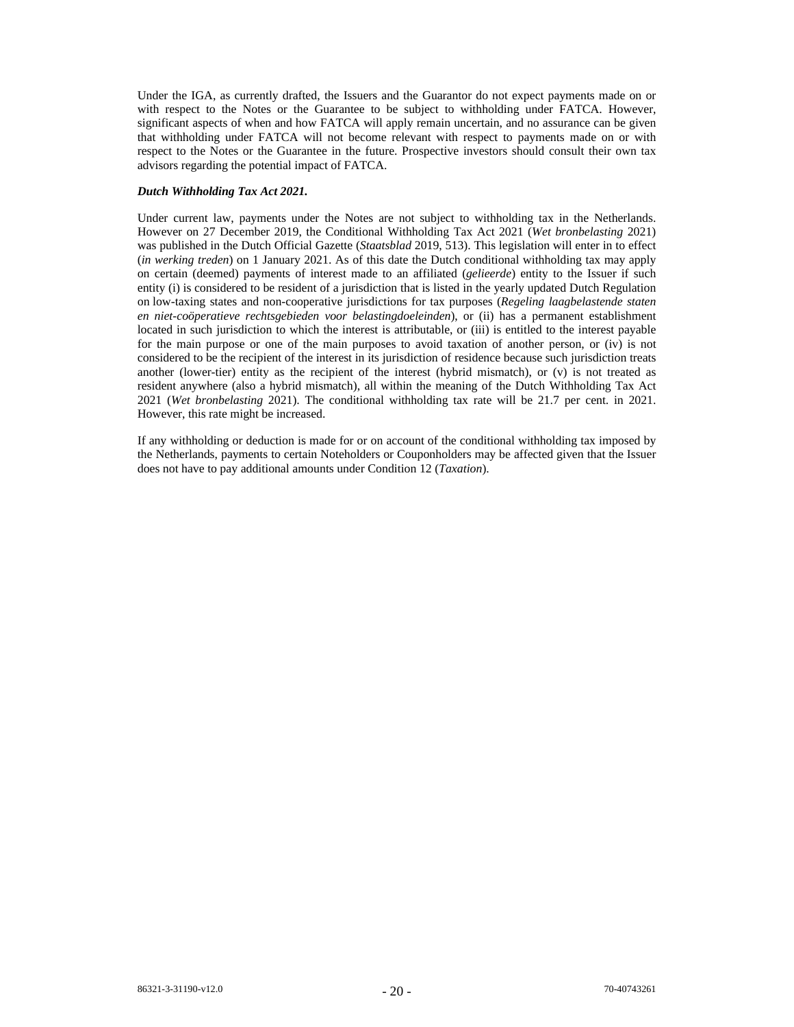Under the IGA, as currently drafted, the Issuers and the Guarantor do not expect payments made on or with respect to the Notes or the Guarantee to be subject to withholding under FATCA. However, significant aspects of when and how FATCA will apply remain uncertain, and no assurance can be given that withholding under FATCA will not become relevant with respect to payments made on or with respect to the Notes or the Guarantee in the future. Prospective investors should consult their own tax advisors regarding the potential impact of FATCA.

# *Dutch Withholding Tax Act 2021.*

Under current law, payments under the Notes are not subject to withholding tax in the Netherlands. However on 27 December 2019, the Conditional Withholding Tax Act 2021 (*Wet bronbelasting* 2021) was published in the Dutch Official Gazette (*Staatsblad* 2019, 513). This legislation will enter in to effect (*in werking treden*) on 1 January 2021. As of this date the Dutch conditional withholding tax may apply on certain (deemed) payments of interest made to an affiliated (*gelieerde*) entity to the Issuer if such entity (i) is considered to be resident of a jurisdiction that is listed in the yearly updated Dutch Regulation on low-taxing states and non-cooperative jurisdictions for tax purposes (*Regeling laagbelastende staten en niet-coöperatieve rechtsgebieden voor belastingdoeleinden*), or (ii) has a permanent establishment located in such jurisdiction to which the interest is attributable, or (iii) is entitled to the interest payable for the main purpose or one of the main purposes to avoid taxation of another person, or (iv) is not considered to be the recipient of the interest in its jurisdiction of residence because such jurisdiction treats another (lower-tier) entity as the recipient of the interest (hybrid mismatch), or (v) is not treated as resident anywhere (also a hybrid mismatch), all within the meaning of the Dutch Withholding Tax Act 2021 (*Wet bronbelasting* 2021). The conditional withholding tax rate will be 21.7 per cent. in 2021. However, this rate might be increased.

If any withholding or deduction is made for or on account of the conditional withholding tax imposed by the Netherlands, payments to certain Noteholders or Couponholders may be affected given that the Issuer does not have to pay additional amounts under Condition 12 (*Taxation*).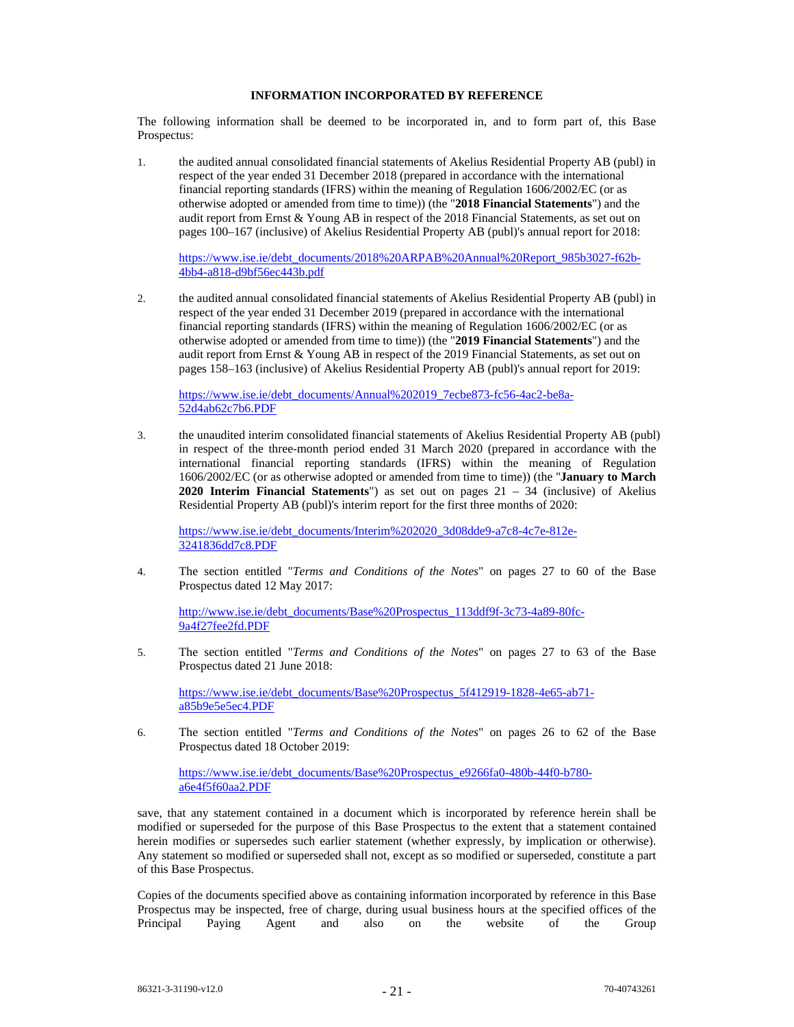# **INFORMATION INCORPORATED BY REFERENCE**

The following information shall be deemed to be incorporated in, and to form part of, this Base Prospectus:

1. the audited annual consolidated financial statements of Akelius Residential Property AB (publ) in respect of the year ended 31 December 2018 (prepared in accordance with the international financial reporting standards (IFRS) within the meaning of Regulation 1606/2002/EC (or as otherwise adopted or amended from time to time)) (the "**2018 Financial Statements**") and the audit report from Ernst & Young AB in respect of the 2018 Financial Statements, as set out on pages 100–167 (inclusive) of Akelius Residential Property AB (publ)'s annual report for 2018:

https://www.ise.ie/debt\_documents/2018%20ARPAB%20Annual%20Report\_985b3027-f62b-4bb4-a818-d9bf56ec443b.pdf

2. the audited annual consolidated financial statements of Akelius Residential Property AB (publ) in respect of the year ended 31 December 2019 (prepared in accordance with the international financial reporting standards (IFRS) within the meaning of Regulation 1606/2002/EC (or as otherwise adopted or amended from time to time)) (the "**2019 Financial Statements**") and the audit report from Ernst & Young AB in respect of the 2019 Financial Statements, as set out on pages 158–163 (inclusive) of Akelius Residential Property AB (publ)'s annual report for 2019:

https://www.ise.ie/debt\_documents/Annual%202019\_7ecbe873-fc56-4ac2-be8a-52d4ab62c7b6.PDF

3. the unaudited interim consolidated financial statements of Akelius Residential Property AB (publ) in respect of the three-month period ended 31 March 2020 (prepared in accordance with the international financial reporting standards (IFRS) within the meaning of Regulation 1606/2002/EC (or as otherwise adopted or amended from time to time)) (the "**January to March 2020 Interim Financial Statements**") as set out on pages 21 – 34 (inclusive) of Akelius Residential Property AB (publ)'s interim report for the first three months of 2020:

https://www.ise.ie/debt\_documents/Interim%202020\_3d08dde9-a7c8-4c7e-812e-3241836dd7c8.PDF

4. The section entitled "*Terms and Conditions of the Notes*" on pages 27 to 60 of the Base Prospectus dated 12 May 2017:

http://www.ise.ie/debt\_documents/Base%20Prospectus\_113ddf9f-3c73-4a89-80fc-9a4f27fee2fd.PDF

5. The section entitled "*Terms and Conditions of the Notes*" on pages 27 to 63 of the Base Prospectus dated 21 June 2018:

https://www.ise.ie/debt\_documents/Base%20Prospectus\_5f412919-1828-4e65-ab71 a85b9e5e5ec4.PDF

6. The section entitled "*Terms and Conditions of the Notes*" on pages 26 to 62 of the Base Prospectus dated 18 October 2019:

https://www.ise.ie/debt\_documents/Base%20Prospectus\_e9266fa0-480b-44f0-b780a6e4f5f60aa2.PDF

save, that any statement contained in a document which is incorporated by reference herein shall be modified or superseded for the purpose of this Base Prospectus to the extent that a statement contained herein modifies or supersedes such earlier statement (whether expressly, by implication or otherwise). Any statement so modified or superseded shall not, except as so modified or superseded, constitute a part of this Base Prospectus.

Copies of the documents specified above as containing information incorporated by reference in this Base Prospectus may be inspected, free of charge, during usual business hours at the specified offices of the Principal Paying Agent and also on the website of the Group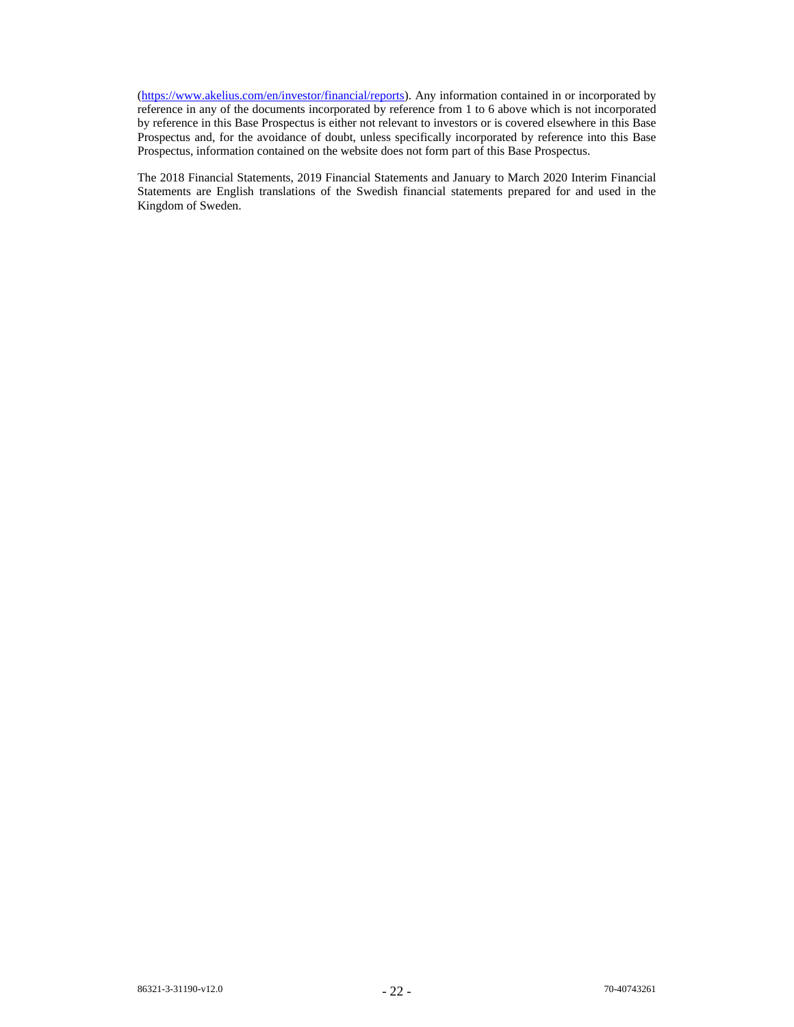(https://www.akelius.com/en/investor/financial/reports). Any information contained in or incorporated by reference in any of the documents incorporated by reference from 1 to 6 above which is not incorporated by reference in this Base Prospectus is either not relevant to investors or is covered elsewhere in this Base Prospectus and, for the avoidance of doubt, unless specifically incorporated by reference into this Base Prospectus, information contained on the website does not form part of this Base Prospectus.

The 2018 Financial Statements, 2019 Financial Statements and January to March 2020 Interim Financial Statements are English translations of the Swedish financial statements prepared for and used in the Kingdom of Sweden.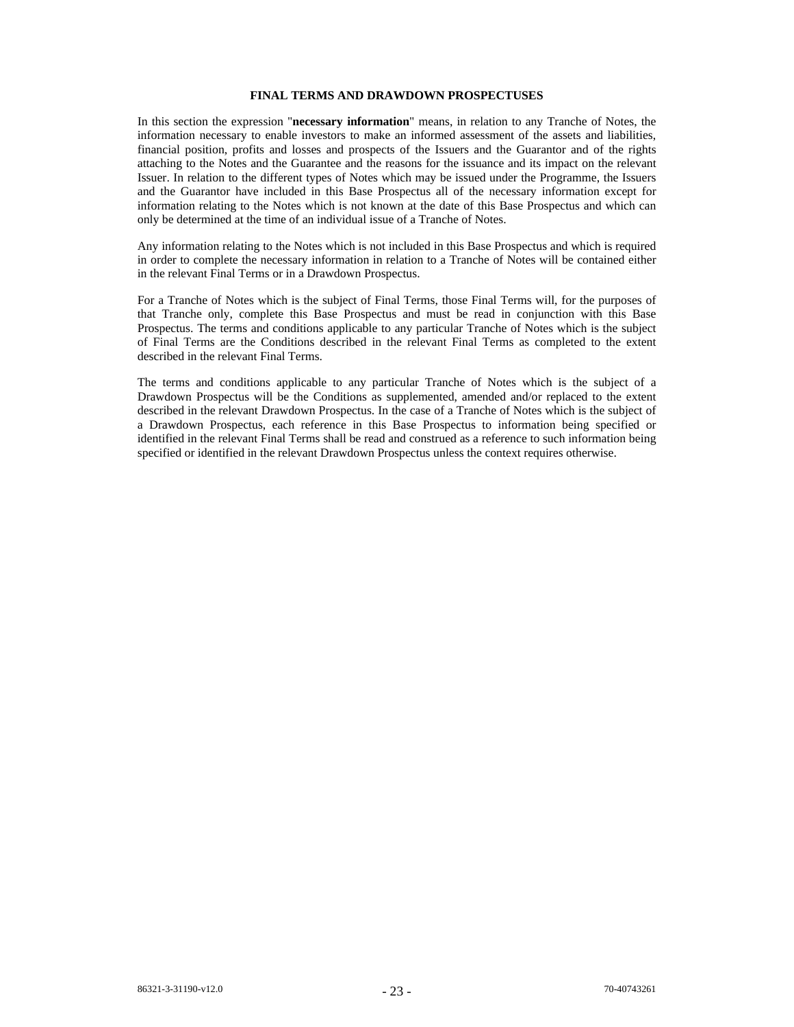# **FINAL TERMS AND DRAWDOWN PROSPECTUSES**

In this section the expression "**necessary information**" means, in relation to any Tranche of Notes, the information necessary to enable investors to make an informed assessment of the assets and liabilities, financial position, profits and losses and prospects of the Issuers and the Guarantor and of the rights attaching to the Notes and the Guarantee and the reasons for the issuance and its impact on the relevant Issuer. In relation to the different types of Notes which may be issued under the Programme, the Issuers and the Guarantor have included in this Base Prospectus all of the necessary information except for information relating to the Notes which is not known at the date of this Base Prospectus and which can only be determined at the time of an individual issue of a Tranche of Notes.

Any information relating to the Notes which is not included in this Base Prospectus and which is required in order to complete the necessary information in relation to a Tranche of Notes will be contained either in the relevant Final Terms or in a Drawdown Prospectus.

For a Tranche of Notes which is the subject of Final Terms, those Final Terms will, for the purposes of that Tranche only, complete this Base Prospectus and must be read in conjunction with this Base Prospectus. The terms and conditions applicable to any particular Tranche of Notes which is the subject of Final Terms are the Conditions described in the relevant Final Terms as completed to the extent described in the relevant Final Terms.

The terms and conditions applicable to any particular Tranche of Notes which is the subject of a Drawdown Prospectus will be the Conditions as supplemented, amended and/or replaced to the extent described in the relevant Drawdown Prospectus. In the case of a Tranche of Notes which is the subject of a Drawdown Prospectus, each reference in this Base Prospectus to information being specified or identified in the relevant Final Terms shall be read and construed as a reference to such information being specified or identified in the relevant Drawdown Prospectus unless the context requires otherwise.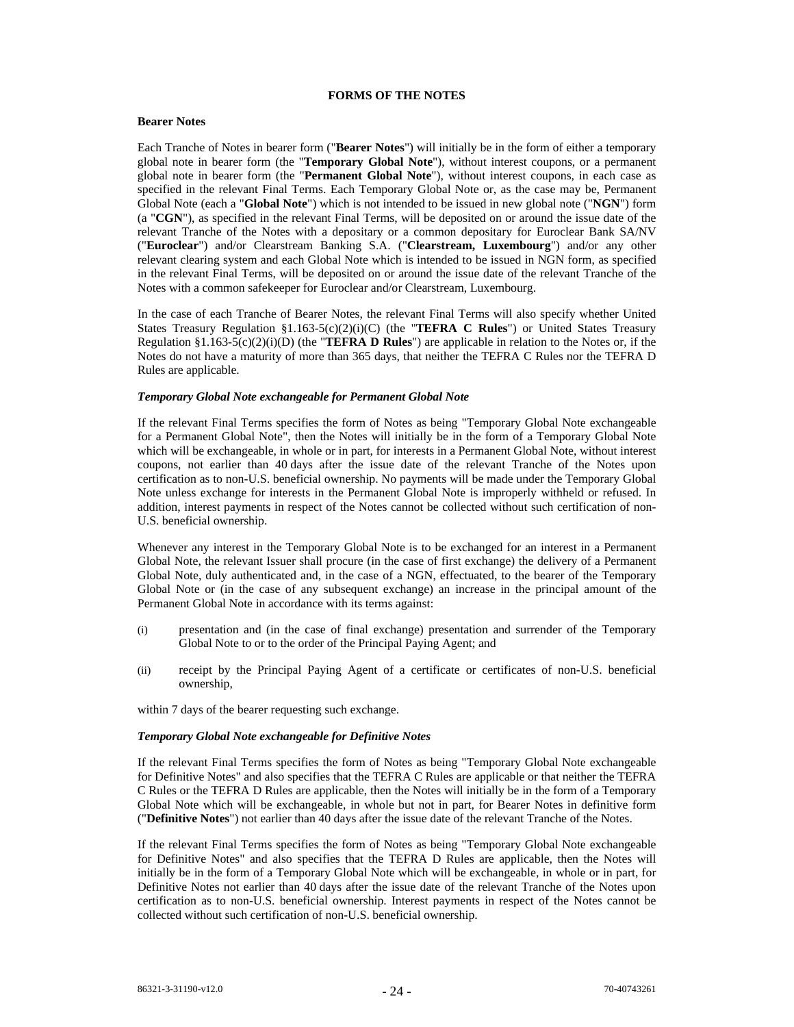# **FORMS OF THE NOTES**

# **Bearer Notes**

Each Tranche of Notes in bearer form ("**Bearer Notes**") will initially be in the form of either a temporary global note in bearer form (the "**Temporary Global Note**"), without interest coupons, or a permanent global note in bearer form (the "**Permanent Global Note**"), without interest coupons, in each case as specified in the relevant Final Terms. Each Temporary Global Note or, as the case may be, Permanent Global Note (each a "**Global Note**") which is not intended to be issued in new global note ("**NGN**") form (a "**CGN**"), as specified in the relevant Final Terms, will be deposited on or around the issue date of the relevant Tranche of the Notes with a depositary or a common depositary for Euroclear Bank SA/NV ("**Euroclear**") and/or Clearstream Banking S.A. ("**Clearstream, Luxembourg**") and/or any other relevant clearing system and each Global Note which is intended to be issued in NGN form, as specified in the relevant Final Terms, will be deposited on or around the issue date of the relevant Tranche of the Notes with a common safekeeper for Euroclear and/or Clearstream, Luxembourg.

In the case of each Tranche of Bearer Notes, the relevant Final Terms will also specify whether United States Treasury Regulation §1.163-5(c)(2)(i)(C) (the "**TEFRA C Rules**") or United States Treasury Regulation §1.163-5(c)(2)(i)(D) (the "**TEFRA D Rules**") are applicable in relation to the Notes or, if the Notes do not have a maturity of more than 365 days, that neither the TEFRA C Rules nor the TEFRA D Rules are applicable.

#### *Temporary Global Note exchangeable for Permanent Global Note*

If the relevant Final Terms specifies the form of Notes as being "Temporary Global Note exchangeable for a Permanent Global Note", then the Notes will initially be in the form of a Temporary Global Note which will be exchangeable, in whole or in part, for interests in a Permanent Global Note, without interest coupons, not earlier than 40 days after the issue date of the relevant Tranche of the Notes upon certification as to non-U.S. beneficial ownership. No payments will be made under the Temporary Global Note unless exchange for interests in the Permanent Global Note is improperly withheld or refused. In addition, interest payments in respect of the Notes cannot be collected without such certification of non-U.S. beneficial ownership.

Whenever any interest in the Temporary Global Note is to be exchanged for an interest in a Permanent Global Note, the relevant Issuer shall procure (in the case of first exchange) the delivery of a Permanent Global Note, duly authenticated and, in the case of a NGN, effectuated, to the bearer of the Temporary Global Note or (in the case of any subsequent exchange) an increase in the principal amount of the Permanent Global Note in accordance with its terms against:

- (i) presentation and (in the case of final exchange) presentation and surrender of the Temporary Global Note to or to the order of the Principal Paying Agent; and
- (ii) receipt by the Principal Paying Agent of a certificate or certificates of non-U.S. beneficial ownership,

within 7 days of the bearer requesting such exchange.

#### *Temporary Global Note exchangeable for Definitive Notes*

If the relevant Final Terms specifies the form of Notes as being "Temporary Global Note exchangeable for Definitive Notes" and also specifies that the TEFRA C Rules are applicable or that neither the TEFRA C Rules or the TEFRA D Rules are applicable, then the Notes will initially be in the form of a Temporary Global Note which will be exchangeable, in whole but not in part, for Bearer Notes in definitive form ("**Definitive Notes**") not earlier than 40 days after the issue date of the relevant Tranche of the Notes.

If the relevant Final Terms specifies the form of Notes as being "Temporary Global Note exchangeable for Definitive Notes" and also specifies that the TEFRA D Rules are applicable, then the Notes will initially be in the form of a Temporary Global Note which will be exchangeable, in whole or in part, for Definitive Notes not earlier than 40 days after the issue date of the relevant Tranche of the Notes upon certification as to non-U.S. beneficial ownership. Interest payments in respect of the Notes cannot be collected without such certification of non-U.S. beneficial ownership.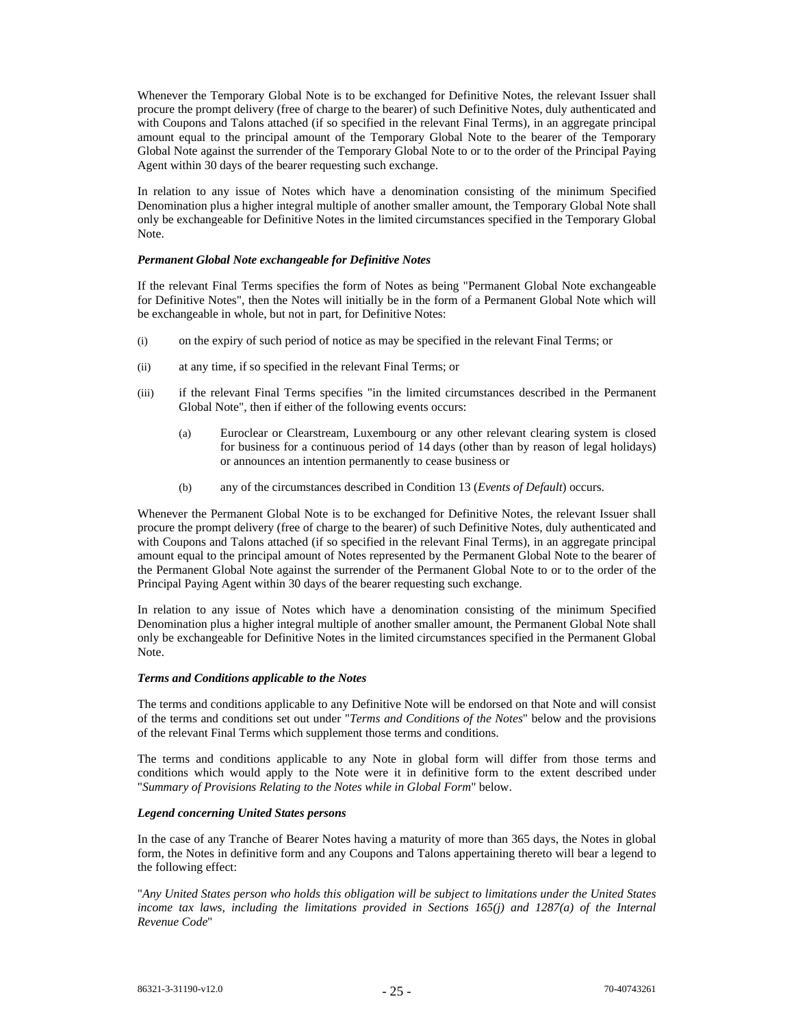Whenever the Temporary Global Note is to be exchanged for Definitive Notes, the relevant Issuer shall procure the prompt delivery (free of charge to the bearer) of such Definitive Notes, duly authenticated and with Coupons and Talons attached (if so specified in the relevant Final Terms), in an aggregate principal amount equal to the principal amount of the Temporary Global Note to the bearer of the Temporary Global Note against the surrender of the Temporary Global Note to or to the order of the Principal Paying Agent within 30 days of the bearer requesting such exchange.

In relation to any issue of Notes which have a denomination consisting of the minimum Specified Denomination plus a higher integral multiple of another smaller amount, the Temporary Global Note shall only be exchangeable for Definitive Notes in the limited circumstances specified in the Temporary Global Note.

#### *Permanent Global Note exchangeable for Definitive Notes*

If the relevant Final Terms specifies the form of Notes as being "Permanent Global Note exchangeable for Definitive Notes", then the Notes will initially be in the form of a Permanent Global Note which will be exchangeable in whole, but not in part, for Definitive Notes:

- (i) on the expiry of such period of notice as may be specified in the relevant Final Terms; or
- (ii) at any time, if so specified in the relevant Final Terms; or
- (iii) if the relevant Final Terms specifies "in the limited circumstances described in the Permanent Global Note", then if either of the following events occurs:
	- (a) Euroclear or Clearstream, Luxembourg or any other relevant clearing system is closed for business for a continuous period of 14 days (other than by reason of legal holidays) or announces an intention permanently to cease business or
	- (b) any of the circumstances described in Condition 13 (*Events of Default*) occurs.

Whenever the Permanent Global Note is to be exchanged for Definitive Notes, the relevant Issuer shall procure the prompt delivery (free of charge to the bearer) of such Definitive Notes, duly authenticated and with Coupons and Talons attached (if so specified in the relevant Final Terms), in an aggregate principal amount equal to the principal amount of Notes represented by the Permanent Global Note to the bearer of the Permanent Global Note against the surrender of the Permanent Global Note to or to the order of the Principal Paying Agent within 30 days of the bearer requesting such exchange.

In relation to any issue of Notes which have a denomination consisting of the minimum Specified Denomination plus a higher integral multiple of another smaller amount, the Permanent Global Note shall only be exchangeable for Definitive Notes in the limited circumstances specified in the Permanent Global Note.

# *Terms and Conditions applicable to the Notes*

The terms and conditions applicable to any Definitive Note will be endorsed on that Note and will consist of the terms and conditions set out under "*Terms and Conditions of the Notes*" below and the provisions of the relevant Final Terms which supplement those terms and conditions.

The terms and conditions applicable to any Note in global form will differ from those terms and conditions which would apply to the Note were it in definitive form to the extent described under "*Summary of Provisions Relating to the Notes while in Global Form*" below.

# *Legend concerning United States persons*

In the case of any Tranche of Bearer Notes having a maturity of more than 365 days, the Notes in global form, the Notes in definitive form and any Coupons and Talons appertaining thereto will bear a legend to the following effect:

"*Any United States person who holds this obligation will be subject to limitations under the United States*  income tax laws, including the limitations provided in Sections 165(j) and 1287(a) of the Internal *Revenue Code*"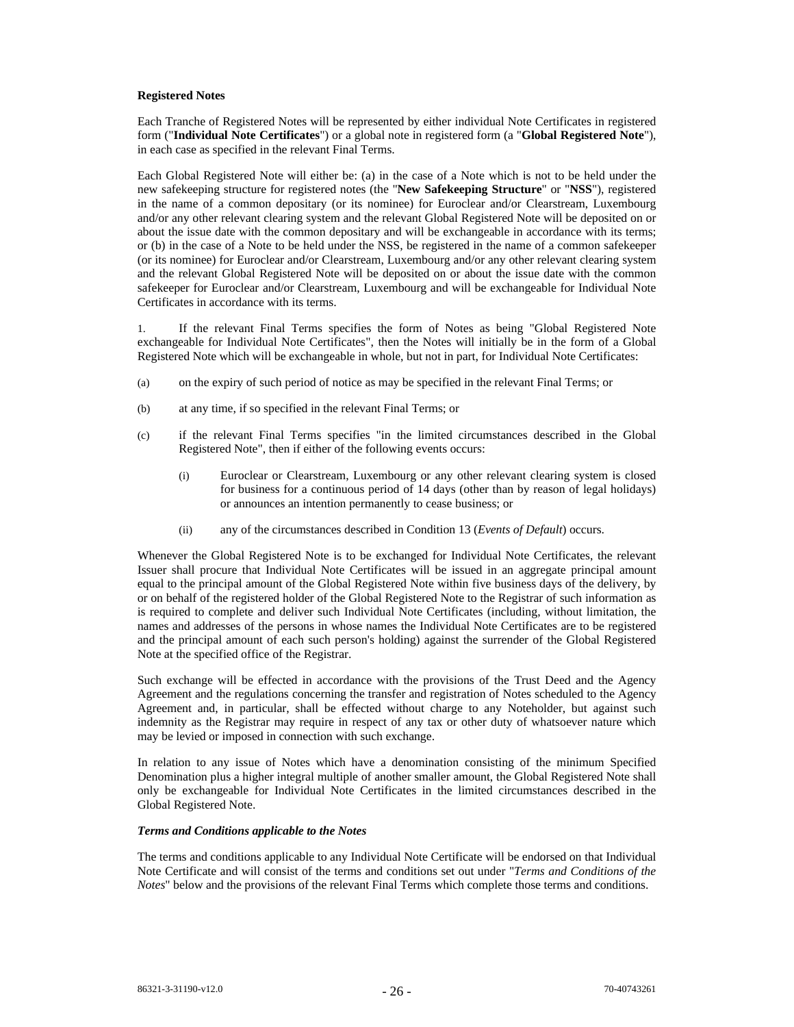## **Registered Notes**

Each Tranche of Registered Notes will be represented by either individual Note Certificates in registered form ("**Individual Note Certificates**") or a global note in registered form (a "**Global Registered Note**"), in each case as specified in the relevant Final Terms.

Each Global Registered Note will either be: (a) in the case of a Note which is not to be held under the new safekeeping structure for registered notes (the "**New Safekeeping Structure**" or "**NSS**"), registered in the name of a common depositary (or its nominee) for Euroclear and/or Clearstream, Luxembourg and/or any other relevant clearing system and the relevant Global Registered Note will be deposited on or about the issue date with the common depositary and will be exchangeable in accordance with its terms; or (b) in the case of a Note to be held under the NSS, be registered in the name of a common safekeeper (or its nominee) for Euroclear and/or Clearstream, Luxembourg and/or any other relevant clearing system and the relevant Global Registered Note will be deposited on or about the issue date with the common safekeeper for Euroclear and/or Clearstream, Luxembourg and will be exchangeable for Individual Note Certificates in accordance with its terms.

1. If the relevant Final Terms specifies the form of Notes as being "Global Registered Note exchangeable for Individual Note Certificates", then the Notes will initially be in the form of a Global Registered Note which will be exchangeable in whole, but not in part, for Individual Note Certificates:

- (a) on the expiry of such period of notice as may be specified in the relevant Final Terms; or
- (b) at any time, if so specified in the relevant Final Terms; or
- (c) if the relevant Final Terms specifies "in the limited circumstances described in the Global Registered Note", then if either of the following events occurs:
	- (i) Euroclear or Clearstream, Luxembourg or any other relevant clearing system is closed for business for a continuous period of 14 days (other than by reason of legal holidays) or announces an intention permanently to cease business; or
	- (ii) any of the circumstances described in Condition 13 (*Events of Default*) occurs.

Whenever the Global Registered Note is to be exchanged for Individual Note Certificates, the relevant Issuer shall procure that Individual Note Certificates will be issued in an aggregate principal amount equal to the principal amount of the Global Registered Note within five business days of the delivery, by or on behalf of the registered holder of the Global Registered Note to the Registrar of such information as is required to complete and deliver such Individual Note Certificates (including, without limitation, the names and addresses of the persons in whose names the Individual Note Certificates are to be registered and the principal amount of each such person's holding) against the surrender of the Global Registered Note at the specified office of the Registrar.

Such exchange will be effected in accordance with the provisions of the Trust Deed and the Agency Agreement and the regulations concerning the transfer and registration of Notes scheduled to the Agency Agreement and, in particular, shall be effected without charge to any Noteholder, but against such indemnity as the Registrar may require in respect of any tax or other duty of whatsoever nature which may be levied or imposed in connection with such exchange.

In relation to any issue of Notes which have a denomination consisting of the minimum Specified Denomination plus a higher integral multiple of another smaller amount, the Global Registered Note shall only be exchangeable for Individual Note Certificates in the limited circumstances described in the Global Registered Note.

#### *Terms and Conditions applicable to the Notes*

The terms and conditions applicable to any Individual Note Certificate will be endorsed on that Individual Note Certificate and will consist of the terms and conditions set out under "*Terms and Conditions of the Notes*" below and the provisions of the relevant Final Terms which complete those terms and conditions.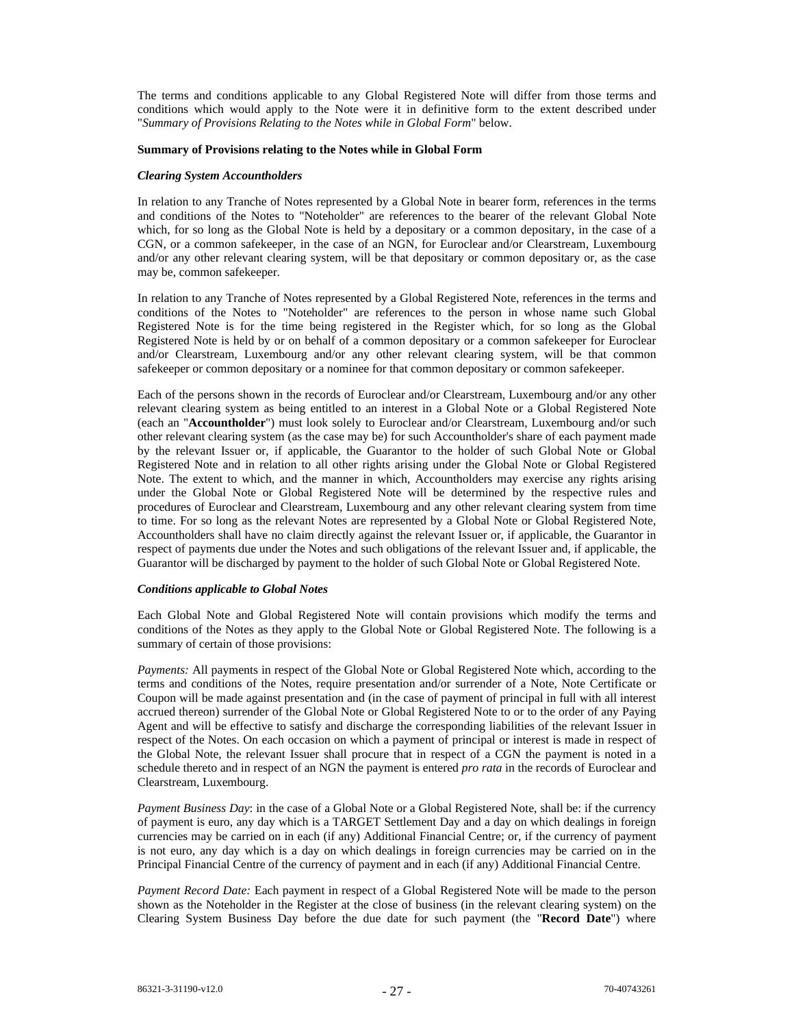The terms and conditions applicable to any Global Registered Note will differ from those terms and conditions which would apply to the Note were it in definitive form to the extent described under "*Summary of Provisions Relating to the Notes while in Global Form*" below.

#### **Summary of Provisions relating to the Notes while in Global Form**

#### *Clearing System Accountholders*

In relation to any Tranche of Notes represented by a Global Note in bearer form, references in the terms and conditions of the Notes to "Noteholder" are references to the bearer of the relevant Global Note which, for so long as the Global Note is held by a depositary or a common depositary, in the case of a CGN, or a common safekeeper, in the case of an NGN, for Euroclear and/or Clearstream, Luxembourg and/or any other relevant clearing system, will be that depositary or common depositary or, as the case may be, common safekeeper.

In relation to any Tranche of Notes represented by a Global Registered Note, references in the terms and conditions of the Notes to "Noteholder" are references to the person in whose name such Global Registered Note is for the time being registered in the Register which, for so long as the Global Registered Note is held by or on behalf of a common depositary or a common safekeeper for Euroclear and/or Clearstream, Luxembourg and/or any other relevant clearing system, will be that common safekeeper or common depositary or a nominee for that common depositary or common safekeeper.

Each of the persons shown in the records of Euroclear and/or Clearstream, Luxembourg and/or any other relevant clearing system as being entitled to an interest in a Global Note or a Global Registered Note (each an "**Accountholder**") must look solely to Euroclear and/or Clearstream, Luxembourg and/or such other relevant clearing system (as the case may be) for such Accountholder's share of each payment made by the relevant Issuer or, if applicable, the Guarantor to the holder of such Global Note or Global Registered Note and in relation to all other rights arising under the Global Note or Global Registered Note. The extent to which, and the manner in which, Accountholders may exercise any rights arising under the Global Note or Global Registered Note will be determined by the respective rules and procedures of Euroclear and Clearstream, Luxembourg and any other relevant clearing system from time to time. For so long as the relevant Notes are represented by a Global Note or Global Registered Note, Accountholders shall have no claim directly against the relevant Issuer or, if applicable, the Guarantor in respect of payments due under the Notes and such obligations of the relevant Issuer and, if applicable, the Guarantor will be discharged by payment to the holder of such Global Note or Global Registered Note.

# *Conditions applicable to Global Notes*

Each Global Note and Global Registered Note will contain provisions which modify the terms and conditions of the Notes as they apply to the Global Note or Global Registered Note. The following is a summary of certain of those provisions:

*Payments:* All payments in respect of the Global Note or Global Registered Note which, according to the terms and conditions of the Notes, require presentation and/or surrender of a Note, Note Certificate or Coupon will be made against presentation and (in the case of payment of principal in full with all interest accrued thereon) surrender of the Global Note or Global Registered Note to or to the order of any Paying Agent and will be effective to satisfy and discharge the corresponding liabilities of the relevant Issuer in respect of the Notes. On each occasion on which a payment of principal or interest is made in respect of the Global Note, the relevant Issuer shall procure that in respect of a CGN the payment is noted in a schedule thereto and in respect of an NGN the payment is entered *pro rata* in the records of Euroclear and Clearstream, Luxembourg.

*Payment Business Day*: in the case of a Global Note or a Global Registered Note, shall be: if the currency of payment is euro, any day which is a TARGET Settlement Day and a day on which dealings in foreign currencies may be carried on in each (if any) Additional Financial Centre; or, if the currency of payment is not euro, any day which is a day on which dealings in foreign currencies may be carried on in the Principal Financial Centre of the currency of payment and in each (if any) Additional Financial Centre.

*Payment Record Date:* Each payment in respect of a Global Registered Note will be made to the person shown as the Noteholder in the Register at the close of business (in the relevant clearing system) on the Clearing System Business Day before the due date for such payment (the "**Record Date**") where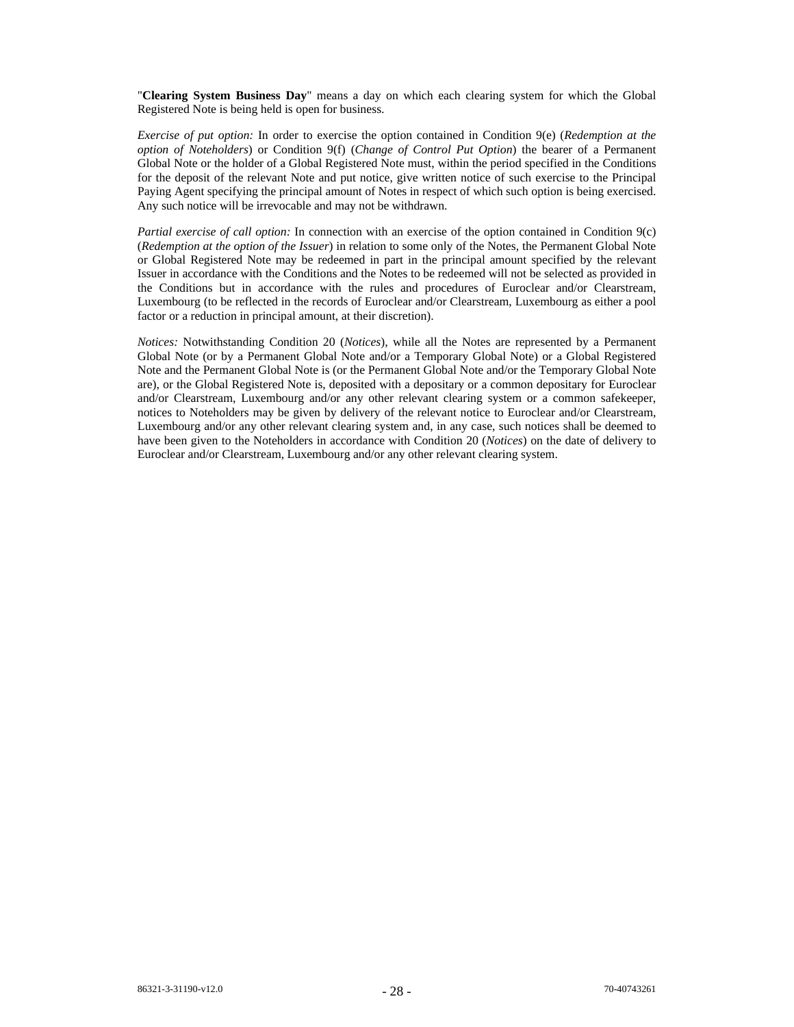"**Clearing System Business Day**" means a day on which each clearing system for which the Global Registered Note is being held is open for business.

*Exercise of put option:* In order to exercise the option contained in Condition 9(e) (*Redemption at the option of Noteholders*) or Condition 9(f) (*Change of Control Put Option*) the bearer of a Permanent Global Note or the holder of a Global Registered Note must, within the period specified in the Conditions for the deposit of the relevant Note and put notice, give written notice of such exercise to the Principal Paying Agent specifying the principal amount of Notes in respect of which such option is being exercised. Any such notice will be irrevocable and may not be withdrawn.

*Partial exercise of call option:* In connection with an exercise of the option contained in Condition 9(c) (*Redemption at the option of the Issuer*) in relation to some only of the Notes, the Permanent Global Note or Global Registered Note may be redeemed in part in the principal amount specified by the relevant Issuer in accordance with the Conditions and the Notes to be redeemed will not be selected as provided in the Conditions but in accordance with the rules and procedures of Euroclear and/or Clearstream, Luxembourg (to be reflected in the records of Euroclear and/or Clearstream, Luxembourg as either a pool factor or a reduction in principal amount, at their discretion).

*Notices:* Notwithstanding Condition 20 (*Notices*), while all the Notes are represented by a Permanent Global Note (or by a Permanent Global Note and/or a Temporary Global Note) or a Global Registered Note and the Permanent Global Note is (or the Permanent Global Note and/or the Temporary Global Note are), or the Global Registered Note is, deposited with a depositary or a common depositary for Euroclear and/or Clearstream, Luxembourg and/or any other relevant clearing system or a common safekeeper, notices to Noteholders may be given by delivery of the relevant notice to Euroclear and/or Clearstream, Luxembourg and/or any other relevant clearing system and, in any case, such notices shall be deemed to have been given to the Noteholders in accordance with Condition 20 (*Notices*) on the date of delivery to Euroclear and/or Clearstream, Luxembourg and/or any other relevant clearing system.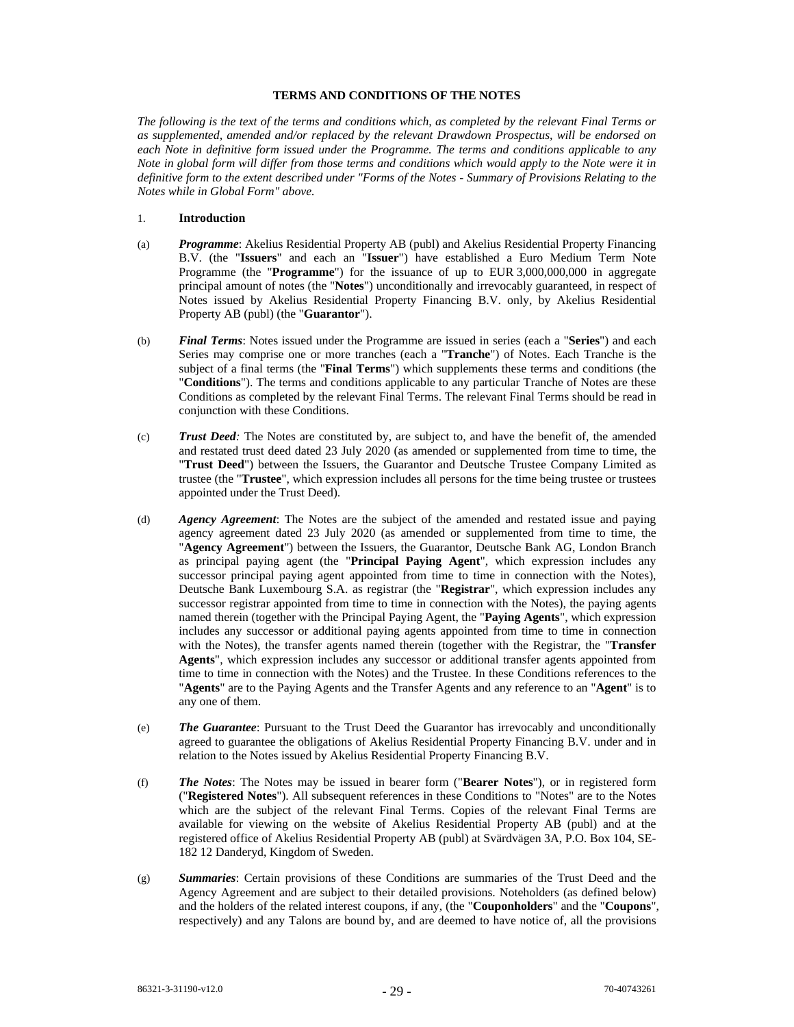## **TERMS AND CONDITIONS OF THE NOTES**

*The following is the text of the terms and conditions which, as completed by the relevant Final Terms or as supplemented, amended and/or replaced by the relevant Drawdown Prospectus, will be endorsed on each Note in definitive form issued under the Programme. The terms and conditions applicable to any Note in global form will differ from those terms and conditions which would apply to the Note were it in definitive form to the extent described under "Forms of the Notes - Summary of Provisions Relating to the Notes while in Global Form" above.* 

- 1. **Introduction**
- (a) *Programme*: Akelius Residential Property AB (publ) and Akelius Residential Property Financing B.V. (the "**Issuers**" and each an "**Issuer**") have established a Euro Medium Term Note Programme (the "**Programme**") for the issuance of up to EUR 3,000,000,000 in aggregate principal amount of notes (the "**Notes**") unconditionally and irrevocably guaranteed, in respect of Notes issued by Akelius Residential Property Financing B.V. only, by Akelius Residential Property AB (publ) (the "**Guarantor**").
- (b) *Final Terms*: Notes issued under the Programme are issued in series (each a "**Series**") and each Series may comprise one or more tranches (each a "**Tranche**") of Notes. Each Tranche is the subject of a final terms (the "**Final Terms**") which supplements these terms and conditions (the "**Conditions**"). The terms and conditions applicable to any particular Tranche of Notes are these Conditions as completed by the relevant Final Terms. The relevant Final Terms should be read in conjunction with these Conditions.
- (c) *Trust Deed:* The Notes are constituted by, are subject to, and have the benefit of, the amended and restated trust deed dated 23 July 2020 (as amended or supplemented from time to time, the "**Trust Deed**") between the Issuers, the Guarantor and Deutsche Trustee Company Limited as trustee (the "**Trustee**", which expression includes all persons for the time being trustee or trustees appointed under the Trust Deed).
- (d) *Agency Agreement*: The Notes are the subject of the amended and restated issue and paying agency agreement dated 23 July 2020 (as amended or supplemented from time to time, the "**Agency Agreement**") between the Issuers, the Guarantor, Deutsche Bank AG, London Branch as principal paying agent (the "**Principal Paying Agent**", which expression includes any successor principal paying agent appointed from time to time in connection with the Notes), Deutsche Bank Luxembourg S.A. as registrar (the "**Registrar**", which expression includes any successor registrar appointed from time to time in connection with the Notes), the paying agents named therein (together with the Principal Paying Agent, the "**Paying Agents**", which expression includes any successor or additional paying agents appointed from time to time in connection with the Notes), the transfer agents named therein (together with the Registrar, the "**Transfer Agents**", which expression includes any successor or additional transfer agents appointed from time to time in connection with the Notes) and the Trustee. In these Conditions references to the "**Agents**" are to the Paying Agents and the Transfer Agents and any reference to an "**Agent**" is to any one of them.
- (e) *The Guarantee*: Pursuant to the Trust Deed the Guarantor has irrevocably and unconditionally agreed to guarantee the obligations of Akelius Residential Property Financing B.V. under and in relation to the Notes issued by Akelius Residential Property Financing B.V.
- (f) *The Notes*: The Notes may be issued in bearer form ("**Bearer Notes**"), or in registered form ("**Registered Notes**"). All subsequent references in these Conditions to "Notes" are to the Notes which are the subject of the relevant Final Terms. Copies of the relevant Final Terms are available for viewing on the website of Akelius Residential Property AB (publ) and at the registered office of Akelius Residential Property AB (publ) at Svärdvägen 3A, P.O. Box 104, SE-182 12 Danderyd, Kingdom of Sweden.
- (g) *Summaries*: Certain provisions of these Conditions are summaries of the Trust Deed and the Agency Agreement and are subject to their detailed provisions. Noteholders (as defined below) and the holders of the related interest coupons, if any, (the "**Couponholders**" and the "**Coupons**", respectively) and any Talons are bound by, and are deemed to have notice of, all the provisions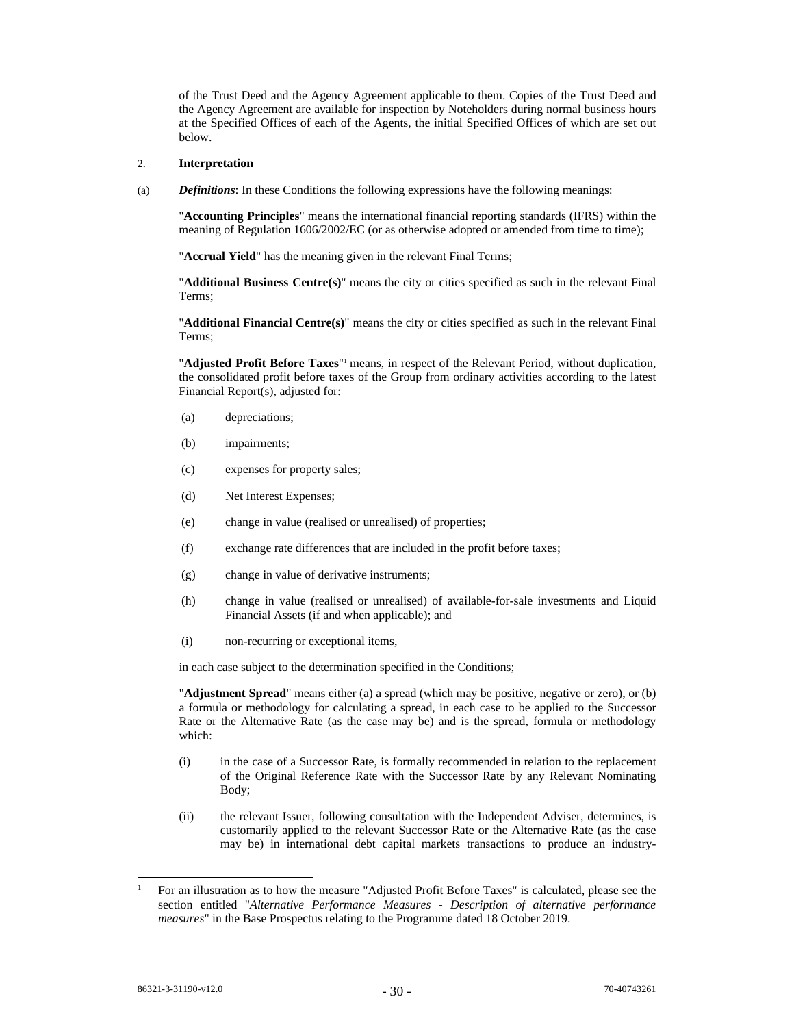of the Trust Deed and the Agency Agreement applicable to them. Copies of the Trust Deed and the Agency Agreement are available for inspection by Noteholders during normal business hours at the Specified Offices of each of the Agents, the initial Specified Offices of which are set out below.

### 2. **Interpretation**

(a) *Definitions*: In these Conditions the following expressions have the following meanings:

"**Accounting Principles**" means the international financial reporting standards (IFRS) within the meaning of Regulation 1606/2002/EC (or as otherwise adopted or amended from time to time);

"**Accrual Yield**" has the meaning given in the relevant Final Terms;

"**Additional Business Centre(s)**" means the city or cities specified as such in the relevant Final Terms;

"**Additional Financial Centre(s)**" means the city or cities specified as such in the relevant Final Terms;

"**Adjusted Profit Before Taxes**"<sup>1</sup> means, in respect of the Relevant Period, without duplication, the consolidated profit before taxes of the Group from ordinary activities according to the latest Financial Report(s), adjusted for:

- (a) depreciations;
- (b) impairments;
- (c) expenses for property sales;
- (d) Net Interest Expenses;
- (e) change in value (realised or unrealised) of properties;
- (f) exchange rate differences that are included in the profit before taxes;
- (g) change in value of derivative instruments;
- (h) change in value (realised or unrealised) of available-for-sale investments and Liquid Financial Assets (if and when applicable); and
- (i) non-recurring or exceptional items,

in each case subject to the determination specified in the Conditions;

"**Adjustment Spread**" means either (a) a spread (which may be positive, negative or zero), or (b) a formula or methodology for calculating a spread, in each case to be applied to the Successor Rate or the Alternative Rate (as the case may be) and is the spread, formula or methodology which:

- (i) in the case of a Successor Rate, is formally recommended in relation to the replacement of the Original Reference Rate with the Successor Rate by any Relevant Nominating Body;
- (ii) the relevant Issuer, following consultation with the Independent Adviser, determines, is customarily applied to the relevant Successor Rate or the Alternative Rate (as the case may be) in international debt capital markets transactions to produce an industry-

<sup>1</sup> For an illustration as to how the measure "Adjusted Profit Before Taxes" is calculated, please see the section entitled "*Alternative Performance Measures - Description of alternative performance measures*" in the Base Prospectus relating to the Programme dated 18 October 2019.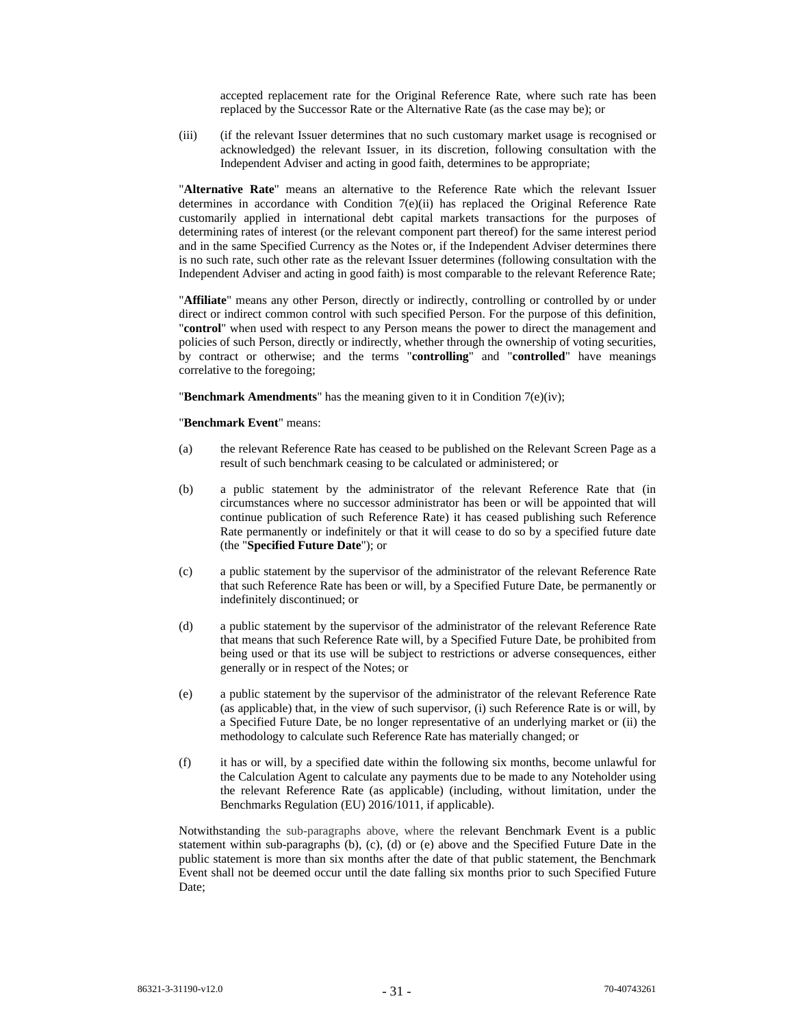accepted replacement rate for the Original Reference Rate, where such rate has been replaced by the Successor Rate or the Alternative Rate (as the case may be); or

(iii) (if the relevant Issuer determines that no such customary market usage is recognised or acknowledged) the relevant Issuer, in its discretion, following consultation with the Independent Adviser and acting in good faith, determines to be appropriate;

"**Alternative Rate**" means an alternative to the Reference Rate which the relevant Issuer determines in accordance with Condition 7(e)(ii) has replaced the Original Reference Rate customarily applied in international debt capital markets transactions for the purposes of determining rates of interest (or the relevant component part thereof) for the same interest period and in the same Specified Currency as the Notes or, if the Independent Adviser determines there is no such rate, such other rate as the relevant Issuer determines (following consultation with the Independent Adviser and acting in good faith) is most comparable to the relevant Reference Rate;

"**Affiliate**" means any other Person, directly or indirectly, controlling or controlled by or under direct or indirect common control with such specified Person. For the purpose of this definition, "**control**" when used with respect to any Person means the power to direct the management and policies of such Person, directly or indirectly, whether through the ownership of voting securities, by contract or otherwise; and the terms "**controlling**" and "**controlled**" have meanings correlative to the foregoing;

"**Benchmark Amendments**" has the meaning given to it in Condition 7(e)(iv);

## "**Benchmark Event**" means:

- (a) the relevant Reference Rate has ceased to be published on the Relevant Screen Page as a result of such benchmark ceasing to be calculated or administered; or
- (b) a public statement by the administrator of the relevant Reference Rate that (in circumstances where no successor administrator has been or will be appointed that will continue publication of such Reference Rate) it has ceased publishing such Reference Rate permanently or indefinitely or that it will cease to do so by a specified future date (the "**Specified Future Date**"); or
- (c) a public statement by the supervisor of the administrator of the relevant Reference Rate that such Reference Rate has been or will, by a Specified Future Date, be permanently or indefinitely discontinued; or
- (d) a public statement by the supervisor of the administrator of the relevant Reference Rate that means that such Reference Rate will, by a Specified Future Date, be prohibited from being used or that its use will be subject to restrictions or adverse consequences, either generally or in respect of the Notes; or
- (e) a public statement by the supervisor of the administrator of the relevant Reference Rate (as applicable) that, in the view of such supervisor, (i) such Reference Rate is or will, by a Specified Future Date, be no longer representative of an underlying market or (ii) the methodology to calculate such Reference Rate has materially changed; or
- (f) it has or will, by a specified date within the following six months, become unlawful for the Calculation Agent to calculate any payments due to be made to any Noteholder using the relevant Reference Rate (as applicable) (including, without limitation, under the Benchmarks Regulation (EU) 2016/1011, if applicable).

Notwithstanding the sub-paragraphs above, where the relevant Benchmark Event is a public statement within sub-paragraphs (b), (c), (d) or (e) above and the Specified Future Date in the public statement is more than six months after the date of that public statement, the Benchmark Event shall not be deemed occur until the date falling six months prior to such Specified Future Date;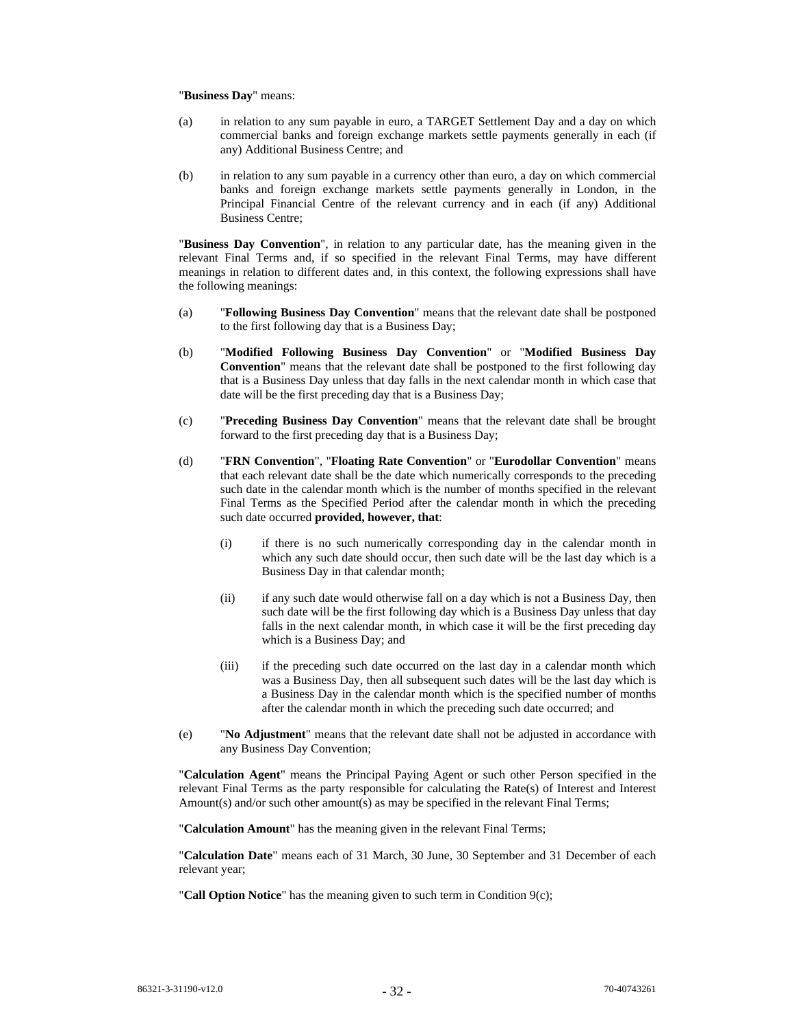### "**Business Day**" means:

- (a) in relation to any sum payable in euro, a TARGET Settlement Day and a day on which commercial banks and foreign exchange markets settle payments generally in each (if any) Additional Business Centre; and
- (b) in relation to any sum payable in a currency other than euro, a day on which commercial banks and foreign exchange markets settle payments generally in London, in the Principal Financial Centre of the relevant currency and in each (if any) Additional Business Centre;

"**Business Day Convention**", in relation to any particular date, has the meaning given in the relevant Final Terms and, if so specified in the relevant Final Terms, may have different meanings in relation to different dates and, in this context, the following expressions shall have the following meanings:

- (a) "**Following Business Day Convention**" means that the relevant date shall be postponed to the first following day that is a Business Day;
- (b) "**Modified Following Business Day Convention**" or "**Modified Business Day Convention**" means that the relevant date shall be postponed to the first following day that is a Business Day unless that day falls in the next calendar month in which case that date will be the first preceding day that is a Business Day;
- (c) "**Preceding Business Day Convention**" means that the relevant date shall be brought forward to the first preceding day that is a Business Day;
- (d) "**FRN Convention**", "**Floating Rate Convention**" or "**Eurodollar Convention**" means that each relevant date shall be the date which numerically corresponds to the preceding such date in the calendar month which is the number of months specified in the relevant Final Terms as the Specified Period after the calendar month in which the preceding such date occurred **provided, however, that**:
	- (i) if there is no such numerically corresponding day in the calendar month in which any such date should occur, then such date will be the last day which is a Business Day in that calendar month;
	- (ii) if any such date would otherwise fall on a day which is not a Business Day, then such date will be the first following day which is a Business Day unless that day falls in the next calendar month, in which case it will be the first preceding day which is a Business Day; and
	- (iii) if the preceding such date occurred on the last day in a calendar month which was a Business Day, then all subsequent such dates will be the last day which is a Business Day in the calendar month which is the specified number of months after the calendar month in which the preceding such date occurred; and
- (e) "**No Adjustment**" means that the relevant date shall not be adjusted in accordance with any Business Day Convention;

"**Calculation Agent**" means the Principal Paying Agent or such other Person specified in the relevant Final Terms as the party responsible for calculating the Rate(s) of Interest and Interest Amount(s) and/or such other amount(s) as may be specified in the relevant Final Terms;

"**Calculation Amount**" has the meaning given in the relevant Final Terms;

"**Calculation Date**" means each of 31 March, 30 June, 30 September and 31 December of each relevant year;

"**Call Option Notice**" has the meaning given to such term in Condition 9(c);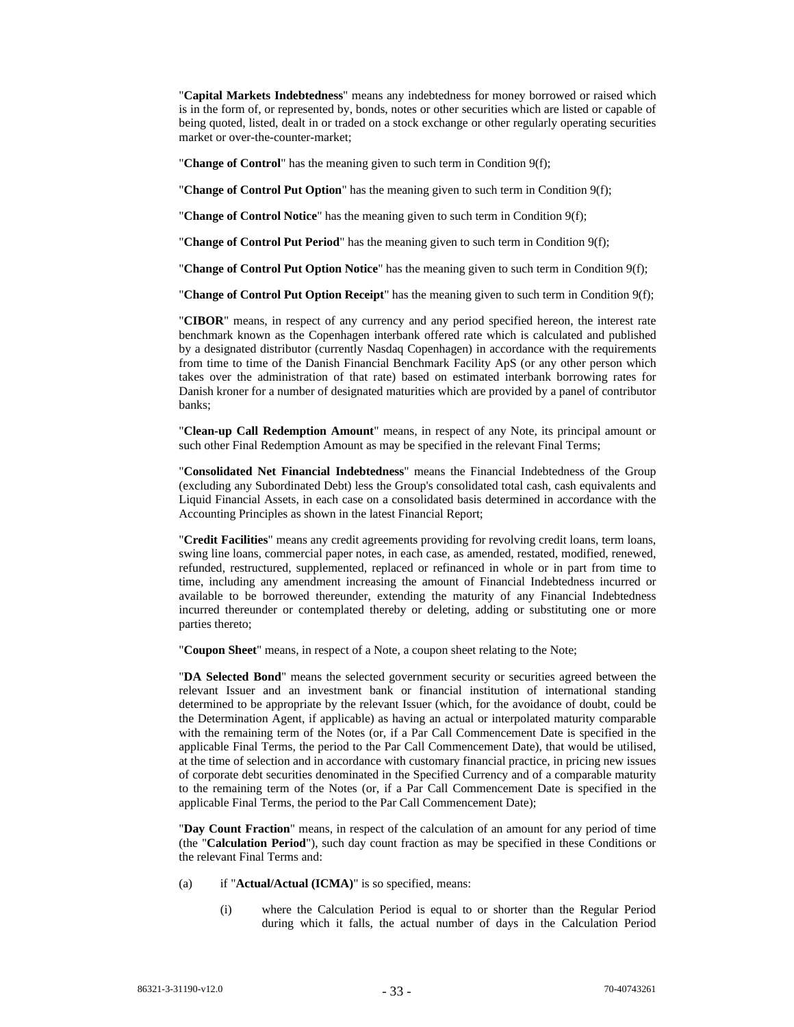"**Capital Markets Indebtedness**" means any indebtedness for money borrowed or raised which is in the form of, or represented by, bonds, notes or other securities which are listed or capable of being quoted, listed, dealt in or traded on a stock exchange or other regularly operating securities market or over-the-counter-market;

"**Change of Control**" has the meaning given to such term in Condition 9(f);

"**Change of Control Put Option**" has the meaning given to such term in Condition 9(f);

"**Change of Control Notice**" has the meaning given to such term in Condition 9(f);

"**Change of Control Put Period**" has the meaning given to such term in Condition 9(f);

"**Change of Control Put Option Notice**" has the meaning given to such term in Condition 9(f);

"**Change of Control Put Option Receipt**" has the meaning given to such term in Condition 9(f);

"**CIBOR**" means, in respect of any currency and any period specified hereon, the interest rate benchmark known as the Copenhagen interbank offered rate which is calculated and published by a designated distributor (currently Nasdaq Copenhagen) in accordance with the requirements from time to time of the Danish Financial Benchmark Facility ApS (or any other person which takes over the administration of that rate) based on estimated interbank borrowing rates for Danish kroner for a number of designated maturities which are provided by a panel of contributor banks;

"**Clean-up Call Redemption Amount**" means, in respect of any Note, its principal amount or such other Final Redemption Amount as may be specified in the relevant Final Terms;

"**Consolidated Net Financial Indebtedness**" means the Financial Indebtedness of the Group (excluding any Subordinated Debt) less the Group's consolidated total cash, cash equivalents and Liquid Financial Assets, in each case on a consolidated basis determined in accordance with the Accounting Principles as shown in the latest Financial Report;

"**Credit Facilities**" means any credit agreements providing for revolving credit loans, term loans, swing line loans, commercial paper notes, in each case, as amended, restated, modified, renewed, refunded, restructured, supplemented, replaced or refinanced in whole or in part from time to time, including any amendment increasing the amount of Financial Indebtedness incurred or available to be borrowed thereunder, extending the maturity of any Financial Indebtedness incurred thereunder or contemplated thereby or deleting, adding or substituting one or more parties thereto;

"**Coupon Sheet**" means, in respect of a Note, a coupon sheet relating to the Note;

"**DA Selected Bond**" means the selected government security or securities agreed between the relevant Issuer and an investment bank or financial institution of international standing determined to be appropriate by the relevant Issuer (which, for the avoidance of doubt, could be the Determination Agent, if applicable) as having an actual or interpolated maturity comparable with the remaining term of the Notes (or, if a Par Call Commencement Date is specified in the applicable Final Terms, the period to the Par Call Commencement Date), that would be utilised, at the time of selection and in accordance with customary financial practice, in pricing new issues of corporate debt securities denominated in the Specified Currency and of a comparable maturity to the remaining term of the Notes (or, if a Par Call Commencement Date is specified in the applicable Final Terms, the period to the Par Call Commencement Date);

"**Day Count Fraction**" means, in respect of the calculation of an amount for any period of time (the "**Calculation Period**"), such day count fraction as may be specified in these Conditions or the relevant Final Terms and:

- (a) if "**Actual/Actual (ICMA)**" is so specified, means:
	- (i) where the Calculation Period is equal to or shorter than the Regular Period during which it falls, the actual number of days in the Calculation Period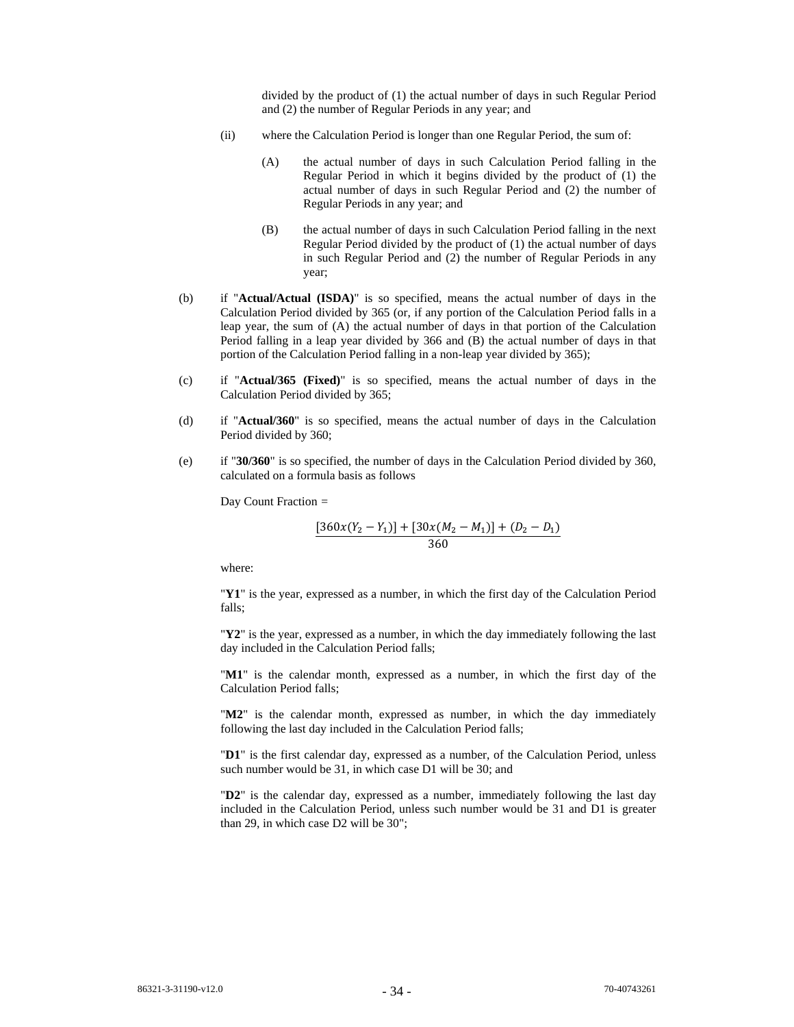divided by the product of (1) the actual number of days in such Regular Period and (2) the number of Regular Periods in any year; and

- (ii) where the Calculation Period is longer than one Regular Period, the sum of:
	- (A) the actual number of days in such Calculation Period falling in the Regular Period in which it begins divided by the product of (1) the actual number of days in such Regular Period and (2) the number of Regular Periods in any year; and
	- (B) the actual number of days in such Calculation Period falling in the next Regular Period divided by the product of (1) the actual number of days in such Regular Period and (2) the number of Regular Periods in any year;
- (b) if "**Actual/Actual (ISDA)**" is so specified, means the actual number of days in the Calculation Period divided by 365 (or, if any portion of the Calculation Period falls in a leap year, the sum of (A) the actual number of days in that portion of the Calculation Period falling in a leap year divided by 366 and (B) the actual number of days in that portion of the Calculation Period falling in a non-leap year divided by 365);
- (c) if "**Actual/365 (Fixed)**" is so specified, means the actual number of days in the Calculation Period divided by 365;
- (d) if "**Actual/360**" is so specified, means the actual number of days in the Calculation Period divided by 360;
- (e) if "**30/360**" is so specified, the number of days in the Calculation Period divided by 360, calculated on a formula basis as follows

Day Count Fraction *=* 

$$
\frac{[360x(Y_2 - Y_1)] + [30x(M_2 - M_1)] + (D_2 - D_1)}{360}
$$

where:

"**Y1**" is the year, expressed as a number, in which the first day of the Calculation Period falls;

"**Y2**" is the year, expressed as a number, in which the day immediately following the last day included in the Calculation Period falls;

"**M1**" is the calendar month, expressed as a number, in which the first day of the Calculation Period falls;

"**M2**" is the calendar month, expressed as number, in which the day immediately following the last day included in the Calculation Period falls;

"**D1**" is the first calendar day, expressed as a number, of the Calculation Period, unless such number would be 31, in which case D1 will be 30; and

"**D2**" is the calendar day, expressed as a number, immediately following the last day included in the Calculation Period, unless such number would be 31 and D1 is greater than 29, in which case D2 will be 30";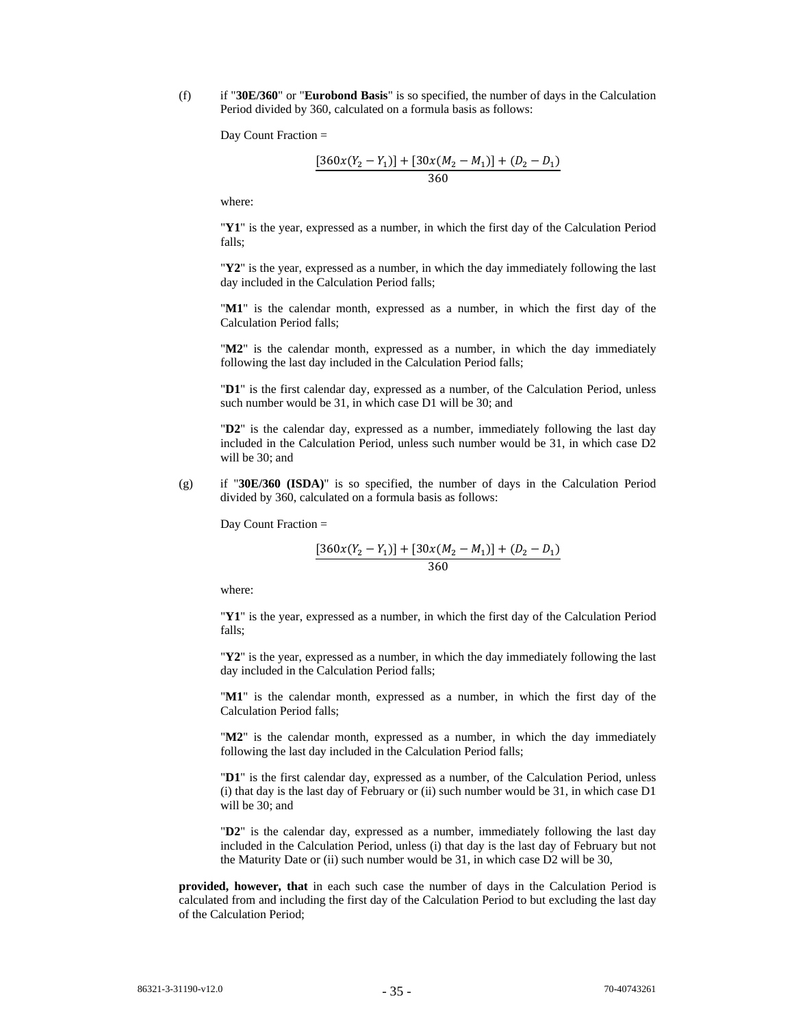(f) if "**30E/360**" or "**Eurobond Basis**" is so specified, the number of days in the Calculation Period divided by 360, calculated on a formula basis as follows:

Day Count Fraction =

$$
\frac{[360x(Y_2 - Y_1)] + [30x(M_2 - M_1)] + (D_2 - D_1)}{360}
$$

where:

"**Y1**" is the year, expressed as a number, in which the first day of the Calculation Period falls;

"**Y2**" is the year, expressed as a number, in which the day immediately following the last day included in the Calculation Period falls;

"**M1**" is the calendar month, expressed as a number, in which the first day of the Calculation Period falls;

"M2" is the calendar month, expressed as a number, in which the day immediately following the last day included in the Calculation Period falls;

"**D1**" is the first calendar day, expressed as a number, of the Calculation Period, unless such number would be 31, in which case D1 will be 30; and

"**D2**" is the calendar day, expressed as a number, immediately following the last day included in the Calculation Period, unless such number would be 31, in which case D2 will be 30; and

(g) if "**30E/360 (ISDA)**" is so specified, the number of days in the Calculation Period divided by 360, calculated on a formula basis as follows:

Day Count Fraction =

$$
\frac{[360x(Y_2 - Y_1)] + [30x(M_2 - M_1)] + (D_2 - D_1)}{360}
$$

where:

"**Y1**" is the year, expressed as a number, in which the first day of the Calculation Period falls;

"**Y2**" is the year, expressed as a number, in which the day immediately following the last day included in the Calculation Period falls;

"**M1**" is the calendar month, expressed as a number, in which the first day of the Calculation Period falls;

"M2" is the calendar month, expressed as a number, in which the day immediately following the last day included in the Calculation Period falls;

"**D1**" is the first calendar day, expressed as a number, of the Calculation Period, unless (i) that day is the last day of February or (ii) such number would be 31, in which case D1 will be 30; and

"**D2**" is the calendar day, expressed as a number, immediately following the last day included in the Calculation Period, unless (i) that day is the last day of February but not the Maturity Date or (ii) such number would be 31, in which case D2 will be 30,

**provided, however, that** in each such case the number of days in the Calculation Period is calculated from and including the first day of the Calculation Period to but excluding the last day of the Calculation Period;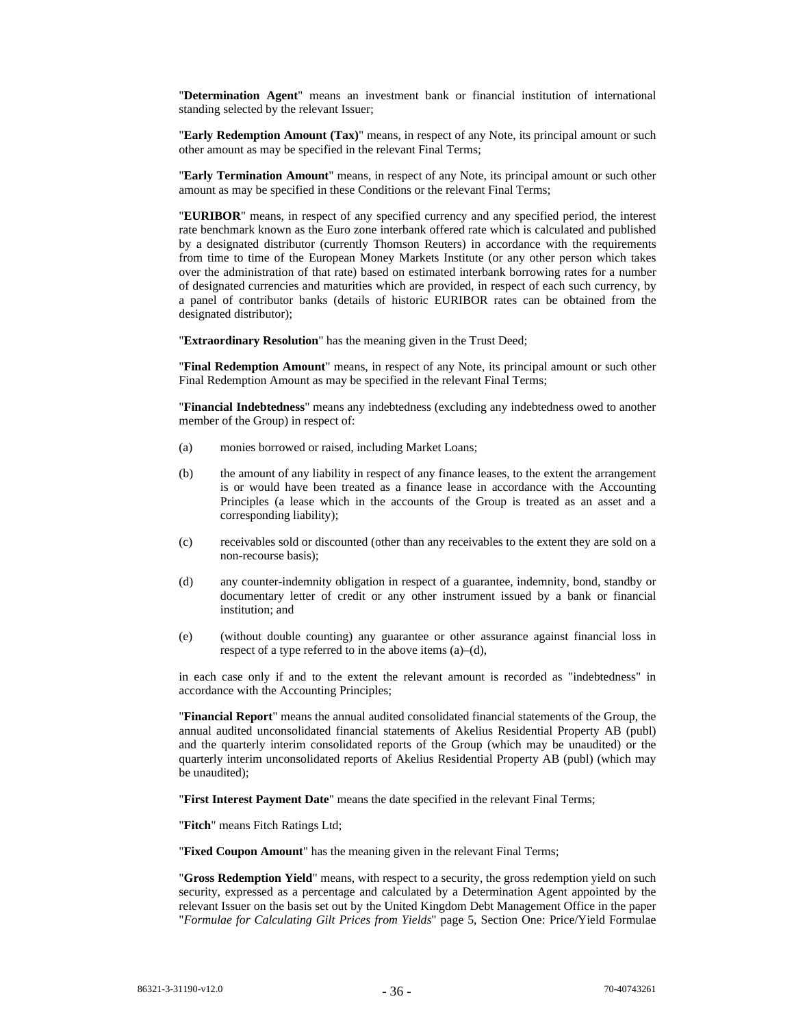"**Determination Agent**" means an investment bank or financial institution of international standing selected by the relevant Issuer;

"**Early Redemption Amount (Tax)**" means, in respect of any Note, its principal amount or such other amount as may be specified in the relevant Final Terms;

"**Early Termination Amount**" means, in respect of any Note, its principal amount or such other amount as may be specified in these Conditions or the relevant Final Terms;

"**EURIBOR**" means, in respect of any specified currency and any specified period, the interest rate benchmark known as the Euro zone interbank offered rate which is calculated and published by a designated distributor (currently Thomson Reuters) in accordance with the requirements from time to time of the European Money Markets Institute (or any other person which takes over the administration of that rate) based on estimated interbank borrowing rates for a number of designated currencies and maturities which are provided, in respect of each such currency, by a panel of contributor banks (details of historic EURIBOR rates can be obtained from the designated distributor);

"**Extraordinary Resolution**" has the meaning given in the Trust Deed;

"**Final Redemption Amount**" means, in respect of any Note, its principal amount or such other Final Redemption Amount as may be specified in the relevant Final Terms;

"**Financial Indebtedness**" means any indebtedness (excluding any indebtedness owed to another member of the Group) in respect of:

- (a) monies borrowed or raised, including Market Loans;
- (b) the amount of any liability in respect of any finance leases, to the extent the arrangement is or would have been treated as a finance lease in accordance with the Accounting Principles (a lease which in the accounts of the Group is treated as an asset and a corresponding liability);
- (c) receivables sold or discounted (other than any receivables to the extent they are sold on a non-recourse basis);
- (d) any counter-indemnity obligation in respect of a guarantee, indemnity, bond, standby or documentary letter of credit or any other instrument issued by a bank or financial institution; and
- (e) (without double counting) any guarantee or other assurance against financial loss in respect of a type referred to in the above items (a)–(d),

in each case only if and to the extent the relevant amount is recorded as "indebtedness" in accordance with the Accounting Principles;

"**Financial Report**" means the annual audited consolidated financial statements of the Group, the annual audited unconsolidated financial statements of Akelius Residential Property AB (publ) and the quarterly interim consolidated reports of the Group (which may be unaudited) or the quarterly interim unconsolidated reports of Akelius Residential Property AB (publ) (which may be unaudited);

"**First Interest Payment Date**" means the date specified in the relevant Final Terms;

"**Fitch**" means Fitch Ratings Ltd;

"**Fixed Coupon Amount**" has the meaning given in the relevant Final Terms;

"**Gross Redemption Yield**" means, with respect to a security, the gross redemption yield on such security, expressed as a percentage and calculated by a Determination Agent appointed by the relevant Issuer on the basis set out by the United Kingdom Debt Management Office in the paper "*Formulae for Calculating Gilt Prices from Yields*" page 5, Section One: Price/Yield Formulae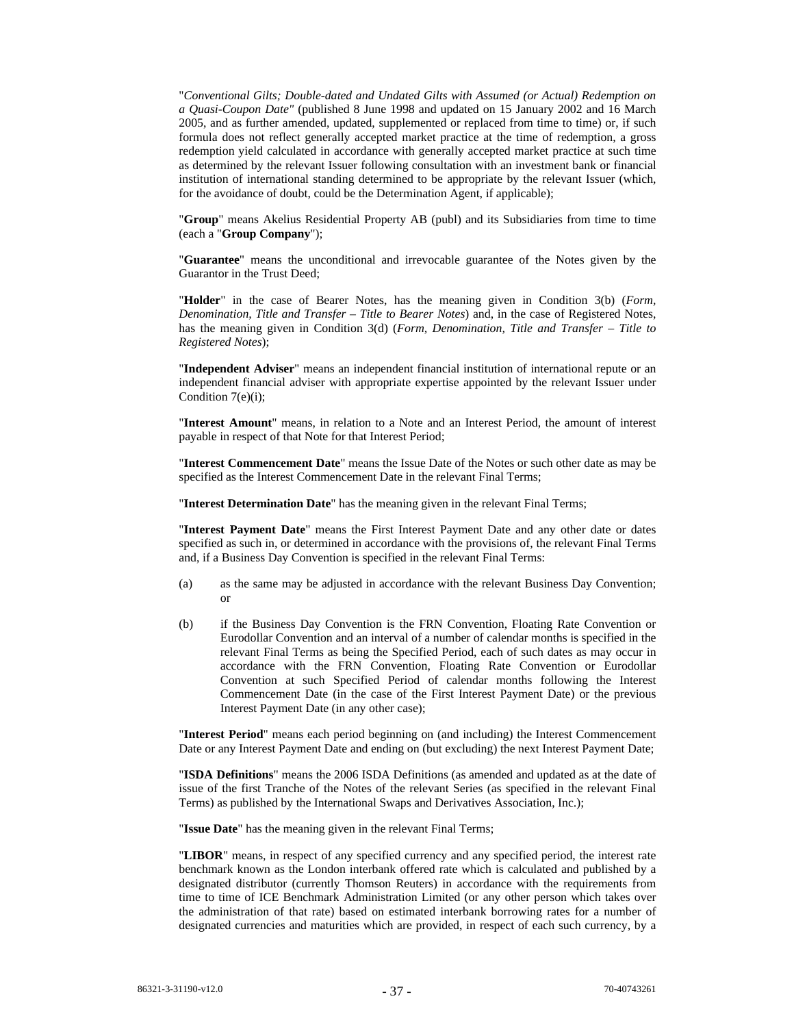"*Conventional Gilts; Double-dated and Undated Gilts with Assumed (or Actual) Redemption on a Quasi-Coupon Date"* (published 8 June 1998 and updated on 15 January 2002 and 16 March 2005, and as further amended, updated, supplemented or replaced from time to time) or, if such formula does not reflect generally accepted market practice at the time of redemption, a gross redemption yield calculated in accordance with generally accepted market practice at such time as determined by the relevant Issuer following consultation with an investment bank or financial institution of international standing determined to be appropriate by the relevant Issuer (which, for the avoidance of doubt, could be the Determination Agent, if applicable);

"**Group**" means Akelius Residential Property AB (publ) and its Subsidiaries from time to time (each a "**Group Company**");

"**Guarantee**" means the unconditional and irrevocable guarantee of the Notes given by the Guarantor in the Trust Deed;

"**Holder**" in the case of Bearer Notes, has the meaning given in Condition 3(b) (*Form, Denomination, Title and Transfer – Title to Bearer Notes*) and, in the case of Registered Notes, has the meaning given in Condition 3(d) (*Form, Denomination, Title and Transfer – Title to Registered Notes*);

"**Independent Adviser**" means an independent financial institution of international repute or an independent financial adviser with appropriate expertise appointed by the relevant Issuer under Condition 7(e)(i);

"**Interest Amount**" means, in relation to a Note and an Interest Period, the amount of interest payable in respect of that Note for that Interest Period;

"**Interest Commencement Date**" means the Issue Date of the Notes or such other date as may be specified as the Interest Commencement Date in the relevant Final Terms;

"**Interest Determination Date**" has the meaning given in the relevant Final Terms;

"**Interest Payment Date**" means the First Interest Payment Date and any other date or dates specified as such in, or determined in accordance with the provisions of, the relevant Final Terms and, if a Business Day Convention is specified in the relevant Final Terms:

- (a) as the same may be adjusted in accordance with the relevant Business Day Convention; or
- (b) if the Business Day Convention is the FRN Convention, Floating Rate Convention or Eurodollar Convention and an interval of a number of calendar months is specified in the relevant Final Terms as being the Specified Period, each of such dates as may occur in accordance with the FRN Convention, Floating Rate Convention or Eurodollar Convention at such Specified Period of calendar months following the Interest Commencement Date (in the case of the First Interest Payment Date) or the previous Interest Payment Date (in any other case);

"**Interest Period**" means each period beginning on (and including) the Interest Commencement Date or any Interest Payment Date and ending on (but excluding) the next Interest Payment Date;

"**ISDA Definitions**" means the 2006 ISDA Definitions (as amended and updated as at the date of issue of the first Tranche of the Notes of the relevant Series (as specified in the relevant Final Terms) as published by the International Swaps and Derivatives Association, Inc.);

"**Issue Date**" has the meaning given in the relevant Final Terms;

"**LIBOR**" means, in respect of any specified currency and any specified period, the interest rate benchmark known as the London interbank offered rate which is calculated and published by a designated distributor (currently Thomson Reuters) in accordance with the requirements from time to time of ICE Benchmark Administration Limited (or any other person which takes over the administration of that rate) based on estimated interbank borrowing rates for a number of designated currencies and maturities which are provided, in respect of each such currency, by a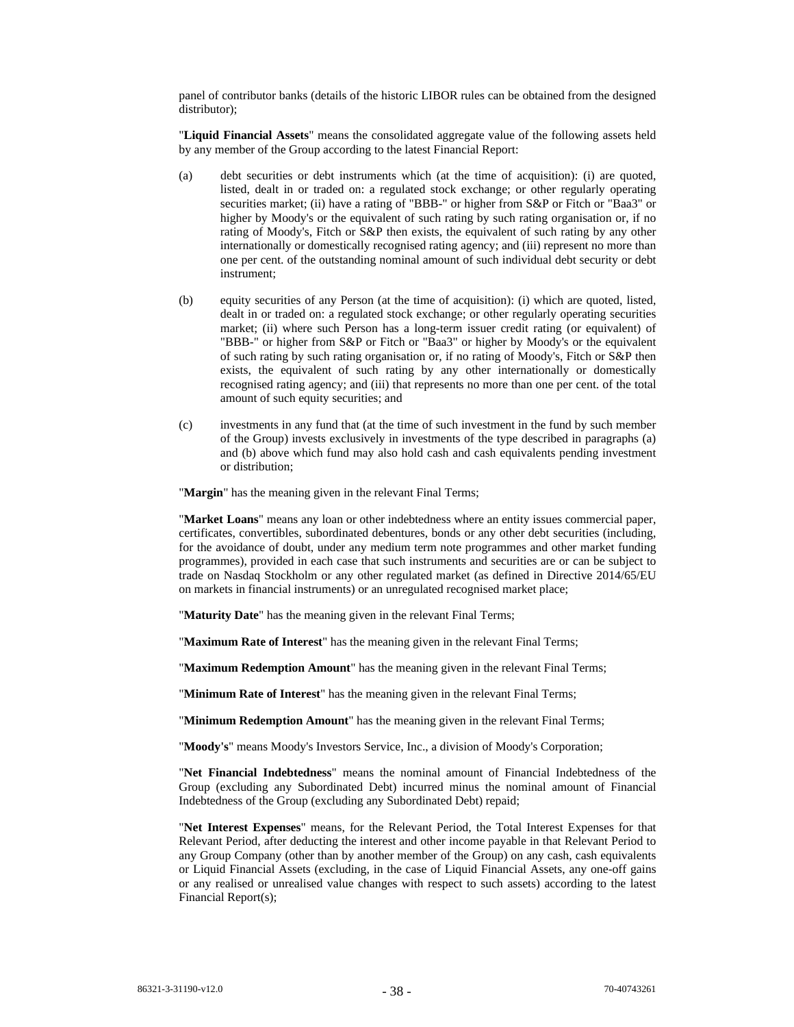panel of contributor banks (details of the historic LIBOR rules can be obtained from the designed distributor);

"**Liquid Financial Assets**" means the consolidated aggregate value of the following assets held by any member of the Group according to the latest Financial Report:

- (a) debt securities or debt instruments which (at the time of acquisition): (i) are quoted, listed, dealt in or traded on: a regulated stock exchange; or other regularly operating securities market; (ii) have a rating of "BBB-" or higher from S&P or Fitch or "Baa3" or higher by Moody's or the equivalent of such rating by such rating organisation or, if no rating of Moody's, Fitch or S&P then exists, the equivalent of such rating by any other internationally or domestically recognised rating agency; and (iii) represent no more than one per cent. of the outstanding nominal amount of such individual debt security or debt instrument;
- (b) equity securities of any Person (at the time of acquisition): (i) which are quoted, listed, dealt in or traded on: a regulated stock exchange; or other regularly operating securities market; (ii) where such Person has a long-term issuer credit rating (or equivalent) of "BBB-" or higher from S&P or Fitch or "Baa3" or higher by Moody's or the equivalent of such rating by such rating organisation or, if no rating of Moody's, Fitch or S&P then exists, the equivalent of such rating by any other internationally or domestically recognised rating agency; and (iii) that represents no more than one per cent. of the total amount of such equity securities; and
- (c) investments in any fund that (at the time of such investment in the fund by such member of the Group) invests exclusively in investments of the type described in paragraphs (a) and (b) above which fund may also hold cash and cash equivalents pending investment or distribution;

"**Margin**" has the meaning given in the relevant Final Terms;

"**Market Loans**" means any loan or other indebtedness where an entity issues commercial paper, certificates, convertibles, subordinated debentures, bonds or any other debt securities (including, for the avoidance of doubt, under any medium term note programmes and other market funding programmes), provided in each case that such instruments and securities are or can be subject to trade on Nasdaq Stockholm or any other regulated market (as defined in Directive 2014/65/EU on markets in financial instruments) or an unregulated recognised market place;

"**Maturity Date**" has the meaning given in the relevant Final Terms;

"**Maximum Rate of Interest**" has the meaning given in the relevant Final Terms;

"**Maximum Redemption Amount**" has the meaning given in the relevant Final Terms;

"**Minimum Rate of Interest**" has the meaning given in the relevant Final Terms;

"**Minimum Redemption Amount**" has the meaning given in the relevant Final Terms;

"**Moody's**" means Moody's Investors Service, Inc., a division of Moody's Corporation;

"**Net Financial Indebtedness**" means the nominal amount of Financial Indebtedness of the Group (excluding any Subordinated Debt) incurred minus the nominal amount of Financial Indebtedness of the Group (excluding any Subordinated Debt) repaid;

"**Net Interest Expenses**" means, for the Relevant Period, the Total Interest Expenses for that Relevant Period, after deducting the interest and other income payable in that Relevant Period to any Group Company (other than by another member of the Group) on any cash, cash equivalents or Liquid Financial Assets (excluding, in the case of Liquid Financial Assets, any one-off gains or any realised or unrealised value changes with respect to such assets) according to the latest Financial Report(s);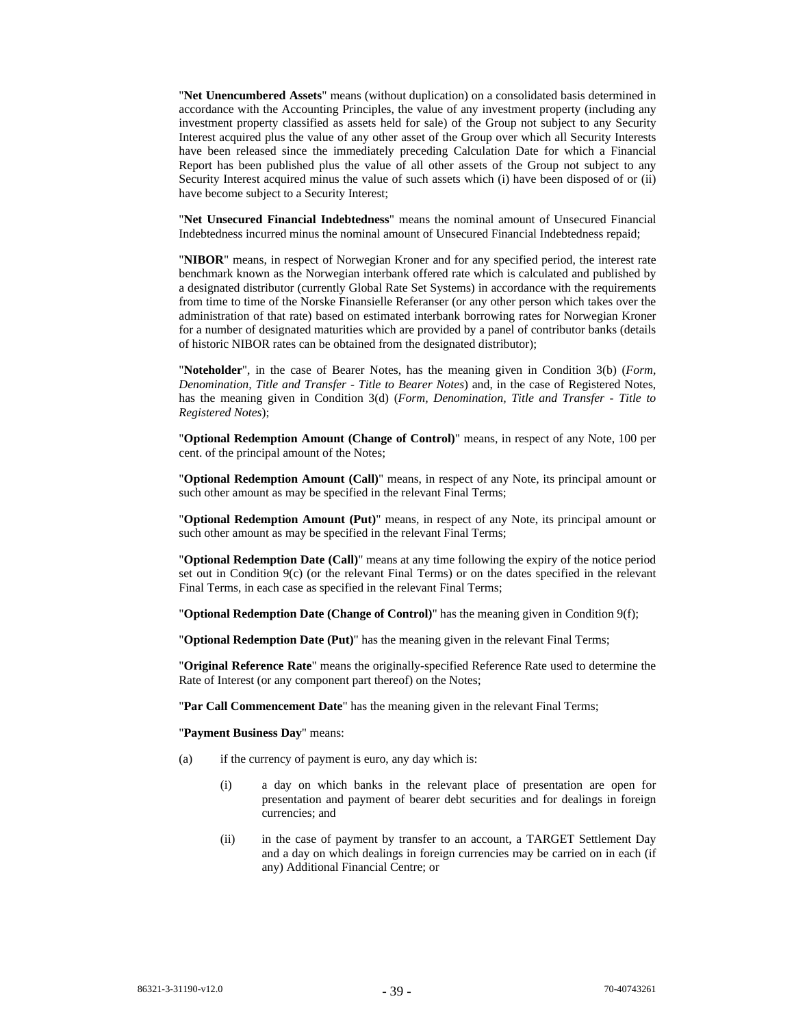"**Net Unencumbered Assets**" means (without duplication) on a consolidated basis determined in accordance with the Accounting Principles, the value of any investment property (including any investment property classified as assets held for sale) of the Group not subject to any Security Interest acquired plus the value of any other asset of the Group over which all Security Interests have been released since the immediately preceding Calculation Date for which a Financial Report has been published plus the value of all other assets of the Group not subject to any Security Interest acquired minus the value of such assets which (i) have been disposed of or (ii) have become subject to a Security Interest;

"**Net Unsecured Financial Indebtedness**" means the nominal amount of Unsecured Financial Indebtedness incurred minus the nominal amount of Unsecured Financial Indebtedness repaid;

"**NIBOR**" means, in respect of Norwegian Kroner and for any specified period, the interest rate benchmark known as the Norwegian interbank offered rate which is calculated and published by a designated distributor (currently Global Rate Set Systems) in accordance with the requirements from time to time of the Norske Finansielle Referanser (or any other person which takes over the administration of that rate) based on estimated interbank borrowing rates for Norwegian Kroner for a number of designated maturities which are provided by a panel of contributor banks (details of historic NIBOR rates can be obtained from the designated distributor);

"**Noteholder**", in the case of Bearer Notes, has the meaning given in Condition 3(b) (*Form, Denomination, Title and Transfer - Title to Bearer Notes*) and, in the case of Registered Notes, has the meaning given in Condition 3(d) (*Form, Denomination, Title and Transfer - Title to Registered Notes*);

"**Optional Redemption Amount (Change of Control)**" means, in respect of any Note, 100 per cent. of the principal amount of the Notes;

"**Optional Redemption Amount (Call)**" means, in respect of any Note, its principal amount or such other amount as may be specified in the relevant Final Terms;

"**Optional Redemption Amount (Put)**" means, in respect of any Note, its principal amount or such other amount as may be specified in the relevant Final Terms;

"**Optional Redemption Date (Call)**" means at any time following the expiry of the notice period set out in Condition 9(c) (or the relevant Final Terms) or on the dates specified in the relevant Final Terms, in each case as specified in the relevant Final Terms;

"**Optional Redemption Date (Change of Control)**" has the meaning given in Condition 9(f);

"**Optional Redemption Date (Put)**" has the meaning given in the relevant Final Terms;

"**Original Reference Rate**" means the originally-specified Reference Rate used to determine the Rate of Interest (or any component part thereof) on the Notes;

"**Par Call Commencement Date**" has the meaning given in the relevant Final Terms;

"**Payment Business Day**" means:

- (a) if the currency of payment is euro, any day which is:
	- (i) a day on which banks in the relevant place of presentation are open for presentation and payment of bearer debt securities and for dealings in foreign currencies; and
	- (ii) in the case of payment by transfer to an account, a TARGET Settlement Day and a day on which dealings in foreign currencies may be carried on in each (if any) Additional Financial Centre; or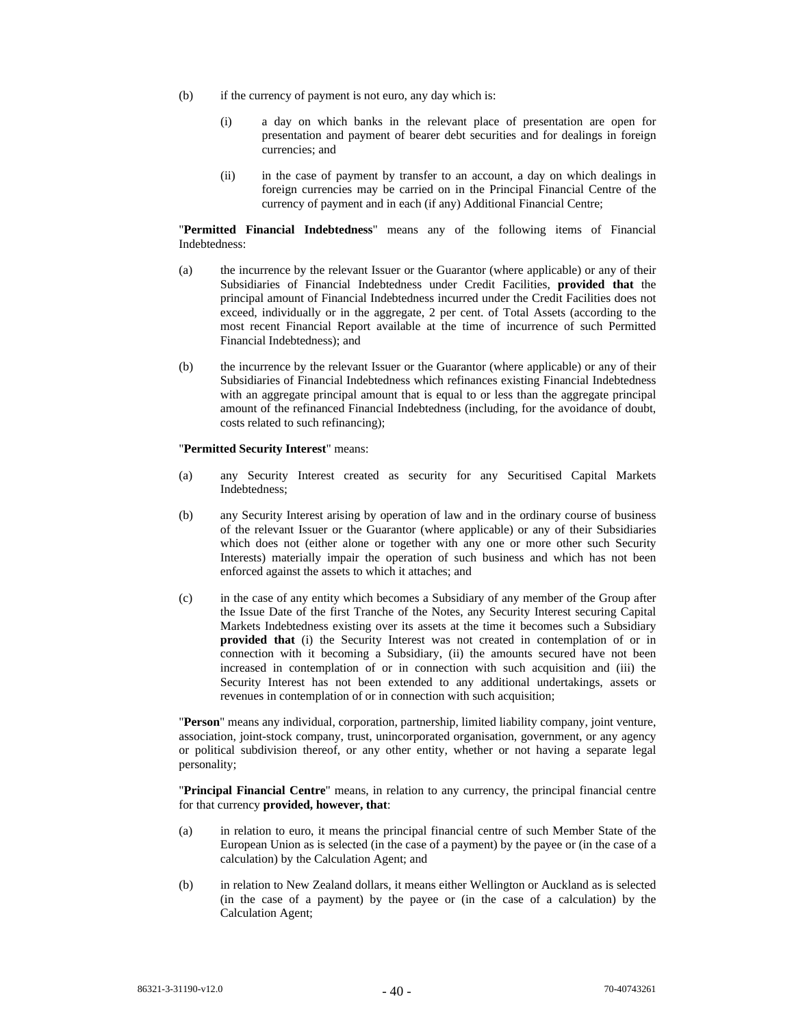- (b) if the currency of payment is not euro, any day which is:
	- (i) a day on which banks in the relevant place of presentation are open for presentation and payment of bearer debt securities and for dealings in foreign currencies; and
	- (ii) in the case of payment by transfer to an account, a day on which dealings in foreign currencies may be carried on in the Principal Financial Centre of the currency of payment and in each (if any) Additional Financial Centre;

"**Permitted Financial Indebtedness**" means any of the following items of Financial Indebtedness:

- (a) the incurrence by the relevant Issuer or the Guarantor (where applicable) or any of their Subsidiaries of Financial Indebtedness under Credit Facilities, **provided that** the principal amount of Financial Indebtedness incurred under the Credit Facilities does not exceed, individually or in the aggregate, 2 per cent. of Total Assets (according to the most recent Financial Report available at the time of incurrence of such Permitted Financial Indebtedness); and
- (b) the incurrence by the relevant Issuer or the Guarantor (where applicable) or any of their Subsidiaries of Financial Indebtedness which refinances existing Financial Indebtedness with an aggregate principal amount that is equal to or less than the aggregate principal amount of the refinanced Financial Indebtedness (including, for the avoidance of doubt, costs related to such refinancing);

# "**Permitted Security Interest**" means:

- (a) any Security Interest created as security for any Securitised Capital Markets Indebtedness;
- (b) any Security Interest arising by operation of law and in the ordinary course of business of the relevant Issuer or the Guarantor (where applicable) or any of their Subsidiaries which does not (either alone or together with any one or more other such Security Interests) materially impair the operation of such business and which has not been enforced against the assets to which it attaches; and
- (c) in the case of any entity which becomes a Subsidiary of any member of the Group after the Issue Date of the first Tranche of the Notes, any Security Interest securing Capital Markets Indebtedness existing over its assets at the time it becomes such a Subsidiary **provided that** (i) the Security Interest was not created in contemplation of or in connection with it becoming a Subsidiary, (ii) the amounts secured have not been increased in contemplation of or in connection with such acquisition and (iii) the Security Interest has not been extended to any additional undertakings, assets or revenues in contemplation of or in connection with such acquisition;

"**Person**" means any individual, corporation, partnership, limited liability company, joint venture, association, joint-stock company, trust, unincorporated organisation, government, or any agency or political subdivision thereof, or any other entity, whether or not having a separate legal personality;

"**Principal Financial Centre**" means, in relation to any currency, the principal financial centre for that currency **provided, however, that**:

- (a) in relation to euro, it means the principal financial centre of such Member State of the European Union as is selected (in the case of a payment) by the payee or (in the case of a calculation) by the Calculation Agent; and
- (b) in relation to New Zealand dollars, it means either Wellington or Auckland as is selected (in the case of a payment) by the payee or (in the case of a calculation) by the Calculation Agent;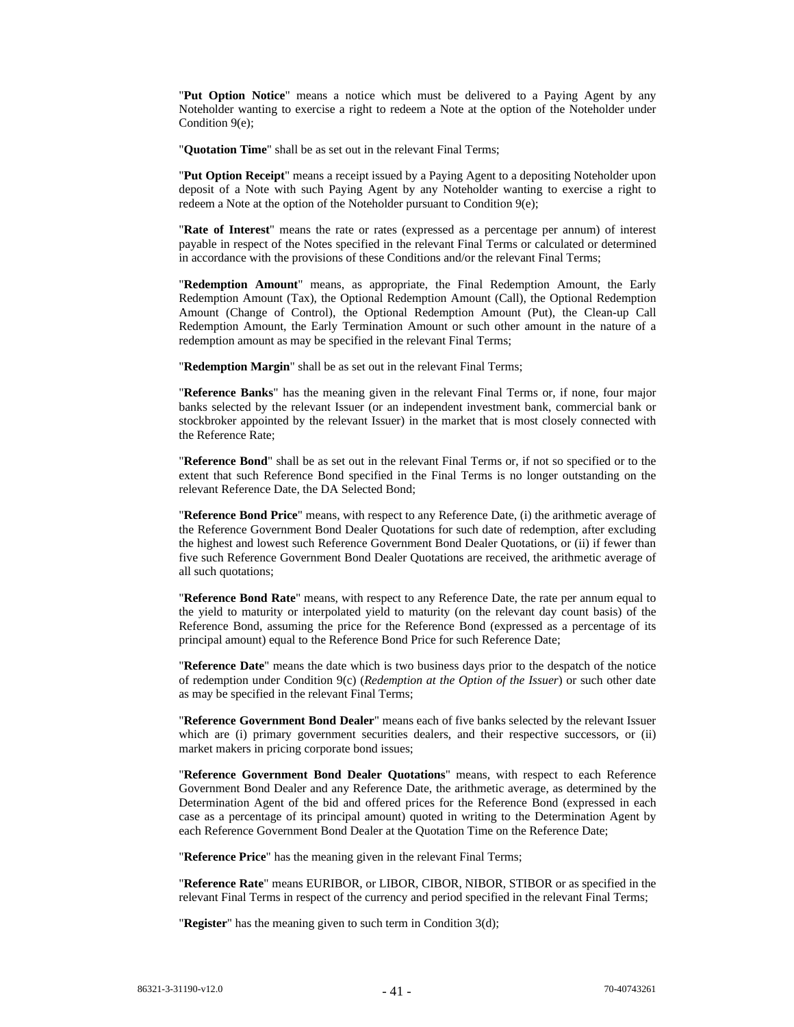"**Put Option Notice**" means a notice which must be delivered to a Paying Agent by any Noteholder wanting to exercise a right to redeem a Note at the option of the Noteholder under Condition 9(e);

"**Quotation Time**" shall be as set out in the relevant Final Terms;

"**Put Option Receipt**" means a receipt issued by a Paying Agent to a depositing Noteholder upon deposit of a Note with such Paying Agent by any Noteholder wanting to exercise a right to redeem a Note at the option of the Noteholder pursuant to Condition 9(e);

"**Rate of Interest**" means the rate or rates (expressed as a percentage per annum) of interest payable in respect of the Notes specified in the relevant Final Terms or calculated or determined in accordance with the provisions of these Conditions and/or the relevant Final Terms;

"**Redemption Amount**" means, as appropriate, the Final Redemption Amount, the Early Redemption Amount (Tax), the Optional Redemption Amount (Call), the Optional Redemption Amount (Change of Control), the Optional Redemption Amount (Put), the Clean-up Call Redemption Amount, the Early Termination Amount or such other amount in the nature of a redemption amount as may be specified in the relevant Final Terms;

"**Redemption Margin**" shall be as set out in the relevant Final Terms;

"**Reference Banks**" has the meaning given in the relevant Final Terms or, if none, four major banks selected by the relevant Issuer (or an independent investment bank, commercial bank or stockbroker appointed by the relevant Issuer) in the market that is most closely connected with the Reference Rate;

"**Reference Bond**" shall be as set out in the relevant Final Terms or, if not so specified or to the extent that such Reference Bond specified in the Final Terms is no longer outstanding on the relevant Reference Date, the DA Selected Bond;

"**Reference Bond Price**" means, with respect to any Reference Date, (i) the arithmetic average of the Reference Government Bond Dealer Quotations for such date of redemption, after excluding the highest and lowest such Reference Government Bond Dealer Quotations, or (ii) if fewer than five such Reference Government Bond Dealer Quotations are received, the arithmetic average of all such quotations;

"**Reference Bond Rate**" means, with respect to any Reference Date, the rate per annum equal to the yield to maturity or interpolated yield to maturity (on the relevant day count basis) of the Reference Bond, assuming the price for the Reference Bond (expressed as a percentage of its principal amount) equal to the Reference Bond Price for such Reference Date;

"**Reference Date**" means the date which is two business days prior to the despatch of the notice of redemption under Condition 9(c) (*Redemption at the Option of the Issuer*) or such other date as may be specified in the relevant Final Terms;

"**Reference Government Bond Dealer**" means each of five banks selected by the relevant Issuer which are (i) primary government securities dealers, and their respective successors, or (ii) market makers in pricing corporate bond issues;

"**Reference Government Bond Dealer Quotations**" means, with respect to each Reference Government Bond Dealer and any Reference Date, the arithmetic average, as determined by the Determination Agent of the bid and offered prices for the Reference Bond (expressed in each case as a percentage of its principal amount) quoted in writing to the Determination Agent by each Reference Government Bond Dealer at the Quotation Time on the Reference Date;

"**Reference Price**" has the meaning given in the relevant Final Terms;

"**Reference Rate**" means EURIBOR, or LIBOR, CIBOR, NIBOR, STIBOR or as specified in the relevant Final Terms in respect of the currency and period specified in the relevant Final Terms;

"**Register**" has the meaning given to such term in Condition 3(d);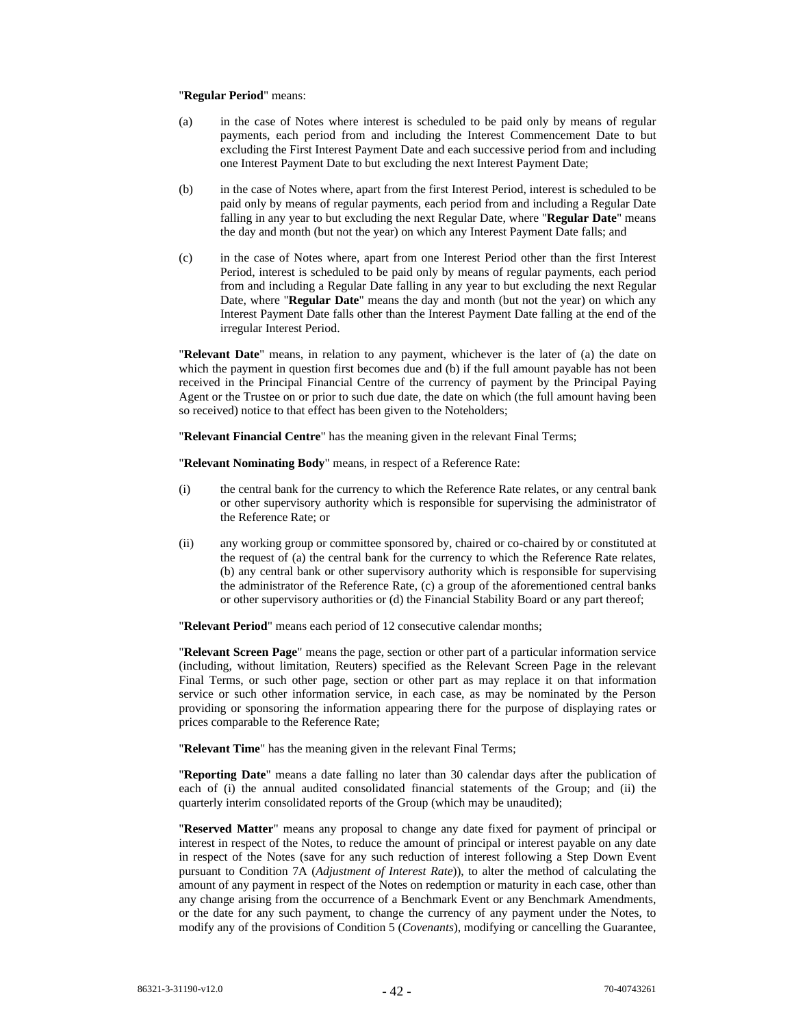### "**Regular Period**" means:

- (a) in the case of Notes where interest is scheduled to be paid only by means of regular payments, each period from and including the Interest Commencement Date to but excluding the First Interest Payment Date and each successive period from and including one Interest Payment Date to but excluding the next Interest Payment Date;
- (b) in the case of Notes where, apart from the first Interest Period, interest is scheduled to be paid only by means of regular payments, each period from and including a Regular Date falling in any year to but excluding the next Regular Date, where "**Regular Date**" means the day and month (but not the year) on which any Interest Payment Date falls; and
- (c) in the case of Notes where, apart from one Interest Period other than the first Interest Period, interest is scheduled to be paid only by means of regular payments, each period from and including a Regular Date falling in any year to but excluding the next Regular Date, where "**Regular Date**" means the day and month (but not the year) on which any Interest Payment Date falls other than the Interest Payment Date falling at the end of the irregular Interest Period.

"**Relevant Date**" means, in relation to any payment, whichever is the later of (a) the date on which the payment in question first becomes due and (b) if the full amount payable has not been received in the Principal Financial Centre of the currency of payment by the Principal Paying Agent or the Trustee on or prior to such due date, the date on which (the full amount having been so received) notice to that effect has been given to the Noteholders;

"**Relevant Financial Centre**" has the meaning given in the relevant Final Terms;

"**Relevant Nominating Body**" means, in respect of a Reference Rate:

- (i) the central bank for the currency to which the Reference Rate relates, or any central bank or other supervisory authority which is responsible for supervising the administrator of the Reference Rate; or
- (ii) any working group or committee sponsored by, chaired or co-chaired by or constituted at the request of (a) the central bank for the currency to which the Reference Rate relates, (b) any central bank or other supervisory authority which is responsible for supervising the administrator of the Reference Rate, (c) a group of the aforementioned central banks or other supervisory authorities or (d) the Financial Stability Board or any part thereof;

"**Relevant Period**" means each period of 12 consecutive calendar months;

"**Relevant Screen Page**" means the page, section or other part of a particular information service (including, without limitation, Reuters) specified as the Relevant Screen Page in the relevant Final Terms, or such other page, section or other part as may replace it on that information service or such other information service, in each case, as may be nominated by the Person providing or sponsoring the information appearing there for the purpose of displaying rates or prices comparable to the Reference Rate;

"**Relevant Time**" has the meaning given in the relevant Final Terms;

"**Reporting Date**" means a date falling no later than 30 calendar days after the publication of each of (i) the annual audited consolidated financial statements of the Group; and (ii) the quarterly interim consolidated reports of the Group (which may be unaudited);

"**Reserved Matter**" means any proposal to change any date fixed for payment of principal or interest in respect of the Notes, to reduce the amount of principal or interest payable on any date in respect of the Notes (save for any such reduction of interest following a Step Down Event pursuant to Condition 7A (*Adjustment of Interest Rate*)), to alter the method of calculating the amount of any payment in respect of the Notes on redemption or maturity in each case, other than any change arising from the occurrence of a Benchmark Event or any Benchmark Amendments, or the date for any such payment, to change the currency of any payment under the Notes, to modify any of the provisions of Condition 5 (*Covenants*), modifying or cancelling the Guarantee,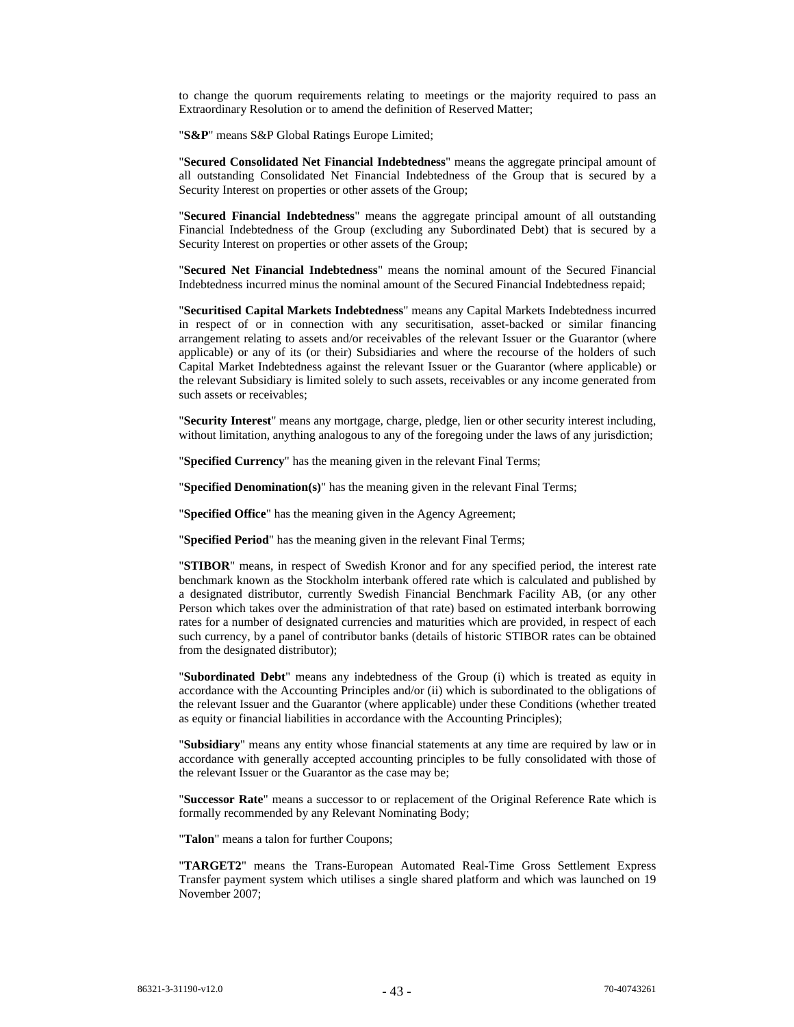to change the quorum requirements relating to meetings or the majority required to pass an Extraordinary Resolution or to amend the definition of Reserved Matter;

"**S&P**" means S&P Global Ratings Europe Limited;

"**Secured Consolidated Net Financial Indebtedness**" means the aggregate principal amount of all outstanding Consolidated Net Financial Indebtedness of the Group that is secured by a Security Interest on properties or other assets of the Group;

"**Secured Financial Indebtedness**" means the aggregate principal amount of all outstanding Financial Indebtedness of the Group (excluding any Subordinated Debt) that is secured by a Security Interest on properties or other assets of the Group;

"**Secured Net Financial Indebtedness**" means the nominal amount of the Secured Financial Indebtedness incurred minus the nominal amount of the Secured Financial Indebtedness repaid;

"**Securitised Capital Markets Indebtedness**" means any Capital Markets Indebtedness incurred in respect of or in connection with any securitisation, asset-backed or similar financing arrangement relating to assets and/or receivables of the relevant Issuer or the Guarantor (where applicable) or any of its (or their) Subsidiaries and where the recourse of the holders of such Capital Market Indebtedness against the relevant Issuer or the Guarantor (where applicable) or the relevant Subsidiary is limited solely to such assets, receivables or any income generated from such assets or receivables;

"**Security Interest**" means any mortgage, charge, pledge, lien or other security interest including, without limitation, anything analogous to any of the foregoing under the laws of any jurisdiction;

"**Specified Currency**" has the meaning given in the relevant Final Terms;

"**Specified Denomination(s)**" has the meaning given in the relevant Final Terms;

"**Specified Office**" has the meaning given in the Agency Agreement;

"**Specified Period**" has the meaning given in the relevant Final Terms;

"**STIBOR**" means, in respect of Swedish Kronor and for any specified period, the interest rate benchmark known as the Stockholm interbank offered rate which is calculated and published by a designated distributor, currently Swedish Financial Benchmark Facility AB, (or any other Person which takes over the administration of that rate) based on estimated interbank borrowing rates for a number of designated currencies and maturities which are provided, in respect of each such currency, by a panel of contributor banks (details of historic STIBOR rates can be obtained from the designated distributor);

"**Subordinated Debt**" means any indebtedness of the Group (i) which is treated as equity in accordance with the Accounting Principles and/or (ii) which is subordinated to the obligations of the relevant Issuer and the Guarantor (where applicable) under these Conditions (whether treated as equity or financial liabilities in accordance with the Accounting Principles);

"**Subsidiary**" means any entity whose financial statements at any time are required by law or in accordance with generally accepted accounting principles to be fully consolidated with those of the relevant Issuer or the Guarantor as the case may be;

"**Successor Rate**" means a successor to or replacement of the Original Reference Rate which is formally recommended by any Relevant Nominating Body;

"**Talon**" means a talon for further Coupons;

"**TARGET2**" means the Trans-European Automated Real-Time Gross Settlement Express Transfer payment system which utilises a single shared platform and which was launched on 19 November 2007;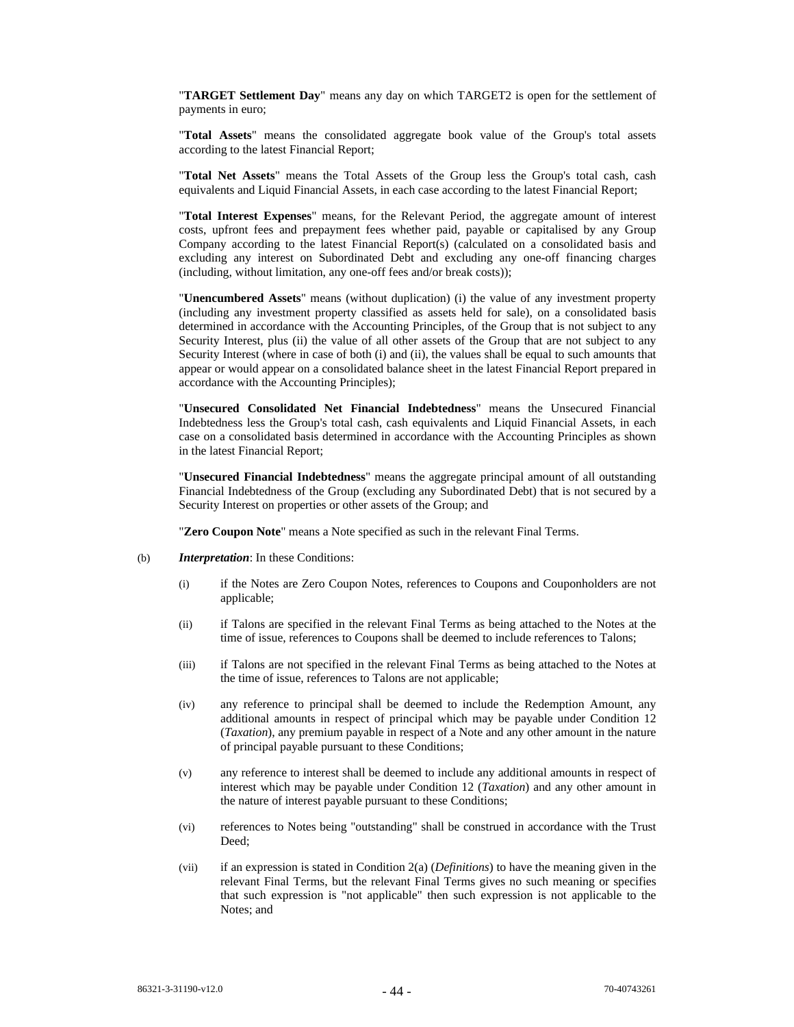"**TARGET Settlement Day**" means any day on which TARGET2 is open for the settlement of payments in euro;

"**Total Assets**" means the consolidated aggregate book value of the Group's total assets according to the latest Financial Report;

"**Total Net Assets**" means the Total Assets of the Group less the Group's total cash, cash equivalents and Liquid Financial Assets, in each case according to the latest Financial Report;

"**Total Interest Expenses**" means, for the Relevant Period, the aggregate amount of interest costs, upfront fees and prepayment fees whether paid, payable or capitalised by any Group Company according to the latest Financial Report(s) (calculated on a consolidated basis and excluding any interest on Subordinated Debt and excluding any one-off financing charges (including, without limitation, any one-off fees and/or break costs));

"**Unencumbered Assets**" means (without duplication) (i) the value of any investment property (including any investment property classified as assets held for sale), on a consolidated basis determined in accordance with the Accounting Principles, of the Group that is not subject to any Security Interest, plus (ii) the value of all other assets of the Group that are not subject to any Security Interest (where in case of both (i) and (ii), the values shall be equal to such amounts that appear or would appear on a consolidated balance sheet in the latest Financial Report prepared in accordance with the Accounting Principles);

"**Unsecured Consolidated Net Financial Indebtedness**" means the Unsecured Financial Indebtedness less the Group's total cash, cash equivalents and Liquid Financial Assets, in each case on a consolidated basis determined in accordance with the Accounting Principles as shown in the latest Financial Report;

"**Unsecured Financial Indebtedness**" means the aggregate principal amount of all outstanding Financial Indebtedness of the Group (excluding any Subordinated Debt) that is not secured by a Security Interest on properties or other assets of the Group; and

"**Zero Coupon Note**" means a Note specified as such in the relevant Final Terms.

- (b) *Interpretation*: In these Conditions:
	- (i) if the Notes are Zero Coupon Notes, references to Coupons and Couponholders are not applicable;
	- (ii) if Talons are specified in the relevant Final Terms as being attached to the Notes at the time of issue, references to Coupons shall be deemed to include references to Talons;
	- (iii) if Talons are not specified in the relevant Final Terms as being attached to the Notes at the time of issue, references to Talons are not applicable;
	- (iv) any reference to principal shall be deemed to include the Redemption Amount, any additional amounts in respect of principal which may be payable under Condition 12 (*Taxation*), any premium payable in respect of a Note and any other amount in the nature of principal payable pursuant to these Conditions;
	- (v) any reference to interest shall be deemed to include any additional amounts in respect of interest which may be payable under Condition 12 (*Taxation*) and any other amount in the nature of interest payable pursuant to these Conditions;
	- (vi) references to Notes being "outstanding" shall be construed in accordance with the Trust Deed;
	- (vii) if an expression is stated in Condition 2(a) (*Definitions*) to have the meaning given in the relevant Final Terms, but the relevant Final Terms gives no such meaning or specifies that such expression is "not applicable" then such expression is not applicable to the Notes; and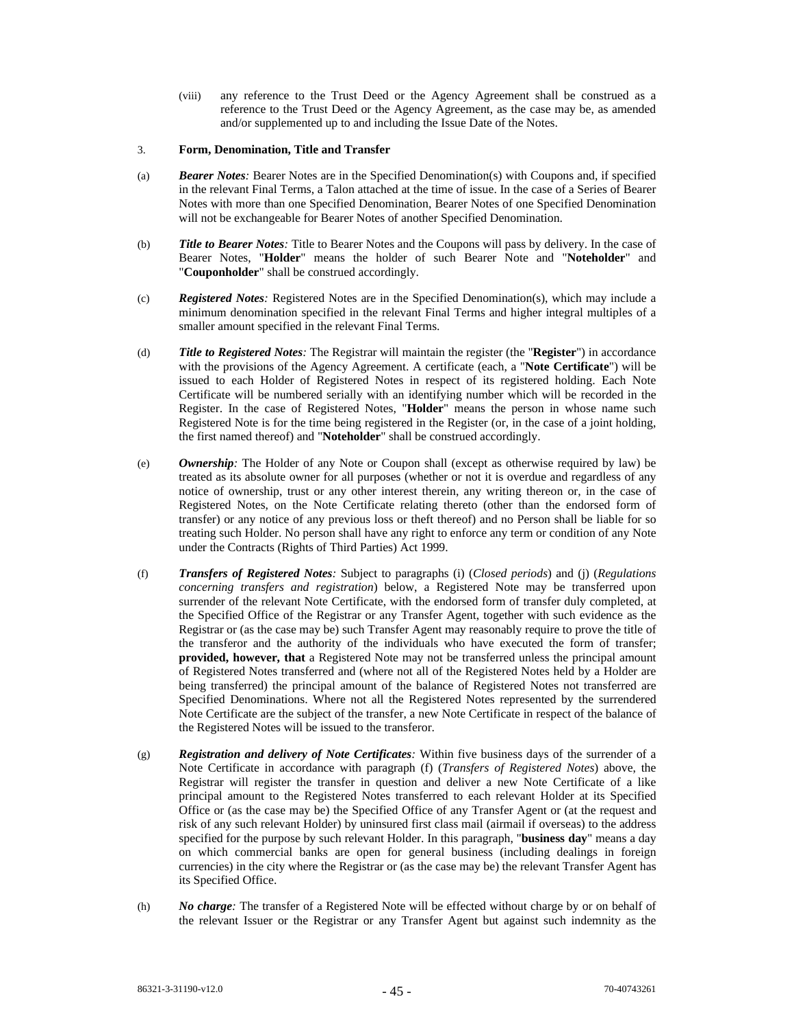(viii) any reference to the Trust Deed or the Agency Agreement shall be construed as a reference to the Trust Deed or the Agency Agreement, as the case may be, as amended and/or supplemented up to and including the Issue Date of the Notes.

# 3. **Form, Denomination, Title and Transfer**

- (a) *Bearer Notes:* Bearer Notes are in the Specified Denomination(s) with Coupons and, if specified in the relevant Final Terms, a Talon attached at the time of issue. In the case of a Series of Bearer Notes with more than one Specified Denomination, Bearer Notes of one Specified Denomination will not be exchangeable for Bearer Notes of another Specified Denomination.
- (b) *Title to Bearer Notes:* Title to Bearer Notes and the Coupons will pass by delivery. In the case of Bearer Notes, "**Holder**" means the holder of such Bearer Note and "**Noteholder**" and "**Couponholder**" shall be construed accordingly.
- (c) *Registered Notes:* Registered Notes are in the Specified Denomination(s), which may include a minimum denomination specified in the relevant Final Terms and higher integral multiples of a smaller amount specified in the relevant Final Terms.
- (d) *Title to Registered Notes:* The Registrar will maintain the register (the "**Register**") in accordance with the provisions of the Agency Agreement. A certificate (each, a "**Note Certificate**") will be issued to each Holder of Registered Notes in respect of its registered holding. Each Note Certificate will be numbered serially with an identifying number which will be recorded in the Register. In the case of Registered Notes, "**Holder**" means the person in whose name such Registered Note is for the time being registered in the Register (or, in the case of a joint holding, the first named thereof) and "**Noteholder**" shall be construed accordingly.
- (e) *Ownership:* The Holder of any Note or Coupon shall (except as otherwise required by law) be treated as its absolute owner for all purposes (whether or not it is overdue and regardless of any notice of ownership, trust or any other interest therein, any writing thereon or, in the case of Registered Notes, on the Note Certificate relating thereto (other than the endorsed form of transfer) or any notice of any previous loss or theft thereof) and no Person shall be liable for so treating such Holder. No person shall have any right to enforce any term or condition of any Note under the Contracts (Rights of Third Parties) Act 1999.
- (f) *Transfers of Registered Notes:* Subject to paragraphs (i) (*Closed periods*) and (j) (*Regulations concerning transfers and registration*) below, a Registered Note may be transferred upon surrender of the relevant Note Certificate, with the endorsed form of transfer duly completed, at the Specified Office of the Registrar or any Transfer Agent, together with such evidence as the Registrar or (as the case may be) such Transfer Agent may reasonably require to prove the title of the transferor and the authority of the individuals who have executed the form of transfer; **provided, however, that** a Registered Note may not be transferred unless the principal amount of Registered Notes transferred and (where not all of the Registered Notes held by a Holder are being transferred) the principal amount of the balance of Registered Notes not transferred are Specified Denominations. Where not all the Registered Notes represented by the surrendered Note Certificate are the subject of the transfer, a new Note Certificate in respect of the balance of the Registered Notes will be issued to the transferor.
- (g) *Registration and delivery of Note Certificates:* Within five business days of the surrender of a Note Certificate in accordance with paragraph (f) (*Transfers of Registered Notes*) above, the Registrar will register the transfer in question and deliver a new Note Certificate of a like principal amount to the Registered Notes transferred to each relevant Holder at its Specified Office or (as the case may be) the Specified Office of any Transfer Agent or (at the request and risk of any such relevant Holder) by uninsured first class mail (airmail if overseas) to the address specified for the purpose by such relevant Holder. In this paragraph, "**business day**" means a day on which commercial banks are open for general business (including dealings in foreign currencies) in the city where the Registrar or (as the case may be) the relevant Transfer Agent has its Specified Office.
- (h) *No charge:* The transfer of a Registered Note will be effected without charge by or on behalf of the relevant Issuer or the Registrar or any Transfer Agent but against such indemnity as the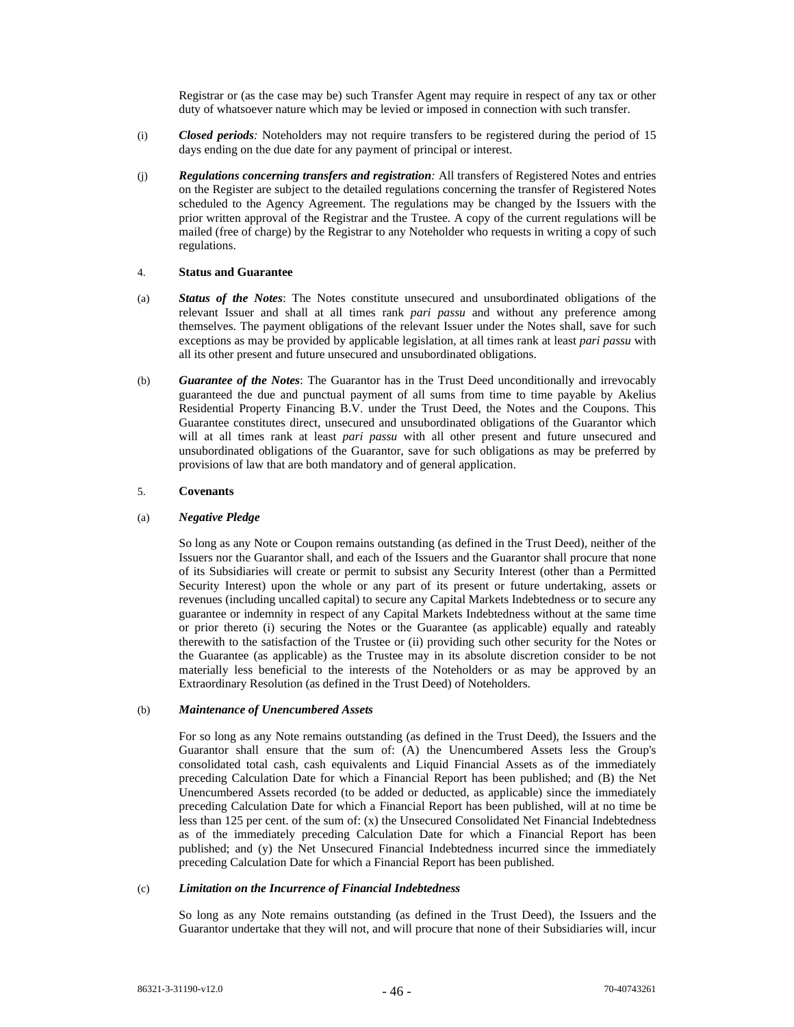Registrar or (as the case may be) such Transfer Agent may require in respect of any tax or other duty of whatsoever nature which may be levied or imposed in connection with such transfer.

- (i) *Closed periods:* Noteholders may not require transfers to be registered during the period of 15 days ending on the due date for any payment of principal or interest.
- (j) *Regulations concerning transfers and registration:* All transfers of Registered Notes and entries on the Register are subject to the detailed regulations concerning the transfer of Registered Notes scheduled to the Agency Agreement. The regulations may be changed by the Issuers with the prior written approval of the Registrar and the Trustee. A copy of the current regulations will be mailed (free of charge) by the Registrar to any Noteholder who requests in writing a copy of such regulations.

## 4. **Status and Guarantee**

- (a) *Status of the Notes*: The Notes constitute unsecured and unsubordinated obligations of the relevant Issuer and shall at all times rank *pari passu* and without any preference among themselves. The payment obligations of the relevant Issuer under the Notes shall, save for such exceptions as may be provided by applicable legislation, at all times rank at least *pari passu* with all its other present and future unsecured and unsubordinated obligations.
- (b) *Guarantee of the Notes*: The Guarantor has in the Trust Deed unconditionally and irrevocably guaranteed the due and punctual payment of all sums from time to time payable by Akelius Residential Property Financing B.V. under the Trust Deed, the Notes and the Coupons. This Guarantee constitutes direct, unsecured and unsubordinated obligations of the Guarantor which will at all times rank at least *pari passu* with all other present and future unsecured and unsubordinated obligations of the Guarantor, save for such obligations as may be preferred by provisions of law that are both mandatory and of general application.

## 5. **Covenants**

## (a) *Negative Pledge*

So long as any Note or Coupon remains outstanding (as defined in the Trust Deed), neither of the Issuers nor the Guarantor shall, and each of the Issuers and the Guarantor shall procure that none of its Subsidiaries will create or permit to subsist any Security Interest (other than a Permitted Security Interest) upon the whole or any part of its present or future undertaking, assets or revenues (including uncalled capital) to secure any Capital Markets Indebtedness or to secure any guarantee or indemnity in respect of any Capital Markets Indebtedness without at the same time or prior thereto (i) securing the Notes or the Guarantee (as applicable) equally and rateably therewith to the satisfaction of the Trustee or (ii) providing such other security for the Notes or the Guarantee (as applicable) as the Trustee may in its absolute discretion consider to be not materially less beneficial to the interests of the Noteholders or as may be approved by an Extraordinary Resolution (as defined in the Trust Deed) of Noteholders.

## (b) *Maintenance of Unencumbered Assets*

For so long as any Note remains outstanding (as defined in the Trust Deed), the Issuers and the Guarantor shall ensure that the sum of: (A) the Unencumbered Assets less the Group's consolidated total cash, cash equivalents and Liquid Financial Assets as of the immediately preceding Calculation Date for which a Financial Report has been published; and (B) the Net Unencumbered Assets recorded (to be added or deducted, as applicable) since the immediately preceding Calculation Date for which a Financial Report has been published, will at no time be less than 125 per cent. of the sum of: (x) the Unsecured Consolidated Net Financial Indebtedness as of the immediately preceding Calculation Date for which a Financial Report has been published; and (y) the Net Unsecured Financial Indebtedness incurred since the immediately preceding Calculation Date for which a Financial Report has been published.

## (c) *Limitation on the Incurrence of Financial Indebtedness*

So long as any Note remains outstanding (as defined in the Trust Deed), the Issuers and the Guarantor undertake that they will not, and will procure that none of their Subsidiaries will, incur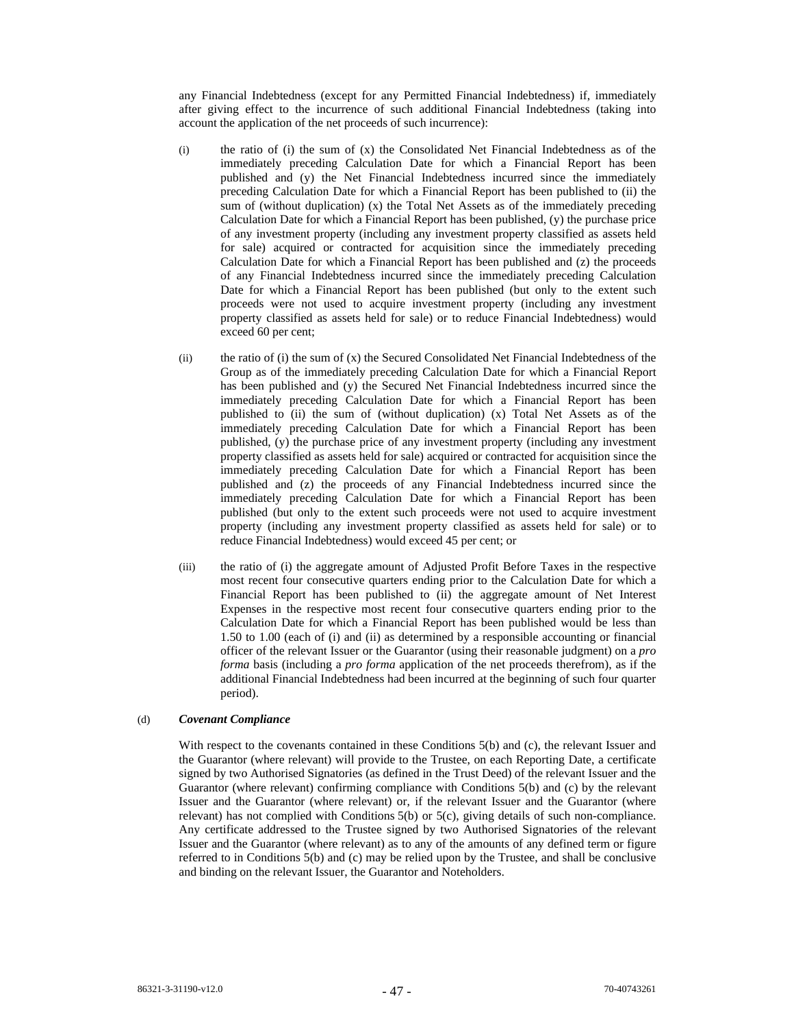any Financial Indebtedness (except for any Permitted Financial Indebtedness) if, immediately after giving effect to the incurrence of such additional Financial Indebtedness (taking into account the application of the net proceeds of such incurrence):

- (i) the ratio of (i) the sum of (x) the Consolidated Net Financial Indebtedness as of the immediately preceding Calculation Date for which a Financial Report has been published and (y) the Net Financial Indebtedness incurred since the immediately preceding Calculation Date for which a Financial Report has been published to (ii) the sum of (without duplication) (x) the Total Net Assets as of the immediately preceding Calculation Date for which a Financial Report has been published, (y) the purchase price of any investment property (including any investment property classified as assets held for sale) acquired or contracted for acquisition since the immediately preceding Calculation Date for which a Financial Report has been published and (z) the proceeds of any Financial Indebtedness incurred since the immediately preceding Calculation Date for which a Financial Report has been published (but only to the extent such proceeds were not used to acquire investment property (including any investment property classified as assets held for sale) or to reduce Financial Indebtedness) would exceed 60 per cent;
- (ii) the ratio of (i) the sum of (x) the Secured Consolidated Net Financial Indebtedness of the Group as of the immediately preceding Calculation Date for which a Financial Report has been published and (y) the Secured Net Financial Indebtedness incurred since the immediately preceding Calculation Date for which a Financial Report has been published to (ii) the sum of (without duplication) (x) Total Net Assets as of the immediately preceding Calculation Date for which a Financial Report has been published, (y) the purchase price of any investment property (including any investment property classified as assets held for sale) acquired or contracted for acquisition since the immediately preceding Calculation Date for which a Financial Report has been published and (z) the proceeds of any Financial Indebtedness incurred since the immediately preceding Calculation Date for which a Financial Report has been published (but only to the extent such proceeds were not used to acquire investment property (including any investment property classified as assets held for sale) or to reduce Financial Indebtedness) would exceed 45 per cent; or
- (iii) the ratio of (i) the aggregate amount of Adjusted Profit Before Taxes in the respective most recent four consecutive quarters ending prior to the Calculation Date for which a Financial Report has been published to (ii) the aggregate amount of Net Interest Expenses in the respective most recent four consecutive quarters ending prior to the Calculation Date for which a Financial Report has been published would be less than 1.50 to 1.00 (each of (i) and (ii) as determined by a responsible accounting or financial officer of the relevant Issuer or the Guarantor (using their reasonable judgment) on a *pro forma* basis (including a *pro forma* application of the net proceeds therefrom), as if the additional Financial Indebtedness had been incurred at the beginning of such four quarter period).

# (d) *Covenant Compliance*

With respect to the covenants contained in these Conditions 5(b) and (c), the relevant Issuer and the Guarantor (where relevant) will provide to the Trustee, on each Reporting Date, a certificate signed by two Authorised Signatories (as defined in the Trust Deed) of the relevant Issuer and the Guarantor (where relevant) confirming compliance with Conditions 5(b) and (c) by the relevant Issuer and the Guarantor (where relevant) or, if the relevant Issuer and the Guarantor (where relevant) has not complied with Conditions 5(b) or 5(c), giving details of such non-compliance. Any certificate addressed to the Trustee signed by two Authorised Signatories of the relevant Issuer and the Guarantor (where relevant) as to any of the amounts of any defined term or figure referred to in Conditions 5(b) and (c) may be relied upon by the Trustee, and shall be conclusive and binding on the relevant Issuer, the Guarantor and Noteholders.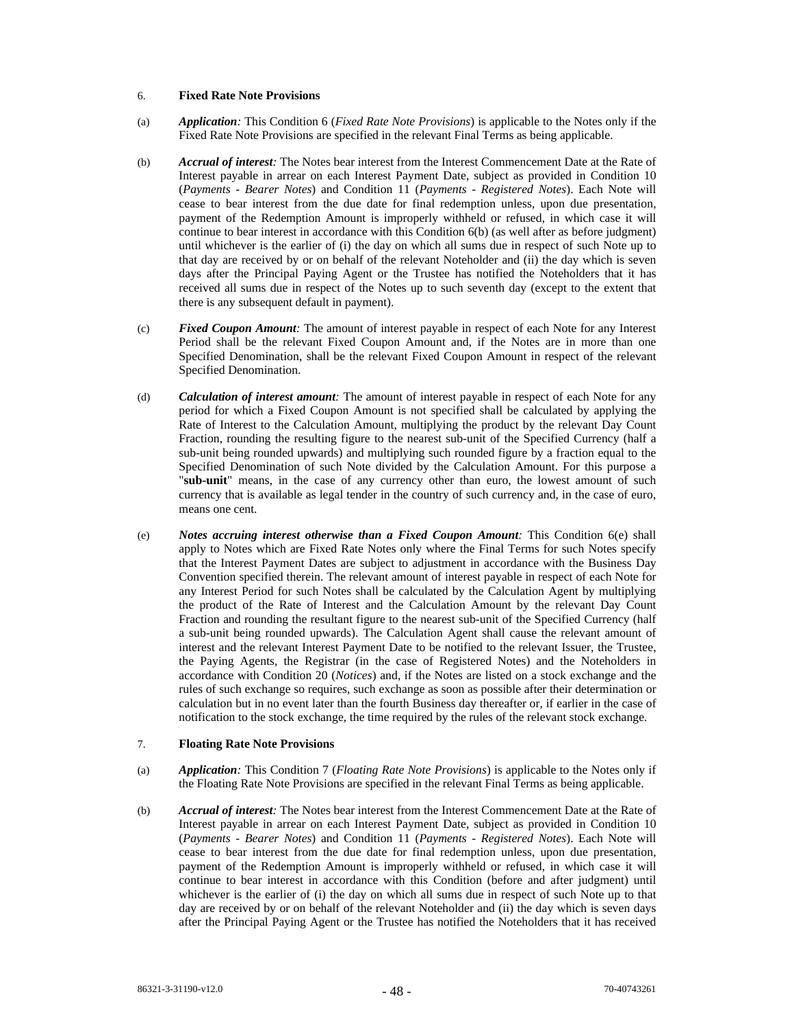### 6. **Fixed Rate Note Provisions**

- (a) *Application:* This Condition 6 (*Fixed Rate Note Provisions*) is applicable to the Notes only if the Fixed Rate Note Provisions are specified in the relevant Final Terms as being applicable.
- (b) *Accrual of interest:* The Notes bear interest from the Interest Commencement Date at the Rate of Interest payable in arrear on each Interest Payment Date, subject as provided in Condition 10 (*Payments - Bearer Notes*) and Condition 11 (*Payments - Registered Notes*). Each Note will cease to bear interest from the due date for final redemption unless, upon due presentation, payment of the Redemption Amount is improperly withheld or refused, in which case it will continue to bear interest in accordance with this Condition 6(b) (as well after as before judgment) until whichever is the earlier of (i) the day on which all sums due in respect of such Note up to that day are received by or on behalf of the relevant Noteholder and (ii) the day which is seven days after the Principal Paying Agent or the Trustee has notified the Noteholders that it has received all sums due in respect of the Notes up to such seventh day (except to the extent that there is any subsequent default in payment).
- (c) *Fixed Coupon Amount:* The amount of interest payable in respect of each Note for any Interest Period shall be the relevant Fixed Coupon Amount and, if the Notes are in more than one Specified Denomination, shall be the relevant Fixed Coupon Amount in respect of the relevant Specified Denomination.
- (d) *Calculation of interest amount:* The amount of interest payable in respect of each Note for any period for which a Fixed Coupon Amount is not specified shall be calculated by applying the Rate of Interest to the Calculation Amount, multiplying the product by the relevant Day Count Fraction, rounding the resulting figure to the nearest sub-unit of the Specified Currency (half a sub-unit being rounded upwards) and multiplying such rounded figure by a fraction equal to the Specified Denomination of such Note divided by the Calculation Amount. For this purpose a "**sub-unit**" means, in the case of any currency other than euro, the lowest amount of such currency that is available as legal tender in the country of such currency and, in the case of euro, means one cent.
- (e) *Notes accruing interest otherwise than a Fixed Coupon Amount:* This Condition 6(e) shall apply to Notes which are Fixed Rate Notes only where the Final Terms for such Notes specify that the Interest Payment Dates are subject to adjustment in accordance with the Business Day Convention specified therein. The relevant amount of interest payable in respect of each Note for any Interest Period for such Notes shall be calculated by the Calculation Agent by multiplying the product of the Rate of Interest and the Calculation Amount by the relevant Day Count Fraction and rounding the resultant figure to the nearest sub-unit of the Specified Currency (half a sub-unit being rounded upwards). The Calculation Agent shall cause the relevant amount of interest and the relevant Interest Payment Date to be notified to the relevant Issuer, the Trustee, the Paying Agents, the Registrar (in the case of Registered Notes) and the Noteholders in accordance with Condition 20 (*Notices*) and, if the Notes are listed on a stock exchange and the rules of such exchange so requires, such exchange as soon as possible after their determination or calculation but in no event later than the fourth Business day thereafter or, if earlier in the case of notification to the stock exchange, the time required by the rules of the relevant stock exchange.

## 7. **Floating Rate Note Provisions**

- (a) *Application:* This Condition 7 (*Floating Rate Note Provisions*) is applicable to the Notes only if the Floating Rate Note Provisions are specified in the relevant Final Terms as being applicable.
- (b) *Accrual of interest:* The Notes bear interest from the Interest Commencement Date at the Rate of Interest payable in arrear on each Interest Payment Date, subject as provided in Condition 10 (*Payments - Bearer Notes*) and Condition 11 (*Payments - Registered Notes*). Each Note will cease to bear interest from the due date for final redemption unless, upon due presentation, payment of the Redemption Amount is improperly withheld or refused, in which case it will continue to bear interest in accordance with this Condition (before and after judgment) until whichever is the earlier of (i) the day on which all sums due in respect of such Note up to that day are received by or on behalf of the relevant Noteholder and (ii) the day which is seven days after the Principal Paying Agent or the Trustee has notified the Noteholders that it has received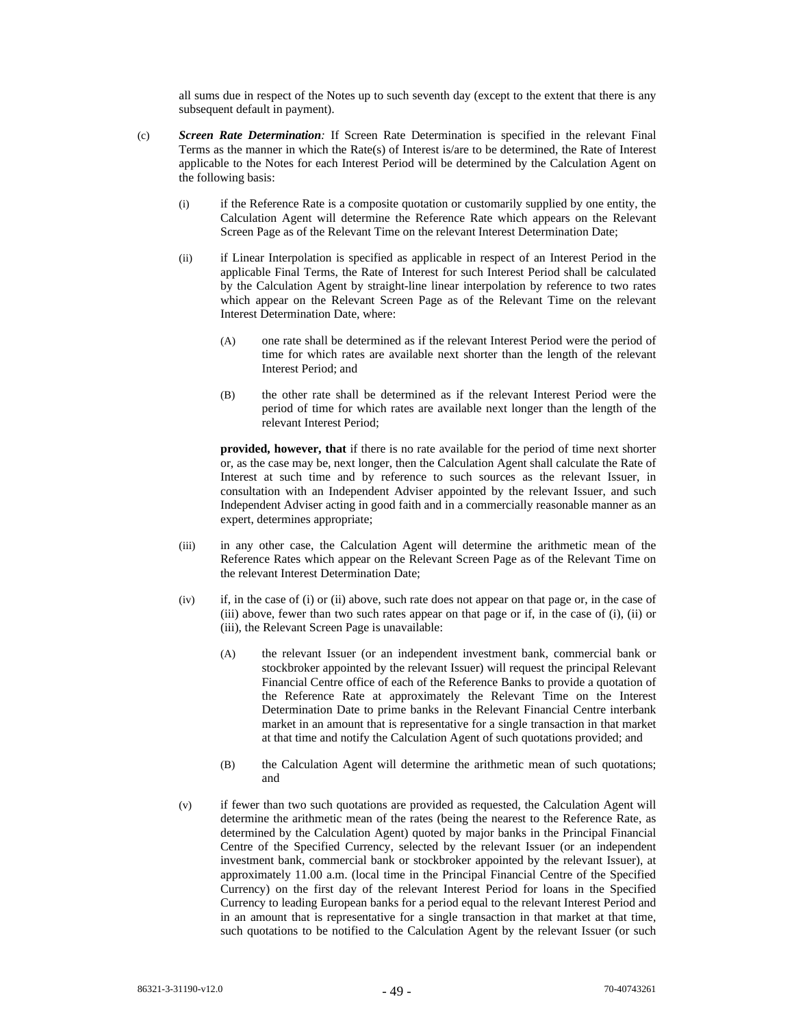all sums due in respect of the Notes up to such seventh day (except to the extent that there is any subsequent default in payment).

- (c) *Screen Rate Determination:* If Screen Rate Determination is specified in the relevant Final Terms as the manner in which the Rate(s) of Interest is/are to be determined, the Rate of Interest applicable to the Notes for each Interest Period will be determined by the Calculation Agent on the following basis:
	- (i) if the Reference Rate is a composite quotation or customarily supplied by one entity, the Calculation Agent will determine the Reference Rate which appears on the Relevant Screen Page as of the Relevant Time on the relevant Interest Determination Date;
	- (ii) if Linear Interpolation is specified as applicable in respect of an Interest Period in the applicable Final Terms, the Rate of Interest for such Interest Period shall be calculated by the Calculation Agent by straight-line linear interpolation by reference to two rates which appear on the Relevant Screen Page as of the Relevant Time on the relevant Interest Determination Date, where:
		- (A) one rate shall be determined as if the relevant Interest Period were the period of time for which rates are available next shorter than the length of the relevant Interest Period; and
		- (B) the other rate shall be determined as if the relevant Interest Period were the period of time for which rates are available next longer than the length of the relevant Interest Period;

**provided, however, that** if there is no rate available for the period of time next shorter or, as the case may be, next longer, then the Calculation Agent shall calculate the Rate of Interest at such time and by reference to such sources as the relevant Issuer, in consultation with an Independent Adviser appointed by the relevant Issuer, and such Independent Adviser acting in good faith and in a commercially reasonable manner as an expert, determines appropriate;

- (iii) in any other case, the Calculation Agent will determine the arithmetic mean of the Reference Rates which appear on the Relevant Screen Page as of the Relevant Time on the relevant Interest Determination Date;
- (iv) if, in the case of (i) or (ii) above, such rate does not appear on that page or, in the case of (iii) above, fewer than two such rates appear on that page or if, in the case of (i), (ii) or (iii), the Relevant Screen Page is unavailable:
	- (A) the relevant Issuer (or an independent investment bank, commercial bank or stockbroker appointed by the relevant Issuer) will request the principal Relevant Financial Centre office of each of the Reference Banks to provide a quotation of the Reference Rate at approximately the Relevant Time on the Interest Determination Date to prime banks in the Relevant Financial Centre interbank market in an amount that is representative for a single transaction in that market at that time and notify the Calculation Agent of such quotations provided; and
	- (B) the Calculation Agent will determine the arithmetic mean of such quotations; and
- (v) if fewer than two such quotations are provided as requested, the Calculation Agent will determine the arithmetic mean of the rates (being the nearest to the Reference Rate, as determined by the Calculation Agent) quoted by major banks in the Principal Financial Centre of the Specified Currency, selected by the relevant Issuer (or an independent investment bank, commercial bank or stockbroker appointed by the relevant Issuer), at approximately 11.00 a.m. (local time in the Principal Financial Centre of the Specified Currency) on the first day of the relevant Interest Period for loans in the Specified Currency to leading European banks for a period equal to the relevant Interest Period and in an amount that is representative for a single transaction in that market at that time, such quotations to be notified to the Calculation Agent by the relevant Issuer (or such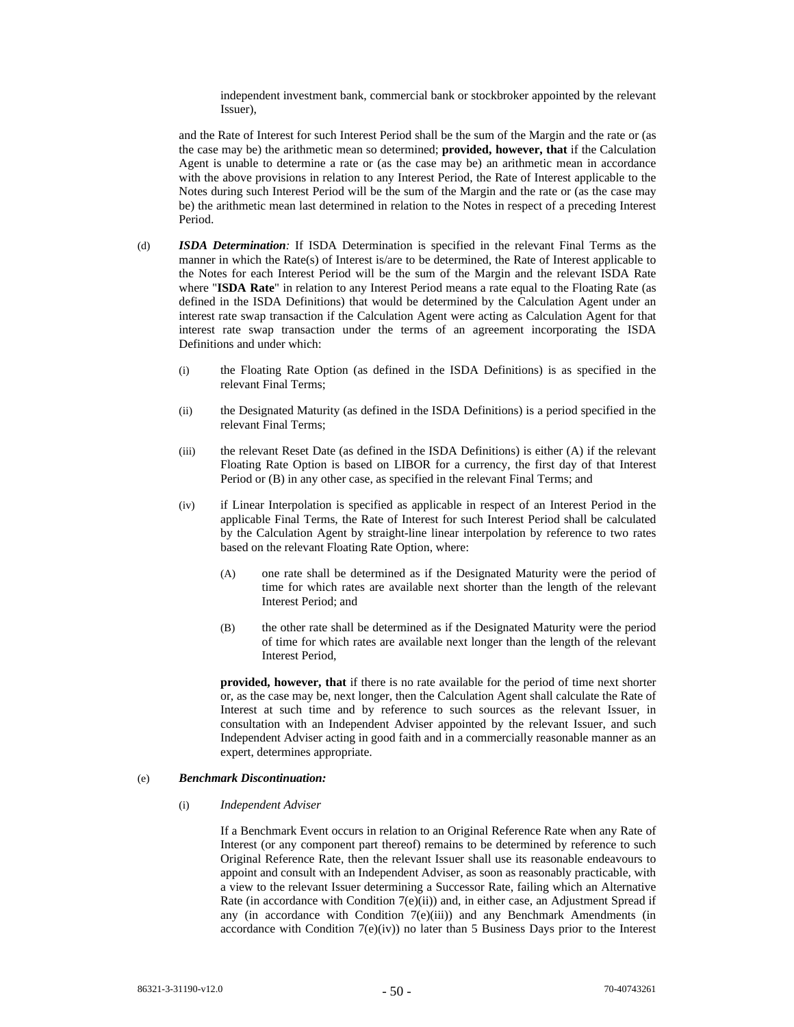independent investment bank, commercial bank or stockbroker appointed by the relevant Issuer),

and the Rate of Interest for such Interest Period shall be the sum of the Margin and the rate or (as the case may be) the arithmetic mean so determined; **provided, however, that** if the Calculation Agent is unable to determine a rate or (as the case may be) an arithmetic mean in accordance with the above provisions in relation to any Interest Period, the Rate of Interest applicable to the Notes during such Interest Period will be the sum of the Margin and the rate or (as the case may be) the arithmetic mean last determined in relation to the Notes in respect of a preceding Interest Period.

- (d) *ISDA Determination:* If ISDA Determination is specified in the relevant Final Terms as the manner in which the Rate(s) of Interest is/are to be determined, the Rate of Interest applicable to the Notes for each Interest Period will be the sum of the Margin and the relevant ISDA Rate where "**ISDA Rate**" in relation to any Interest Period means a rate equal to the Floating Rate (as defined in the ISDA Definitions) that would be determined by the Calculation Agent under an interest rate swap transaction if the Calculation Agent were acting as Calculation Agent for that interest rate swap transaction under the terms of an agreement incorporating the ISDA Definitions and under which:
	- (i) the Floating Rate Option (as defined in the ISDA Definitions) is as specified in the relevant Final Terms;
	- (ii) the Designated Maturity (as defined in the ISDA Definitions) is a period specified in the relevant Final Terms;
	- (iii) the relevant Reset Date (as defined in the ISDA Definitions) is either (A) if the relevant Floating Rate Option is based on LIBOR for a currency, the first day of that Interest Period or (B) in any other case, as specified in the relevant Final Terms; and
	- (iv) if Linear Interpolation is specified as applicable in respect of an Interest Period in the applicable Final Terms, the Rate of Interest for such Interest Period shall be calculated by the Calculation Agent by straight-line linear interpolation by reference to two rates based on the relevant Floating Rate Option, where:
		- (A) one rate shall be determined as if the Designated Maturity were the period of time for which rates are available next shorter than the length of the relevant Interest Period; and
		- (B) the other rate shall be determined as if the Designated Maturity were the period of time for which rates are available next longer than the length of the relevant Interest Period,

**provided, however, that** if there is no rate available for the period of time next shorter or, as the case may be, next longer, then the Calculation Agent shall calculate the Rate of Interest at such time and by reference to such sources as the relevant Issuer, in consultation with an Independent Adviser appointed by the relevant Issuer, and such Independent Adviser acting in good faith and in a commercially reasonable manner as an expert, determines appropriate.

# (e) *Benchmark Discontinuation:*

### (i) *Independent Adviser*

If a Benchmark Event occurs in relation to an Original Reference Rate when any Rate of Interest (or any component part thereof) remains to be determined by reference to such Original Reference Rate, then the relevant Issuer shall use its reasonable endeavours to appoint and consult with an Independent Adviser, as soon as reasonably practicable, with a view to the relevant Issuer determining a Successor Rate, failing which an Alternative Rate (in accordance with Condition 7(e)(ii)) and, in either case, an Adjustment Spread if any (in accordance with Condition  $7(e)(iii)$ ) and any Benchmark Amendments (in accordance with Condition  $7(e)(iv)$  no later than 5 Business Days prior to the Interest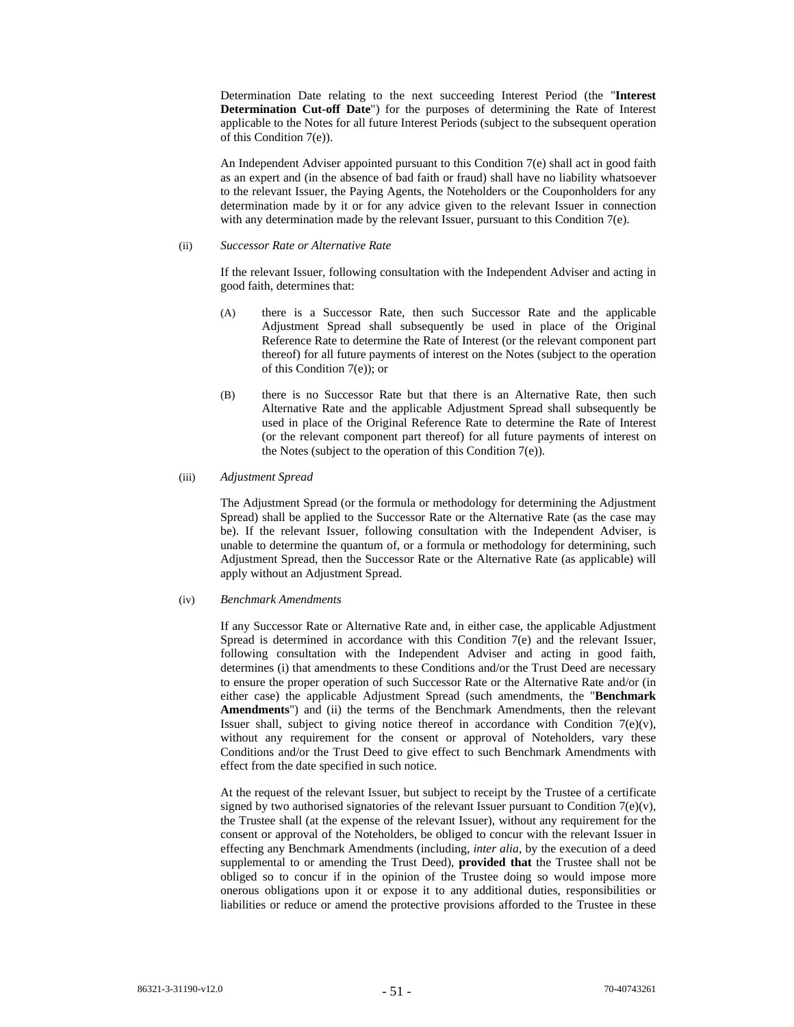Determination Date relating to the next succeeding Interest Period (the "**Interest Determination Cut-off Date**") for the purposes of determining the Rate of Interest applicable to the Notes for all future Interest Periods (subject to the subsequent operation of this Condition 7(e)).

An Independent Adviser appointed pursuant to this Condition 7(e) shall act in good faith as an expert and (in the absence of bad faith or fraud) shall have no liability whatsoever to the relevant Issuer, the Paying Agents, the Noteholders or the Couponholders for any determination made by it or for any advice given to the relevant Issuer in connection with any determination made by the relevant Issuer, pursuant to this Condition 7(e).

#### (ii) *Successor Rate or Alternative Rate*

If the relevant Issuer, following consultation with the Independent Adviser and acting in good faith, determines that:

- (A) there is a Successor Rate, then such Successor Rate and the applicable Adjustment Spread shall subsequently be used in place of the Original Reference Rate to determine the Rate of Interest (or the relevant component part thereof) for all future payments of interest on the Notes (subject to the operation of this Condition 7(e)); or
- (B) there is no Successor Rate but that there is an Alternative Rate, then such Alternative Rate and the applicable Adjustment Spread shall subsequently be used in place of the Original Reference Rate to determine the Rate of Interest (or the relevant component part thereof) for all future payments of interest on the Notes (subject to the operation of this Condition  $7(e)$ ).

# (iii) *Adjustment Spread*

The Adjustment Spread (or the formula or methodology for determining the Adjustment Spread) shall be applied to the Successor Rate or the Alternative Rate (as the case may be). If the relevant Issuer, following consultation with the Independent Adviser, is unable to determine the quantum of, or a formula or methodology for determining, such Adjustment Spread, then the Successor Rate or the Alternative Rate (as applicable) will apply without an Adjustment Spread.

## (iv) *Benchmark Amendments*

If any Successor Rate or Alternative Rate and, in either case, the applicable Adjustment Spread is determined in accordance with this Condition 7(e) and the relevant Issuer, following consultation with the Independent Adviser and acting in good faith, determines (i) that amendments to these Conditions and/or the Trust Deed are necessary to ensure the proper operation of such Successor Rate or the Alternative Rate and/or (in either case) the applicable Adjustment Spread (such amendments, the "**Benchmark Amendments**") and (ii) the terms of the Benchmark Amendments, then the relevant Issuer shall, subject to giving notice thereof in accordance with Condition  $7(e)(v)$ , without any requirement for the consent or approval of Noteholders, vary these Conditions and/or the Trust Deed to give effect to such Benchmark Amendments with effect from the date specified in such notice.

At the request of the relevant Issuer, but subject to receipt by the Trustee of a certificate signed by two authorised signatories of the relevant Issuer pursuant to Condition 7(e)(v), the Trustee shall (at the expense of the relevant Issuer), without any requirement for the consent or approval of the Noteholders, be obliged to concur with the relevant Issuer in effecting any Benchmark Amendments (including, *inter alia*, by the execution of a deed supplemental to or amending the Trust Deed), **provided that** the Trustee shall not be obliged so to concur if in the opinion of the Trustee doing so would impose more onerous obligations upon it or expose it to any additional duties, responsibilities or liabilities or reduce or amend the protective provisions afforded to the Trustee in these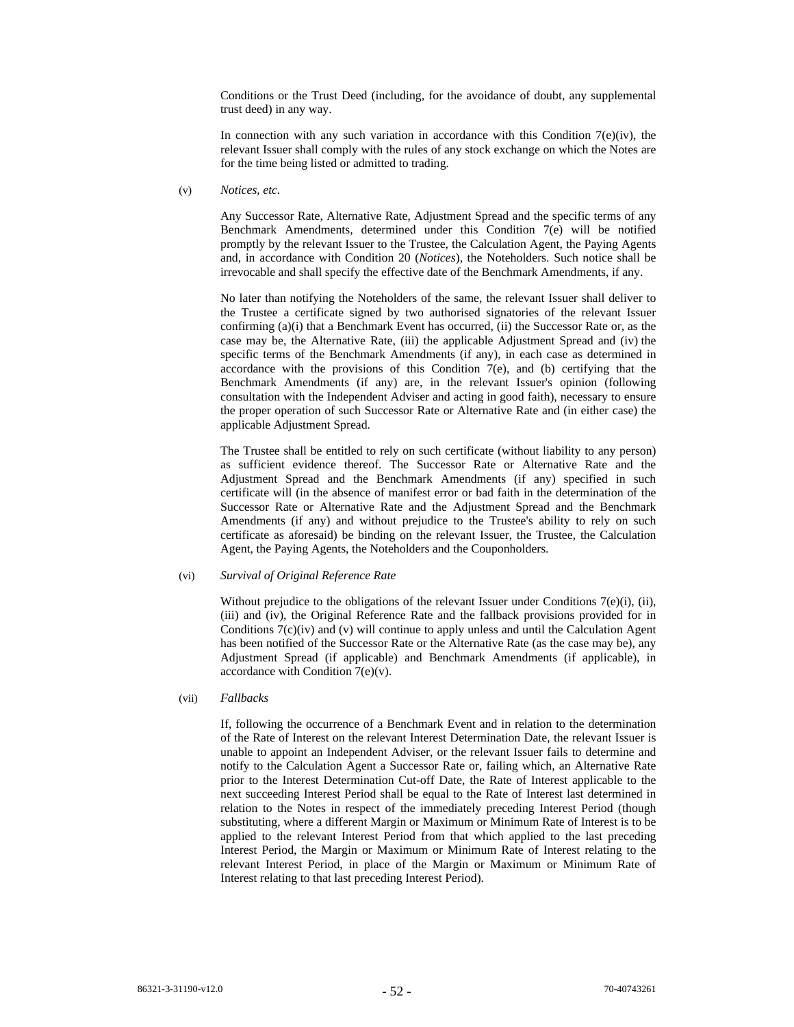Conditions or the Trust Deed (including, for the avoidance of doubt, any supplemental trust deed) in any way.

In connection with any such variation in accordance with this Condition  $7(e)(iv)$ , the relevant Issuer shall comply with the rules of any stock exchange on which the Notes are for the time being listed or admitted to trading.

(v) *Notices, etc.* 

Any Successor Rate, Alternative Rate, Adjustment Spread and the specific terms of any Benchmark Amendments, determined under this Condition 7(e) will be notified promptly by the relevant Issuer to the Trustee, the Calculation Agent, the Paying Agents and, in accordance with Condition 20 (*Notices*), the Noteholders. Such notice shall be irrevocable and shall specify the effective date of the Benchmark Amendments, if any.

No later than notifying the Noteholders of the same, the relevant Issuer shall deliver to the Trustee a certificate signed by two authorised signatories of the relevant Issuer confirming (a)(i) that a Benchmark Event has occurred, (ii) the Successor Rate or, as the case may be, the Alternative Rate, (iii) the applicable Adjustment Spread and (iv) the specific terms of the Benchmark Amendments (if any), in each case as determined in accordance with the provisions of this Condition  $7(e)$ , and (b) certifying that the Benchmark Amendments (if any) are, in the relevant Issuer's opinion (following consultation with the Independent Adviser and acting in good faith), necessary to ensure the proper operation of such Successor Rate or Alternative Rate and (in either case) the applicable Adjustment Spread.

The Trustee shall be entitled to rely on such certificate (without liability to any person) as sufficient evidence thereof. The Successor Rate or Alternative Rate and the Adjustment Spread and the Benchmark Amendments (if any) specified in such certificate will (in the absence of manifest error or bad faith in the determination of the Successor Rate or Alternative Rate and the Adjustment Spread and the Benchmark Amendments (if any) and without prejudice to the Trustee's ability to rely on such certificate as aforesaid) be binding on the relevant Issuer, the Trustee, the Calculation Agent, the Paying Agents, the Noteholders and the Couponholders.

## (vi) *Survival of Original Reference Rate*

Without prejudice to the obligations of the relevant Issuer under Conditions  $7(e)(i)$ , (ii), (iii) and (iv), the Original Reference Rate and the fallback provisions provided for in Conditions 7(c)(iv) and (v) will continue to apply unless and until the Calculation Agent has been notified of the Successor Rate or the Alternative Rate (as the case may be), any Adjustment Spread (if applicable) and Benchmark Amendments (if applicable), in accordance with Condition 7(e)(v).

## (vii) *Fallbacks*

If, following the occurrence of a Benchmark Event and in relation to the determination of the Rate of Interest on the relevant Interest Determination Date, the relevant Issuer is unable to appoint an Independent Adviser, or the relevant Issuer fails to determine and notify to the Calculation Agent a Successor Rate or, failing which, an Alternative Rate prior to the Interest Determination Cut-off Date, the Rate of Interest applicable to the next succeeding Interest Period shall be equal to the Rate of Interest last determined in relation to the Notes in respect of the immediately preceding Interest Period (though substituting, where a different Margin or Maximum or Minimum Rate of Interest is to be applied to the relevant Interest Period from that which applied to the last preceding Interest Period, the Margin or Maximum or Minimum Rate of Interest relating to the relevant Interest Period, in place of the Margin or Maximum or Minimum Rate of Interest relating to that last preceding Interest Period).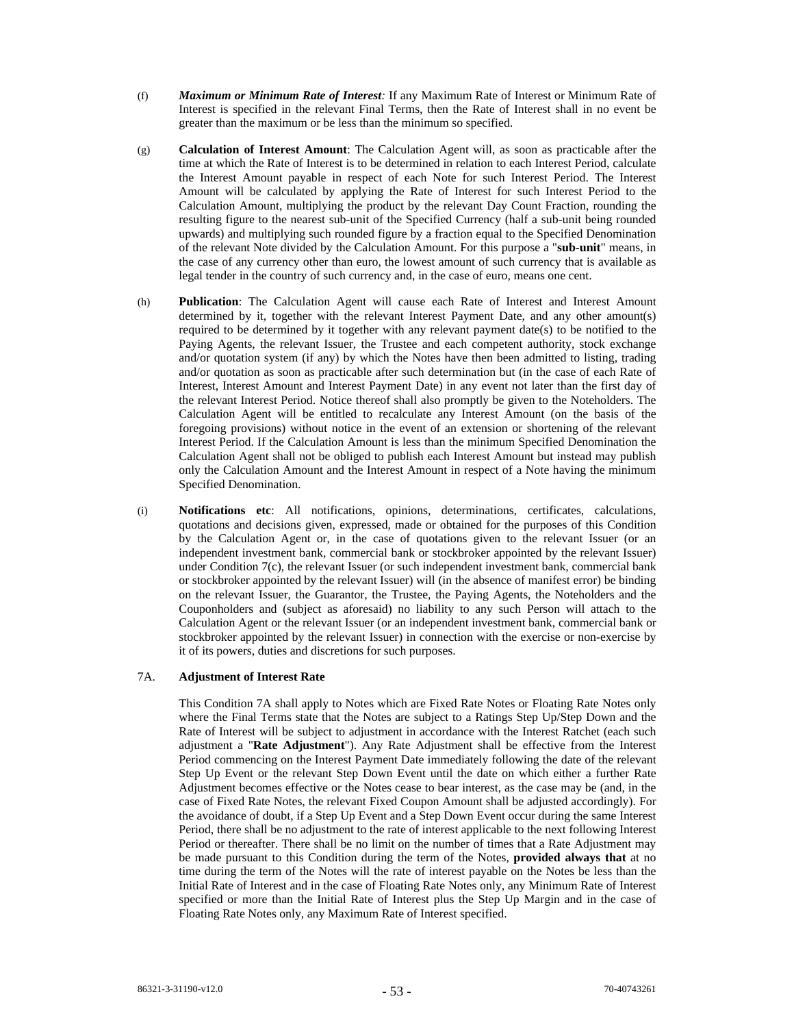- (f) *Maximum or Minimum Rate of Interest:* If any Maximum Rate of Interest or Minimum Rate of Interest is specified in the relevant Final Terms, then the Rate of Interest shall in no event be greater than the maximum or be less than the minimum so specified.
- (g) **Calculation of Interest Amount**: The Calculation Agent will, as soon as practicable after the time at which the Rate of Interest is to be determined in relation to each Interest Period, calculate the Interest Amount payable in respect of each Note for such Interest Period. The Interest Amount will be calculated by applying the Rate of Interest for such Interest Period to the Calculation Amount, multiplying the product by the relevant Day Count Fraction, rounding the resulting figure to the nearest sub-unit of the Specified Currency (half a sub-unit being rounded upwards) and multiplying such rounded figure by a fraction equal to the Specified Denomination of the relevant Note divided by the Calculation Amount. For this purpose a "**sub-unit**" means, in the case of any currency other than euro, the lowest amount of such currency that is available as legal tender in the country of such currency and, in the case of euro, means one cent.
- (h) **Publication**: The Calculation Agent will cause each Rate of Interest and Interest Amount determined by it, together with the relevant Interest Payment Date, and any other amount(s) required to be determined by it together with any relevant payment date(s) to be notified to the Paying Agents, the relevant Issuer, the Trustee and each competent authority, stock exchange and/or quotation system (if any) by which the Notes have then been admitted to listing, trading and/or quotation as soon as practicable after such determination but (in the case of each Rate of Interest, Interest Amount and Interest Payment Date) in any event not later than the first day of the relevant Interest Period. Notice thereof shall also promptly be given to the Noteholders. The Calculation Agent will be entitled to recalculate any Interest Amount (on the basis of the foregoing provisions) without notice in the event of an extension or shortening of the relevant Interest Period. If the Calculation Amount is less than the minimum Specified Denomination the Calculation Agent shall not be obliged to publish each Interest Amount but instead may publish only the Calculation Amount and the Interest Amount in respect of a Note having the minimum Specified Denomination.
- (i) **Notifications etc**: All notifications, opinions, determinations, certificates, calculations, quotations and decisions given, expressed, made or obtained for the purposes of this Condition by the Calculation Agent or, in the case of quotations given to the relevant Issuer (or an independent investment bank, commercial bank or stockbroker appointed by the relevant Issuer) under Condition 7(c), the relevant Issuer (or such independent investment bank, commercial bank or stockbroker appointed by the relevant Issuer) will (in the absence of manifest error) be binding on the relevant Issuer, the Guarantor, the Trustee, the Paying Agents, the Noteholders and the Couponholders and (subject as aforesaid) no liability to any such Person will attach to the Calculation Agent or the relevant Issuer (or an independent investment bank, commercial bank or stockbroker appointed by the relevant Issuer) in connection with the exercise or non-exercise by it of its powers, duties and discretions for such purposes.

# 7A. **Adjustment of Interest Rate**

This Condition 7A shall apply to Notes which are Fixed Rate Notes or Floating Rate Notes only where the Final Terms state that the Notes are subject to a Ratings Step Up/Step Down and the Rate of Interest will be subject to adjustment in accordance with the Interest Ratchet (each such adjustment a "**Rate Adjustment**"). Any Rate Adjustment shall be effective from the Interest Period commencing on the Interest Payment Date immediately following the date of the relevant Step Up Event or the relevant Step Down Event until the date on which either a further Rate Adjustment becomes effective or the Notes cease to bear interest, as the case may be (and, in the case of Fixed Rate Notes, the relevant Fixed Coupon Amount shall be adjusted accordingly). For the avoidance of doubt, if a Step Up Event and a Step Down Event occur during the same Interest Period, there shall be no adjustment to the rate of interest applicable to the next following Interest Period or thereafter. There shall be no limit on the number of times that a Rate Adjustment may be made pursuant to this Condition during the term of the Notes, **provided always that** at no time during the term of the Notes will the rate of interest payable on the Notes be less than the Initial Rate of Interest and in the case of Floating Rate Notes only, any Minimum Rate of Interest specified or more than the Initial Rate of Interest plus the Step Up Margin and in the case of Floating Rate Notes only, any Maximum Rate of Interest specified.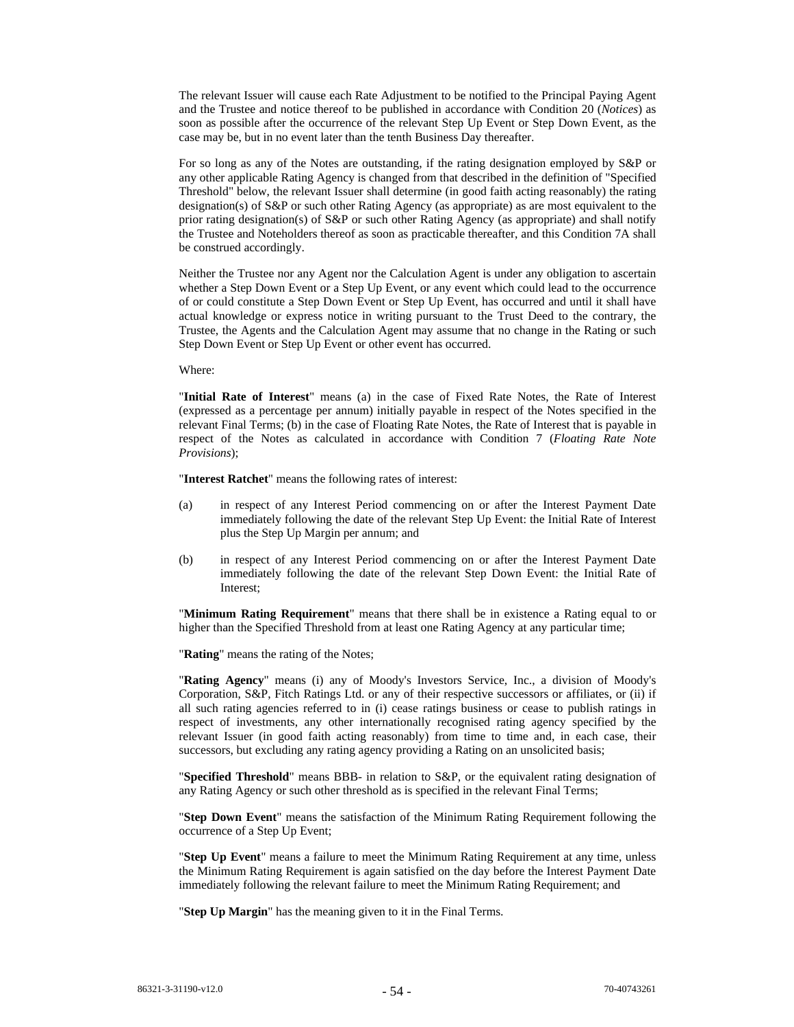The relevant Issuer will cause each Rate Adjustment to be notified to the Principal Paying Agent and the Trustee and notice thereof to be published in accordance with Condition 20 (*Notices*) as soon as possible after the occurrence of the relevant Step Up Event or Step Down Event, as the case may be, but in no event later than the tenth Business Day thereafter.

For so long as any of the Notes are outstanding, if the rating designation employed by S&P or any other applicable Rating Agency is changed from that described in the definition of "Specified Threshold" below, the relevant Issuer shall determine (in good faith acting reasonably) the rating designation(s) of S&P or such other Rating Agency (as appropriate) as are most equivalent to the prior rating designation(s) of S&P or such other Rating Agency (as appropriate) and shall notify the Trustee and Noteholders thereof as soon as practicable thereafter, and this Condition 7A shall be construed accordingly.

Neither the Trustee nor any Agent nor the Calculation Agent is under any obligation to ascertain whether a Step Down Event or a Step Up Event, or any event which could lead to the occurrence of or could constitute a Step Down Event or Step Up Event, has occurred and until it shall have actual knowledge or express notice in writing pursuant to the Trust Deed to the contrary, the Trustee, the Agents and the Calculation Agent may assume that no change in the Rating or such Step Down Event or Step Up Event or other event has occurred.

### Where:

"**Initial Rate of Interest**" means (a) in the case of Fixed Rate Notes, the Rate of Interest (expressed as a percentage per annum) initially payable in respect of the Notes specified in the relevant Final Terms; (b) in the case of Floating Rate Notes, the Rate of Interest that is payable in respect of the Notes as calculated in accordance with Condition 7 (*Floating Rate Note Provisions*);

"**Interest Ratchet**" means the following rates of interest:

- (a) in respect of any Interest Period commencing on or after the Interest Payment Date immediately following the date of the relevant Step Up Event: the Initial Rate of Interest plus the Step Up Margin per annum; and
- (b) in respect of any Interest Period commencing on or after the Interest Payment Date immediately following the date of the relevant Step Down Event: the Initial Rate of Interest;

"**Minimum Rating Requirement**" means that there shall be in existence a Rating equal to or higher than the Specified Threshold from at least one Rating Agency at any particular time;

"**Rating**" means the rating of the Notes;

"**Rating Agency**" means (i) any of Moody's Investors Service, Inc., a division of Moody's Corporation, S&P, Fitch Ratings Ltd. or any of their respective successors or affiliates, or (ii) if all such rating agencies referred to in (i) cease ratings business or cease to publish ratings in respect of investments, any other internationally recognised rating agency specified by the relevant Issuer (in good faith acting reasonably) from time to time and, in each case, their successors, but excluding any rating agency providing a Rating on an unsolicited basis;

"**Specified Threshold**" means BBB- in relation to S&P, or the equivalent rating designation of any Rating Agency or such other threshold as is specified in the relevant Final Terms;

"**Step Down Event**" means the satisfaction of the Minimum Rating Requirement following the occurrence of a Step Up Event;

"**Step Up Event**" means a failure to meet the Minimum Rating Requirement at any time, unless the Minimum Rating Requirement is again satisfied on the day before the Interest Payment Date immediately following the relevant failure to meet the Minimum Rating Requirement; and

"**Step Up Margin**" has the meaning given to it in the Final Terms.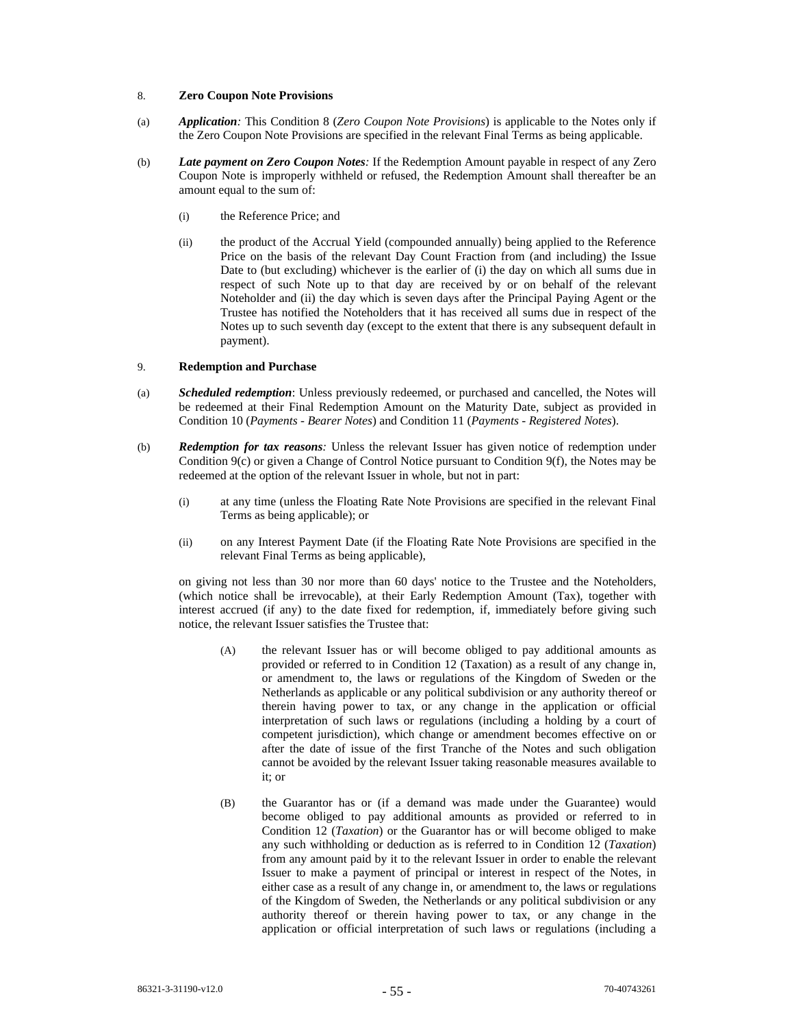### 8. **Zero Coupon Note Provisions**

- (a) *Application:* This Condition 8 (*Zero Coupon Note Provisions*) is applicable to the Notes only if the Zero Coupon Note Provisions are specified in the relevant Final Terms as being applicable.
- (b) *Late payment on Zero Coupon Notes:* If the Redemption Amount payable in respect of any Zero Coupon Note is improperly withheld or refused, the Redemption Amount shall thereafter be an amount equal to the sum of:
	- (i) the Reference Price; and
	- (ii) the product of the Accrual Yield (compounded annually) being applied to the Reference Price on the basis of the relevant Day Count Fraction from (and including) the Issue Date to (but excluding) whichever is the earlier of (i) the day on which all sums due in respect of such Note up to that day are received by or on behalf of the relevant Noteholder and (ii) the day which is seven days after the Principal Paying Agent or the Trustee has notified the Noteholders that it has received all sums due in respect of the Notes up to such seventh day (except to the extent that there is any subsequent default in payment).

## 9. **Redemption and Purchase**

- (a) *Scheduled redemption*: Unless previously redeemed, or purchased and cancelled, the Notes will be redeemed at their Final Redemption Amount on the Maturity Date, subject as provided in Condition 10 (*Payments - Bearer Notes*) and Condition 11 (*Payments - Registered Notes*).
- (b) *Redemption for tax reasons:* Unless the relevant Issuer has given notice of redemption under Condition 9(c) or given a Change of Control Notice pursuant to Condition 9(f), the Notes may be redeemed at the option of the relevant Issuer in whole, but not in part:
	- (i) at any time (unless the Floating Rate Note Provisions are specified in the relevant Final Terms as being applicable); or
	- (ii) on any Interest Payment Date (if the Floating Rate Note Provisions are specified in the relevant Final Terms as being applicable),

on giving not less than 30 nor more than 60 days' notice to the Trustee and the Noteholders, (which notice shall be irrevocable), at their Early Redemption Amount (Tax), together with interest accrued (if any) to the date fixed for redemption, if, immediately before giving such notice, the relevant Issuer satisfies the Trustee that:

- (A) the relevant Issuer has or will become obliged to pay additional amounts as provided or referred to in Condition 12 (Taxation) as a result of any change in, or amendment to, the laws or regulations of the Kingdom of Sweden or the Netherlands as applicable or any political subdivision or any authority thereof or therein having power to tax, or any change in the application or official interpretation of such laws or regulations (including a holding by a court of competent jurisdiction), which change or amendment becomes effective on or after the date of issue of the first Tranche of the Notes and such obligation cannot be avoided by the relevant Issuer taking reasonable measures available to it; or
- (B) the Guarantor has or (if a demand was made under the Guarantee) would become obliged to pay additional amounts as provided or referred to in Condition 12 (*Taxation*) or the Guarantor has or will become obliged to make any such withholding or deduction as is referred to in Condition 12 (*Taxation*) from any amount paid by it to the relevant Issuer in order to enable the relevant Issuer to make a payment of principal or interest in respect of the Notes, in either case as a result of any change in, or amendment to, the laws or regulations of the Kingdom of Sweden, the Netherlands or any political subdivision or any authority thereof or therein having power to tax, or any change in the application or official interpretation of such laws or regulations (including a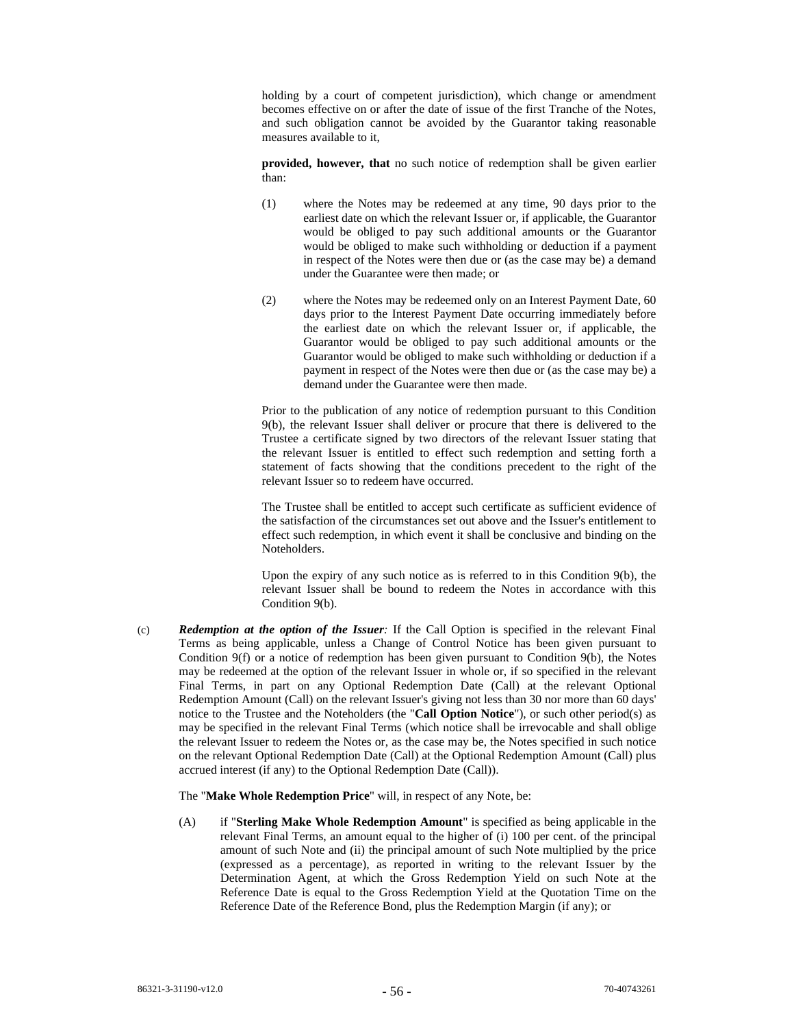holding by a court of competent jurisdiction), which change or amendment becomes effective on or after the date of issue of the first Tranche of the Notes, and such obligation cannot be avoided by the Guarantor taking reasonable measures available to it,

**provided, however, that** no such notice of redemption shall be given earlier than:

- (1) where the Notes may be redeemed at any time, 90 days prior to the earliest date on which the relevant Issuer or, if applicable, the Guarantor would be obliged to pay such additional amounts or the Guarantor would be obliged to make such withholding or deduction if a payment in respect of the Notes were then due or (as the case may be) a demand under the Guarantee were then made; or
- (2) where the Notes may be redeemed only on an Interest Payment Date, 60 days prior to the Interest Payment Date occurring immediately before the earliest date on which the relevant Issuer or, if applicable, the Guarantor would be obliged to pay such additional amounts or the Guarantor would be obliged to make such withholding or deduction if a payment in respect of the Notes were then due or (as the case may be) a demand under the Guarantee were then made.

Prior to the publication of any notice of redemption pursuant to this Condition 9(b), the relevant Issuer shall deliver or procure that there is delivered to the Trustee a certificate signed by two directors of the relevant Issuer stating that the relevant Issuer is entitled to effect such redemption and setting forth a statement of facts showing that the conditions precedent to the right of the relevant Issuer so to redeem have occurred.

The Trustee shall be entitled to accept such certificate as sufficient evidence of the satisfaction of the circumstances set out above and the Issuer's entitlement to effect such redemption, in which event it shall be conclusive and binding on the Noteholders.

Upon the expiry of any such notice as is referred to in this Condition 9(b), the relevant Issuer shall be bound to redeem the Notes in accordance with this Condition 9(b).

(c) *Redemption at the option of the Issuer:* If the Call Option is specified in the relevant Final Terms as being applicable, unless a Change of Control Notice has been given pursuant to Condition 9(f) or a notice of redemption has been given pursuant to Condition 9(b), the Notes may be redeemed at the option of the relevant Issuer in whole or, if so specified in the relevant Final Terms, in part on any Optional Redemption Date (Call) at the relevant Optional Redemption Amount (Call) on the relevant Issuer's giving not less than 30 nor more than 60 days' notice to the Trustee and the Noteholders (the "**Call Option Notice**"), or such other period(s) as may be specified in the relevant Final Terms (which notice shall be irrevocable and shall oblige the relevant Issuer to redeem the Notes or, as the case may be, the Notes specified in such notice on the relevant Optional Redemption Date (Call) at the Optional Redemption Amount (Call) plus accrued interest (if any) to the Optional Redemption Date (Call)).

The "**Make Whole Redemption Price**" will, in respect of any Note, be:

(A) if "**Sterling Make Whole Redemption Amount**" is specified as being applicable in the relevant Final Terms, an amount equal to the higher of (i) 100 per cent. of the principal amount of such Note and (ii) the principal amount of such Note multiplied by the price (expressed as a percentage), as reported in writing to the relevant Issuer by the Determination Agent, at which the Gross Redemption Yield on such Note at the Reference Date is equal to the Gross Redemption Yield at the Quotation Time on the Reference Date of the Reference Bond, plus the Redemption Margin (if any); or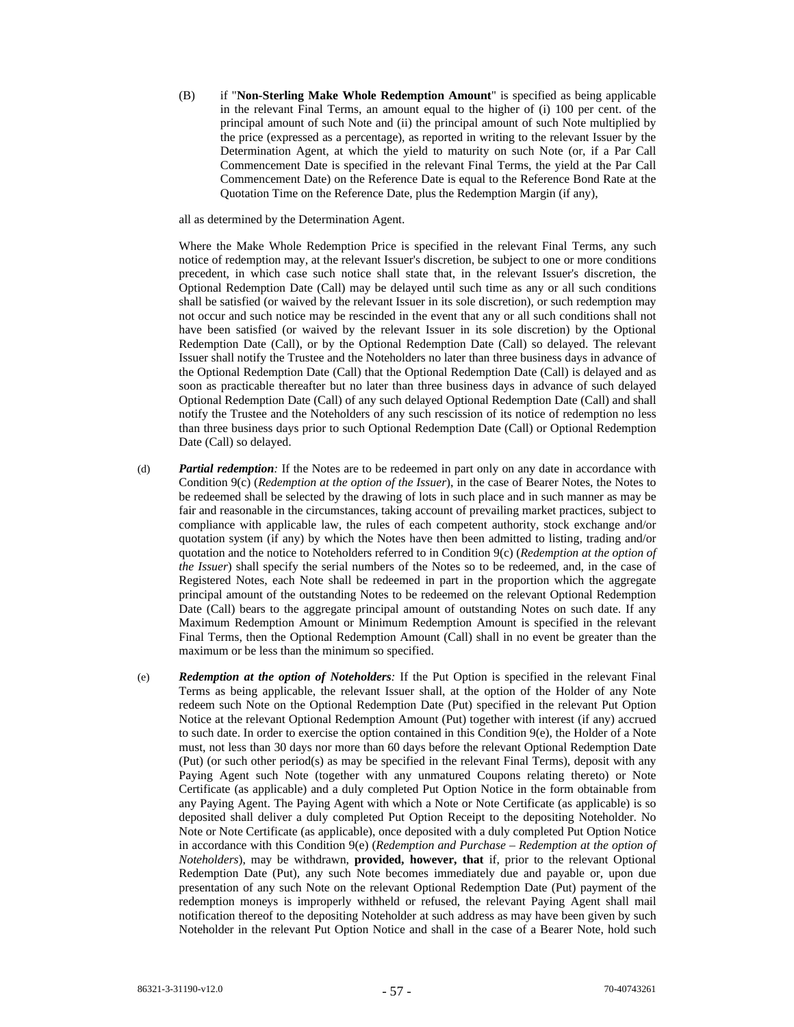(B) if "**Non-Sterling Make Whole Redemption Amount**" is specified as being applicable in the relevant Final Terms, an amount equal to the higher of (i) 100 per cent. of the principal amount of such Note and (ii) the principal amount of such Note multiplied by the price (expressed as a percentage), as reported in writing to the relevant Issuer by the Determination Agent, at which the yield to maturity on such Note (or, if a Par Call Commencement Date is specified in the relevant Final Terms, the yield at the Par Call Commencement Date) on the Reference Date is equal to the Reference Bond Rate at the Quotation Time on the Reference Date, plus the Redemption Margin (if any),

all as determined by the Determination Agent.

Where the Make Whole Redemption Price is specified in the relevant Final Terms, any such notice of redemption may, at the relevant Issuer's discretion, be subject to one or more conditions precedent, in which case such notice shall state that, in the relevant Issuer's discretion, the Optional Redemption Date (Call) may be delayed until such time as any or all such conditions shall be satisfied (or waived by the relevant Issuer in its sole discretion), or such redemption may not occur and such notice may be rescinded in the event that any or all such conditions shall not have been satisfied (or waived by the relevant Issuer in its sole discretion) by the Optional Redemption Date (Call), or by the Optional Redemption Date (Call) so delayed. The relevant Issuer shall notify the Trustee and the Noteholders no later than three business days in advance of the Optional Redemption Date (Call) that the Optional Redemption Date (Call) is delayed and as soon as practicable thereafter but no later than three business days in advance of such delayed Optional Redemption Date (Call) of any such delayed Optional Redemption Date (Call) and shall notify the Trustee and the Noteholders of any such rescission of its notice of redemption no less than three business days prior to such Optional Redemption Date (Call) or Optional Redemption Date (Call) so delayed.

- (d) *Partial redemption:* If the Notes are to be redeemed in part only on any date in accordance with Condition 9(c) (*Redemption at the option of the Issuer*), in the case of Bearer Notes, the Notes to be redeemed shall be selected by the drawing of lots in such place and in such manner as may be fair and reasonable in the circumstances, taking account of prevailing market practices, subject to compliance with applicable law, the rules of each competent authority, stock exchange and/or quotation system (if any) by which the Notes have then been admitted to listing, trading and/or quotation and the notice to Noteholders referred to in Condition 9(c) (*Redemption at the option of the Issuer*) shall specify the serial numbers of the Notes so to be redeemed, and, in the case of Registered Notes, each Note shall be redeemed in part in the proportion which the aggregate principal amount of the outstanding Notes to be redeemed on the relevant Optional Redemption Date (Call) bears to the aggregate principal amount of outstanding Notes on such date. If any Maximum Redemption Amount or Minimum Redemption Amount is specified in the relevant Final Terms, then the Optional Redemption Amount (Call) shall in no event be greater than the maximum or be less than the minimum so specified.
- (e) *Redemption at the option of Noteholders:* If the Put Option is specified in the relevant Final Terms as being applicable, the relevant Issuer shall, at the option of the Holder of any Note redeem such Note on the Optional Redemption Date (Put) specified in the relevant Put Option Notice at the relevant Optional Redemption Amount (Put) together with interest (if any) accrued to such date. In order to exercise the option contained in this Condition 9(e), the Holder of a Note must, not less than 30 days nor more than 60 days before the relevant Optional Redemption Date (Put) (or such other period(s) as may be specified in the relevant Final Terms), deposit with any Paying Agent such Note (together with any unmatured Coupons relating thereto) or Note Certificate (as applicable) and a duly completed Put Option Notice in the form obtainable from any Paying Agent. The Paying Agent with which a Note or Note Certificate (as applicable) is so deposited shall deliver a duly completed Put Option Receipt to the depositing Noteholder. No Note or Note Certificate (as applicable), once deposited with a duly completed Put Option Notice in accordance with this Condition 9(e) (*Redemption and Purchase – Redemption at the option of Noteholders*), may be withdrawn, **provided, however, that** if, prior to the relevant Optional Redemption Date (Put), any such Note becomes immediately due and payable or, upon due presentation of any such Note on the relevant Optional Redemption Date (Put) payment of the redemption moneys is improperly withheld or refused, the relevant Paying Agent shall mail notification thereof to the depositing Noteholder at such address as may have been given by such Noteholder in the relevant Put Option Notice and shall in the case of a Bearer Note, hold such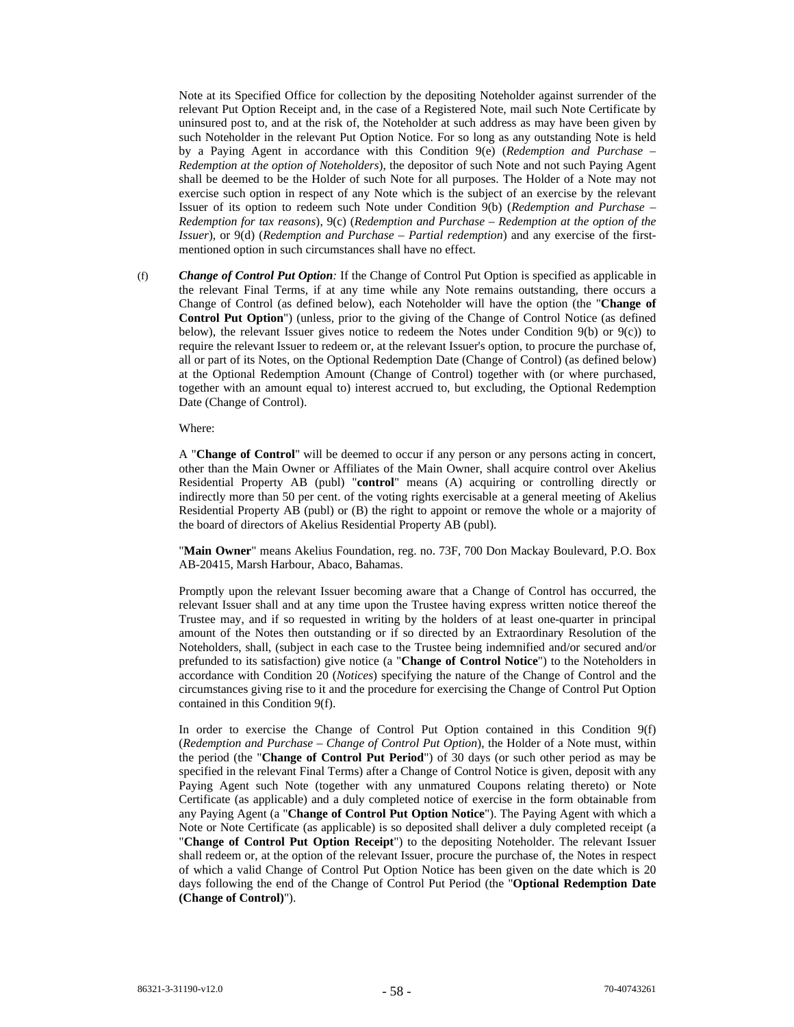Note at its Specified Office for collection by the depositing Noteholder against surrender of the relevant Put Option Receipt and, in the case of a Registered Note, mail such Note Certificate by uninsured post to, and at the risk of, the Noteholder at such address as may have been given by such Noteholder in the relevant Put Option Notice. For so long as any outstanding Note is held by a Paying Agent in accordance with this Condition 9(e) (*Redemption and Purchase – Redemption at the option of Noteholders*), the depositor of such Note and not such Paying Agent shall be deemed to be the Holder of such Note for all purposes. The Holder of a Note may not exercise such option in respect of any Note which is the subject of an exercise by the relevant Issuer of its option to redeem such Note under Condition 9(b) (*Redemption and Purchase – Redemption for tax reasons*), 9(c) (*Redemption and Purchase – Redemption at the option of the Issuer*), or 9(d) (*Redemption and Purchase – Partial redemption*) and any exercise of the firstmentioned option in such circumstances shall have no effect.

(f) *Change of Control Put Option:* If the Change of Control Put Option is specified as applicable in the relevant Final Terms, if at any time while any Note remains outstanding, there occurs a Change of Control (as defined below), each Noteholder will have the option (the "**Change of Control Put Option**") (unless, prior to the giving of the Change of Control Notice (as defined below), the relevant Issuer gives notice to redeem the Notes under Condition 9(b) or 9(c)) to require the relevant Issuer to redeem or, at the relevant Issuer's option, to procure the purchase of, all or part of its Notes, on the Optional Redemption Date (Change of Control) (as defined below) at the Optional Redemption Amount (Change of Control) together with (or where purchased, together with an amount equal to) interest accrued to, but excluding, the Optional Redemption Date (Change of Control).

## Where:

A "**Change of Control**" will be deemed to occur if any person or any persons acting in concert, other than the Main Owner or Affiliates of the Main Owner, shall acquire control over Akelius Residential Property AB (publ) "**control**" means (A) acquiring or controlling directly or indirectly more than 50 per cent. of the voting rights exercisable at a general meeting of Akelius Residential Property AB (publ) or (B) the right to appoint or remove the whole or a majority of the board of directors of Akelius Residential Property AB (publ).

"**Main Owner**" means Akelius Foundation, reg. no. 73F, 700 Don Mackay Boulevard, P.O. Box AB-20415, Marsh Harbour, Abaco, Bahamas.

Promptly upon the relevant Issuer becoming aware that a Change of Control has occurred, the relevant Issuer shall and at any time upon the Trustee having express written notice thereof the Trustee may, and if so requested in writing by the holders of at least one-quarter in principal amount of the Notes then outstanding or if so directed by an Extraordinary Resolution of the Noteholders, shall, (subject in each case to the Trustee being indemnified and/or secured and/or prefunded to its satisfaction) give notice (a "**Change of Control Notice**") to the Noteholders in accordance with Condition 20 (*Notices*) specifying the nature of the Change of Control and the circumstances giving rise to it and the procedure for exercising the Change of Control Put Option contained in this Condition 9(f).

In order to exercise the Change of Control Put Option contained in this Condition 9(f) (*Redemption and Purchase – Change of Control Put Option*), the Holder of a Note must, within the period (the "**Change of Control Put Period**") of 30 days (or such other period as may be specified in the relevant Final Terms) after a Change of Control Notice is given, deposit with any Paying Agent such Note (together with any unmatured Coupons relating thereto) or Note Certificate (as applicable) and a duly completed notice of exercise in the form obtainable from any Paying Agent (a "**Change of Control Put Option Notice**"). The Paying Agent with which a Note or Note Certificate (as applicable) is so deposited shall deliver a duly completed receipt (a "**Change of Control Put Option Receipt**") to the depositing Noteholder. The relevant Issuer shall redeem or, at the option of the relevant Issuer, procure the purchase of, the Notes in respect of which a valid Change of Control Put Option Notice has been given on the date which is 20 days following the end of the Change of Control Put Period (the "**Optional Redemption Date (Change of Control)**").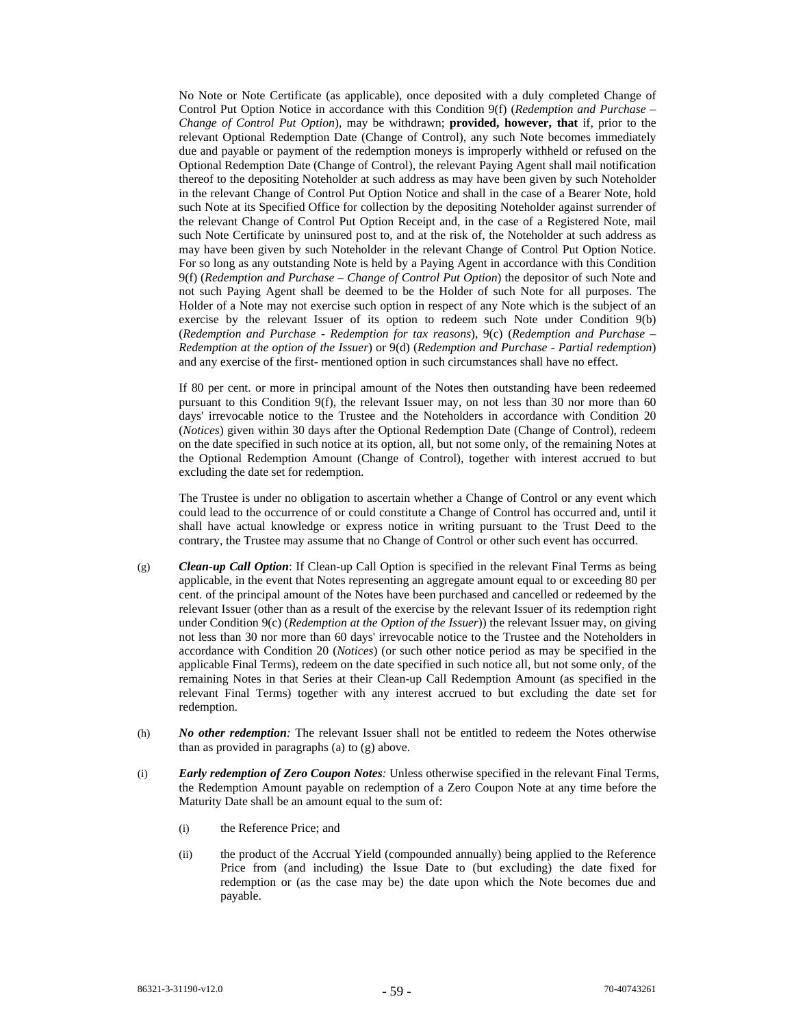No Note or Note Certificate (as applicable), once deposited with a duly completed Change of Control Put Option Notice in accordance with this Condition 9(f) (*Redemption and Purchase – Change of Control Put Option*), may be withdrawn; **provided, however, that** if, prior to the relevant Optional Redemption Date (Change of Control), any such Note becomes immediately due and payable or payment of the redemption moneys is improperly withheld or refused on the Optional Redemption Date (Change of Control), the relevant Paying Agent shall mail notification thereof to the depositing Noteholder at such address as may have been given by such Noteholder in the relevant Change of Control Put Option Notice and shall in the case of a Bearer Note, hold such Note at its Specified Office for collection by the depositing Noteholder against surrender of the relevant Change of Control Put Option Receipt and, in the case of a Registered Note, mail such Note Certificate by uninsured post to, and at the risk of, the Noteholder at such address as may have been given by such Noteholder in the relevant Change of Control Put Option Notice. For so long as any outstanding Note is held by a Paying Agent in accordance with this Condition 9(f) (*Redemption and Purchase – Change of Control Put Option*) the depositor of such Note and not such Paying Agent shall be deemed to be the Holder of such Note for all purposes. The Holder of a Note may not exercise such option in respect of any Note which is the subject of an exercise by the relevant Issuer of its option to redeem such Note under Condition 9(b) (*Redemption and Purchase - Redemption for tax reasons*), 9(c) (*Redemption and Purchase – Redemption at the option of the Issuer*) or 9(d) (*Redemption and Purchase - Partial redemption*) and any exercise of the first- mentioned option in such circumstances shall have no effect.

If 80 per cent. or more in principal amount of the Notes then outstanding have been redeemed pursuant to this Condition 9(f), the relevant Issuer may, on not less than 30 nor more than 60 days' irrevocable notice to the Trustee and the Noteholders in accordance with Condition 20 (*Notices*) given within 30 days after the Optional Redemption Date (Change of Control), redeem on the date specified in such notice at its option, all, but not some only, of the remaining Notes at the Optional Redemption Amount (Change of Control), together with interest accrued to but excluding the date set for redemption.

The Trustee is under no obligation to ascertain whether a Change of Control or any event which could lead to the occurrence of or could constitute a Change of Control has occurred and, until it shall have actual knowledge or express notice in writing pursuant to the Trust Deed to the contrary, the Trustee may assume that no Change of Control or other such event has occurred.

- (g) *Clean-up Call Option*: If Clean-up Call Option is specified in the relevant Final Terms as being applicable, in the event that Notes representing an aggregate amount equal to or exceeding 80 per cent. of the principal amount of the Notes have been purchased and cancelled or redeemed by the relevant Issuer (other than as a result of the exercise by the relevant Issuer of its redemption right under Condition 9(c) (*Redemption at the Option of the Issuer*)) the relevant Issuer may, on giving not less than 30 nor more than 60 days' irrevocable notice to the Trustee and the Noteholders in accordance with Condition 20 (*Notices*) (or such other notice period as may be specified in the applicable Final Terms), redeem on the date specified in such notice all, but not some only, of the remaining Notes in that Series at their Clean-up Call Redemption Amount (as specified in the relevant Final Terms) together with any interest accrued to but excluding the date set for redemption.
- (h) *No other redemption:* The relevant Issuer shall not be entitled to redeem the Notes otherwise than as provided in paragraphs (a) to (g) above.
- (i) *Early redemption of Zero Coupon Notes:* Unless otherwise specified in the relevant Final Terms, the Redemption Amount payable on redemption of a Zero Coupon Note at any time before the Maturity Date shall be an amount equal to the sum of:
	- (i) the Reference Price; and
	- (ii) the product of the Accrual Yield (compounded annually) being applied to the Reference Price from (and including) the Issue Date to (but excluding) the date fixed for redemption or (as the case may be) the date upon which the Note becomes due and payable.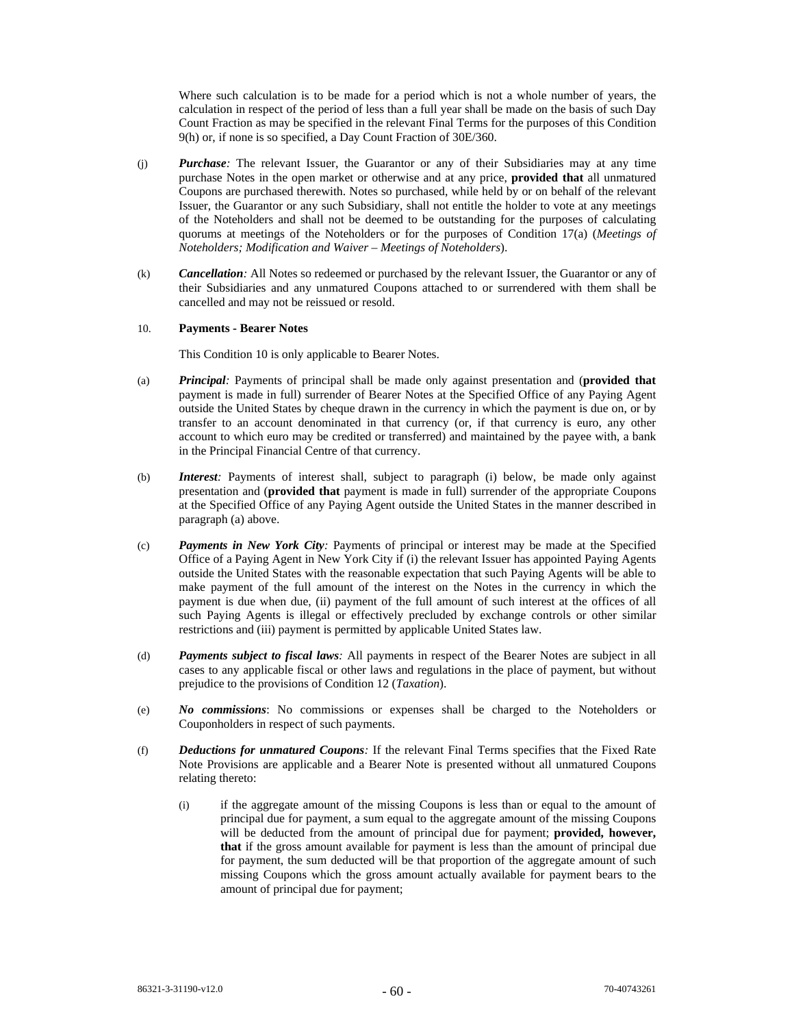Where such calculation is to be made for a period which is not a whole number of years, the calculation in respect of the period of less than a full year shall be made on the basis of such Day Count Fraction as may be specified in the relevant Final Terms for the purposes of this Condition 9(h) or, if none is so specified, a Day Count Fraction of 30E/360.

- (j) *Purchase:* The relevant Issuer, the Guarantor or any of their Subsidiaries may at any time purchase Notes in the open market or otherwise and at any price, **provided that** all unmatured Coupons are purchased therewith. Notes so purchased, while held by or on behalf of the relevant Issuer, the Guarantor or any such Subsidiary, shall not entitle the holder to vote at any meetings of the Noteholders and shall not be deemed to be outstanding for the purposes of calculating quorums at meetings of the Noteholders or for the purposes of Condition 17(a) (*Meetings of Noteholders; Modification and Waiver – Meetings of Noteholders*).
- (k) *Cancellation:* All Notes so redeemed or purchased by the relevant Issuer, the Guarantor or any of their Subsidiaries and any unmatured Coupons attached to or surrendered with them shall be cancelled and may not be reissued or resold.

## 10. **Payments - Bearer Notes**

This Condition 10 is only applicable to Bearer Notes.

- (a) *Principal:* Payments of principal shall be made only against presentation and (**provided that** payment is made in full) surrender of Bearer Notes at the Specified Office of any Paying Agent outside the United States by cheque drawn in the currency in which the payment is due on, or by transfer to an account denominated in that currency (or, if that currency is euro, any other account to which euro may be credited or transferred) and maintained by the payee with, a bank in the Principal Financial Centre of that currency.
- (b) *Interest:* Payments of interest shall, subject to paragraph (i) below, be made only against presentation and (**provided that** payment is made in full) surrender of the appropriate Coupons at the Specified Office of any Paying Agent outside the United States in the manner described in paragraph (a) above.
- (c) *Payments in New York City:* Payments of principal or interest may be made at the Specified Office of a Paying Agent in New York City if (i) the relevant Issuer has appointed Paying Agents outside the United States with the reasonable expectation that such Paying Agents will be able to make payment of the full amount of the interest on the Notes in the currency in which the payment is due when due, (ii) payment of the full amount of such interest at the offices of all such Paying Agents is illegal or effectively precluded by exchange controls or other similar restrictions and (iii) payment is permitted by applicable United States law.
- (d) *Payments subject to fiscal laws:* All payments in respect of the Bearer Notes are subject in all cases to any applicable fiscal or other laws and regulations in the place of payment, but without prejudice to the provisions of Condition 12 (*Taxation*).
- (e) *No commissions*: No commissions or expenses shall be charged to the Noteholders or Couponholders in respect of such payments.
- (f) *Deductions for unmatured Coupons:* If the relevant Final Terms specifies that the Fixed Rate Note Provisions are applicable and a Bearer Note is presented without all unmatured Coupons relating thereto:
	- (i) if the aggregate amount of the missing Coupons is less than or equal to the amount of principal due for payment, a sum equal to the aggregate amount of the missing Coupons will be deducted from the amount of principal due for payment; **provided, however, that** if the gross amount available for payment is less than the amount of principal due for payment, the sum deducted will be that proportion of the aggregate amount of such missing Coupons which the gross amount actually available for payment bears to the amount of principal due for payment;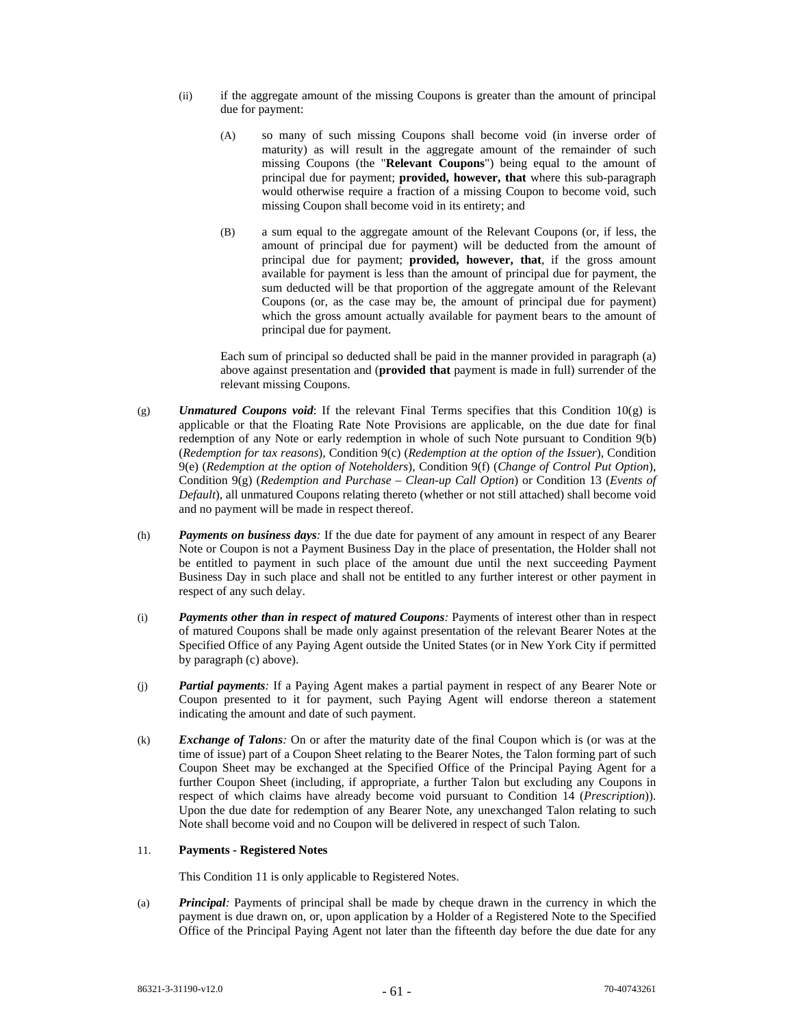- (ii) if the aggregate amount of the missing Coupons is greater than the amount of principal due for payment:
	- (A) so many of such missing Coupons shall become void (in inverse order of maturity) as will result in the aggregate amount of the remainder of such missing Coupons (the "**Relevant Coupons**") being equal to the amount of principal due for payment; **provided, however, that** where this sub-paragraph would otherwise require a fraction of a missing Coupon to become void, such missing Coupon shall become void in its entirety; and
	- (B) a sum equal to the aggregate amount of the Relevant Coupons (or, if less, the amount of principal due for payment) will be deducted from the amount of principal due for payment; **provided, however, that**, if the gross amount available for payment is less than the amount of principal due for payment, the sum deducted will be that proportion of the aggregate amount of the Relevant Coupons (or, as the case may be, the amount of principal due for payment) which the gross amount actually available for payment bears to the amount of principal due for payment.

Each sum of principal so deducted shall be paid in the manner provided in paragraph (a) above against presentation and (**provided that** payment is made in full) surrender of the relevant missing Coupons.

- $(p)$  *Unmatured Coupons void*: If the relevant Final Terms specifies that this Condition  $10(p)$  is applicable or that the Floating Rate Note Provisions are applicable, on the due date for final redemption of any Note or early redemption in whole of such Note pursuant to Condition 9(b) (*Redemption for tax reasons*), Condition 9(c) (*Redemption at the option of the Issuer*), Condition 9(e) (*Redemption at the option of Noteholders*), Condition 9(f) (*Change of Control Put Option*), Condition 9(g) (*Redemption and Purchase – Clean-up Call Option*) or Condition 13 (*Events of Default*), all unmatured Coupons relating thereto (whether or not still attached) shall become void and no payment will be made in respect thereof.
- (h) *Payments on business days:* If the due date for payment of any amount in respect of any Bearer Note or Coupon is not a Payment Business Day in the place of presentation, the Holder shall not be entitled to payment in such place of the amount due until the next succeeding Payment Business Day in such place and shall not be entitled to any further interest or other payment in respect of any such delay.
- (i) *Payments other than in respect of matured Coupons:* Payments of interest other than in respect of matured Coupons shall be made only against presentation of the relevant Bearer Notes at the Specified Office of any Paying Agent outside the United States (or in New York City if permitted by paragraph (c) above).
- (j) *Partial payments:* If a Paying Agent makes a partial payment in respect of any Bearer Note or Coupon presented to it for payment, such Paying Agent will endorse thereon a statement indicating the amount and date of such payment.
- (k) *Exchange of Talons:* On or after the maturity date of the final Coupon which is (or was at the time of issue) part of a Coupon Sheet relating to the Bearer Notes, the Talon forming part of such Coupon Sheet may be exchanged at the Specified Office of the Principal Paying Agent for a further Coupon Sheet (including, if appropriate, a further Talon but excluding any Coupons in respect of which claims have already become void pursuant to Condition 14 (*Prescription*)). Upon the due date for redemption of any Bearer Note, any unexchanged Talon relating to such Note shall become void and no Coupon will be delivered in respect of such Talon.

# 11. **Payments - Registered Notes**

This Condition 11 is only applicable to Registered Notes.

(a) *Principal:* Payments of principal shall be made by cheque drawn in the currency in which the payment is due drawn on, or, upon application by a Holder of a Registered Note to the Specified Office of the Principal Paying Agent not later than the fifteenth day before the due date for any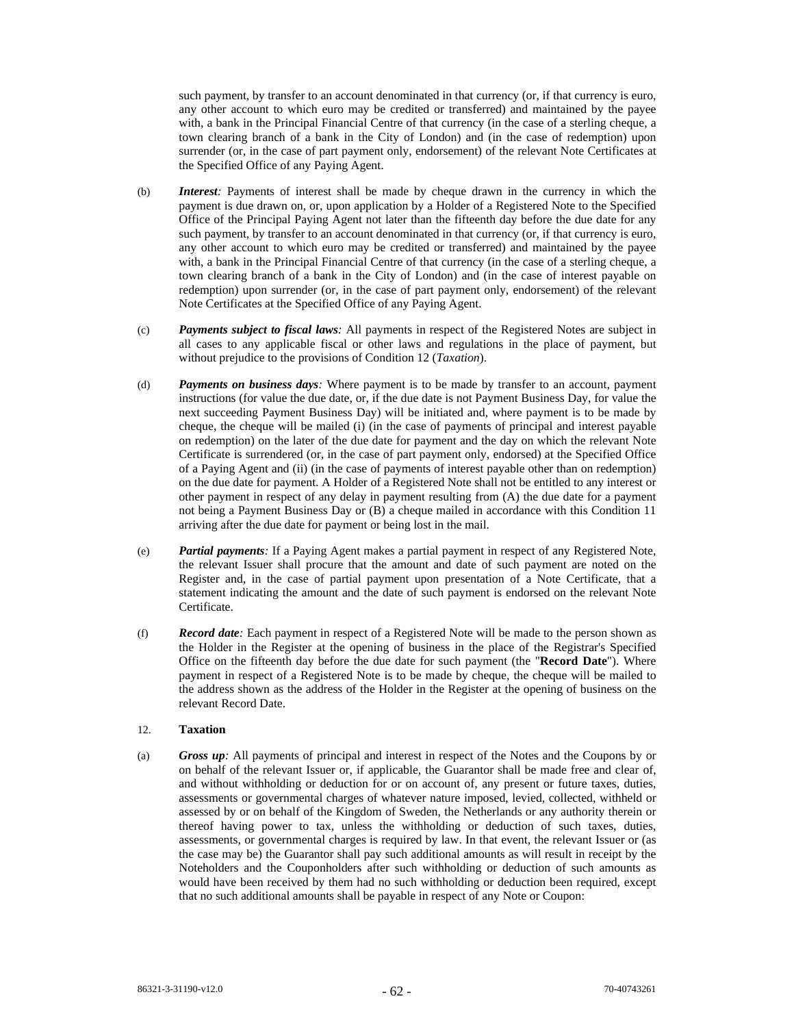such payment, by transfer to an account denominated in that currency (or, if that currency is euro, any other account to which euro may be credited or transferred) and maintained by the payee with, a bank in the Principal Financial Centre of that currency (in the case of a sterling cheque, a town clearing branch of a bank in the City of London) and (in the case of redemption) upon surrender (or, in the case of part payment only, endorsement) of the relevant Note Certificates at the Specified Office of any Paying Agent.

- (b) *Interest:* Payments of interest shall be made by cheque drawn in the currency in which the payment is due drawn on, or, upon application by a Holder of a Registered Note to the Specified Office of the Principal Paying Agent not later than the fifteenth day before the due date for any such payment, by transfer to an account denominated in that currency (or, if that currency is euro, any other account to which euro may be credited or transferred) and maintained by the payee with, a bank in the Principal Financial Centre of that currency (in the case of a sterling cheque, a town clearing branch of a bank in the City of London) and (in the case of interest payable on redemption) upon surrender (or, in the case of part payment only, endorsement) of the relevant Note Certificates at the Specified Office of any Paying Agent.
- (c) *Payments subject to fiscal laws:* All payments in respect of the Registered Notes are subject in all cases to any applicable fiscal or other laws and regulations in the place of payment, but without prejudice to the provisions of Condition 12 (*Taxation*).
- (d) *Payments on business days:* Where payment is to be made by transfer to an account, payment instructions (for value the due date, or, if the due date is not Payment Business Day, for value the next succeeding Payment Business Day) will be initiated and, where payment is to be made by cheque, the cheque will be mailed (i) (in the case of payments of principal and interest payable on redemption) on the later of the due date for payment and the day on which the relevant Note Certificate is surrendered (or, in the case of part payment only, endorsed) at the Specified Office of a Paying Agent and (ii) (in the case of payments of interest payable other than on redemption) on the due date for payment. A Holder of a Registered Note shall not be entitled to any interest or other payment in respect of any delay in payment resulting from (A) the due date for a payment not being a Payment Business Day or (B) a cheque mailed in accordance with this Condition 11 arriving after the due date for payment or being lost in the mail.
- (e) *Partial payments:* If a Paying Agent makes a partial payment in respect of any Registered Note, the relevant Issuer shall procure that the amount and date of such payment are noted on the Register and, in the case of partial payment upon presentation of a Note Certificate, that a statement indicating the amount and the date of such payment is endorsed on the relevant Note Certificate.
- (f) *Record date:* Each payment in respect of a Registered Note will be made to the person shown as the Holder in the Register at the opening of business in the place of the Registrar's Specified Office on the fifteenth day before the due date for such payment (the "**Record Date**"). Where payment in respect of a Registered Note is to be made by cheque, the cheque will be mailed to the address shown as the address of the Holder in the Register at the opening of business on the relevant Record Date.

## 12. **Taxation**

(a) *Gross up:* All payments of principal and interest in respect of the Notes and the Coupons by or on behalf of the relevant Issuer or, if applicable, the Guarantor shall be made free and clear of, and without withholding or deduction for or on account of, any present or future taxes, duties, assessments or governmental charges of whatever nature imposed, levied, collected, withheld or assessed by or on behalf of the Kingdom of Sweden, the Netherlands or any authority therein or thereof having power to tax, unless the withholding or deduction of such taxes, duties, assessments, or governmental charges is required by law. In that event, the relevant Issuer or (as the case may be) the Guarantor shall pay such additional amounts as will result in receipt by the Noteholders and the Couponholders after such withholding or deduction of such amounts as would have been received by them had no such withholding or deduction been required, except that no such additional amounts shall be payable in respect of any Note or Coupon: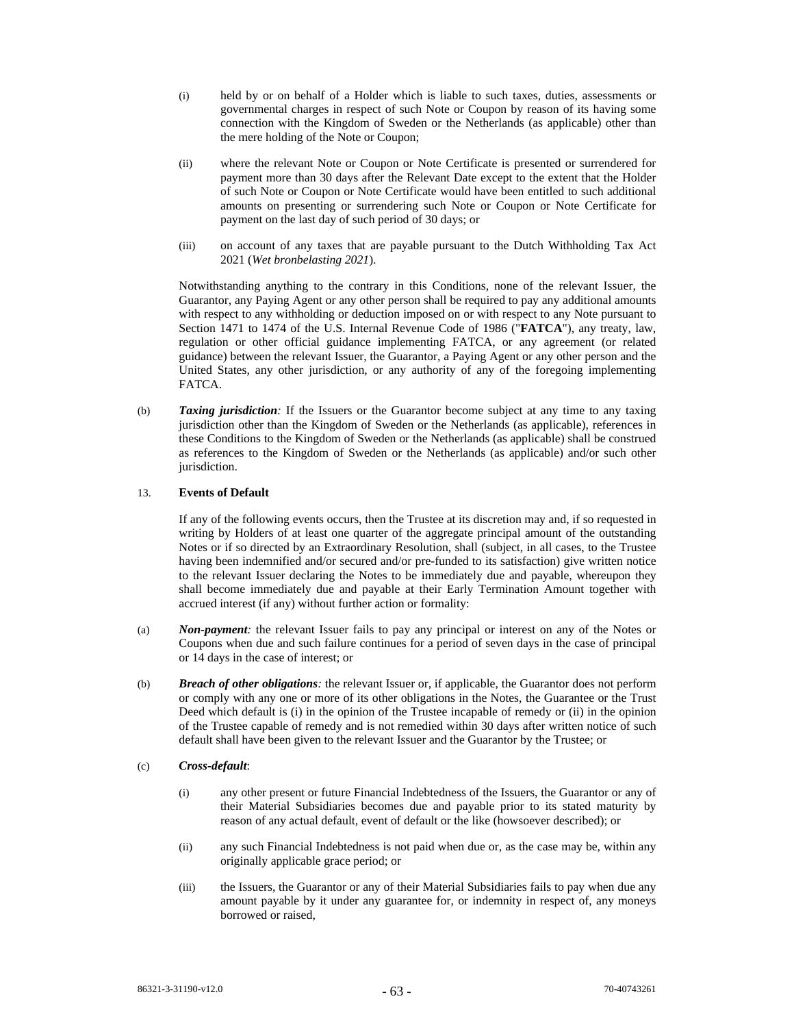- (i) held by or on behalf of a Holder which is liable to such taxes, duties, assessments or governmental charges in respect of such Note or Coupon by reason of its having some connection with the Kingdom of Sweden or the Netherlands (as applicable) other than the mere holding of the Note or Coupon;
- (ii) where the relevant Note or Coupon or Note Certificate is presented or surrendered for payment more than 30 days after the Relevant Date except to the extent that the Holder of such Note or Coupon or Note Certificate would have been entitled to such additional amounts on presenting or surrendering such Note or Coupon or Note Certificate for payment on the last day of such period of 30 days; or
- (iii) on account of any taxes that are payable pursuant to the Dutch Withholding Tax Act 2021 (*Wet bronbelasting 2021*).

Notwithstanding anything to the contrary in this Conditions, none of the relevant Issuer, the Guarantor, any Paying Agent or any other person shall be required to pay any additional amounts with respect to any withholding or deduction imposed on or with respect to any Note pursuant to Section 1471 to 1474 of the U.S. Internal Revenue Code of 1986 ("**FATCA**"), any treaty, law, regulation or other official guidance implementing FATCA, or any agreement (or related guidance) between the relevant Issuer, the Guarantor, a Paying Agent or any other person and the United States, any other jurisdiction, or any authority of any of the foregoing implementing FATCA.

(b) *Taxing jurisdiction:* If the Issuers or the Guarantor become subject at any time to any taxing jurisdiction other than the Kingdom of Sweden or the Netherlands (as applicable), references in these Conditions to the Kingdom of Sweden or the Netherlands (as applicable) shall be construed as references to the Kingdom of Sweden or the Netherlands (as applicable) and/or such other jurisdiction.

## 13. **Events of Default**

If any of the following events occurs, then the Trustee at its discretion may and, if so requested in writing by Holders of at least one quarter of the aggregate principal amount of the outstanding Notes or if so directed by an Extraordinary Resolution, shall (subject, in all cases, to the Trustee having been indemnified and/or secured and/or pre-funded to its satisfaction) give written notice to the relevant Issuer declaring the Notes to be immediately due and payable, whereupon they shall become immediately due and payable at their Early Termination Amount together with accrued interest (if any) without further action or formality:

- (a) *Non-payment:* the relevant Issuer fails to pay any principal or interest on any of the Notes or Coupons when due and such failure continues for a period of seven days in the case of principal or 14 days in the case of interest; or
- (b) *Breach of other obligations:* the relevant Issuer or, if applicable, the Guarantor does not perform or comply with any one or more of its other obligations in the Notes, the Guarantee or the Trust Deed which default is (i) in the opinion of the Trustee incapable of remedy or (ii) in the opinion of the Trustee capable of remedy and is not remedied within 30 days after written notice of such default shall have been given to the relevant Issuer and the Guarantor by the Trustee; or

### (c) *Cross-default*:

- (i) any other present or future Financial Indebtedness of the Issuers, the Guarantor or any of their Material Subsidiaries becomes due and payable prior to its stated maturity by reason of any actual default, event of default or the like (howsoever described); or
- (ii) any such Financial Indebtedness is not paid when due or, as the case may be, within any originally applicable grace period; or
- (iii) the Issuers, the Guarantor or any of their Material Subsidiaries fails to pay when due any amount payable by it under any guarantee for, or indemnity in respect of, any moneys borrowed or raised,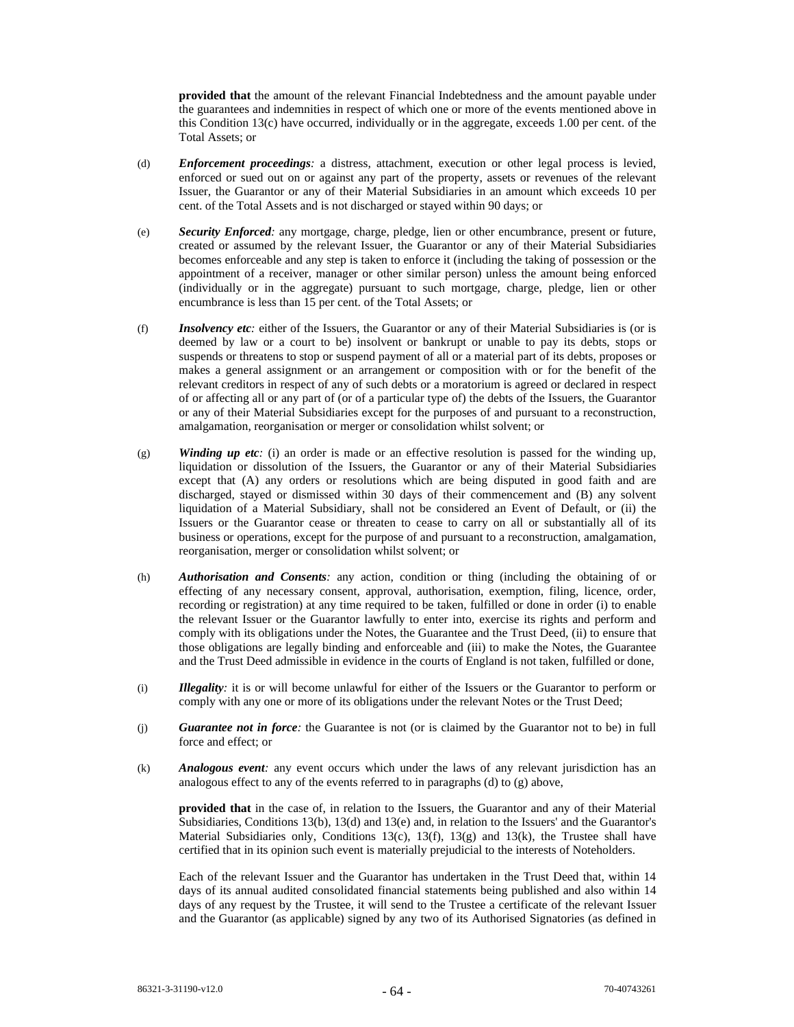**provided that** the amount of the relevant Financial Indebtedness and the amount payable under the guarantees and indemnities in respect of which one or more of the events mentioned above in this Condition 13(c) have occurred, individually or in the aggregate, exceeds 1.00 per cent. of the Total Assets; or

- (d) *Enforcement proceedings:* a distress, attachment, execution or other legal process is levied, enforced or sued out on or against any part of the property, assets or revenues of the relevant Issuer, the Guarantor or any of their Material Subsidiaries in an amount which exceeds 10 per cent. of the Total Assets and is not discharged or stayed within 90 days; or
- (e) *Security Enforced:* any mortgage, charge, pledge, lien or other encumbrance, present or future, created or assumed by the relevant Issuer, the Guarantor or any of their Material Subsidiaries becomes enforceable and any step is taken to enforce it (including the taking of possession or the appointment of a receiver, manager or other similar person) unless the amount being enforced (individually or in the aggregate) pursuant to such mortgage, charge, pledge, lien or other encumbrance is less than 15 per cent. of the Total Assets; or
- (f) *Insolvency etc:* either of the Issuers, the Guarantor or any of their Material Subsidiaries is (or is deemed by law or a court to be) insolvent or bankrupt or unable to pay its debts, stops or suspends or threatens to stop or suspend payment of all or a material part of its debts, proposes or makes a general assignment or an arrangement or composition with or for the benefit of the relevant creditors in respect of any of such debts or a moratorium is agreed or declared in respect of or affecting all or any part of (or of a particular type of) the debts of the Issuers, the Guarantor or any of their Material Subsidiaries except for the purposes of and pursuant to a reconstruction, amalgamation, reorganisation or merger or consolidation whilst solvent; or
- (g) *Winding up etc:* (i) an order is made or an effective resolution is passed for the winding up, liquidation or dissolution of the Issuers, the Guarantor or any of their Material Subsidiaries except that (A) any orders or resolutions which are being disputed in good faith and are discharged, stayed or dismissed within 30 days of their commencement and (B) any solvent liquidation of a Material Subsidiary, shall not be considered an Event of Default, or (ii) the Issuers or the Guarantor cease or threaten to cease to carry on all or substantially all of its business or operations, except for the purpose of and pursuant to a reconstruction, amalgamation, reorganisation, merger or consolidation whilst solvent; or
- (h) *Authorisation and Consents:* any action, condition or thing (including the obtaining of or effecting of any necessary consent, approval, authorisation, exemption, filing, licence, order, recording or registration) at any time required to be taken, fulfilled or done in order (i) to enable the relevant Issuer or the Guarantor lawfully to enter into, exercise its rights and perform and comply with its obligations under the Notes, the Guarantee and the Trust Deed, (ii) to ensure that those obligations are legally binding and enforceable and (iii) to make the Notes, the Guarantee and the Trust Deed admissible in evidence in the courts of England is not taken, fulfilled or done,
- (i) *Illegality:* it is or will become unlawful for either of the Issuers or the Guarantor to perform or comply with any one or more of its obligations under the relevant Notes or the Trust Deed;
- (j) *Guarantee not in force:* the Guarantee is not (or is claimed by the Guarantor not to be) in full force and effect; or
- (k) *Analogous event:* any event occurs which under the laws of any relevant jurisdiction has an analogous effect to any of the events referred to in paragraphs (d) to (g) above,

**provided that** in the case of, in relation to the Issuers, the Guarantor and any of their Material Subsidiaries, Conditions 13(b), 13(d) and 13(e) and, in relation to the Issuers' and the Guarantor's Material Subsidiaries only, Conditions 13(c), 13(f), 13(g) and 13(k), the Trustee shall have certified that in its opinion such event is materially prejudicial to the interests of Noteholders.

Each of the relevant Issuer and the Guarantor has undertaken in the Trust Deed that, within 14 days of its annual audited consolidated financial statements being published and also within 14 days of any request by the Trustee, it will send to the Trustee a certificate of the relevant Issuer and the Guarantor (as applicable) signed by any two of its Authorised Signatories (as defined in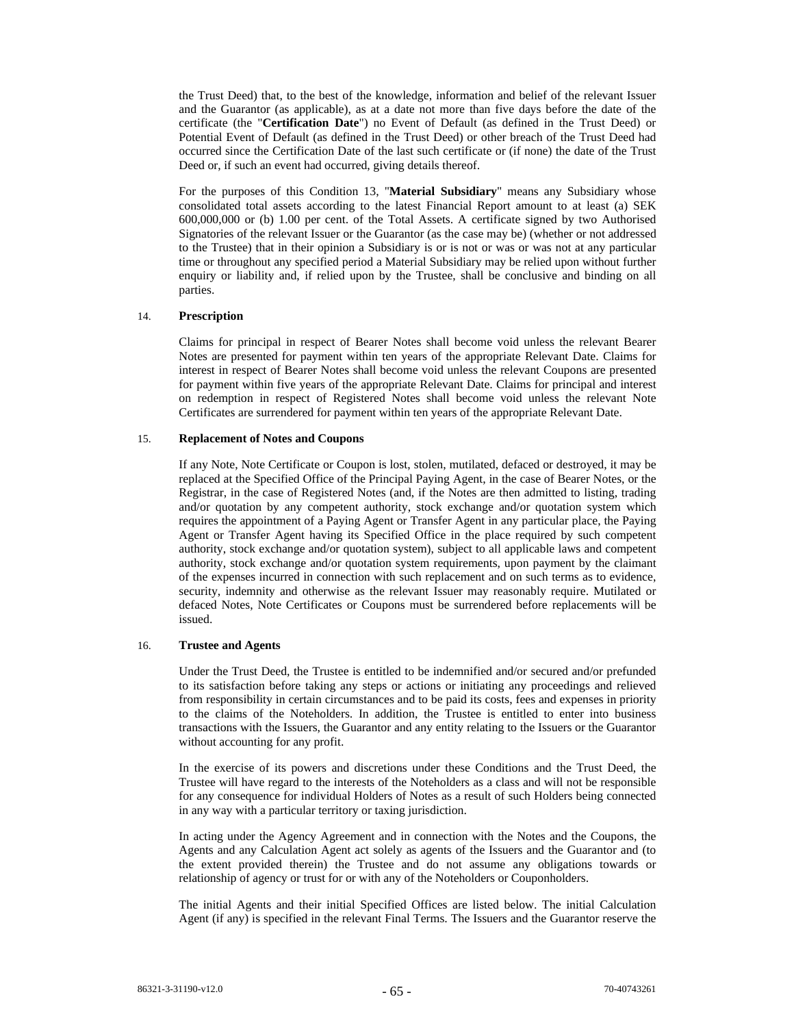the Trust Deed) that, to the best of the knowledge, information and belief of the relevant Issuer and the Guarantor (as applicable), as at a date not more than five days before the date of the certificate (the "**Certification Date**") no Event of Default (as defined in the Trust Deed) or Potential Event of Default (as defined in the Trust Deed) or other breach of the Trust Deed had occurred since the Certification Date of the last such certificate or (if none) the date of the Trust Deed or, if such an event had occurred, giving details thereof.

For the purposes of this Condition 13, "**Material Subsidiary**" means any Subsidiary whose consolidated total assets according to the latest Financial Report amount to at least (a) SEK 600,000,000 or (b) 1.00 per cent. of the Total Assets. A certificate signed by two Authorised Signatories of the relevant Issuer or the Guarantor (as the case may be) (whether or not addressed to the Trustee) that in their opinion a Subsidiary is or is not or was or was not at any particular time or throughout any specified period a Material Subsidiary may be relied upon without further enquiry or liability and, if relied upon by the Trustee, shall be conclusive and binding on all parties.

### 14. **Prescription**

Claims for principal in respect of Bearer Notes shall become void unless the relevant Bearer Notes are presented for payment within ten years of the appropriate Relevant Date. Claims for interest in respect of Bearer Notes shall become void unless the relevant Coupons are presented for payment within five years of the appropriate Relevant Date. Claims for principal and interest on redemption in respect of Registered Notes shall become void unless the relevant Note Certificates are surrendered for payment within ten years of the appropriate Relevant Date.

### 15. **Replacement of Notes and Coupons**

If any Note, Note Certificate or Coupon is lost, stolen, mutilated, defaced or destroyed, it may be replaced at the Specified Office of the Principal Paying Agent, in the case of Bearer Notes, or the Registrar, in the case of Registered Notes (and, if the Notes are then admitted to listing, trading and/or quotation by any competent authority, stock exchange and/or quotation system which requires the appointment of a Paying Agent or Transfer Agent in any particular place, the Paying Agent or Transfer Agent having its Specified Office in the place required by such competent authority, stock exchange and/or quotation system), subject to all applicable laws and competent authority, stock exchange and/or quotation system requirements, upon payment by the claimant of the expenses incurred in connection with such replacement and on such terms as to evidence, security, indemnity and otherwise as the relevant Issuer may reasonably require. Mutilated or defaced Notes, Note Certificates or Coupons must be surrendered before replacements will be issued.

### 16. **Trustee and Agents**

Under the Trust Deed, the Trustee is entitled to be indemnified and/or secured and/or prefunded to its satisfaction before taking any steps or actions or initiating any proceedings and relieved from responsibility in certain circumstances and to be paid its costs, fees and expenses in priority to the claims of the Noteholders. In addition, the Trustee is entitled to enter into business transactions with the Issuers, the Guarantor and any entity relating to the Issuers or the Guarantor without accounting for any profit.

In the exercise of its powers and discretions under these Conditions and the Trust Deed, the Trustee will have regard to the interests of the Noteholders as a class and will not be responsible for any consequence for individual Holders of Notes as a result of such Holders being connected in any way with a particular territory or taxing jurisdiction.

In acting under the Agency Agreement and in connection with the Notes and the Coupons, the Agents and any Calculation Agent act solely as agents of the Issuers and the Guarantor and (to the extent provided therein) the Trustee and do not assume any obligations towards or relationship of agency or trust for or with any of the Noteholders or Couponholders.

The initial Agents and their initial Specified Offices are listed below. The initial Calculation Agent (if any) is specified in the relevant Final Terms. The Issuers and the Guarantor reserve the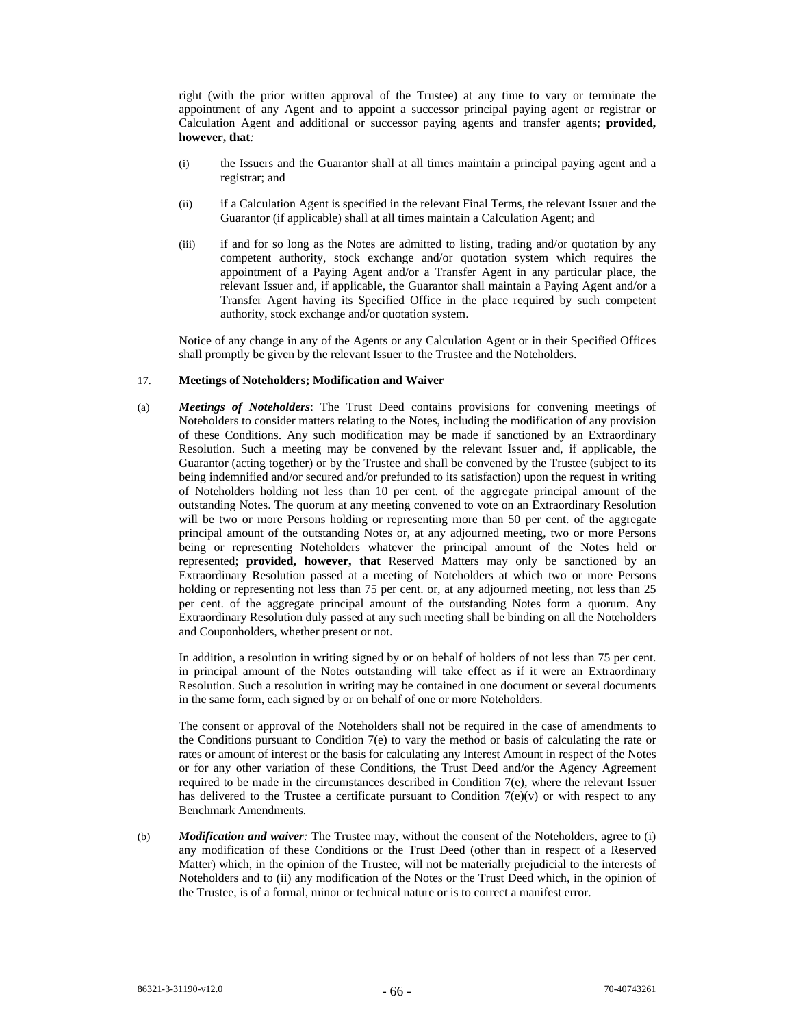right (with the prior written approval of the Trustee) at any time to vary or terminate the appointment of any Agent and to appoint a successor principal paying agent or registrar or Calculation Agent and additional or successor paying agents and transfer agents; **provided, however, that***:* 

- (i) the Issuers and the Guarantor shall at all times maintain a principal paying agent and a registrar; and
- (ii) if a Calculation Agent is specified in the relevant Final Terms, the relevant Issuer and the Guarantor (if applicable) shall at all times maintain a Calculation Agent; and
- (iii) if and for so long as the Notes are admitted to listing, trading and/or quotation by any competent authority, stock exchange and/or quotation system which requires the appointment of a Paying Agent and/or a Transfer Agent in any particular place, the relevant Issuer and, if applicable, the Guarantor shall maintain a Paying Agent and/or a Transfer Agent having its Specified Office in the place required by such competent authority, stock exchange and/or quotation system.

Notice of any change in any of the Agents or any Calculation Agent or in their Specified Offices shall promptly be given by the relevant Issuer to the Trustee and the Noteholders.

#### 17. **Meetings of Noteholders; Modification and Waiver**

(a) *Meetings of Noteholders*: The Trust Deed contains provisions for convening meetings of Noteholders to consider matters relating to the Notes, including the modification of any provision of these Conditions. Any such modification may be made if sanctioned by an Extraordinary Resolution. Such a meeting may be convened by the relevant Issuer and, if applicable, the Guarantor (acting together) or by the Trustee and shall be convened by the Trustee (subject to its being indemnified and/or secured and/or prefunded to its satisfaction) upon the request in writing of Noteholders holding not less than 10 per cent. of the aggregate principal amount of the outstanding Notes. The quorum at any meeting convened to vote on an Extraordinary Resolution will be two or more Persons holding or representing more than 50 per cent. of the aggregate principal amount of the outstanding Notes or, at any adjourned meeting, two or more Persons being or representing Noteholders whatever the principal amount of the Notes held or represented; **provided, however, that** Reserved Matters may only be sanctioned by an Extraordinary Resolution passed at a meeting of Noteholders at which two or more Persons holding or representing not less than 75 per cent. or, at any adjourned meeting, not less than 25 per cent. of the aggregate principal amount of the outstanding Notes form a quorum. Any Extraordinary Resolution duly passed at any such meeting shall be binding on all the Noteholders and Couponholders, whether present or not.

In addition, a resolution in writing signed by or on behalf of holders of not less than 75 per cent. in principal amount of the Notes outstanding will take effect as if it were an Extraordinary Resolution. Such a resolution in writing may be contained in one document or several documents in the same form, each signed by or on behalf of one or more Noteholders.

The consent or approval of the Noteholders shall not be required in the case of amendments to the Conditions pursuant to Condition 7(e) to vary the method or basis of calculating the rate or rates or amount of interest or the basis for calculating any Interest Amount in respect of the Notes or for any other variation of these Conditions, the Trust Deed and/or the Agency Agreement required to be made in the circumstances described in Condition 7(e), where the relevant Issuer has delivered to the Trustee a certificate pursuant to Condition  $7(e)(v)$  or with respect to any Benchmark Amendments.

(b) *Modification and waiver:* The Trustee may, without the consent of the Noteholders, agree to (i) any modification of these Conditions or the Trust Deed (other than in respect of a Reserved Matter) which, in the opinion of the Trustee, will not be materially prejudicial to the interests of Noteholders and to (ii) any modification of the Notes or the Trust Deed which, in the opinion of the Trustee, is of a formal, minor or technical nature or is to correct a manifest error.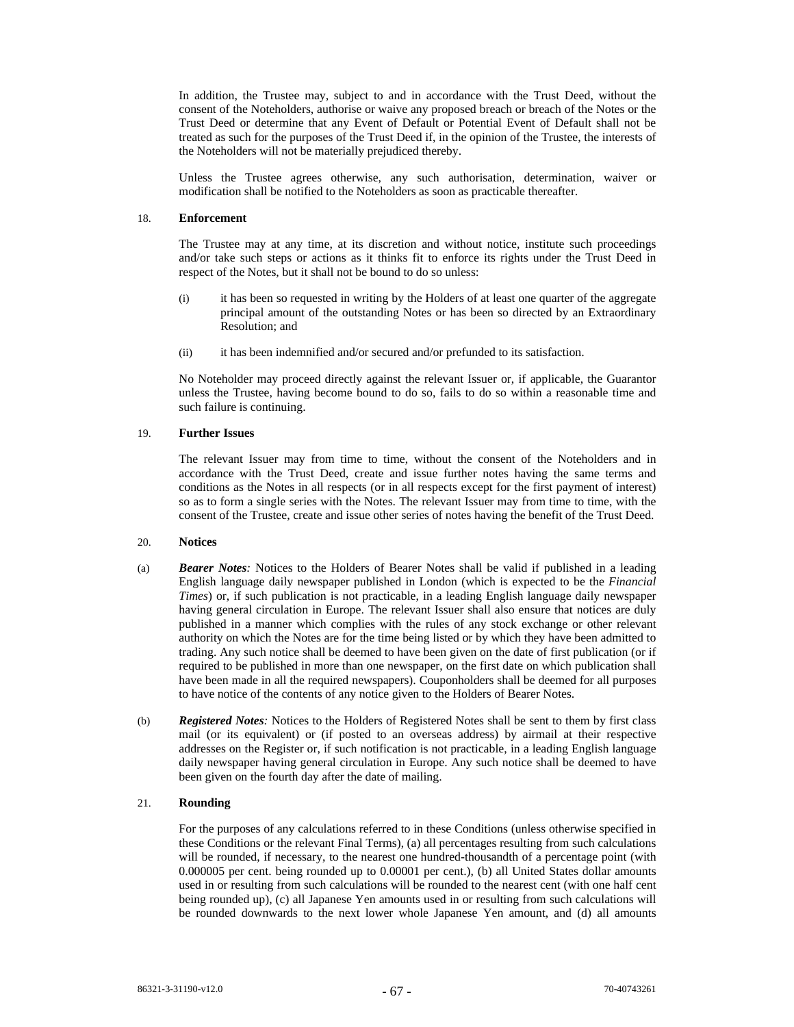In addition, the Trustee may, subject to and in accordance with the Trust Deed, without the consent of the Noteholders, authorise or waive any proposed breach or breach of the Notes or the Trust Deed or determine that any Event of Default or Potential Event of Default shall not be treated as such for the purposes of the Trust Deed if, in the opinion of the Trustee, the interests of the Noteholders will not be materially prejudiced thereby.

Unless the Trustee agrees otherwise, any such authorisation, determination, waiver or modification shall be notified to the Noteholders as soon as practicable thereafter.

#### 18. **Enforcement**

The Trustee may at any time, at its discretion and without notice, institute such proceedings and/or take such steps or actions as it thinks fit to enforce its rights under the Trust Deed in respect of the Notes, but it shall not be bound to do so unless:

- (i) it has been so requested in writing by the Holders of at least one quarter of the aggregate principal amount of the outstanding Notes or has been so directed by an Extraordinary Resolution; and
- (ii) it has been indemnified and/or secured and/or prefunded to its satisfaction.

No Noteholder may proceed directly against the relevant Issuer or, if applicable, the Guarantor unless the Trustee, having become bound to do so, fails to do so within a reasonable time and such failure is continuing.

#### 19. **Further Issues**

The relevant Issuer may from time to time, without the consent of the Noteholders and in accordance with the Trust Deed, create and issue further notes having the same terms and conditions as the Notes in all respects (or in all respects except for the first payment of interest) so as to form a single series with the Notes. The relevant Issuer may from time to time, with the consent of the Trustee, create and issue other series of notes having the benefit of the Trust Deed.

#### 20. **Notices**

- (a) *Bearer Notes:* Notices to the Holders of Bearer Notes shall be valid if published in a leading English language daily newspaper published in London (which is expected to be the *Financial Times*) or, if such publication is not practicable, in a leading English language daily newspaper having general circulation in Europe. The relevant Issuer shall also ensure that notices are duly published in a manner which complies with the rules of any stock exchange or other relevant authority on which the Notes are for the time being listed or by which they have been admitted to trading. Any such notice shall be deemed to have been given on the date of first publication (or if required to be published in more than one newspaper, on the first date on which publication shall have been made in all the required newspapers). Couponholders shall be deemed for all purposes to have notice of the contents of any notice given to the Holders of Bearer Notes.
- (b) *Registered Notes:* Notices to the Holders of Registered Notes shall be sent to them by first class mail (or its equivalent) or (if posted to an overseas address) by airmail at their respective addresses on the Register or, if such notification is not practicable, in a leading English language daily newspaper having general circulation in Europe. Any such notice shall be deemed to have been given on the fourth day after the date of mailing.

# 21. **Rounding**

For the purposes of any calculations referred to in these Conditions (unless otherwise specified in these Conditions or the relevant Final Terms), (a) all percentages resulting from such calculations will be rounded, if necessary, to the nearest one hundred-thousandth of a percentage point (with 0.000005 per cent. being rounded up to 0.00001 per cent.), (b) all United States dollar amounts used in or resulting from such calculations will be rounded to the nearest cent (with one half cent being rounded up), (c) all Japanese Yen amounts used in or resulting from such calculations will be rounded downwards to the next lower whole Japanese Yen amount, and (d) all amounts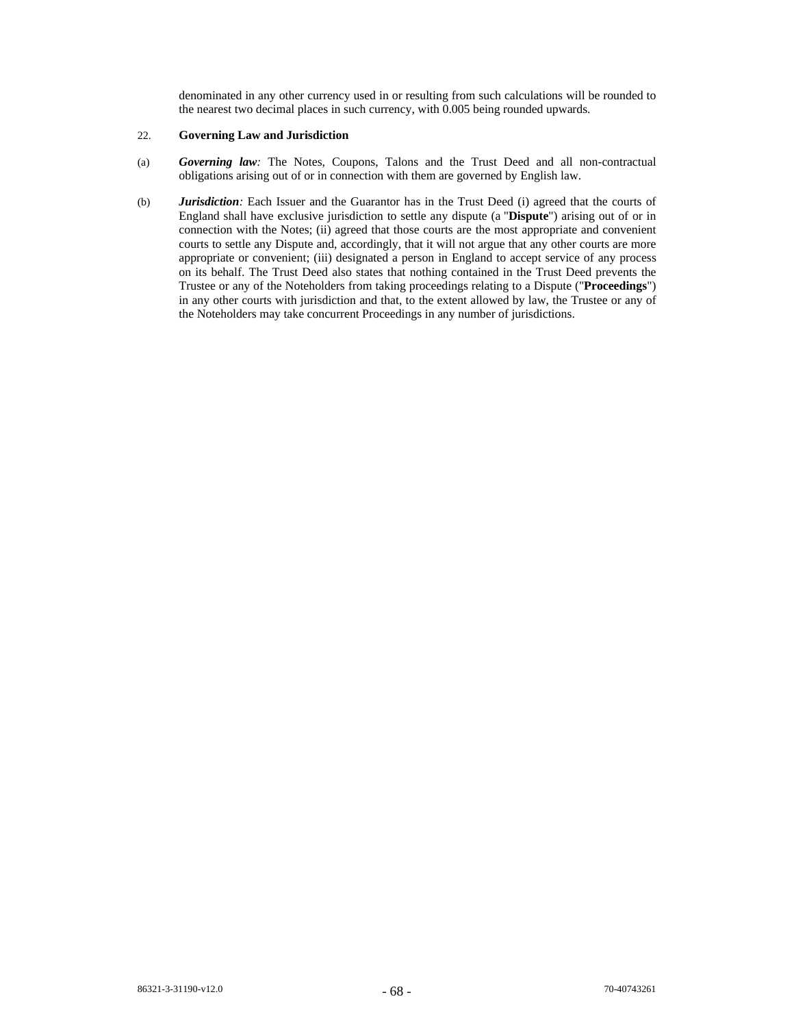denominated in any other currency used in or resulting from such calculations will be rounded to the nearest two decimal places in such currency, with 0.005 being rounded upwards.

# 22. **Governing Law and Jurisdiction**

- (a) *Governing law:* The Notes, Coupons, Talons and the Trust Deed and all non-contractual obligations arising out of or in connection with them are governed by English law.
- (b) *Jurisdiction:* Each Issuer and the Guarantor has in the Trust Deed (i) agreed that the courts of England shall have exclusive jurisdiction to settle any dispute (a "**Dispute**") arising out of or in connection with the Notes; (ii) agreed that those courts are the most appropriate and convenient courts to settle any Dispute and, accordingly, that it will not argue that any other courts are more appropriate or convenient; (iii) designated a person in England to accept service of any process on its behalf. The Trust Deed also states that nothing contained in the Trust Deed prevents the Trustee or any of the Noteholders from taking proceedings relating to a Dispute ("**Proceedings**") in any other courts with jurisdiction and that, to the extent allowed by law, the Trustee or any of the Noteholders may take concurrent Proceedings in any number of jurisdictions.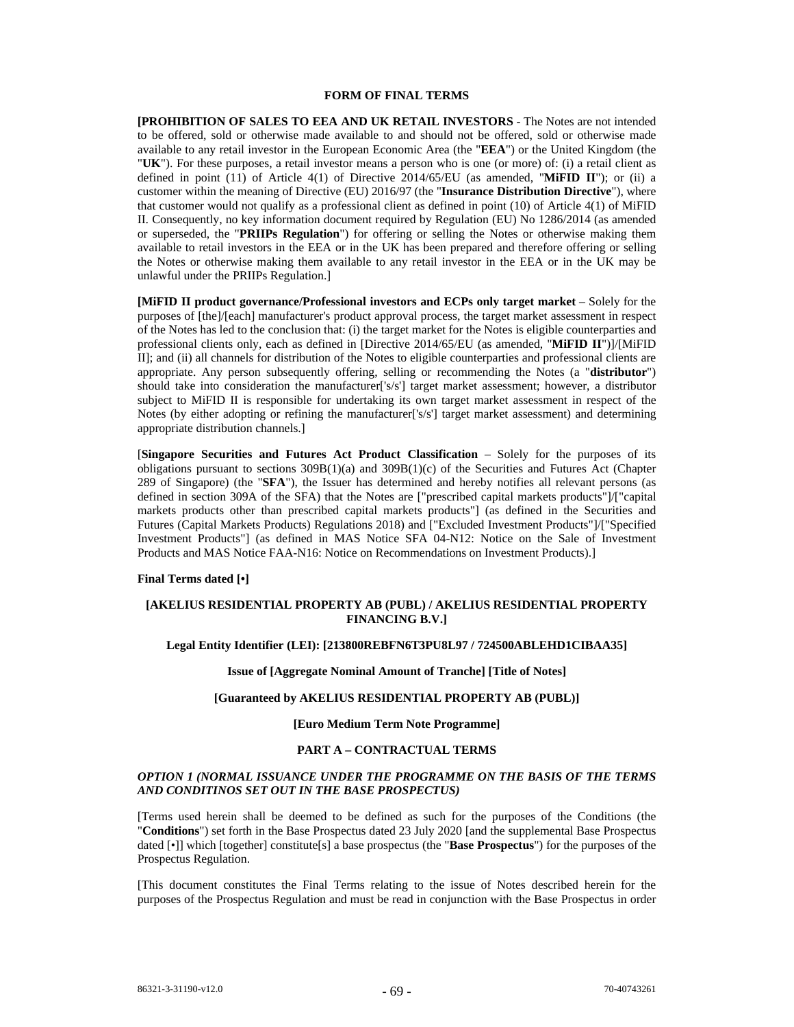### **FORM OF FINAL TERMS**

**[PROHIBITION OF SALES TO EEA AND UK RETAIL INVESTORS** - The Notes are not intended to be offered, sold or otherwise made available to and should not be offered, sold or otherwise made available to any retail investor in the European Economic Area (the "**EEA**") or the United Kingdom (the "**UK**"). For these purposes, a retail investor means a person who is one (or more) of: (i) a retail client as defined in point (11) of Article 4(1) of Directive 2014/65/EU (as amended, "**MiFID II**"); or (ii) a customer within the meaning of Directive (EU) 2016/97 (the "**Insurance Distribution Directive**"), where that customer would not qualify as a professional client as defined in point (10) of Article 4(1) of MiFID II. Consequently, no key information document required by Regulation (EU) No 1286/2014 (as amended or superseded, the "**PRIIPs Regulation**") for offering or selling the Notes or otherwise making them available to retail investors in the EEA or in the UK has been prepared and therefore offering or selling the Notes or otherwise making them available to any retail investor in the EEA or in the UK may be unlawful under the PRIIPs Regulation.]

**[MiFID II product governance/Professional investors and ECPs only target market** – Solely for the purposes of [the]/[each] manufacturer's product approval process, the target market assessment in respect of the Notes has led to the conclusion that: (i) the target market for the Notes is eligible counterparties and professional clients only, each as defined in [Directive 2014/65/EU (as amended, "**MiFID II**")]/[MiFID II]; and (ii) all channels for distribution of the Notes to eligible counterparties and professional clients are appropriate. Any person subsequently offering, selling or recommending the Notes (a "**distributor**") should take into consideration the manufacturer['s/s'] target market assessment; however, a distributor subject to MiFID II is responsible for undertaking its own target market assessment in respect of the Notes (by either adopting or refining the manufacturer['s/s'] target market assessment) and determining appropriate distribution channels.]

[**Singapore Securities and Futures Act Product Classification** – Solely for the purposes of its obligations pursuant to sections  $309B(1)(a)$  and  $309B(1)(c)$  of the Securities and Futures Act (Chapter 289 of Singapore) (the "**SFA**"), the Issuer has determined and hereby notifies all relevant persons (as defined in section 309A of the SFA) that the Notes are ["prescribed capital markets products"]/["capital markets products other than prescribed capital markets products"] (as defined in the Securities and Futures (Capital Markets Products) Regulations 2018) and ["Excluded Investment Products"]/["Specified Investment Products"] (as defined in MAS Notice SFA 04-N12: Notice on the Sale of Investment Products and MAS Notice FAA-N16: Notice on Recommendations on Investment Products).]

#### **Final Terms dated [•]**

# **[AKELIUS RESIDENTIAL PROPERTY AB (PUBL) / AKELIUS RESIDENTIAL PROPERTY FINANCING B.V.]**

# **Legal Entity Identifier (LEI): [213800REBFN6T3PU8L97 / 724500ABLEHD1CIBAA35]**

# **Issue of [Aggregate Nominal Amount of Tranche] [Title of Notes]**

# **[Guaranteed by AKELIUS RESIDENTIAL PROPERTY AB (PUBL)]**

#### **[Euro Medium Term Note Programme]**

# **PART A – CONTRACTUAL TERMS**

# *OPTION 1 (NORMAL ISSUANCE UNDER THE PROGRAMME ON THE BASIS OF THE TERMS AND CONDITINOS SET OUT IN THE BASE PROSPECTUS)*

[Terms used herein shall be deemed to be defined as such for the purposes of the Conditions (the "**Conditions**") set forth in the Base Prospectus dated 23 July 2020 [and the supplemental Base Prospectus dated [•]] which [together] constitute[s] a base prospectus (the "**Base Prospectus**") for the purposes of the Prospectus Regulation.

[This document constitutes the Final Terms relating to the issue of Notes described herein for the purposes of the Prospectus Regulation and must be read in conjunction with the Base Prospectus in order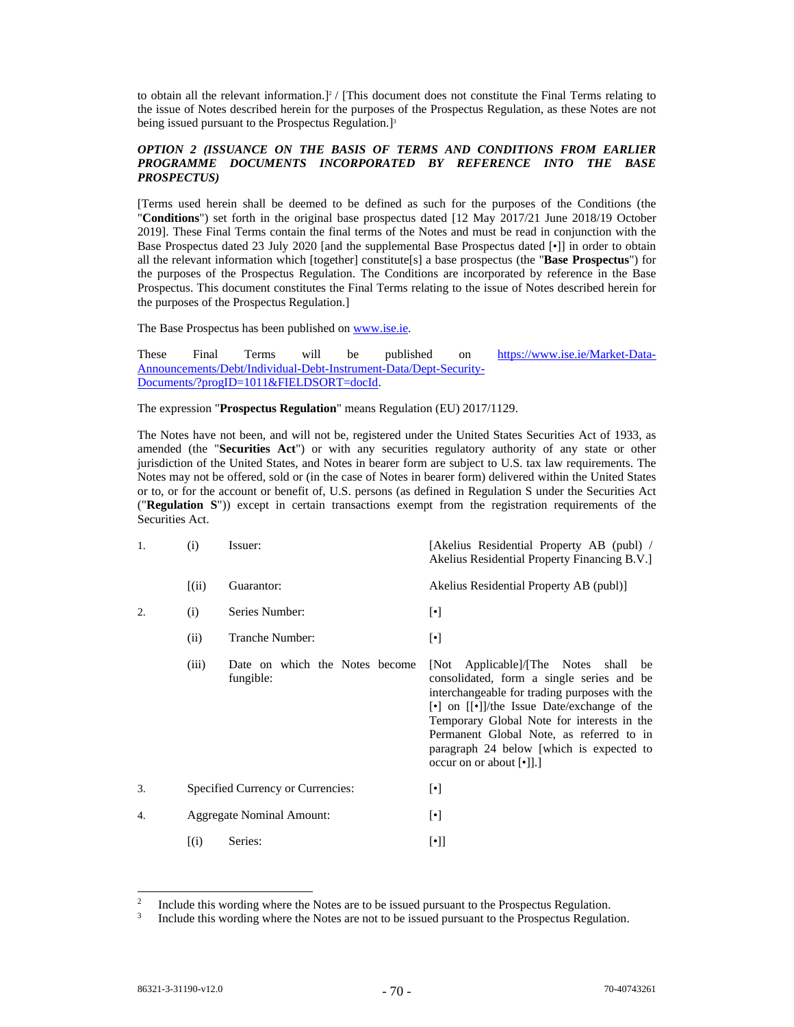to obtain all the relevant information.]<sup>2</sup> / [This document does not constitute the Final Terms relating to the issue of Notes described herein for the purposes of the Prospectus Regulation, as these Notes are not being issued pursuant to the Prospectus Regulation.<sup>[3]</sup>

# *OPTION 2 (ISSUANCE ON THE BASIS OF TERMS AND CONDITIONS FROM EARLIER PROGRAMME DOCUMENTS INCORPORATED BY REFERENCE INTO THE BASE PROSPECTUS)*

[Terms used herein shall be deemed to be defined as such for the purposes of the Conditions (the "**Conditions**") set forth in the original base prospectus dated [12 May 2017/21 June 2018/19 October 2019]. These Final Terms contain the final terms of the Notes and must be read in conjunction with the Base Prospectus dated 23 July 2020 [and the supplemental Base Prospectus dated [*•*]] in order to obtain all the relevant information which [together] constitute[s] a base prospectus (the "**Base Prospectus**") for the purposes of the Prospectus Regulation. The Conditions are incorporated by reference in the Base Prospectus. This document constitutes the Final Terms relating to the issue of Notes described herein for the purposes of the Prospectus Regulation.]

The Base Prospectus has been published on www.ise.ie.

These Final Terms will be published on https://www.ise.ie/Market-Data-Announcements/Debt/Individual-Debt-Instrument-Data/Dept-Security-Documents/?progID=1011&FIELDSORT=docId.

The expression "**Prospectus Regulation**" means Regulation (EU) 2017/1129.

The Notes have not been, and will not be, registered under the United States Securities Act of 1933, as amended (the "**Securities Act**") or with any securities regulatory authority of any state or other jurisdiction of the United States, and Notes in bearer form are subject to U.S. tax law requirements. The Notes may not be offered, sold or (in the case of Notes in bearer form) delivered within the United States or to, or for the account or benefit of, U.S. persons (as defined in Regulation S under the Securities Act ("**Regulation S**")) except in certain transactions exempt from the registration requirements of the Securities Act.

| 1. | (i)   | Issuer:                                     | [Akelius Residential Property AB (publ) /<br>Akelius Residential Property Financing B.V.                                                                                                                                                                                                                                                                                                                  |  |  |
|----|-------|---------------------------------------------|-----------------------------------------------------------------------------------------------------------------------------------------------------------------------------------------------------------------------------------------------------------------------------------------------------------------------------------------------------------------------------------------------------------|--|--|
|    | (iii) | Guarantor:                                  | Akelius Residential Property AB (publ)]                                                                                                                                                                                                                                                                                                                                                                   |  |  |
| 2. | (i)   | Series Number:                              | $[\cdot]$                                                                                                                                                                                                                                                                                                                                                                                                 |  |  |
|    | (ii)  | Tranche Number:                             | $[\cdot]$                                                                                                                                                                                                                                                                                                                                                                                                 |  |  |
|    | (iii) | Date on which the Notes become<br>fungible: | Applicable)/The Notes shall be<br>[Not<br>consolidated, form a single series and be<br>interchangeable for trading purposes with the<br>$\lceil \cdot \rceil$ on $\lceil \cdot \rceil$ /the Issue Date/exchange of the<br>Temporary Global Note for interests in the<br>Permanent Global Note, as referred to in<br>paragraph 24 below [which is expected to<br>occur on or about $\lceil \cdot \rceil$ . |  |  |
| 3. |       | Specified Currency or Currencies:           | $[\cdot]$                                                                                                                                                                                                                                                                                                                                                                                                 |  |  |
| 4. |       | <b>Aggregate Nominal Amount:</b>            | $[\cdot]$                                                                                                                                                                                                                                                                                                                                                                                                 |  |  |
|    | (i)   | Series:                                     | $[\cdot]$                                                                                                                                                                                                                                                                                                                                                                                                 |  |  |

<sup>2</sup> Include this wording where the Notes are to be issued pursuant to the Prospectus Regulation.

<sup>3</sup> Include this wording where the Notes are not to be issued pursuant to the Prospectus Regulation.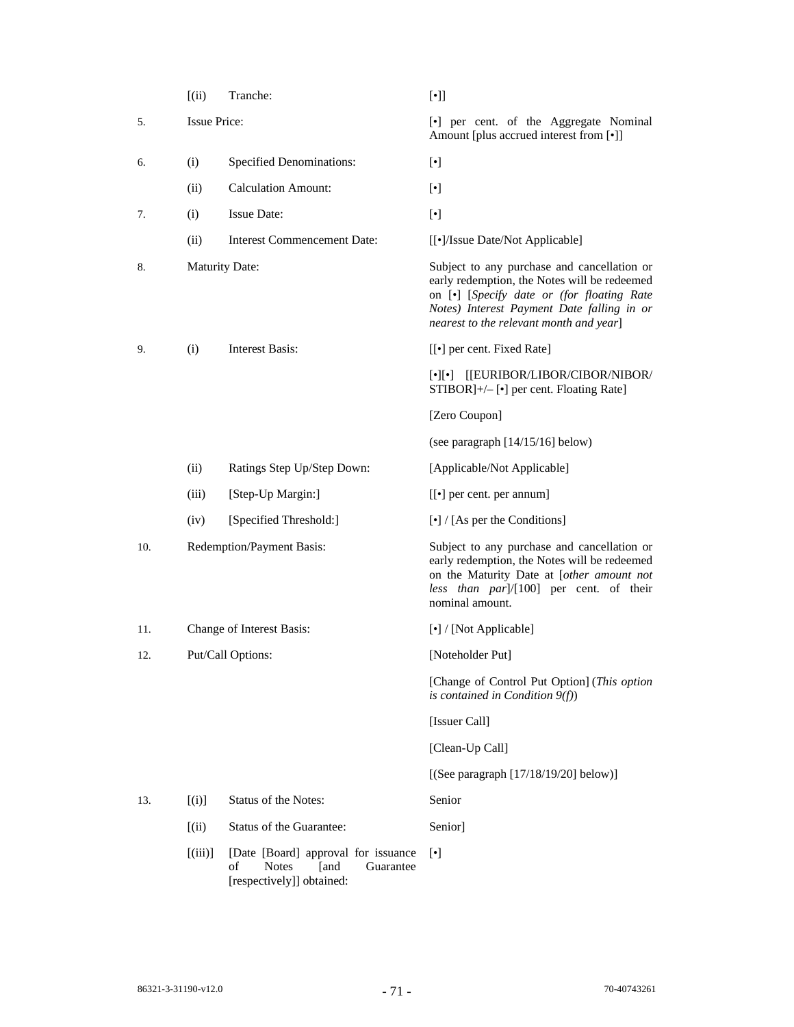|     | (iii)                 | Tranche:                                                                                                    | $[\cdot] ]$                                                                                                                                                                                                                        |  |  |  |  |
|-----|-----------------------|-------------------------------------------------------------------------------------------------------------|------------------------------------------------------------------------------------------------------------------------------------------------------------------------------------------------------------------------------------|--|--|--|--|
| 5.  | <b>Issue Price:</b>   |                                                                                                             | [•] per cent. of the Aggregate Nominal<br>Amount [plus accrued interest from [•]]                                                                                                                                                  |  |  |  |  |
| 6.  | (i)                   | <b>Specified Denominations:</b>                                                                             | $[\cdot]$                                                                                                                                                                                                                          |  |  |  |  |
|     | (ii)                  | <b>Calculation Amount:</b>                                                                                  | $[\cdot]$                                                                                                                                                                                                                          |  |  |  |  |
| 7.  | (i)                   | <b>Issue Date:</b>                                                                                          | $[\cdot]$                                                                                                                                                                                                                          |  |  |  |  |
|     | (ii)                  | <b>Interest Commencement Date:</b>                                                                          | [[•]/Issue Date/Not Applicable]                                                                                                                                                                                                    |  |  |  |  |
| 8.  | <b>Maturity Date:</b> |                                                                                                             | Subject to any purchase and cancellation or<br>early redemption, the Notes will be redeemed<br>on [•] [Specify date or (for floating Rate<br>Notes) Interest Payment Date falling in or<br>nearest to the relevant month and year] |  |  |  |  |
| 9.  | (i)                   | Interest Basis:                                                                                             | [[ $\bullet$ ] per cent. Fixed Rate]                                                                                                                                                                                               |  |  |  |  |
|     |                       |                                                                                                             | $\lceil \cdot \rceil \lceil \cdot \rceil$ [[EURIBOR/LIBOR/CIBOR/NIBOR/<br>STIBOR]+/- [•] per cent. Floating Rate]                                                                                                                  |  |  |  |  |
|     |                       |                                                                                                             | [Zero Coupon]                                                                                                                                                                                                                      |  |  |  |  |
|     |                       |                                                                                                             | (see paragraph $[14/15/16]$ below)                                                                                                                                                                                                 |  |  |  |  |
|     | (ii)                  | Ratings Step Up/Step Down:                                                                                  | [Applicable/Not Applicable]                                                                                                                                                                                                        |  |  |  |  |
|     | (iii)                 | [Step-Up Margin:]                                                                                           | [[ $\bullet$ ] per cent. per annum]                                                                                                                                                                                                |  |  |  |  |
|     | (iv)                  | [Specified Threshold:]                                                                                      | $\left[\bullet\right]$ / [As per the Conditions]                                                                                                                                                                                   |  |  |  |  |
| 10. |                       | Redemption/Payment Basis:                                                                                   | Subject to any purchase and cancellation or<br>early redemption, the Notes will be redeemed<br>on the Maturity Date at [other amount not<br>less than par]/[100] per cent. of their<br>nominal amount.                             |  |  |  |  |
| 11. |                       | Change of Interest Basis:                                                                                   | [•] / [Not Applicable]                                                                                                                                                                                                             |  |  |  |  |
| 12. |                       | Put/Call Options:                                                                                           | [Noteholder Put]                                                                                                                                                                                                                   |  |  |  |  |
|     |                       |                                                                                                             | [Change of Control Put Option] (This option<br>is contained in Condition $9(f)$ )                                                                                                                                                  |  |  |  |  |
|     |                       |                                                                                                             | [Issuer Call]                                                                                                                                                                                                                      |  |  |  |  |
|     |                       |                                                                                                             | [Clean-Up Call]                                                                                                                                                                                                                    |  |  |  |  |
|     |                       |                                                                                                             | [(See paragraph $[17/18/19/20]$ below)]                                                                                                                                                                                            |  |  |  |  |
| 13. | [(i)]                 | Status of the Notes:                                                                                        | Senior                                                                                                                                                                                                                             |  |  |  |  |
|     | (iii)                 | Status of the Guarantee:                                                                                    | Senior]                                                                                                                                                                                                                            |  |  |  |  |
|     | [(iii)]               | [Date [Board] approval for issuance<br>οf<br><b>Notes</b><br>[and<br>Guarantee<br>[respectively]] obtained: | $[\cdot]$                                                                                                                                                                                                                          |  |  |  |  |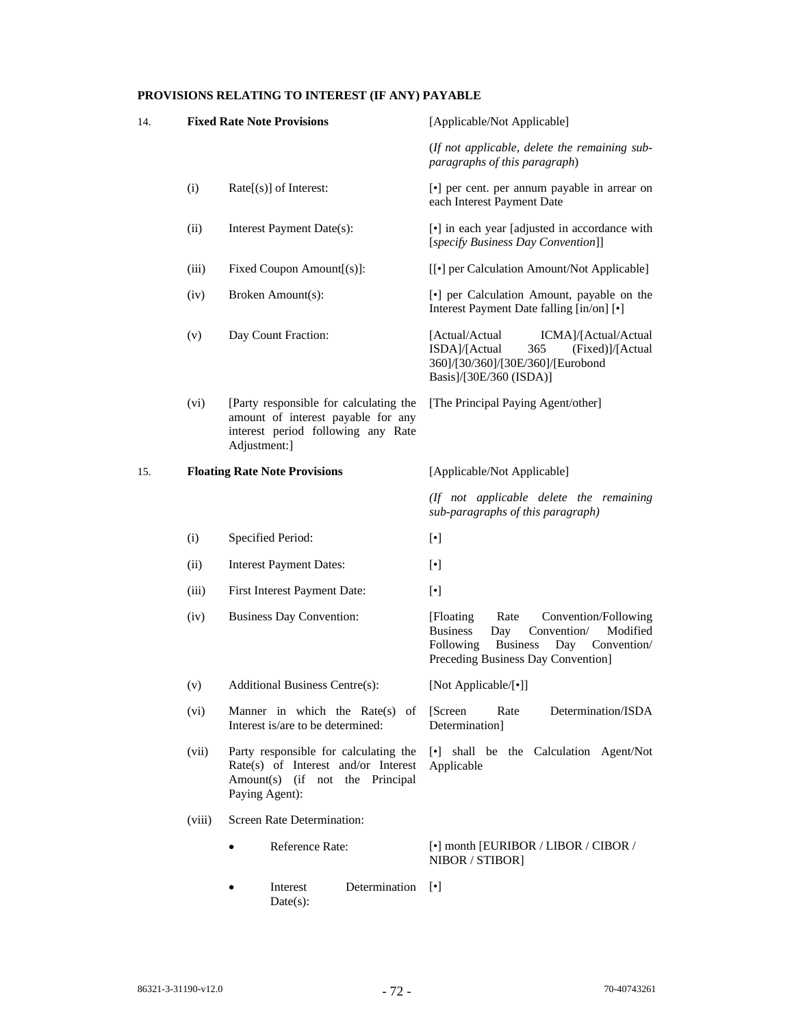# **PROVISIONS RELATING TO INTEREST (IF ANY) PAYABLE**

| 14. |        | <b>Fixed Rate Note Provisions</b>                                                                                                  | [Applicable/Not Applicable]                                                                                                                                                              |  |  |  |
|-----|--------|------------------------------------------------------------------------------------------------------------------------------------|------------------------------------------------------------------------------------------------------------------------------------------------------------------------------------------|--|--|--|
|     |        |                                                                                                                                    | (If not applicable, delete the remaining sub-<br>paragraphs of this paragraph)                                                                                                           |  |  |  |
|     | (i)    | $Rate[s]$ of Interest:                                                                                                             | [•] per cent. per annum payable in arrear on<br>each Interest Payment Date                                                                                                               |  |  |  |
|     | (ii)   | Interest Payment Date(s):                                                                                                          | [•] in each year [adjusted in accordance with<br>[specify Business Day Convention]]                                                                                                      |  |  |  |
|     | (iii)  | Fixed Coupon Amount[(s)]:                                                                                                          | [[ $\bullet$ ] per Calculation Amount/Not Applicable]                                                                                                                                    |  |  |  |
|     | (iv)   | Broken Amount(s):                                                                                                                  | [•] per Calculation Amount, payable on the<br>Interest Payment Date falling [in/on] [ $\bullet$ ]                                                                                        |  |  |  |
|     | (v)    | Day Count Fraction:                                                                                                                | [Actual/Actual<br>ICMA]/[Actual/Actual<br>ISDA]/[Actual<br>365<br>(Fixed)]/[Actual<br>360]/[30/360]/[30E/360]/[Eurobond<br>Basis]/[30E/360 (ISDA)]                                       |  |  |  |
|     | (vi)   | [Party responsible for calculating the<br>amount of interest payable for any<br>interest period following any Rate<br>Adjustment:] | [The Principal Paying Agent/other]                                                                                                                                                       |  |  |  |
| 15. |        | <b>Floating Rate Note Provisions</b>                                                                                               | [Applicable/Not Applicable]                                                                                                                                                              |  |  |  |
|     |        |                                                                                                                                    | (If not applicable delete the remaining<br>sub-paragraphs of this paragraph)                                                                                                             |  |  |  |
|     | (i)    | Specified Period:                                                                                                                  | $[\cdot]$                                                                                                                                                                                |  |  |  |
|     | (ii)   | <b>Interest Payment Dates:</b>                                                                                                     | $[\cdot]$                                                                                                                                                                                |  |  |  |
|     | (iii)  | First Interest Payment Date:                                                                                                       | $[\cdot]$                                                                                                                                                                                |  |  |  |
|     | (iv)   | <b>Business Day Convention:</b>                                                                                                    | [Floating]<br>Rate<br>Convention/Following<br><b>Business</b><br>Day<br>Convention/<br>Modified<br><b>Business</b><br>Following<br>Day Convention/<br>Preceding Business Day Convention] |  |  |  |
|     | (v)    | Additional Business Centre(s):                                                                                                     | [Not Applicable/[•]]                                                                                                                                                                     |  |  |  |
|     | (vi)   | Manner in which the Rate $(s)$ of<br>Interest is/are to be determined:                                                             | Determination/ISDA<br>[Screen]<br>Rate<br>Determination]                                                                                                                                 |  |  |  |
|     | (vii)  | Party responsible for calculating the<br>Rate(s) of Interest and/or Interest<br>Amount(s) (if not the Principal<br>Paying Agent):  | [•] shall be the Calculation Agent/Not<br>Applicable                                                                                                                                     |  |  |  |
|     | (viii) | Screen Rate Determination:                                                                                                         |                                                                                                                                                                                          |  |  |  |
|     |        | Reference Rate:                                                                                                                    | $\lbrack \bullet \rbrack$ month [EURIBOR / LIBOR / CIBOR /<br>NIBOR / STIBOR]                                                                                                            |  |  |  |
|     |        | Interest<br>Determination<br>Date(s):                                                                                              | $[\cdot]$                                                                                                                                                                                |  |  |  |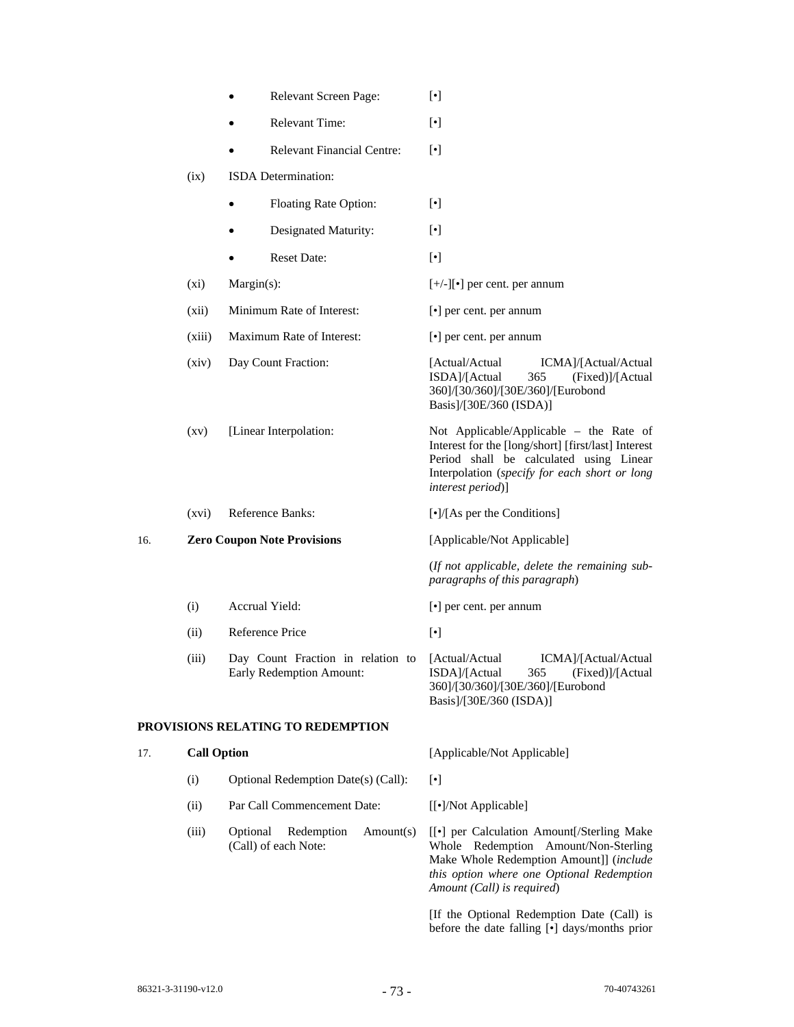|     |                    | Relevant Screen Page:                                         | $[\cdot]$                                                                                                                                                                                                                                                                                                                                                                                                                                                                                                                                                                                                                                                                                                                                                 |  |  |
|-----|--------------------|---------------------------------------------------------------|-----------------------------------------------------------------------------------------------------------------------------------------------------------------------------------------------------------------------------------------------------------------------------------------------------------------------------------------------------------------------------------------------------------------------------------------------------------------------------------------------------------------------------------------------------------------------------------------------------------------------------------------------------------------------------------------------------------------------------------------------------------|--|--|
|     |                    | Relevant Time:                                                | $[\cdot]$                                                                                                                                                                                                                                                                                                                                                                                                                                                                                                                                                                                                                                                                                                                                                 |  |  |
|     |                    | <b>Relevant Financial Centre:</b>                             | $[\cdot]$                                                                                                                                                                                                                                                                                                                                                                                                                                                                                                                                                                                                                                                                                                                                                 |  |  |
|     | (ix)               | ISDA Determination:                                           |                                                                                                                                                                                                                                                                                                                                                                                                                                                                                                                                                                                                                                                                                                                                                           |  |  |
|     |                    | Floating Rate Option:<br>$\bullet$                            | $[\bullet] % \centering \includegraphics[width=0.9\columnwidth]{figures/fig_10.pdf} \caption{The graph $\mathcal{N}_1$ is a function of the number of times, and the number of times, and the number of times, and the number of times, are indicated by the number of times, and the number of times, are indicated by the number of times, and the number of times, are indicated by the number of times, and the number of times, are indicated by the number of times, and the number of times, are indicated by the number of times, and the number of times, are indicated by the number of times, and the number of times, are indicated by the number of times, and the number of times, are indicated by the number of times.} \label{fig:time}$ |  |  |
|     |                    | Designated Maturity:                                          | $[\cdot]$                                                                                                                                                                                                                                                                                                                                                                                                                                                                                                                                                                                                                                                                                                                                                 |  |  |
|     |                    | <b>Reset Date:</b>                                            | $[\bullet] % \centering \includegraphics[width=0.9\columnwidth]{figures/fig_10.pdf} \caption{The graph $\mathcal{N}_1$ is a function of the number of times, and the number of times, and the number of times, and the number of times, are indicated by the number of times, and the number of times, are indicated by the number of times, and the number of times, are indicated by the number of times, and the number of times, are indicated by the number of times, and the number of times, are indicated by the number of times, and the number of times, are indicated by the number of times, and the number of times, are indicated by the number of times, and the number of times, are indicated by the number of times.} \label{fig:3}$    |  |  |
|     | (xi)               | Margin(s):                                                    | $[+/$ -][ $\bullet$ ] per cent. per annum                                                                                                                                                                                                                                                                                                                                                                                                                                                                                                                                                                                                                                                                                                                 |  |  |
|     | (xii)              | Minimum Rate of Interest:                                     | $\left[\bullet\right]$ per cent. per annum                                                                                                                                                                                                                                                                                                                                                                                                                                                                                                                                                                                                                                                                                                                |  |  |
|     | (xiii)             | Maximum Rate of Interest:                                     | $[\cdot]$ per cent. per annum                                                                                                                                                                                                                                                                                                                                                                                                                                                                                                                                                                                                                                                                                                                             |  |  |
|     | (xiv)              | Day Count Fraction:                                           | [Actual/Actual<br>ICMA]/[Actual/Actual<br>ISDA]/[Actual<br>365<br>(Fixed)]/[Actual<br>360]/[30/360]/[30E/360]/[Eurobond<br>Basis]/[30E/360 (ISDA)]                                                                                                                                                                                                                                                                                                                                                                                                                                                                                                                                                                                                        |  |  |
|     | $\left( xy\right)$ | [Linear Interpolation:                                        | Not Applicable/Applicable - the Rate of<br>Interest for the [long/short] [first/last] Interest<br>Period shall be calculated using Linear<br>Interpolation (specify for each short or long<br>interest period)]                                                                                                                                                                                                                                                                                                                                                                                                                                                                                                                                           |  |  |
|     | (xvi)              | Reference Banks:                                              | [•]/[As per the Conditions]                                                                                                                                                                                                                                                                                                                                                                                                                                                                                                                                                                                                                                                                                                                               |  |  |
| 16. |                    | <b>Zero Coupon Note Provisions</b>                            | [Applicable/Not Applicable]                                                                                                                                                                                                                                                                                                                                                                                                                                                                                                                                                                                                                                                                                                                               |  |  |
|     |                    |                                                               | (If not applicable, delete the remaining sub-<br>paragraphs of this paragraph)                                                                                                                                                                                                                                                                                                                                                                                                                                                                                                                                                                                                                                                                            |  |  |
|     | (i)                | Accrual Yield:                                                | [•] per cent. per annum                                                                                                                                                                                                                                                                                                                                                                                                                                                                                                                                                                                                                                                                                                                                   |  |  |
|     | (ii)               | Reference Price                                               | $[\cdot]$                                                                                                                                                                                                                                                                                                                                                                                                                                                                                                                                                                                                                                                                                                                                                 |  |  |
|     | (iii)              | Day Count Fraction in relation to<br>Early Redemption Amount: | ICMA]/[Actual/Actual<br>[Actual/Actual<br>ISDA]/[Actual<br>(Fixed)]/[Actual<br>365<br>360]/[30/360]/[30E/360]/[Eurobond<br>Basis]/[30E/360 (ISDA)]                                                                                                                                                                                                                                                                                                                                                                                                                                                                                                                                                                                                        |  |  |
|     |                    | PROVISIONS RELATING TO REDEMPTION                             |                                                                                                                                                                                                                                                                                                                                                                                                                                                                                                                                                                                                                                                                                                                                                           |  |  |
| 17. | <b>Call Option</b> |                                                               | [Applicable/Not Applicable]                                                                                                                                                                                                                                                                                                                                                                                                                                                                                                                                                                                                                                                                                                                               |  |  |
|     | (i)                | Optional Redemption Date(s) (Call):                           | $[\cdot]$                                                                                                                                                                                                                                                                                                                                                                                                                                                                                                                                                                                                                                                                                                                                                 |  |  |
|     | (ii)               | Par Call Commencement Date:                                   | [[•]/Not Applicable]                                                                                                                                                                                                                                                                                                                                                                                                                                                                                                                                                                                                                                                                                                                                      |  |  |
|     | (iii)              | Optional<br>Redemption<br>Amount(s)<br>(Call) of each Note:   | [[•] per Calculation Amount[/Sterling Make<br>Redemption Amount/Non-Sterling<br>Whole<br>Make Whole Redemption Amount]] (include<br>this option where one Optional Redemption<br>Amount (Call) is required)                                                                                                                                                                                                                                                                                                                                                                                                                                                                                                                                               |  |  |
|     |                    |                                                               | [If the Optional Redemption Date (Call) is                                                                                                                                                                                                                                                                                                                                                                                                                                                                                                                                                                                                                                                                                                                |  |  |

before the date falling [•] days/months prior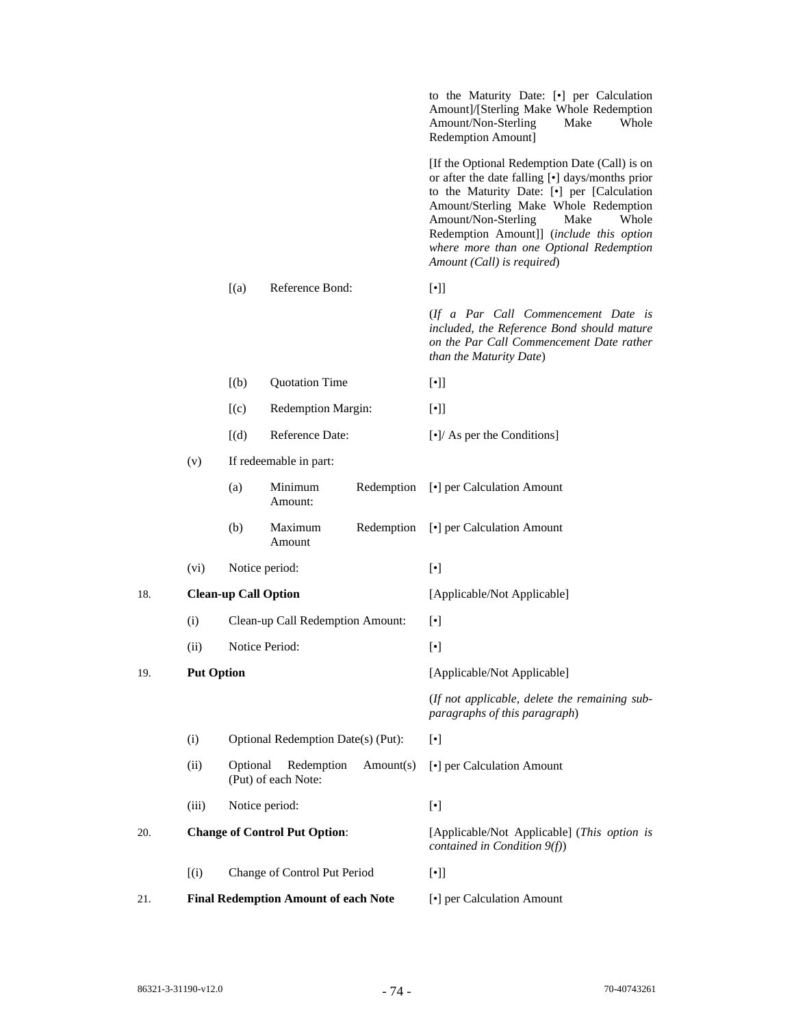|     |                                                         |                                                            |                                      |                                                  | to the Maturity Date: [.] per Calculation<br>Amount]/[Sterling Make Whole Redemption<br>Amount/Non-Sterling<br>Make<br>Whole<br>Redemption Amount]                                                                                                                                                                                                                                                                                                                                                                                                                                                                                                                                                                                                                                                                                                                                                                                                     |  |  |
|-----|---------------------------------------------------------|------------------------------------------------------------|--------------------------------------|--------------------------------------------------|--------------------------------------------------------------------------------------------------------------------------------------------------------------------------------------------------------------------------------------------------------------------------------------------------------------------------------------------------------------------------------------------------------------------------------------------------------------------------------------------------------------------------------------------------------------------------------------------------------------------------------------------------------------------------------------------------------------------------------------------------------------------------------------------------------------------------------------------------------------------------------------------------------------------------------------------------------|--|--|
|     |                                                         |                                                            |                                      |                                                  | [If the Optional Redemption Date (Call) is on<br>or after the date falling [•] days/months prior<br>to the Maturity Date: [.] per [Calculation<br>Amount/Sterling Make Whole Redemption<br>Amount/Non-Sterling<br>Make<br>Whole<br>Redemption Amount]] (include this option<br>where more than one Optional Redemption<br>Amount (Call) is required)                                                                                                                                                                                                                                                                                                                                                                                                                                                                                                                                                                                                   |  |  |
|     |                                                         | [(a)]                                                      | Reference Bond:                      |                                                  | $[\cdot]$                                                                                                                                                                                                                                                                                                                                                                                                                                                                                                                                                                                                                                                                                                                                                                                                                                                                                                                                              |  |  |
|     |                                                         |                                                            |                                      |                                                  | (If a Par Call Commencement Date is<br>included, the Reference Bond should mature<br>on the Par Call Commencement Date rather<br>than the Maturity Date)                                                                                                                                                                                                                                                                                                                                                                                                                                                                                                                                                                                                                                                                                                                                                                                               |  |  |
|     |                                                         | [(b)]                                                      | <b>Quotation Time</b>                |                                                  | $[\cdot]$                                                                                                                                                                                                                                                                                                                                                                                                                                                                                                                                                                                                                                                                                                                                                                                                                                                                                                                                              |  |  |
|     | Redemption Margin:<br>[(c)]<br>[(d)]<br>Reference Date: |                                                            |                                      | $[\cdot]$                                        |                                                                                                                                                                                                                                                                                                                                                                                                                                                                                                                                                                                                                                                                                                                                                                                                                                                                                                                                                        |  |  |
|     |                                                         |                                                            |                                      | $\lbrack \bullet \rbrack$ As per the Conditions] |                                                                                                                                                                                                                                                                                                                                                                                                                                                                                                                                                                                                                                                                                                                                                                                                                                                                                                                                                        |  |  |
|     | (v)<br>If redeemable in part:                           |                                                            |                                      |                                                  |                                                                                                                                                                                                                                                                                                                                                                                                                                                                                                                                                                                                                                                                                                                                                                                                                                                                                                                                                        |  |  |
|     |                                                         | (a)                                                        | Minimum<br>Amount:                   | Redemption                                       | [•] per Calculation Amount                                                                                                                                                                                                                                                                                                                                                                                                                                                                                                                                                                                                                                                                                                                                                                                                                                                                                                                             |  |  |
|     |                                                         | (b)                                                        | Maximum<br>Amount                    | Redemption                                       | [•] per Calculation Amount                                                                                                                                                                                                                                                                                                                                                                                                                                                                                                                                                                                                                                                                                                                                                                                                                                                                                                                             |  |  |
|     | (vi)                                                    |                                                            | Notice period:                       |                                                  | $[\bullet] % \centering \includegraphics[width=0.9\columnwidth]{figures/fig_10.pdf} \caption{The graph $\mathcal{N}_1$ is a function of the number of times, and the number of times, and the number of times, and the number of times, are indicated by the number of times, and the number of times, are indicated by the number of times, and the number of times, are indicated by the number of times, and the number of times, are indicated by the number of times, and the number of times, are indicated by the number of times, and the number of times, are indicated by the number of times, and the number of times, are indicated by the number of times, and the number of times, are indicated by the number of times, and the number of times, are indicated by the number of times, and the number of times, are indicated by the number of times, and the number of times, are indicated by the number of times, and the number of$ |  |  |
| 18. |                                                         | <b>Clean-up Call Option</b>                                |                                      |                                                  | [Applicable/Not Applicable]                                                                                                                                                                                                                                                                                                                                                                                                                                                                                                                                                                                                                                                                                                                                                                                                                                                                                                                            |  |  |
|     | (i)                                                     |                                                            | Clean-up Call Redemption Amount:     |                                                  | $[\cdot]$                                                                                                                                                                                                                                                                                                                                                                                                                                                                                                                                                                                                                                                                                                                                                                                                                                                                                                                                              |  |  |
|     | (ii)                                                    |                                                            | Notice Period:                       |                                                  | $[\cdot]$                                                                                                                                                                                                                                                                                                                                                                                                                                                                                                                                                                                                                                                                                                                                                                                                                                                                                                                                              |  |  |
| 19. | <b>Put Option</b>                                       |                                                            |                                      |                                                  | [Applicable/Not Applicable]                                                                                                                                                                                                                                                                                                                                                                                                                                                                                                                                                                                                                                                                                                                                                                                                                                                                                                                            |  |  |
|     |                                                         |                                                            |                                      |                                                  | (If not applicable, delete the remaining sub-<br>paragraphs of this paragraph)                                                                                                                                                                                                                                                                                                                                                                                                                                                                                                                                                                                                                                                                                                                                                                                                                                                                         |  |  |
|     | (i)                                                     |                                                            | Optional Redemption Date(s) (Put):   |                                                  | $[\cdot]$                                                                                                                                                                                                                                                                                                                                                                                                                                                                                                                                                                                                                                                                                                                                                                                                                                                                                                                                              |  |  |
|     | (ii)                                                    | Optional<br>Redemption<br>Amount(s)<br>(Put) of each Note: |                                      |                                                  | [•] per Calculation Amount                                                                                                                                                                                                                                                                                                                                                                                                                                                                                                                                                                                                                                                                                                                                                                                                                                                                                                                             |  |  |
|     | (iii)                                                   |                                                            | Notice period:                       |                                                  | $[\cdot]$                                                                                                                                                                                                                                                                                                                                                                                                                                                                                                                                                                                                                                                                                                                                                                                                                                                                                                                                              |  |  |
| 20. |                                                         |                                                            | <b>Change of Control Put Option:</b> |                                                  | [Applicable/Not Applicable] (This option is<br>contained in Condition $9(f)$ )                                                                                                                                                                                                                                                                                                                                                                                                                                                                                                                                                                                                                                                                                                                                                                                                                                                                         |  |  |
|     | (i)                                                     |                                                            | Change of Control Put Period         |                                                  | $[\cdot]$                                                                                                                                                                                                                                                                                                                                                                                                                                                                                                                                                                                                                                                                                                                                                                                                                                                                                                                                              |  |  |
| 21. |                                                         | <b>Final Redemption Amount of each Note</b>                |                                      |                                                  | [•] per Calculation Amount                                                                                                                                                                                                                                                                                                                                                                                                                                                                                                                                                                                                                                                                                                                                                                                                                                                                                                                             |  |  |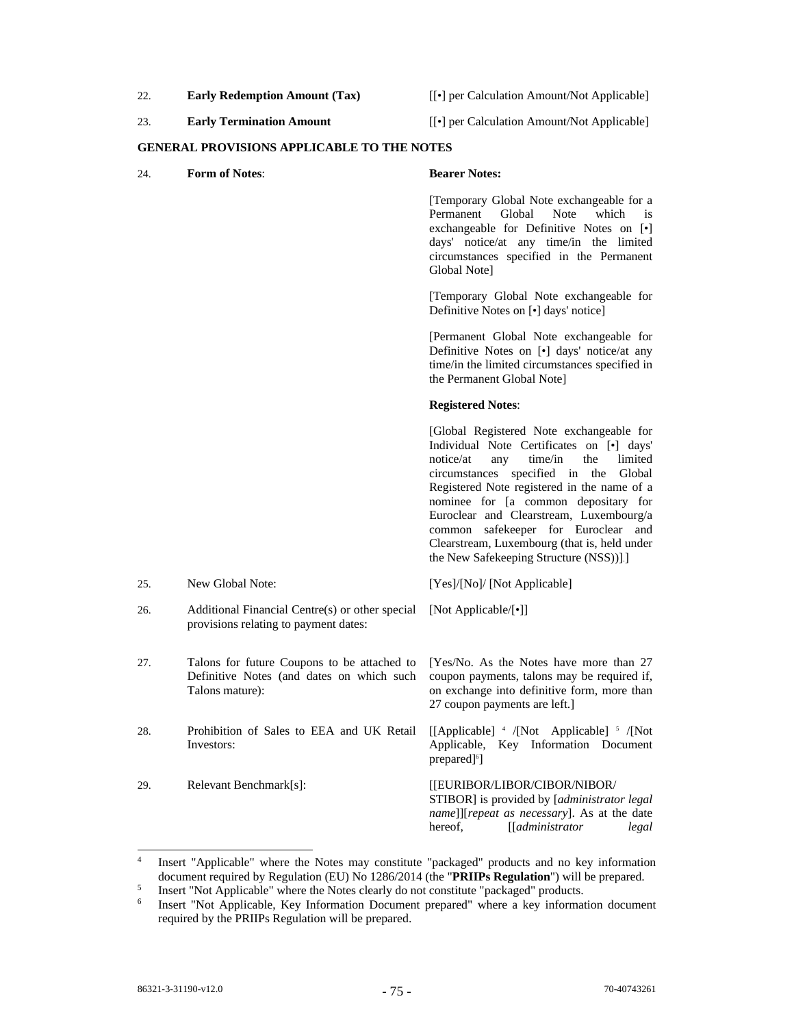- 22. **Early Redemption Amount (Tax)** [[•] per Calculation Amount/Not Applicable]
	-
- 
- 23. **Early Termination Amount** [[•] per Calculation Amount/Not Applicable]

### **GENERAL PROVISIONS APPLICABLE TO THE NOTES**

24. **Form of Notes**: **Bearer Notes:** 

 [Temporary Global Note exchangeable for a Permanent Global exchangeable for Definitive Notes on [•] days' notice/at any time/in the limited circumstances specified in the Permanent Global Note]

 [Temporary Global Note exchangeable for Definitive Notes on [•] days' notice]

 [Permanent Global Note exchangeable for Definitive Notes on [•] days' notice/at any time/in the limited circumstances specified in the Permanent Global Note]

# **Registered Notes**:

 [Global Registered Note exchangeable for Individual Note Certificates on [•] days' notice/at any time/in the limited circumstances specified in the Global Registered Note registered in the name of a nominee for [a common depositary for Euroclear and Clearstream, Luxembourg/a common safekeeper for Euroclear and Clearstream, Luxembourg (that is, held under the New Safekeeping Structure (NSS))].]

| 25. | New Global Note:                                                                                              | [Yes]/[No]/ [Not Applicable]                                                                                                                                                                      |
|-----|---------------------------------------------------------------------------------------------------------------|---------------------------------------------------------------------------------------------------------------------------------------------------------------------------------------------------|
| 26. | Additional Financial Centre(s) or other special [Not Applicable/[•]]<br>provisions relating to payment dates: |                                                                                                                                                                                                   |
| 27. | Talons for future Coupons to be attached to<br>Definitive Notes (and dates on which such<br>Talons mature):   | [Yes/No. As the Notes have more than 27<br>coupon payments, talons may be required if,<br>on exchange into definitive form, more than<br>27 coupon payments are left.                             |
| 28. | Prohibition of Sales to EEA and UK Retail<br>Investors:                                                       | [[Applicable] 4 /[Not Applicable] 5 /[Not<br>Applicable, Key Information Document<br>prepared <sup>[6]</sup>                                                                                      |
| 29. | Relevant Benchmark[s]:                                                                                        | [[EURIBOR/LIBOR/CIBOR/NIBOR/<br>STIBOR] is provided by <i>[administrator legal</i><br><i>name</i> ]][ <i>repeat as necessary</i> ]. As at the date<br>$[$ [ $administrator$ ]<br>hereof.<br>legal |

<sup>4</sup> Insert "Applicable" where the Notes may constitute "packaged" products and no key information document required by Regulation (EU) No 1286/2014 (the "**PRIIPs Regulation**") will be prepared.

Insert "Not Applicable" where the Notes clearly do not constitute "packaged" products.

<sup>6</sup> Insert "Not Applicable, Key Information Document prepared" where a key information document required by the PRIIPs Regulation will be prepared.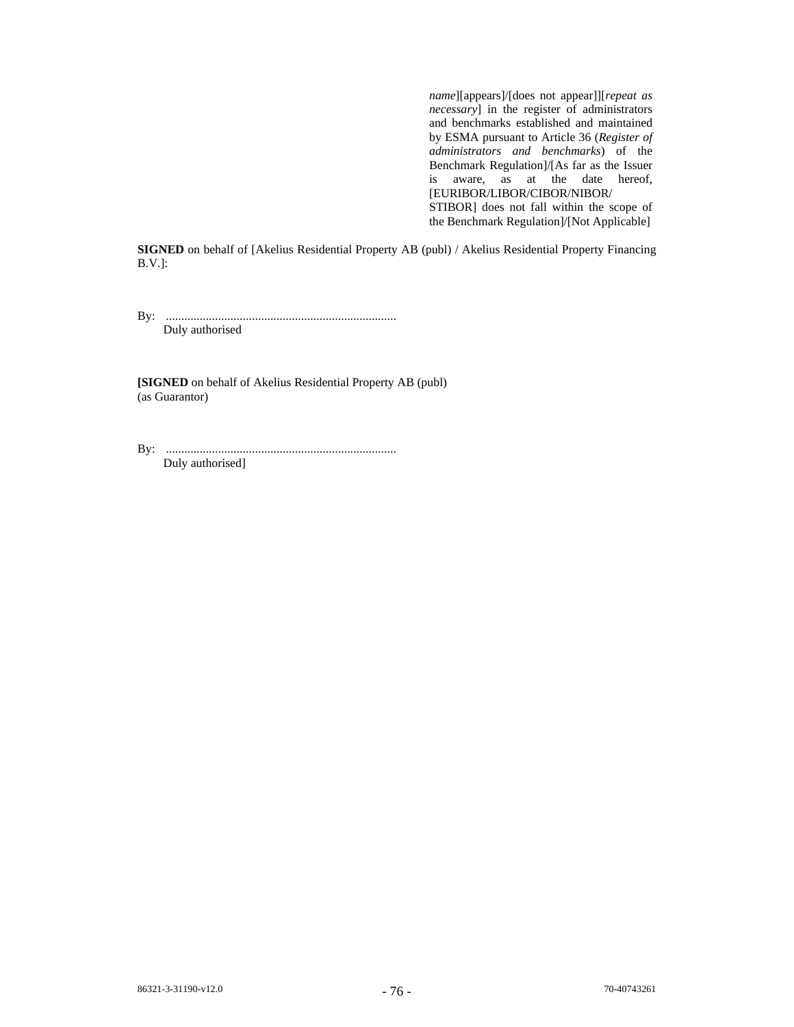*name*][appears]/[does not appear]][*repeat as necessary*] in the register of administrators and benchmarks established and maintained by ESMA pursuant to Article 36 (*Register of administrators and benchmarks*) of the Benchmark Regulation]/[As far as the Issuer is aware, as at the date hereof, [EURIBOR/LIBOR/CIBOR/NIBOR/ STIBOR] does not fall within the scope of the Benchmark Regulation]/[Not Applicable]

**SIGNED** on behalf of [Akelius Residential Property AB (publ) / Akelius Residential Property Financing B.V.]:

By: ........................................................................... Duly authorised

**[SIGNED** on behalf of Akelius Residential Property AB (publ) (as Guarantor)

By: ...........................................................................

Duly authorised]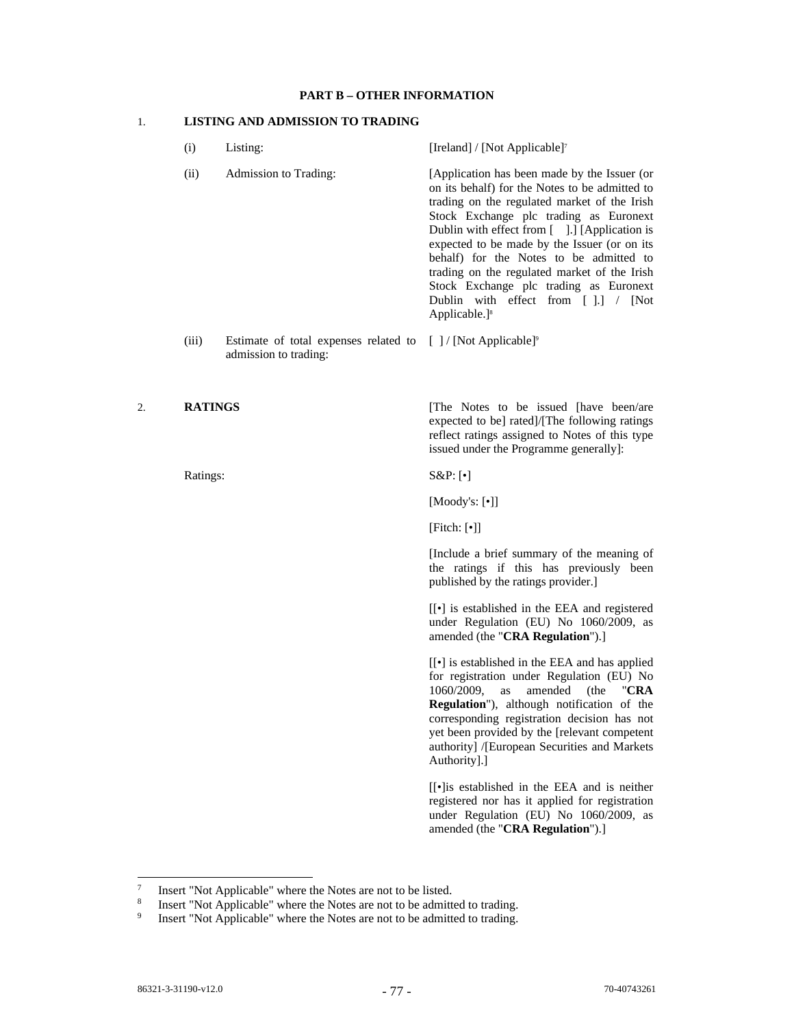## **PART B – OTHER INFORMATION**

# 1. **LISTING AND ADMISSION TO TRADING**

- (i) Listing: [Ireland] / [Not Applicable]<sup>7</sup> (ii) Admission to Trading: [Application has been made by the Issuer (or on its behalf) for the Notes to be admitted to trading on the regulated market of the Irish Stock Exchange plc trading as Euronext Dublin with effect from [ ].] [Application is expected to be made by the Issuer (or on its behalf) for the Notes to be admitted to trading on the regulated market of the Irish Stock Exchange plc trading as Euronext Dublin with effect from [ ].] / [Not Applicable.]8
- (iii) Estimate of total expenses related to  $[$  ] / [Not Applicable]<sup>9</sup> admission to trading:

Ratings: S&P: [•]

2. **RATINGS [The Notes to be issued [have been/are** expected to be] rated]/[The following ratings reflect ratings assigned to Notes of this type issued under the Programme generally]:

[Moody's: [•]]

[Fitch: [•]]

[Include a brief summary of the meaning of the ratings if this has previously been published by the ratings provider.]

[[•] is established in the EEA and registered under Regulation (EU) No 1060/2009, as amended (the "**CRA Regulation**").]

[[•] is established in the EEA and has applied for registration under Regulation (EU) No 1060/2009, as amended (the "**CRA Regulation**"), although notification of the corresponding registration decision has not yet been provided by the [relevant competent authority] /[European Securities and Markets Authority].]

[[•]is established in the EEA and is neither registered nor has it applied for registration under Regulation (EU) No 1060/2009, as amended (the "**CRA Regulation**").]

<sup>7</sup> Insert "Not Applicable" where the Notes are not to be listed.

<sup>8</sup> Insert "Not Applicable" where the Notes are not to be admitted to trading.

<sup>9</sup> Insert "Not Applicable" where the Notes are not to be admitted to trading.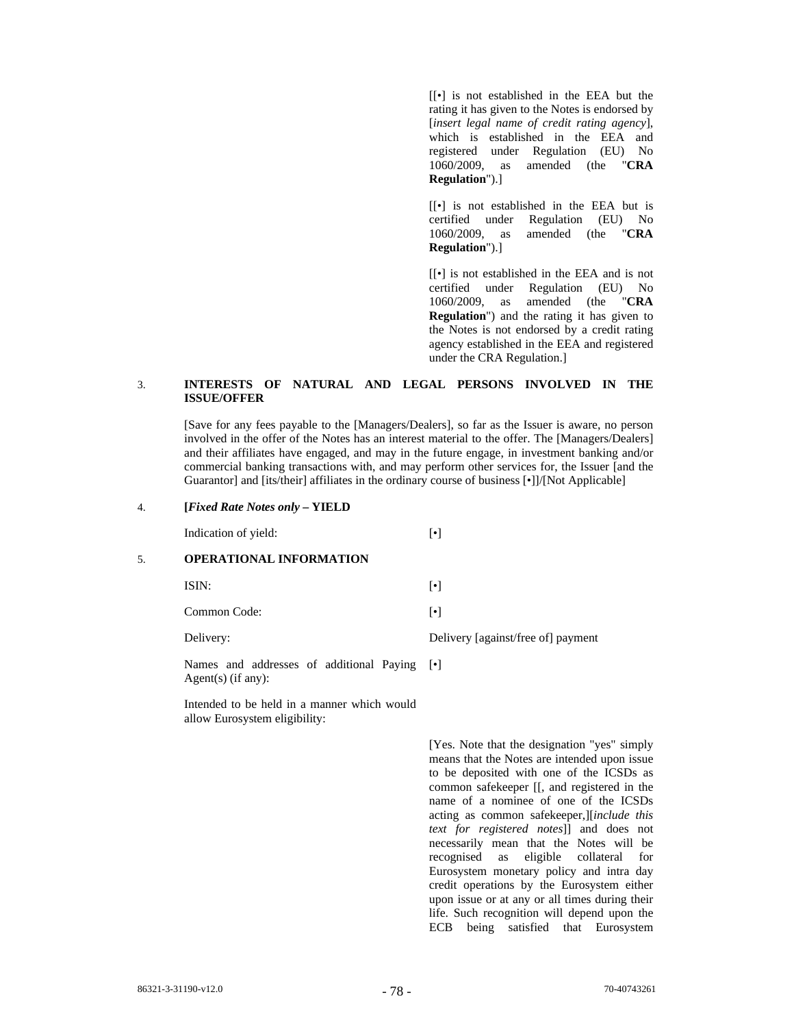[[•] is not established in the EEA but the rating it has given to the Notes is endorsed by [*insert legal name of credit rating agency*], which is established in the EEA and registered under Regulation (EU) No 1060/2009, as amended (the "**CRA Regulation**").]

[[•] is not established in the EEA but is certified under Regulation (EU) No 1060/2009, as amended (the "**CRA Regulation**").]

[[•] is not established in the EEA and is not certified under Regulation (EU) No 1060/2009, as amended (the "**CRA Regulation**") and the rating it has given to the Notes is not endorsed by a credit rating agency established in the EEA and registered under the CRA Regulation.]

# 3. **INTERESTS OF NATURAL AND LEGAL PERSONS INVOLVED IN THE ISSUE/OFFER**

[Save for any fees payable to the [Managers/Dealers], so far as the Issuer is aware, no person involved in the offer of the Notes has an interest material to the offer. The [Managers/Dealers] and their affiliates have engaged, and may in the future engage, in investment banking and/or commercial banking transactions with, and may perform other services for, the Issuer [and the Guarantor] and [its/their] affiliates in the ordinary course of business [•]]/[Not Applicable]

#### 4. **[***Fixed Rate Notes only* **– YIELD**

Indication of yield: [•]

# 5. **OPERATIONAL INFORMATION**

 $ISIN:$  [ $\bullet$ ]

Common Code: [•]

Delivery: Delivery [against/free of] payment

Names and addresses of additional Paying [ $\bullet$ ] Agent(s) (if any):

> Intended to be held in a manner which would allow Eurosystem eligibility:

> > [Yes. Note that the designation "yes" simply means that the Notes are intended upon issue to be deposited with one of the ICSDs as common safekeeper [[, and registered in the name of a nominee of one of the ICSDs acting as common safekeeper,][*include this text for registered notes*]] and does not necessarily mean that the Notes will be recognised as eligible collateral for Eurosystem monetary policy and intra day credit operations by the Eurosystem either upon issue or at any or all times during their life. Such recognition will depend upon the ECB being satisfied that Eurosystem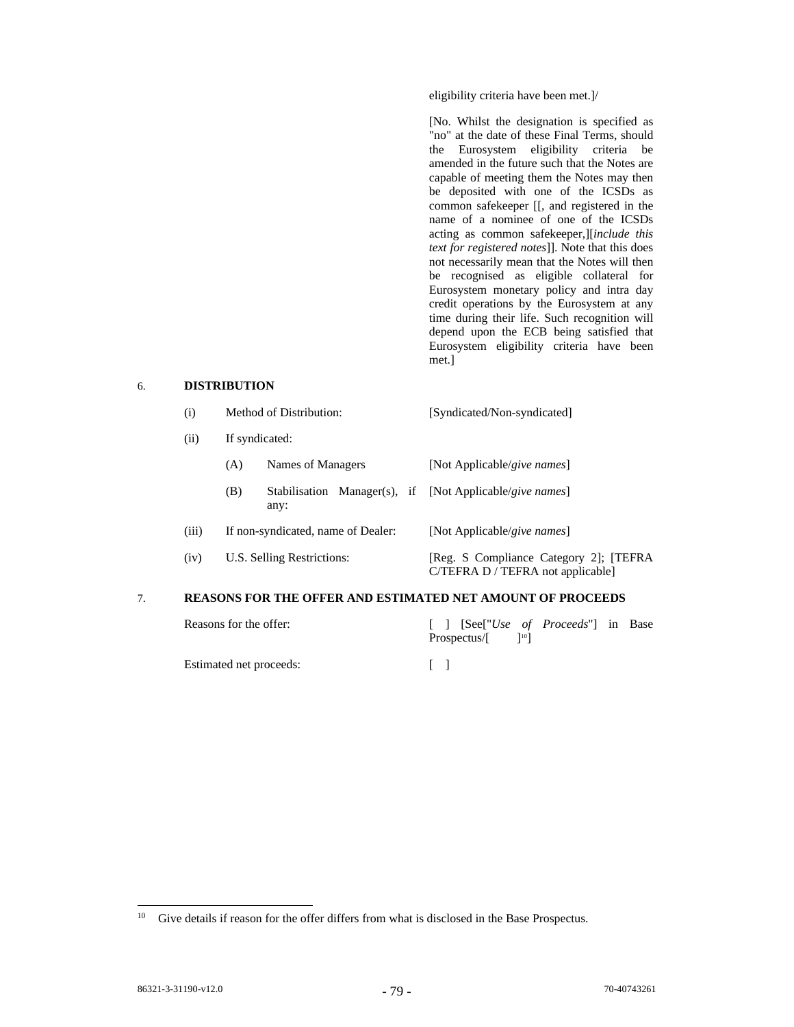eligibility criteria have been met.]/

 [No. Whilst the designation is specified as "no" at the date of these Final Terms, should the Eurosystem eligibility criteria be amended in the future such that the Notes are capable of meeting them the Notes may then be deposited with one of the ICSDs as common safekeeper [[, and registered in the name of a nominee of one of the ICSDs acting as common safekeeper,][*include this text for registered notes*]]. Note that this does not necessarily mean that the Notes will then be recognised as eligible collateral for Eurosystem monetary policy and intra day credit operations by the Eurosystem at any time during their life. Such recognition will depend upon the ECB being satisfied that Eurosystem eligibility criteria have been met.]

# 6. **DISTRIBUTION**

|  | Method of Distribution: | [Syndicated/Non-syndicated] |
|--|-------------------------|-----------------------------|
|--|-------------------------|-----------------------------|

(ii) If syndicated:

|       | (A) | Names of Managers                  |  |  | [Not Applicable/give names]                                                  |  |  |  |
|-------|-----|------------------------------------|--|--|------------------------------------------------------------------------------|--|--|--|
|       | (B) | any:                               |  |  | Stabilisation Manager(s), if [Not Applicable/give names]                     |  |  |  |
| (iii) |     | If non-syndicated, name of Dealer: |  |  | [Not Applicable/give names]                                                  |  |  |  |
| (iv)  |     | U.S. Selling Restrictions:         |  |  | [Reg. S Compliance Category 2]; [TEFRA]<br>C/TEFRA D / TEFRA not applicable] |  |  |  |

# 7. **REASONS FOR THE OFFER AND ESTIMATED NET AMOUNT OF PROCEEDS**

Reasons for the offer:  $[ ]$   $[See ["Use of *Proceeds"*] in Base]$ Prospectus/ $[$  ]<sup>10</sup>]

Estimated net proceeds: [ ]

<sup>&</sup>lt;sup>10</sup> Give details if reason for the offer differs from what is disclosed in the Base Prospectus.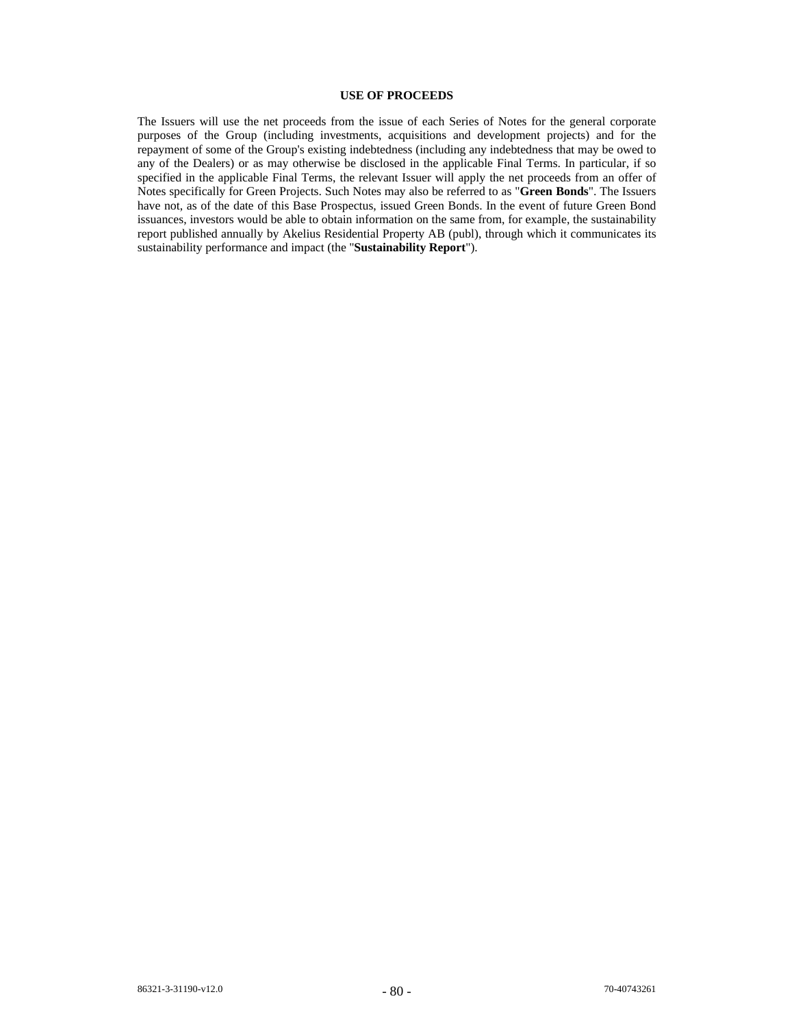# **USE OF PROCEEDS**

The Issuers will use the net proceeds from the issue of each Series of Notes for the general corporate purposes of the Group (including investments, acquisitions and development projects) and for the repayment of some of the Group's existing indebtedness (including any indebtedness that may be owed to any of the Dealers) or as may otherwise be disclosed in the applicable Final Terms. In particular, if so specified in the applicable Final Terms, the relevant Issuer will apply the net proceeds from an offer of Notes specifically for Green Projects. Such Notes may also be referred to as "**Green Bonds**". The Issuers have not, as of the date of this Base Prospectus, issued Green Bonds. In the event of future Green Bond issuances, investors would be able to obtain information on the same from, for example, the sustainability report published annually by Akelius Residential Property AB (publ), through which it communicates its sustainability performance and impact (the "**Sustainability Report**").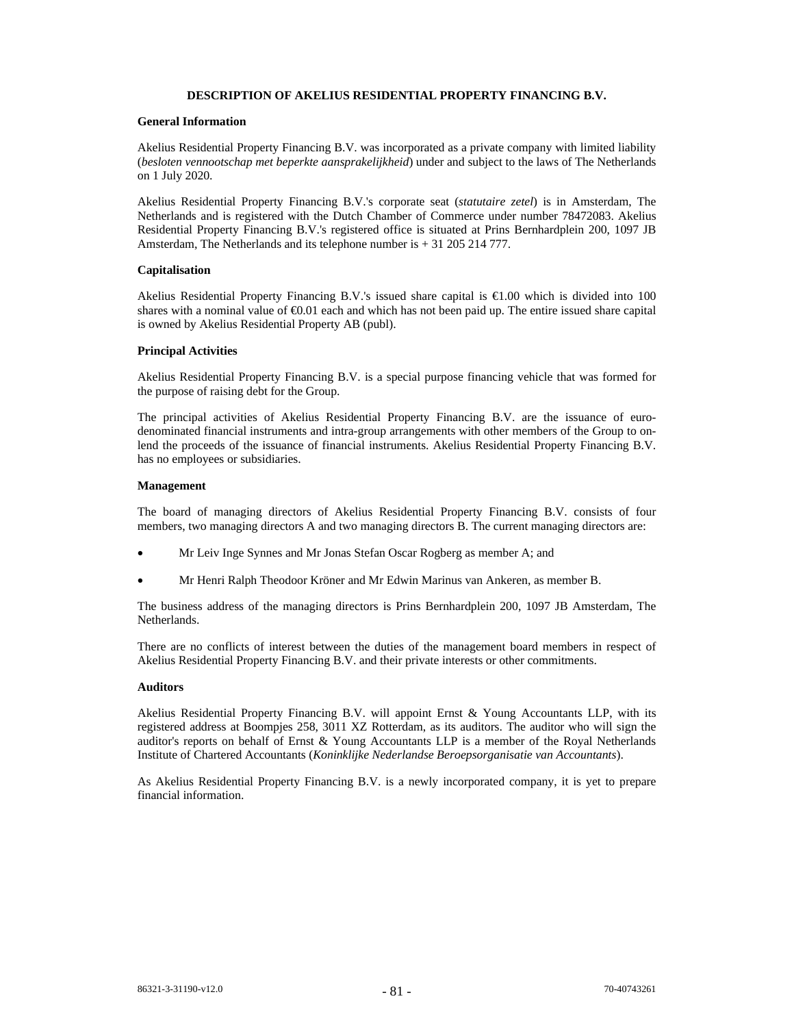# **DESCRIPTION OF AKELIUS RESIDENTIAL PROPERTY FINANCING B.V.**

# **General Information**

Akelius Residential Property Financing B.V. was incorporated as a private company with limited liability (*besloten vennootschap met beperkte aansprakelijkheid*) under and subject to the laws of The Netherlands on 1 July 2020.

Akelius Residential Property Financing B.V.'s corporate seat (*statutaire zetel*) is in Amsterdam, The Netherlands and is registered with the Dutch Chamber of Commerce under number 78472083. Akelius Residential Property Financing B.V.'s registered office is situated at Prins Bernhardplein 200, 1097 JB Amsterdam, The Netherlands and its telephone number is + 31 205 214 777.

# **Capitalisation**

Akelius Residential Property Financing B.V.'s issued share capital is  $\epsilon 1.00$  which is divided into 100 shares with a nominal value of  $\epsilon 0.01$  each and which has not been paid up. The entire issued share capital is owned by Akelius Residential Property AB (publ).

### **Principal Activities**

Akelius Residential Property Financing B.V. is a special purpose financing vehicle that was formed for the purpose of raising debt for the Group.

The principal activities of Akelius Residential Property Financing B.V. are the issuance of eurodenominated financial instruments and intra-group arrangements with other members of the Group to onlend the proceeds of the issuance of financial instruments. Akelius Residential Property Financing B.V. has no employees or subsidiaries.

### **Management**

The board of managing directors of Akelius Residential Property Financing B.V. consists of four members, two managing directors A and two managing directors B. The current managing directors are:

- Mr Leiv Inge Synnes and Mr Jonas Stefan Oscar Rogberg as member A; and
- Mr Henri Ralph Theodoor Kröner and Mr Edwin Marinus van Ankeren, as member B.

The business address of the managing directors is Prins Bernhardplein 200, 1097 JB Amsterdam, The Netherlands.

There are no conflicts of interest between the duties of the management board members in respect of Akelius Residential Property Financing B.V. and their private interests or other commitments.

#### **Auditors**

Akelius Residential Property Financing B.V. will appoint Ernst & Young Accountants LLP, with its registered address at Boompjes 258, 3011 XZ Rotterdam, as its auditors. The auditor who will sign the auditor's reports on behalf of Ernst & Young Accountants LLP is a member of the Royal Netherlands Institute of Chartered Accountants (*Koninklijke Nederlandse Beroepsorganisatie van Accountants*).

As Akelius Residential Property Financing B.V. is a newly incorporated company, it is yet to prepare financial information.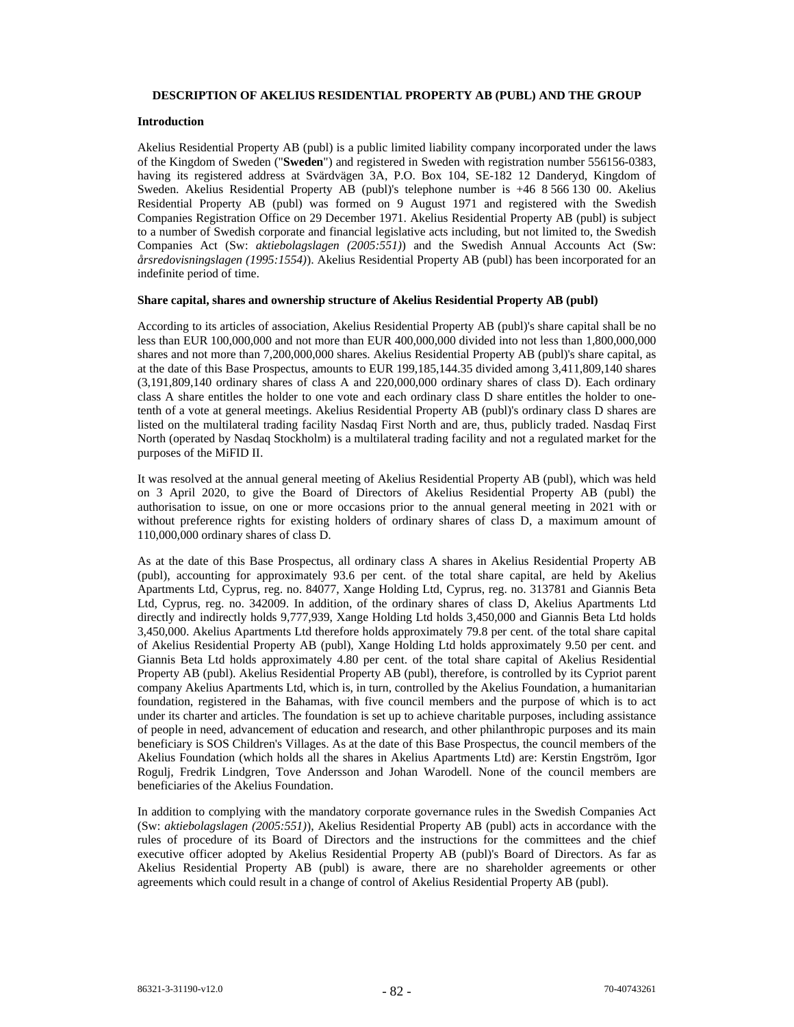#### **DESCRIPTION OF AKELIUS RESIDENTIAL PROPERTY AB (PUBL) AND THE GROUP**

# **Introduction**

Akelius Residential Property AB (publ) is a public limited liability company incorporated under the laws of the Kingdom of Sweden ("**Sweden**") and registered in Sweden with registration number 556156-0383, having its registered address at Svärdvägen 3A, P.O. Box 104, SE-182 12 Danderyd, Kingdom of Sweden. Akelius Residential Property AB (publ)'s telephone number is +46 8 566 130 00. Akelius Residential Property AB (publ) was formed on 9 August 1971 and registered with the Swedish Companies Registration Office on 29 December 1971. Akelius Residential Property AB (publ) is subject to a number of Swedish corporate and financial legislative acts including, but not limited to, the Swedish Companies Act (Sw: *aktiebolagslagen (2005:551)*) and the Swedish Annual Accounts Act (Sw: *årsredovisningslagen (1995:1554)*). Akelius Residential Property AB (publ) has been incorporated for an indefinite period of time.

# **Share capital, shares and ownership structure of Akelius Residential Property AB (publ)**

According to its articles of association, Akelius Residential Property AB (publ)'s share capital shall be no less than EUR 100,000,000 and not more than EUR 400,000,000 divided into not less than 1,800,000,000 shares and not more than 7,200,000,000 shares. Akelius Residential Property AB (publ)'s share capital, as at the date of this Base Prospectus, amounts to EUR 199,185,144.35 divided among 3,411,809,140 shares (3,191,809,140 ordinary shares of class A and 220,000,000 ordinary shares of class D). Each ordinary class A share entitles the holder to one vote and each ordinary class D share entitles the holder to onetenth of a vote at general meetings. Akelius Residential Property AB (publ)'s ordinary class D shares are listed on the multilateral trading facility Nasdaq First North and are, thus, publicly traded. Nasdaq First North (operated by Nasdaq Stockholm) is a multilateral trading facility and not a regulated market for the purposes of the MiFID II.

It was resolved at the annual general meeting of Akelius Residential Property AB (publ), which was held on 3 April 2020, to give the Board of Directors of Akelius Residential Property AB (publ) the authorisation to issue, on one or more occasions prior to the annual general meeting in 2021 with or without preference rights for existing holders of ordinary shares of class D, a maximum amount of 110,000,000 ordinary shares of class D.

As at the date of this Base Prospectus, all ordinary class A shares in Akelius Residential Property AB (publ), accounting for approximately 93.6 per cent. of the total share capital, are held by Akelius Apartments Ltd, Cyprus, reg. no. 84077, Xange Holding Ltd, Cyprus, reg. no. 313781 and Giannis Beta Ltd, Cyprus, reg. no. 342009. In addition, of the ordinary shares of class D, Akelius Apartments Ltd directly and indirectly holds 9,777,939, Xange Holding Ltd holds 3,450,000 and Giannis Beta Ltd holds 3,450,000. Akelius Apartments Ltd therefore holds approximately 79.8 per cent. of the total share capital of Akelius Residential Property AB (publ), Xange Holding Ltd holds approximately 9.50 per cent. and Giannis Beta Ltd holds approximately 4.80 per cent. of the total share capital of Akelius Residential Property AB (publ). Akelius Residential Property AB (publ), therefore, is controlled by its Cypriot parent company Akelius Apartments Ltd, which is, in turn, controlled by the Akelius Foundation, a humanitarian foundation, registered in the Bahamas, with five council members and the purpose of which is to act under its charter and articles. The foundation is set up to achieve charitable purposes, including assistance of people in need, advancement of education and research, and other philanthropic purposes and its main beneficiary is SOS Children's Villages. As at the date of this Base Prospectus, the council members of the Akelius Foundation (which holds all the shares in Akelius Apartments Ltd) are: Kerstin Engström, Igor Rogulj, Fredrik Lindgren, Tove Andersson and Johan Warodell. None of the council members are beneficiaries of the Akelius Foundation.

In addition to complying with the mandatory corporate governance rules in the Swedish Companies Act (Sw: *aktiebolagslagen (2005:551)*), Akelius Residential Property AB (publ) acts in accordance with the rules of procedure of its Board of Directors and the instructions for the committees and the chief executive officer adopted by Akelius Residential Property AB (publ)'s Board of Directors. As far as Akelius Residential Property AB (publ) is aware, there are no shareholder agreements or other agreements which could result in a change of control of Akelius Residential Property AB (publ).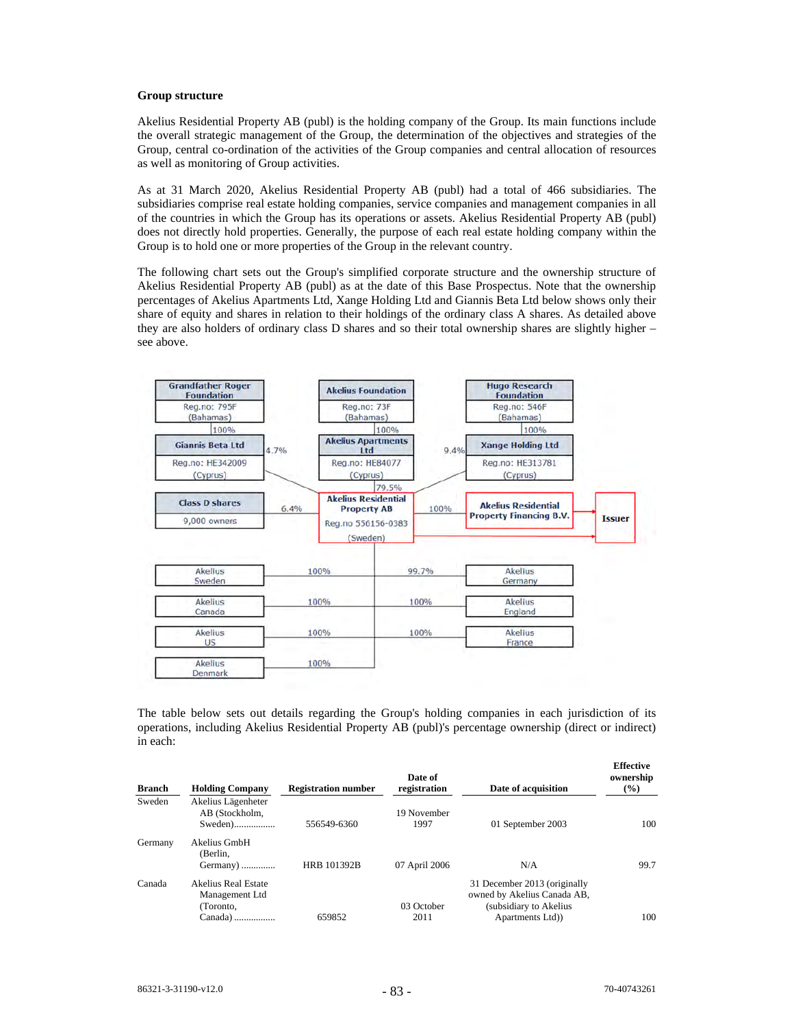#### **Group structure**

Akelius Residential Property AB (publ) is the holding company of the Group. Its main functions include the overall strategic management of the Group, the determination of the objectives and strategies of the Group, central co-ordination of the activities of the Group companies and central allocation of resources as well as monitoring of Group activities.

As at 31 March 2020, Akelius Residential Property AB (publ) had a total of 466 subsidiaries. The subsidiaries comprise real estate holding companies, service companies and management companies in all of the countries in which the Group has its operations or assets. Akelius Residential Property AB (publ) does not directly hold properties. Generally, the purpose of each real estate holding company within the Group is to hold one or more properties of the Group in the relevant country.

The following chart sets out the Group's simplified corporate structure and the ownership structure of Akelius Residential Property AB (publ) as at the date of this Base Prospectus. Note that the ownership percentages of Akelius Apartments Ltd, Xange Holding Ltd and Giannis Beta Ltd below shows only their share of equity and shares in relation to their holdings of the ordinary class A shares. As detailed above they are also holders of ordinary class D shares and so their total ownership shares are slightly higher – see above.



The table below sets out details regarding the Group's holding companies in each jurisdiction of its operations, including Akelius Residential Property AB (publ)'s percentage ownership (direct or indirect) in each:

| <b>Branch</b> | <b>Holding Company</b>                                       | <b>Registration number</b> | Date of<br>registration | Date of acquisition                                                                                      | <b>Effective</b><br>ownership<br>$($ %) |
|---------------|--------------------------------------------------------------|----------------------------|-------------------------|----------------------------------------------------------------------------------------------------------|-----------------------------------------|
| Sweden        | Akelius Lägenheter<br>AB (Stockholm.<br>Sweden)              | 556549-6360                | 19 November<br>1997     | 01 September 2003                                                                                        | 100                                     |
| Germany       | Akelius GmbH<br>(Berlin.<br>Germany)                         | HRB 101392B                | 07 April 2006           | N/A                                                                                                      | 99.7                                    |
| Canada        | Akelius Real Estate<br>Management Ltd<br>Toronto.<br>Canada) | 659852                     | 03 October<br>2011      | 31 December 2013 (originally<br>owned by Akelius Canada AB,<br>(subsidiary to Akelius<br>Apartments Ltd) | 100                                     |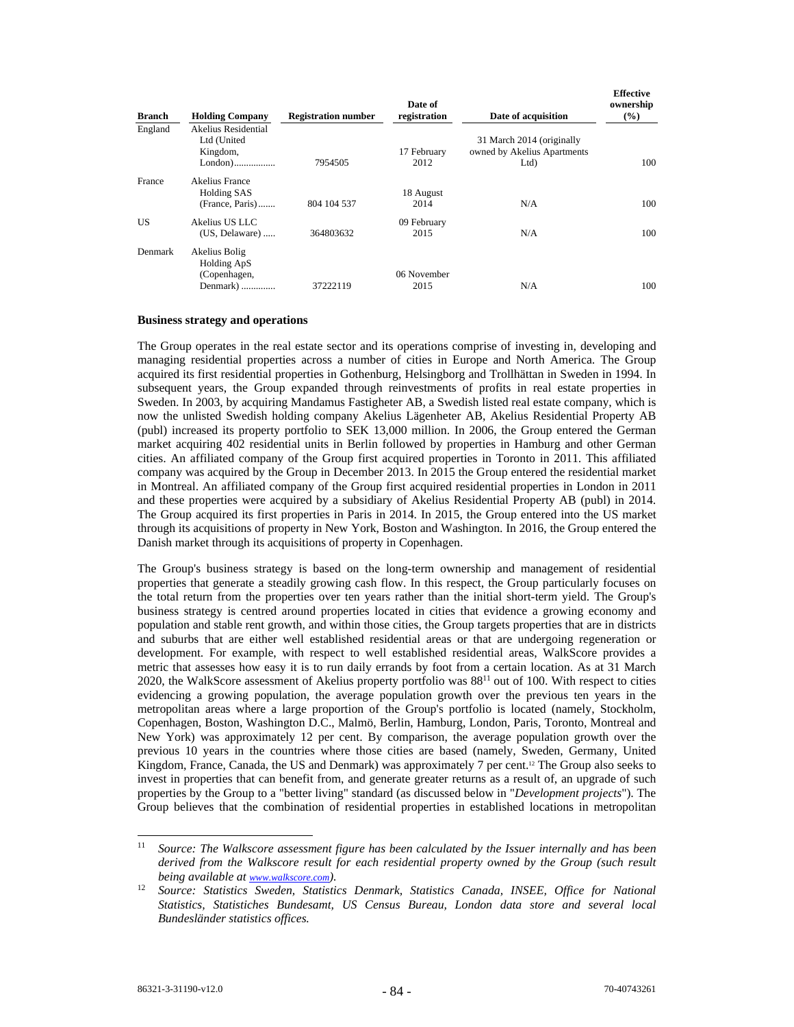| <b>Branch</b> | <b>Holding Company</b>                                   | <b>Registration number</b> | Date of<br>registration | Date of acquisition                                                 | <b>Effective</b><br>ownership<br>$(\%)$ |
|---------------|----------------------------------------------------------|----------------------------|-------------------------|---------------------------------------------------------------------|-----------------------------------------|
| England       | Akelius Residential<br>Ltd (United<br>Kingdom,           | 7954505                    | 17 February<br>2012     | 31 March 2014 (originally<br>owned by Akelius Apartments<br>$Ltd$ ) | 100                                     |
| France        | Akelius France<br><b>Holding SAS</b><br>(France, Paris)  | 804 104 537                | 18 August<br>2014       | N/A                                                                 | 100                                     |
| US            | Akelius US LLC<br>(US, Delaware)                         | 364803632                  | 09 February<br>2015     | N/A                                                                 | 100                                     |
| Denmark       | Akelius Bolig<br>Holding ApS<br>(Copenhagen,<br>Denmark) | 37222119                   | 06 November<br>2015     | N/A                                                                 | 100                                     |

# **Business strategy and operations**

The Group operates in the real estate sector and its operations comprise of investing in, developing and managing residential properties across a number of cities in Europe and North America. The Group acquired its first residential properties in Gothenburg, Helsingborg and Trollhättan in Sweden in 1994. In subsequent years, the Group expanded through reinvestments of profits in real estate properties in Sweden. In 2003, by acquiring Mandamus Fastigheter AB, a Swedish listed real estate company, which is now the unlisted Swedish holding company Akelius Lägenheter AB, Akelius Residential Property AB (publ) increased its property portfolio to SEK 13,000 million. In 2006, the Group entered the German market acquiring 402 residential units in Berlin followed by properties in Hamburg and other German cities. An affiliated company of the Group first acquired properties in Toronto in 2011. This affiliated company was acquired by the Group in December 2013. In 2015 the Group entered the residential market in Montreal. An affiliated company of the Group first acquired residential properties in London in 2011 and these properties were acquired by a subsidiary of Akelius Residential Property AB (publ) in 2014. The Group acquired its first properties in Paris in 2014. In 2015, the Group entered into the US market through its acquisitions of property in New York, Boston and Washington. In 2016, the Group entered the Danish market through its acquisitions of property in Copenhagen.

The Group's business strategy is based on the long-term ownership and management of residential properties that generate a steadily growing cash flow. In this respect, the Group particularly focuses on the total return from the properties over ten years rather than the initial short-term yield. The Group's business strategy is centred around properties located in cities that evidence a growing economy and population and stable rent growth, and within those cities, the Group targets properties that are in districts and suburbs that are either well established residential areas or that are undergoing regeneration or development. For example, with respect to well established residential areas, WalkScore provides a metric that assesses how easy it is to run daily errands by foot from a certain location. As at 31 March 2020, the WalkScore assessment of Akelius property portfolio was 8811 out of 100. With respect to cities evidencing a growing population, the average population growth over the previous ten years in the metropolitan areas where a large proportion of the Group's portfolio is located (namely, Stockholm, Copenhagen, Boston, Washington D.C., Malmö, Berlin, Hamburg, London, Paris, Toronto, Montreal and New York) was approximately 12 per cent. By comparison, the average population growth over the previous 10 years in the countries where those cities are based (namely, Sweden, Germany, United Kingdom, France, Canada, the US and Denmark) was approximately 7 per cent.<sup>12</sup> The Group also seeks to invest in properties that can benefit from, and generate greater returns as a result of, an upgrade of such properties by the Group to a "better living" standard (as discussed below in "*Development projects*"). The Group believes that the combination of residential properties in established locations in metropolitan

<sup>11</sup> *Source: The Walkscore assessment figure has been calculated by the Issuer internally and has been derived from the Walkscore result for each residential property owned by the Group (such result being available at www.walkscore.com).* 

<sup>12</sup> *Source: Statistics Sweden, Statistics Denmark, Statistics Canada, INSEE, Office for National Statistics, Statistiches Bundesamt, US Census Bureau, London data store and several local Bundesländer statistics offices.*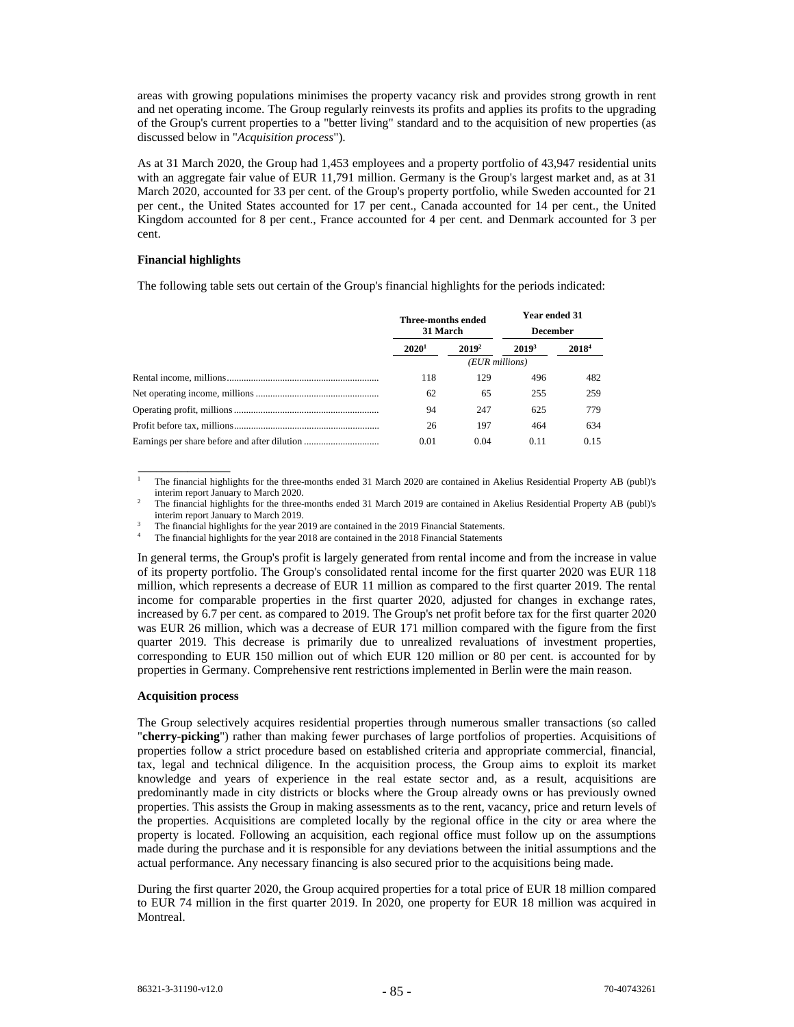areas with growing populations minimises the property vacancy risk and provides strong growth in rent and net operating income. The Group regularly reinvests its profits and applies its profits to the upgrading of the Group's current properties to a "better living" standard and to the acquisition of new properties (as discussed below in "*Acquisition process*").

As at 31 March 2020, the Group had 1,453 employees and a property portfolio of 43,947 residential units with an aggregate fair value of EUR 11,791 million. Germany is the Group's largest market and, as at 31 March 2020, accounted for 33 per cent. of the Group's property portfolio, while Sweden accounted for 21 per cent., the United States accounted for 17 per cent., Canada accounted for 14 per cent., the United Kingdom accounted for 8 per cent., France accounted for 4 per cent. and Denmark accounted for 3 per cent.

### **Financial highlights**

\_\_\_\_\_\_\_\_\_\_\_\_\_\_\_

The following table sets out certain of the Group's financial highlights for the periods indicated:

| <b>Year ended 31</b><br><b>Three-months ended</b><br>31 March<br><b>December</b> |                   |                   |                   |
|----------------------------------------------------------------------------------|-------------------|-------------------|-------------------|
| 2020 <sup>1</sup>                                                                | 2019 <sup>2</sup> | 2019 <sup>3</sup> | 2018 <sup>4</sup> |
|                                                                                  | (EUR millions)    |                   |                   |
| 118                                                                              | 129               | 496               | 482               |
| 62                                                                               | 65                | 255               | 259               |
| 94                                                                               | 247               | 625               | 779               |
| 26                                                                               | 197               | 464               | 634               |
| 0.01                                                                             | 0.04              | 0.11              | 0.15              |

1 The financial highlights for the three-months ended 31 March 2020 are contained in Akelius Residential Property AB (publ)'s interim report January to March 2020.

 The financial highlights for the three-months ended 31 March 2019 are contained in Akelius Residential Property AB (publ)'s interim report January to March 2019.

The financial highlights for the year 2019 are contained in the 2019 Financial Statements.

4 The financial highlights for the year 2018 are contained in the 2018 Financial Statements

In general terms, the Group's profit is largely generated from rental income and from the increase in value of its property portfolio. The Group's consolidated rental income for the first quarter 2020 was EUR 118 million, which represents a decrease of EUR 11 million as compared to the first quarter 2019. The rental income for comparable properties in the first quarter 2020, adjusted for changes in exchange rates, increased by 6.7 per cent. as compared to 2019. The Group's net profit before tax for the first quarter 2020 was EUR 26 million, which was a decrease of EUR 171 million compared with the figure from the first quarter 2019. This decrease is primarily due to unrealized revaluations of investment properties, corresponding to EUR 150 million out of which EUR 120 million or 80 per cent. is accounted for by properties in Germany. Comprehensive rent restrictions implemented in Berlin were the main reason.

# **Acquisition process**

The Group selectively acquires residential properties through numerous smaller transactions (so called "**cherry-picking**") rather than making fewer purchases of large portfolios of properties. Acquisitions of properties follow a strict procedure based on established criteria and appropriate commercial, financial, tax, legal and technical diligence. In the acquisition process, the Group aims to exploit its market knowledge and years of experience in the real estate sector and, as a result, acquisitions are predominantly made in city districts or blocks where the Group already owns or has previously owned properties. This assists the Group in making assessments as to the rent, vacancy, price and return levels of the properties. Acquisitions are completed locally by the regional office in the city or area where the property is located. Following an acquisition, each regional office must follow up on the assumptions made during the purchase and it is responsible for any deviations between the initial assumptions and the actual performance. Any necessary financing is also secured prior to the acquisitions being made.

During the first quarter 2020, the Group acquired properties for a total price of EUR 18 million compared to EUR 74 million in the first quarter 2019. In 2020, one property for EUR 18 million was acquired in Montreal.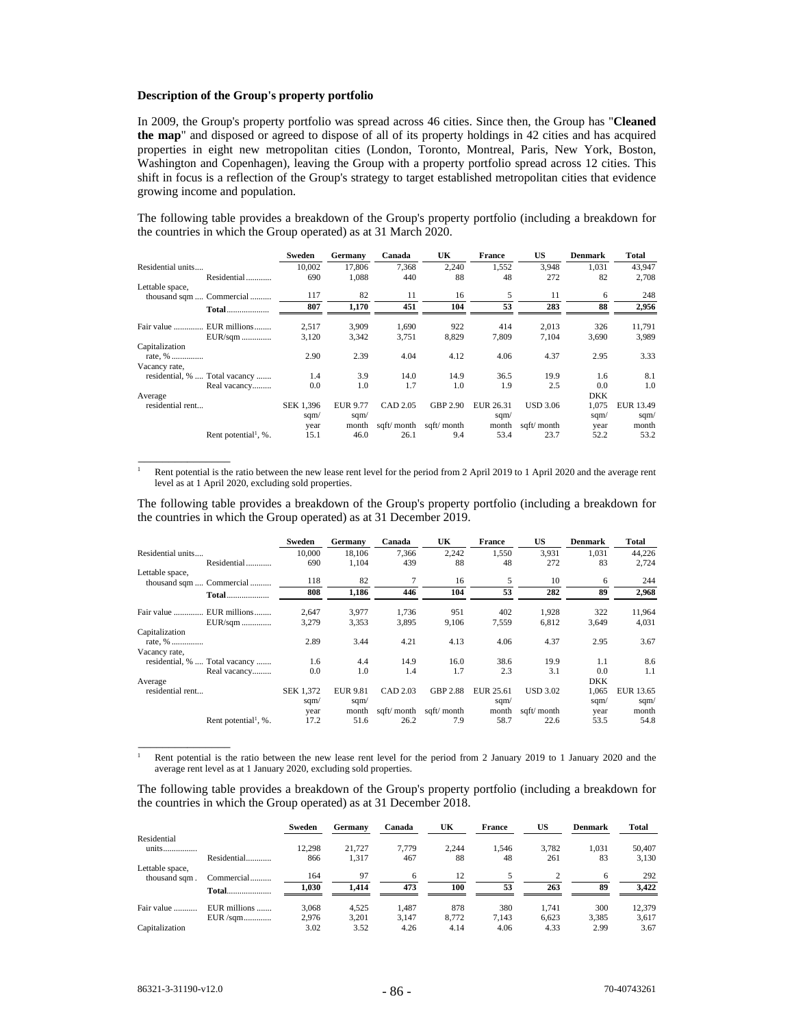#### **Description of the Group's property portfolio**

In 2009, the Group's property portfolio was spread across 46 cities. Since then, the Group has "**Cleaned the map**" and disposed or agreed to dispose of all of its property holdings in 42 cities and has acquired properties in eight new metropolitan cities (London, Toronto, Montreal, Paris, New York, Boston, Washington and Copenhagen), leaving the Group with a property portfolio spread across 12 cities. This shift in focus is a reflection of the Group's strategy to target established metropolitan cities that evidence growing income and population.

The following table provides a breakdown of the Group's property portfolio (including a breakdown for the countries in which the Group operated) as at 31 March 2020.

|                   |                                     | Sweden    | Germany         | Canada     | UK         | <b>France</b> | US              | <b>Denmark</b> | Total     |
|-------------------|-------------------------------------|-----------|-----------------|------------|------------|---------------|-----------------|----------------|-----------|
| Residential units |                                     | 10.002    | 17,806          | 7,368      | 2,240      | 1,552         | 3,948           | 1,031          | 43,947    |
|                   | Residential                         | 690       | 1,088           | 440        | 88         | 48            | 272             | 82             | 2,708     |
| Lettable space,   |                                     |           |                 |            |            |               |                 |                |           |
|                   | thousand sqm  Commercial            | 117       | 82              | 11         | 16         | 5             | 11              | 6              | 248       |
|                   | <b>Total</b>                        | 807       | 1,170           | 451        | 104        | 53            | 283             | 88             | 2,956     |
|                   | Fair value  EUR millions            | 2,517     | 3,909           | 1,690      | 922        | 414           | 2,013           | 326            | 11,791    |
|                   | EUR/sqm                             | 3,120     | 3,342           | 3,751      | 8,829      | 7,809         | 7,104           | 3,690          | 3,989     |
| Capitalization    |                                     |           |                 |            |            |               |                 |                |           |
| rate, %           |                                     | 2.90      | 2.39            | 4.04       | 4.12       | 4.06          | 4.37            | 2.95           | 3.33      |
| Vacancy rate,     |                                     |           |                 |            |            |               |                 |                |           |
|                   | residential, %  Total vacancy       | 1.4       | 3.9             | 14.0       | 14.9       | 36.5          | 19.9            | 1.6            | 8.1       |
|                   | Real vacancy                        | 0.0       | 1.0             | 1.7        | 1.0        | 1.9           | 2.5             | 0.0            | 1.0       |
| Average           |                                     |           |                 |            |            |               |                 | <b>DKK</b>     |           |
| residential rent  |                                     | SEK 1,396 | <b>EUR 9.77</b> | CAD 2.05   | GBP 2.90   | EUR 26.31     | <b>USD 3.06</b> | 1,075          | EUR 13.49 |
|                   |                                     | sqm/      | sqm/            |            |            | sqm/          |                 | sqm $/$        | sqm/      |
|                   |                                     | year      | month           | sqft/month | sqft/month | month         | sqft/month      | year           | month     |
|                   | Rent potential <sup>1</sup> , $%$ . | 15.1      | 46.0            | 26.1       | 9.4        | 53.4          | 23.7            | 52.2           | 53.2      |

1 Rent potential is the ratio between the new lease rent level for the period from 2 April 2019 to 1 April 2020 and the average rent level as at 1 April 2020, excluding sold properties.

The following table provides a breakdown of the Group's property portfolio (including a breakdown for the countries in which the Group operated) as at 31 December 2019.

|                   |                                  | Sweden    | Germany         | Canada     | UK          | <b>France</b> | US              | <b>Denmark</b> | Total     |
|-------------------|----------------------------------|-----------|-----------------|------------|-------------|---------------|-----------------|----------------|-----------|
| Residential units |                                  | 10,000    | 18.106          | 7,366      | 2,242       | 1,550         | 3,931           | 1,031          | 44,226    |
|                   | Residential                      | 690       | 1,104           | 439        | 88          | 48            | 272             | 83             | 2,724     |
| Lettable space,   | thousand sqm  Commercial         | 118       | 82              |            | 16          | 5             | 10              | 6              | 244       |
|                   |                                  | 808       | 1.186           | 446        | 104         | 53            | 282             | 89             | 2,968     |
|                   | Fair value  EUR millions         | 2.647     | 3,977           | 1,736      | 951         | 402           | 1,928           | 322            | 11,964    |
|                   | EUR/sqm                          | 3,279     | 3,353           | 3,895      | 9.106       | 7,559         | 6,812           | 3.649          | 4,031     |
| Capitalization    |                                  |           |                 |            |             |               |                 |                |           |
| rate, %           |                                  | 2.89      | 3.44            | 4.21       | 4.13        | 4.06          | 4.37            | 2.95           | 3.67      |
| Vacancy rate,     |                                  |           |                 |            |             |               |                 |                |           |
|                   | residential, %  Total vacancy    | 1.6       | 4.4             | 14.9       | 16.0        | 38.6          | 19.9            | 1.1            | 8.6       |
|                   | Real vacancy                     | 0.0       | 1.0             | 1.4        | 1.7         | 2.3           | 3.1             | 0.0            | 1.1       |
| Average           |                                  |           |                 |            |             |               |                 | <b>DKK</b>     |           |
| residential rent  |                                  | SEK 1,372 | <b>EUR 9.81</b> | CAD 2.03   | GBP 2.88    | EUR 25.61     | <b>USD 3.02</b> | 1.065          | EUR 13.65 |
|                   |                                  | sqm/      | sqm/            |            |             | sqm/          |                 | sqm $/$        | sqm/      |
|                   |                                  | year      | month           | sqft/month | sqft/ month | month         | sqft/month      | year           | month     |
|                   | Rent potential <sup>1</sup> , %. | 17.2      | 51.6            | 26.2       | 7.9         | 58.7          | 22.6            | 53.5           | 54.8      |

1 Rent potential is the ratio between the new lease rent level for the period from 2 January 2019 to 1 January 2020 and the average rent level as at 1 January 2020, excluding sold properties.

The following table provides a breakdown of the Group's property portfolio (including a breakdown for the countries in which the Group operated) as at 31 December 2018.

|                 |              | Sweden | Germany | Canada | UK    | <b>France</b> | US    | <b>Denmark</b> | Total  |
|-----------------|--------------|--------|---------|--------|-------|---------------|-------|----------------|--------|
| Residential     |              |        |         |        |       |               |       |                |        |
| units           |              | 12.298 | 21.727  | 7.779  | 2.244 | 1.546         | 3.782 | 1.031          | 50,407 |
|                 | Residential  | 866    | 1,317   | 467    | 88    | 48            | 261   | 83             | 3,130  |
| Lettable space, |              |        |         |        |       |               |       |                |        |
| thousand sqm.   | Commercial   | 164    | 97      | 6      | 12    |               |       | 6              | 292    |
|                 | <b>Total</b> | 1.030  | 1.414   | 473    | 100   | 53            | 263   | 89             | 3.422  |
| Fair value      | EUR millions | 3.068  | 4.525   | 1.487  | 878   | 380           | 1.741 | 300            | 12.379 |
|                 | $EUR$ /sqm   | 2.976  | 3.201   | 3.147  | 8.772 | 7.143         | 6.623 | 3.385          | 3,617  |
| Capitalization  |              | 3.02   | 3.52    | 4.26   | 4.14  | 4.06          | 4.33  | 2.99           | 3.67   |

 $\overline{\phantom{a}}$  ,  $\overline{\phantom{a}}$  ,  $\overline{\phantom{a}}$  ,  $\overline{\phantom{a}}$  ,  $\overline{\phantom{a}}$  ,  $\overline{\phantom{a}}$  ,  $\overline{\phantom{a}}$  ,  $\overline{\phantom{a}}$  ,  $\overline{\phantom{a}}$  ,  $\overline{\phantom{a}}$  ,  $\overline{\phantom{a}}$  ,  $\overline{\phantom{a}}$  ,  $\overline{\phantom{a}}$  ,  $\overline{\phantom{a}}$  ,  $\overline{\phantom{a}}$  ,  $\overline{\phantom{a}}$ 

\_\_\_\_\_\_\_\_\_\_\_\_\_\_\_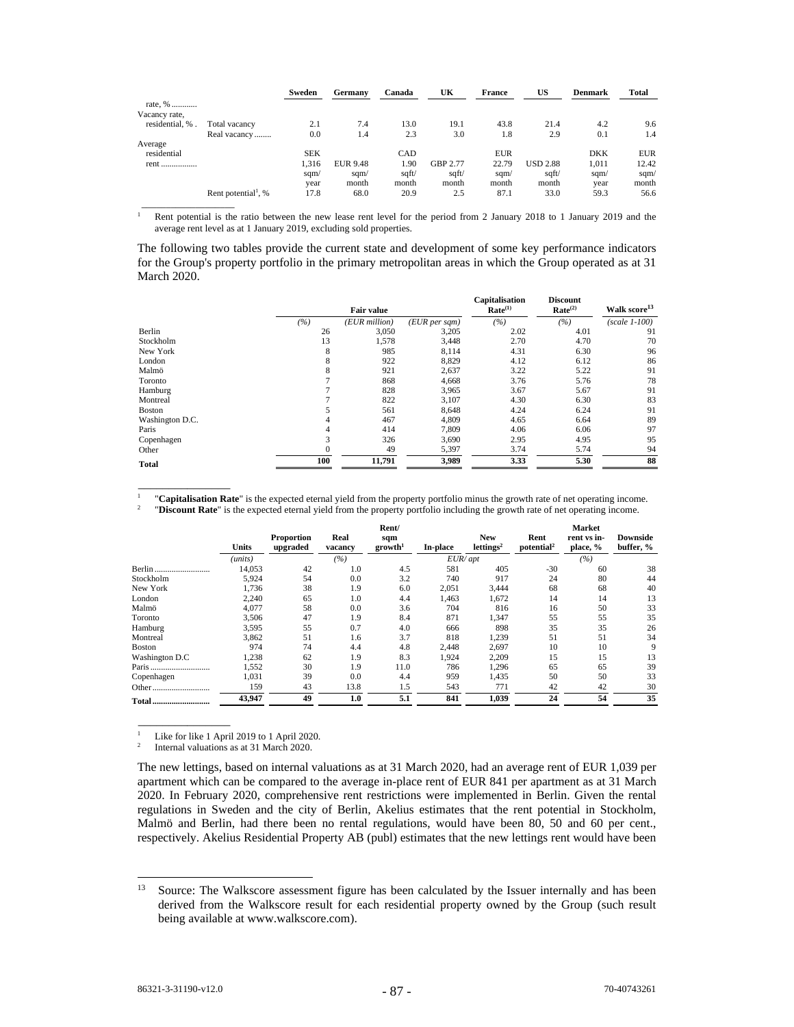|                 |                                 | Sweden     | Germany         | Canada | UK       | <b>France</b> | US              | <b>Denmark</b> | Total      |
|-----------------|---------------------------------|------------|-----------------|--------|----------|---------------|-----------------|----------------|------------|
| rate, %         |                                 |            |                 |        |          |               |                 |                |            |
| Vacancy rate,   |                                 |            |                 |        |          |               |                 |                |            |
| residential, %. | Total vacancy                   | 2.1        | 7.4             | 13.0   | 19.1     | 43.8          | 21.4            | 4.2            | 9.6        |
|                 | Real vacancy                    | 0.0        | 1.4             | 2.3    | 3.0      | 1.8           | 2.9             | 0.1            | 1.4        |
| Average         |                                 |            |                 |        |          |               |                 |                |            |
| residential     |                                 | <b>SEK</b> |                 | CAD    |          | <b>EUR</b>    |                 | <b>DKK</b>     | <b>EUR</b> |
| rent<br>        |                                 | 1,316      | <b>EUR 9.48</b> | 1.90   | GBP 2.77 | 22.79         | <b>USD 2.88</b> | 1,011          | 12.42      |
|                 |                                 | sqm/       | sgm/            | sqft/  | sqft/    | sqm/          | sqft/           | sqm/           | sqm/       |
|                 |                                 | year       | month           | month  | month    | month         | month           | year           | month      |
|                 | Rent potential <sup>1</sup> , % | 17.8       | 68.0            | 20.9   | 2.5      | 87.1          | 33.0            | 59.3           | 56.6       |

1 Rent potential is the ratio between the new lease rent level for the period from 2 January 2018 to 1 January 2019 and the average rent level as at 1 January 2019, excluding sold properties.

The following two tables provide the current state and development of some key performance indicators for the Group's property portfolio in the primary metropolitan areas in which the Group operated as at 31 March 2020.

|                 |     | Fair value    |                   | Capitalisation<br>Rate <sup>(1)</sup> | <b>Discount</b><br>Rate <sup>(2)</sup> | Walk score <sup>13</sup> |
|-----------------|-----|---------------|-------------------|---------------------------------------|----------------------------------------|--------------------------|
|                 | (%) | (EUR million) | $(EUR\,per\,sgm)$ | (%)                                   | (%)                                    | $(scale 1-100)$          |
| Berlin          | 26  | 3,050         | 3,205             | 2.02                                  | 4.01                                   | 91                       |
| Stockholm       | 13  | 1,578         | 3,448             | 2.70                                  | 4.70                                   | 70                       |
| New York        | 8   | 985           | 8,114             | 4.31                                  | 6.30                                   | 96                       |
| London          | 8   | 922           | 8,829             | 4.12                                  | 6.12                                   | 86                       |
| Malmö           | 8   | 921           | 2,637             | 3.22                                  | 5.22                                   | 91                       |
| Toronto         |     | 868           | 4,668             | 3.76                                  | 5.76                                   | 78                       |
| Hamburg         |     | 828           | 3,965             | 3.67                                  | 5.67                                   | 91                       |
| Montreal        |     | 822           | 3,107             | 4.30                                  | 6.30                                   | 83                       |
| <b>Boston</b>   |     | 561           | 8,648             | 4.24                                  | 6.24                                   | 91                       |
| Washington D.C. | 4   | 467           | 4,809             | 4.65                                  | 6.64                                   | 89                       |
| Paris           | 4   | 414           | 7,809             | 4.06                                  | 6.06                                   | 97                       |
| Copenhagen      | 3   | 326           | 3,690             | 2.95                                  | 4.95                                   | 95                       |
| Other           |     | 49            | 5,397             | 3.74                                  | 5.74                                   | 94                       |
| <b>Total</b>    | 100 | 11,791        | 3,989             | 3.33                                  | 5.30                                   | 88                       |

1  $\frac{1}{2}$  "Capitalisation Rate" is the expected eternal yield from the property portfolio minus the growth rate of net operating income.<br>"Discount Rate" is the expected eternal yield from the property portfolio including

|                | <b>Units</b> | <b>Proportion</b><br>upgraded | Real<br>vacancy | Rent/<br>sqm<br>growth <sup>1</sup> | In-place  | <b>New</b><br>lettings <sup>2</sup> | Rent<br>potential <sup>2</sup> | Market<br>rent vs in-<br>place, % | Downside<br>buffer, % |
|----------------|--------------|-------------------------------|-----------------|-------------------------------------|-----------|-------------------------------------|--------------------------------|-----------------------------------|-----------------------|
|                | (units)      |                               | (%)             |                                     | $EUR$ apt |                                     |                                | (%)                               |                       |
| Berlin         | 14,053       | 42                            | 1.0             | 4.5                                 | 581       | 405                                 | $-30$                          | 60                                | 38                    |
| Stockholm      | 5,924        | 54                            | 0.0             | 3.2                                 | 740       | 917                                 | 24                             | 80                                | 44                    |
| New York       | 1,736        | 38                            | 1.9             | 6.0                                 | 2,051     | 3,444                               | 68                             | 68                                | 40                    |
| London         | 2,240        | 65                            | 1.0             | 4.4                                 | 1,463     | 1,672                               | 14                             | 14                                | 13                    |
| Malmö          | 4.077        | 58                            | 0.0             | 3.6                                 | 704       | 816                                 | 16                             | 50                                | 33                    |
| Toronto        | 3,506        | 47                            | 1.9             | 8.4                                 | 871       | 1,347                               | 55                             | 55                                | 35                    |
| Hamburg        | 3,595        | 55                            | 0.7             | 4.0                                 | 666       | 898                                 | 35                             | 35                                | 26                    |
| Montreal       | 3,862        | 51                            | 1.6             | 3.7                                 | 818       | 1,239                               | 51                             | 51                                | 34                    |
| Boston         | 974          | 74                            | 4.4             | 4.8                                 | 2,448     | 2,697                               | 10                             | 10                                | 9                     |
| Washington D.C | 1,238        | 62                            | 1.9             | 8.3                                 | 1,924     | 2,209                               | 15                             | 15                                | 13                    |
| Paris          | 1,552        | 30                            | 1.9             | 11.0                                | 786       | 1,296                               | 65                             | 65                                | 39                    |
| Copenhagen     | 1,031        | 39                            | 0.0             | 4.4                                 | 959       | 1,435                               | 50                             | 50                                | 33                    |
| Other<br>      | 159          | 43                            | 13.8            | 1.5                                 | 543       | 771                                 | 42                             | 42                                | 30                    |
| Total          | 43,947       | 49                            | 1.0             | 5.1                                 | 841       | 1,039                               | 24                             | 54                                | 35                    |

1 Like for like 1 April 2019 to 1 April 2020.

\_\_\_\_\_\_\_\_\_\_\_\_\_\_\_

 $\frac{1}{2}$  ,  $\frac{1}{2}$  ,  $\frac{1}{2}$  ,  $\frac{1}{2}$  ,  $\frac{1}{2}$  ,  $\frac{1}{2}$  ,  $\frac{1}{2}$  ,  $\frac{1}{2}$  ,  $\frac{1}{2}$  ,  $\frac{1}{2}$  ,  $\frac{1}{2}$  ,  $\frac{1}{2}$  ,  $\frac{1}{2}$  ,  $\frac{1}{2}$  ,  $\frac{1}{2}$  ,  $\frac{1}{2}$  ,  $\frac{1}{2}$  ,  $\frac{1}{2}$  ,  $\frac{1$ 

\_\_\_\_\_\_\_\_\_\_\_\_\_\_\_

2 Internal valuations as at 31 March 2020.

The new lettings, based on internal valuations as at 31 March 2020, had an average rent of EUR 1,039 per apartment which can be compared to the average in-place rent of EUR 841 per apartment as at 31 March 2020. In February 2020, comprehensive rent restrictions were implemented in Berlin. Given the rental regulations in Sweden and the city of Berlin, Akelius estimates that the rent potential in Stockholm, Malmö and Berlin, had there been no rental regulations, would have been 80, 50 and 60 per cent., respectively. Akelius Residential Property AB (publ) estimates that the new lettings rent would have been

<sup>&</sup>lt;sup>13</sup> Source: The Walkscore assessment figure has been calculated by the Issuer internally and has been derived from the Walkscore result for each residential property owned by the Group (such result being available at www.walkscore.com).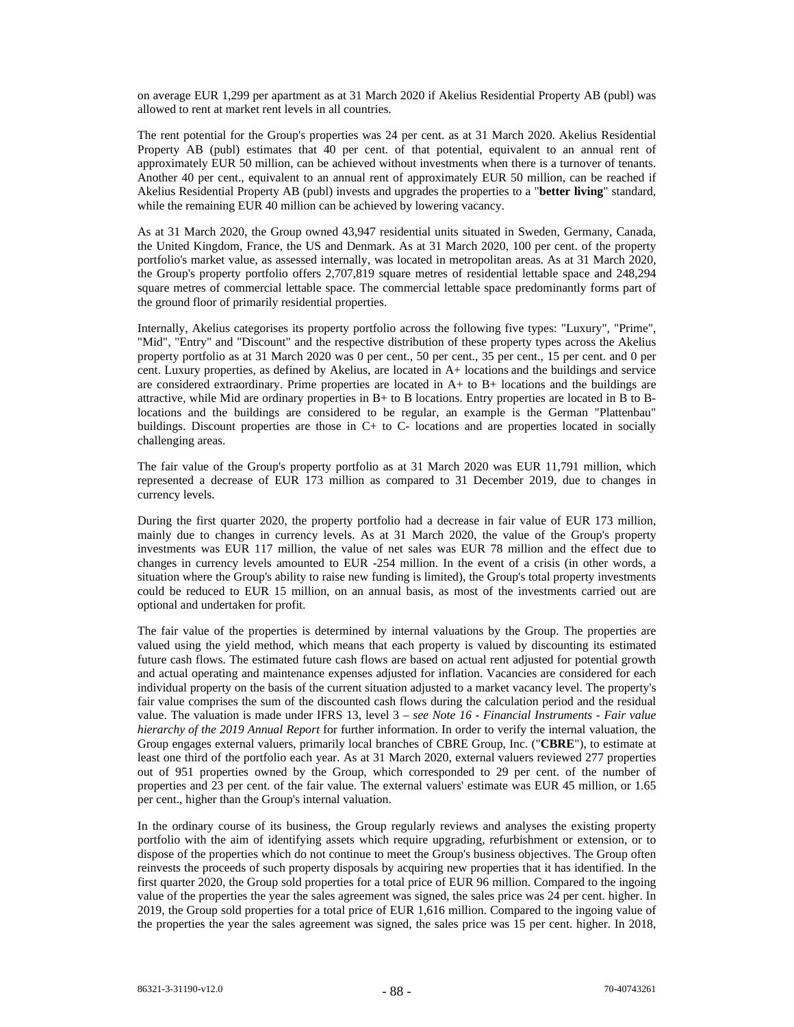on average EUR 1,299 per apartment as at 31 March 2020 if Akelius Residential Property AB (publ) was allowed to rent at market rent levels in all countries.

The rent potential for the Group's properties was 24 per cent. as at 31 March 2020. Akelius Residential Property AB (publ) estimates that 40 per cent. of that potential, equivalent to an annual rent of approximately EUR 50 million, can be achieved without investments when there is a turnover of tenants. Another 40 per cent., equivalent to an annual rent of approximately EUR 50 million, can be reached if Akelius Residential Property AB (publ) invests and upgrades the properties to a "**better living**" standard, while the remaining EUR 40 million can be achieved by lowering vacancy.

As at 31 March 2020, the Group owned 43,947 residential units situated in Sweden, Germany, Canada, the United Kingdom, France, the US and Denmark. As at 31 March 2020, 100 per cent. of the property portfolio's market value, as assessed internally, was located in metropolitan areas. As at 31 March 2020, the Group's property portfolio offers 2,707,819 square metres of residential lettable space and 248,294 square metres of commercial lettable space. The commercial lettable space predominantly forms part of the ground floor of primarily residential properties.

Internally, Akelius categorises its property portfolio across the following five types: "Luxury", "Prime", "Mid", "Entry" and "Discount" and the respective distribution of these property types across the Akelius property portfolio as at 31 March 2020 was 0 per cent., 50 per cent., 35 per cent., 15 per cent. and 0 per cent. Luxury properties, as defined by Akelius, are located in A+ locations and the buildings and service are considered extraordinary. Prime properties are located in A+ to B+ locations and the buildings are attractive, while Mid are ordinary properties in B+ to B locations. Entry properties are located in B to Blocations and the buildings are considered to be regular, an example is the German "Plattenbau" buildings. Discount properties are those in C+ to C- locations and are properties located in socially challenging areas.

The fair value of the Group's property portfolio as at 31 March 2020 was EUR 11,791 million, which represented a decrease of EUR 173 million as compared to 31 December 2019, due to changes in currency levels.

During the first quarter 2020, the property portfolio had a decrease in fair value of EUR 173 million, mainly due to changes in currency levels. As at 31 March 2020, the value of the Group's property investments was EUR 117 million, the value of net sales was EUR 78 million and the effect due to changes in currency levels amounted to EUR -254 million. In the event of a crisis (in other words, a situation where the Group's ability to raise new funding is limited), the Group's total property investments could be reduced to EUR 15 million, on an annual basis, as most of the investments carried out are optional and undertaken for profit.

The fair value of the properties is determined by internal valuations by the Group. The properties are valued using the yield method, which means that each property is valued by discounting its estimated future cash flows. The estimated future cash flows are based on actual rent adjusted for potential growth and actual operating and maintenance expenses adjusted for inflation. Vacancies are considered for each individual property on the basis of the current situation adjusted to a market vacancy level. The property's fair value comprises the sum of the discounted cash flows during the calculation period and the residual value. The valuation is made under IFRS 13, level 3 – *see Note 16 - Financial Instruments - Fair value hierarchy of the 2019 Annual Report* for further information. In order to verify the internal valuation, the Group engages external valuers, primarily local branches of CBRE Group, Inc. ("**CBRE**"), to estimate at least one third of the portfolio each year. As at 31 March 2020, external valuers reviewed 277 properties out of 951 properties owned by the Group, which corresponded to 29 per cent. of the number of properties and 23 per cent. of the fair value. The external valuers' estimate was EUR 45 million, or 1.65 per cent., higher than the Group's internal valuation.

In the ordinary course of its business, the Group regularly reviews and analyses the existing property portfolio with the aim of identifying assets which require upgrading, refurbishment or extension, or to dispose of the properties which do not continue to meet the Group's business objectives. The Group often reinvests the proceeds of such property disposals by acquiring new properties that it has identified. In the first quarter 2020, the Group sold properties for a total price of EUR 96 million. Compared to the ingoing value of the properties the year the sales agreement was signed, the sales price was 24 per cent. higher. In 2019, the Group sold properties for a total price of EUR 1,616 million. Compared to the ingoing value of the properties the year the sales agreement was signed, the sales price was 15 per cent. higher. In 2018,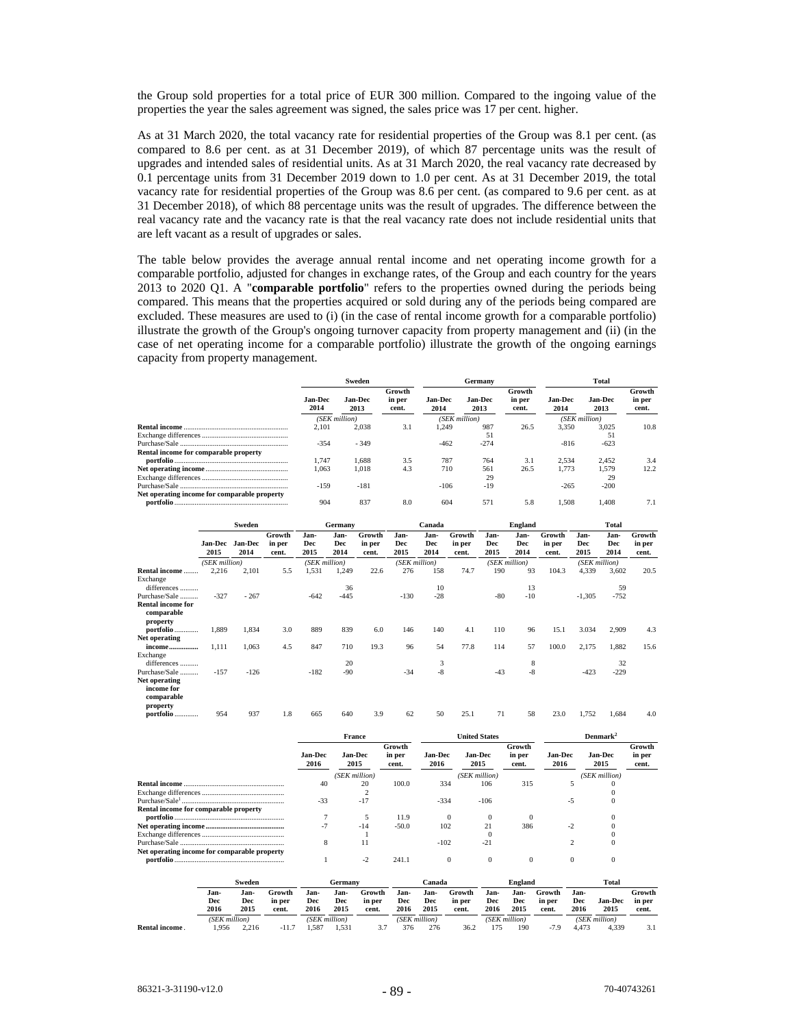the Group sold properties for a total price of EUR 300 million. Compared to the ingoing value of the properties the year the sales agreement was signed, the sales price was 17 per cent. higher.

As at 31 March 2020, the total vacancy rate for residential properties of the Group was 8.1 per cent. (as compared to 8.6 per cent. as at 31 December 2019), of which 87 percentage units was the result of upgrades and intended sales of residential units. As at 31 March 2020, the real vacancy rate decreased by 0.1 percentage units from 31 December 2019 down to 1.0 per cent. As at 31 December 2019, the total vacancy rate for residential properties of the Group was 8.6 per cent. (as compared to 9.6 per cent. as at 31 December 2018), of which 88 percentage units was the result of upgrades. The difference between the real vacancy rate and the vacancy rate is that the real vacancy rate does not include residential units that are left vacant as a result of upgrades or sales.

The table below provides the average annual rental income and net operating income growth for a comparable portfolio, adjusted for changes in exchange rates, of the Group and each country for the years 2013 to 2020 Q1. A "**comparable portfolio**" refers to the properties owned during the periods being compared. This means that the properties acquired or sold during any of the periods being compared are excluded. These measures are used to (i) (in the case of rental income growth for a comparable portfolio) illustrate the growth of the Group's ongoing turnover capacity from property management and (ii) (in the case of net operating income for a comparable portfolio) illustrate the growth of the ongoing earnings capacity from property management.

|                                              | Sweden                 |                        |                 |                        | Germany                |                 | <b>Total</b>           |                        |                 |
|----------------------------------------------|------------------------|------------------------|-----------------|------------------------|------------------------|-----------------|------------------------|------------------------|-----------------|
|                                              |                        |                        | Growth          |                        |                        | Growth          |                        |                        | Growth          |
|                                              | <b>Jan-Dec</b><br>2014 | <b>Jan-Dec</b><br>2013 | in per<br>cent. | <b>Jan-Dec</b><br>2014 | <b>Jan-Dec</b><br>2013 | in per<br>cent. | <b>Jan-Dec</b><br>2014 | <b>Jan-Dec</b><br>2013 | in per<br>cent. |
|                                              | (SEK million)          |                        |                 |                        | (SEK million)          |                 |                        | (SEK million)          |                 |
|                                              | 2.101                  | 2.038                  | 3.1             | 1.249                  | 987                    | 26.5            | 3.350                  | 3.025                  | 10.8            |
|                                              |                        |                        |                 |                        | 51                     |                 |                        | 51                     |                 |
|                                              | $-354$                 | $-349$                 |                 | $-462$                 | $-274$                 |                 | $-816$                 | $-623$                 |                 |
| Rental income for comparable property        |                        |                        |                 |                        |                        |                 |                        |                        |                 |
|                                              | 1.747                  | 1.688                  | 3.5             | 787                    | 764                    | 3.1             | 2.534                  | 2.452                  | 3.4             |
|                                              | 1.063                  | 1.018                  | 4.3             | 710                    | 561                    | 26.5            | 1.773                  | 1.579                  | 12.2            |
|                                              |                        |                        |                 |                        | 29                     |                 |                        | 29                     |                 |
|                                              | $-159$                 | $-181$                 |                 | $-106$                 | $-19$                  |                 | $-265$                 | $-200$                 |                 |
| Net operating income for comparable property |                        |                        |                 |                        |                        |                 |                        |                        |                 |
|                                              | 904                    | 837                    | 8.0             | 604                    | 571                    | 5.8             | 1.508                  | 1.408                  | 7.1             |

|                                                    | Sweden                 |                 |                           | Germany             |                     | Canada<br>England         |                     |                     |                           | <b>Total</b>        |                     |                           |                     |                            |                           |
|----------------------------------------------------|------------------------|-----------------|---------------------------|---------------------|---------------------|---------------------------|---------------------|---------------------|---------------------------|---------------------|---------------------|---------------------------|---------------------|----------------------------|---------------------------|
|                                                    | <b>Jan-Dec</b><br>2015 | Jan-Dec<br>2014 | Growth<br>in per<br>cent. | Jan-<br>Dec<br>2015 | Jan-<br>Dec<br>2014 | Growth<br>in per<br>cent. | Jan-<br>Dec<br>2015 | Jan-<br>Dec<br>2014 | Growth<br>in per<br>cent. | Jan-<br>Dec<br>2015 | Jan-<br>Dec<br>2014 | Growth<br>in per<br>cent. | Jan-<br>Dec<br>2015 | Jan-<br><b>Dec</b><br>2014 | Growth<br>in per<br>cent. |
|                                                    | (SEK million)          |                 |                           | (SEK million)       |                     |                           | (SEK million)       |                     |                           | (SEK million)       |                     |                           | (SEK million)       |                            |                           |
| Rental income                                      | 2.216                  | 2,101           | 5.5                       | 1,531               | 1,249               | 22.6                      | 276                 | 158                 | 74.7                      | 190                 | 93                  | 104.3                     | 4,339               | 3,602                      | 20.5                      |
| Exchange<br>differences                            |                        |                 |                           |                     | 36                  |                           |                     | 10                  |                           |                     | 13                  |                           |                     | 59                         |                           |
| Purchase/Sale                                      | $-327$                 | $-267$          |                           | $-642$              | $-445$              |                           | $-130$              | $-28$               |                           | $-80$               | $-10$               |                           | $-1,305$            | $-752$                     |                           |
| <b>Rental income for</b><br>comparable<br>property |                        |                 |                           |                     |                     |                           |                     |                     |                           |                     |                     |                           |                     |                            |                           |
| portfolio                                          | 1,889                  | 1,834           | 3.0                       | 889                 | 839                 | 6.0                       | 146                 | 140                 | 4.1                       | 110                 | 96                  | 15.1                      | 3.034               | 2,909                      | 4.3                       |
| Net operating                                      |                        |                 |                           |                     |                     |                           |                     |                     |                           |                     |                     |                           |                     |                            |                           |
| income<br>Exchange<br>differences                  | 1,111                  | 1,063           | 4.5                       | 847                 | 710<br>20           | 19.3                      | 96                  | 54<br>3             | 77.8                      | 114                 | 57<br>8             | 100.0                     | 2,175               | 1,882<br>32                | 15.6                      |
| Purchase/Sale<br>Net operating                     | $-157$                 | $-126$          |                           | $-182$              | $-90$               |                           | $-34$               | -8                  |                           | $-43$               | $-8$                |                           | $-423$              | $-229$                     |                           |
| income for<br>comparable<br>property<br>portfolio  | 954                    | 937             | 1.8                       | 665                 | 640                 | 3.9                       | 62                  | 50                  | 25.1                      | 71                  | 58                  | 23.0                      | 1,752               | 1.684                      | 4.0                       |

|                                              | <b>France</b>          |                        |                           |                        | <b>United States</b>   |                           | Denmark <sup>2</sup>   |                        |                           |  |
|----------------------------------------------|------------------------|------------------------|---------------------------|------------------------|------------------------|---------------------------|------------------------|------------------------|---------------------------|--|
|                                              | <b>Jan-Dec</b><br>2016 | <b>Jan-Dec</b><br>2015 | Growth<br>in per<br>cent. | <b>Jan-Dec</b><br>2016 | <b>Jan-Dec</b><br>2015 | Growth<br>in per<br>cent. | <b>Jan-Dec</b><br>2016 | <b>Jan-Dec</b><br>2015 | Growth<br>in per<br>cent. |  |
|                                              |                        | (SEK million)          |                           |                        | (SEK million)          |                           |                        | (SEK million)          |                           |  |
|                                              | 40                     | 20                     | 100.0                     | 334                    | 106                    | 315                       |                        |                        |                           |  |
|                                              |                        |                        |                           |                        |                        |                           |                        |                        |                           |  |
|                                              | $-33$                  | $-17$                  |                           | $-334$                 | $-106$                 |                           | -5                     | $^{(1)}$               |                           |  |
| Rental income for comparable property        |                        |                        |                           |                        |                        |                           |                        |                        |                           |  |
|                                              |                        |                        | 11.9                      | $\Omega$               | $\sqrt{ }$             |                           |                        |                        |                           |  |
|                                              | н.                     | $-14$                  | $-50.0$                   | 102                    | 21                     | 386                       |                        |                        |                           |  |
|                                              |                        |                        |                           |                        | C                      |                           |                        |                        |                           |  |
|                                              | 8                      | 11                     |                           | $-102$                 | $-21$                  |                           |                        | 0                      |                           |  |
| Net operating income for comparable property |                        |                        |                           |                        |                        |                           |                        |                        |                           |  |
|                                              |                        | $-2$                   | 241.1                     | $\Omega$               | $\Omega$               | $\Omega$                  | $\Omega$               | 0                      |                           |  |

|                      | Sweden        |       |        |       | Germany       | England<br>Canada |      |               |        |      | Total         |        |       |                |        |
|----------------------|---------------|-------|--------|-------|---------------|-------------------|------|---------------|--------|------|---------------|--------|-------|----------------|--------|
|                      | Jan-          | Jan-  | Growth | Jan-  | Jan-          | Growth            | Jan- | Jan-          | Growth | Jan- | Jan-          | Growth | Jan-  |                | Growth |
|                      | Dec           | Dec   | in per | Dec   | Dec           | in per            | Dec  | Dec           | in per | Dec  | Dec           | in per | Dec   | <b>Jan-Dec</b> | in per |
|                      | 2016          | 2015  | cent.  | 2016  | 2015          | cent.             | 2016 | 2015          | cent.  | 2016 | 2015          | cent.  | 2016  | 2015           | cent.  |
|                      | (SEK million) |       |        |       | (SEK million) |                   |      | (SEK million) |        |      | (SEK million) |        |       | (SEK million)  |        |
| <b>Rental income</b> | .956          | 2.216 | $-11.$ | . 587 | 1.531         |                   | 376  | 276           | 36.2   |      | 190           | $-7.9$ | 4.473 | 4.339          | .      |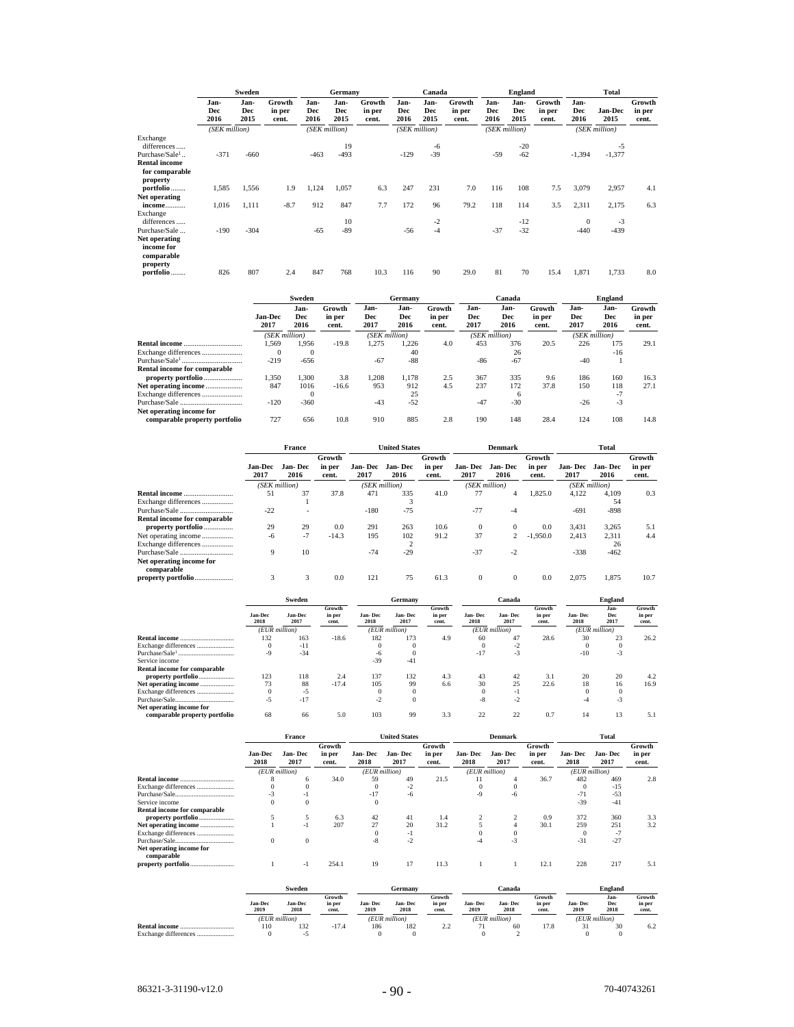|                                                       | Sweden              |                     |                           | Germany             |                     |                           | Canada              |                     |                           | <b>England</b>      |                            |                           | Total               |                 |                           |
|-------------------------------------------------------|---------------------|---------------------|---------------------------|---------------------|---------------------|---------------------------|---------------------|---------------------|---------------------------|---------------------|----------------------------|---------------------------|---------------------|-----------------|---------------------------|
|                                                       | Jan-<br>Dec<br>2016 | Jan-<br>Dec<br>2015 | Growth<br>in per<br>cent. | Jan-<br>Dec<br>2016 | Jan-<br>Dec<br>2015 | Growth<br>in per<br>cent. | Jan-<br>Dec<br>2016 | Jan-<br>Dec<br>2015 | Growth<br>in per<br>cent. | Jan-<br>Dec<br>2016 | Jan-<br><b>Dec</b><br>2015 | Growth<br>in per<br>cent. | Jan-<br>Dec<br>2016 | Jan-Dec<br>2015 | Growth<br>in per<br>cent. |
|                                                       | (SEK million)       |                     |                           |                     | (SEK million)       |                           | (SEK million)       |                     |                           |                     | (SEK million)              |                           |                     | (SEK million)   |                           |
| Exchange<br>differences<br>Purchase/Sale <sup>1</sup> | $-371$              | $-660$              |                           | $-463$              | 19<br>$-493$        |                           | $-129$              | -6<br>$-39$         |                           | $-59$               | $-20$<br>$-62$             |                           | $-1,394$            | -5<br>$-1,377$  |                           |
| <b>Rental income</b>                                  |                     |                     |                           |                     |                     |                           |                     |                     |                           |                     |                            |                           |                     |                 |                           |
| for comparable<br>property                            |                     |                     |                           |                     |                     |                           |                     |                     |                           |                     |                            |                           |                     |                 |                           |
| portfolio                                             | 1,585               | 1,556               | 1.9                       | 1,124               | 1,057               | 6.3                       | 247                 | 231                 | 7.0                       | 116                 | 108                        | 7.5                       | 3,079               | 2,957           | 4.1                       |
| Net operating                                         |                     |                     |                           |                     |                     |                           |                     |                     |                           |                     |                            |                           |                     |                 |                           |
| income                                                | 1,016               | 1,111               | $-8.7$                    | 912                 | 847                 | 7.7                       | 172                 | 96                  | 79.2                      | 118                 | 114                        | 3.5                       | 2,311               | 2,175           | 6.3                       |
| Exchange<br>differences                               |                     |                     |                           |                     | 10                  |                           |                     | -2                  |                           |                     | $-12$                      |                           | $\theta$            | $-3$            |                           |
| Purchase/Sale                                         | $-190$              | $-304$              |                           | $-65$               | $-89$               |                           | $-56$               | $-4$                |                           | $-37$               | $-32$                      |                           | $-440$              | $-439$          |                           |
| Net operating                                         |                     |                     |                           |                     |                     |                           |                     |                     |                           |                     |                            |                           |                     |                 |                           |
| income for<br>comparable<br>property                  |                     |                     |                           |                     |                     |                           |                     |                     |                           |                     |                            |                           |                     |                 |                           |
| portfolio                                             | 826                 | 807                 | 2.4                       | 847                 | 768                 | 10.3                      | 116                 | 90                  | 29.0                      | 81                  | 70                         | 15.4                      | 1,871               | 1,733           | 8.0                       |

|                               | Sweden          |                     |                           |                     | Germany             |                           | Canada              |                     |                           | England             |                     |                           |
|-------------------------------|-----------------|---------------------|---------------------------|---------------------|---------------------|---------------------------|---------------------|---------------------|---------------------------|---------------------|---------------------|---------------------------|
|                               | Jan-Dec<br>2017 | Jan-<br>Dec<br>2016 | Growth<br>in per<br>cent. | Jan-<br>Dec<br>2017 | Jan-<br>Dec<br>2016 | Growth<br>in per<br>cent. | Jan-<br>Dec<br>2017 | Jan-<br>Dec<br>2016 | Growth<br>in per<br>cent. | Jan-<br>Dec<br>2017 | Jan-<br>Dec<br>2016 | Growth<br>in per<br>cent. |
|                               | (SEK million)   |                     |                           | (SEK million)       |                     |                           | (SEK million)       |                     |                           | (SEK million)       |                     |                           |
|                               | .569            | 1.956               | $-19.8$                   | 1.275               | .226                | 4.0                       | 453                 | 376                 | 20.5                      | 226                 | 175                 | 29.1                      |
| Exchange differences          | $\Omega$        | $\bf{0}$            |                           |                     | 40                  |                           |                     | 26                  |                           |                     | $-16$               |                           |
|                               | $-219$          | $-656$              |                           | $-67$               | $-88$               |                           | $-86$               | $-67$               |                           | $-40$               |                     |                           |
| Rental income for comparable  |                 |                     |                           |                     |                     |                           |                     |                     |                           |                     |                     |                           |
| property portfolio            | 1.350           | 1.300               | 3.8                       | 1.208               | 1.178               | 2.5                       | 367                 | 335                 | 9.6                       | 186                 | 160                 | 16.3                      |
|                               | 847             | 1016                | $-16.6$                   | 953                 | 912                 | 4.5                       | 237                 | 172                 | 37.8                      | 150                 | 118                 | 27.1                      |
| Exchange differences          |                 | $\bf{0}$            |                           |                     | 25                  |                           |                     | 6                   |                           |                     | $-7$                |                           |
|                               | $-120$          | $-360$              |                           | $-43$               | $-52$               |                           | $-47$               | $-30$               |                           | $-26$               | $-3$                |                           |
| Net operating income for      |                 |                     |                           |                     |                     |                           |                     |                     |                           |                     |                     |                           |
| comparable property portfolio | 727             | 656                 | 10.8                      | 910                 | 885                 | 2.8                       | 190                 | 148                 | 28.4                      | 124                 | 108                 | 14.8                      |

|                                        | <b>France</b>          |                 |                           |                 | <b>United States</b> |                           | <b>Denmark</b>  |                 |                           | <b>Total</b>    |                     |                           |
|----------------------------------------|------------------------|-----------------|---------------------------|-----------------|----------------------|---------------------------|-----------------|-----------------|---------------------------|-----------------|---------------------|---------------------------|
|                                        | <b>Jan-Dec</b><br>2017 | Jan-Dec<br>2016 | Growth<br>in per<br>cent. | Jan-Dec<br>2017 | Jan-Dec<br>2016      | Growth<br>in per<br>cent. | Jan-Dec<br>2017 | Jan-Dec<br>2016 | Growth<br>in per<br>cent. | Jan-Dec<br>2017 | Jan-Dec<br>2016     | Growth<br>in per<br>cent. |
|                                        |                        | (SEK million)   |                           |                 | (SEK million)        |                           |                 | (SEK million)   |                           |                 | (SEK million)       |                           |
| <b>Rental income</b>                   | 51                     | 37              | 37.8                      | 471             | 335                  | 41.0                      | 77              | 4               | 1.825.0                   | 4.122           | 4.109               | 0.3                       |
| Exchange differences                   |                        |                 |                           |                 | 3                    |                           |                 |                 |                           |                 | 54                  |                           |
|                                        | $-22$                  |                 |                           | $-180$          | $-75$                |                           | $-77$           | $-4$            |                           | $-691$          | $-898$              |                           |
| Rental income for comparable           |                        |                 |                           |                 |                      |                           |                 |                 |                           |                 |                     |                           |
| property portfolio                     | 29                     | 29              | 0.0                       | 291             | 263                  | 10.6                      | $\theta$        | $\theta$        | 0.0                       | 3,431           | 3,265               | 5.1                       |
| Net operating income                   | -6                     | $-7$            | $-14.3$                   | 195             | 102                  | 91.2                      | 37              | 2               | $-1.950.0$                | 2.413           | 2,311               | 4.4                       |
| Exchange differences                   |                        |                 |                           |                 | $\overline{c}$       |                           |                 |                 |                           |                 | 26                  |                           |
| Purchase/Sale                          | 9                      | 10              |                           | $-74$           | $-29$                |                           | $-37$           | $-2$            |                           | $-338$          | $-462$              |                           |
| Net operating income for<br>comparable |                        |                 |                           |                 |                      |                           |                 |                 |                           |                 |                     |                           |
| property portfolio                     | 3                      | 3               | 0.0                       | 121             | 75                   | 61.3                      | $\mathbf{0}$    | $\theta$        | 0.0                       | 2,075           | 1,875               | 10.7                      |
|                                        |                        | Sweden          |                           |                 | Germany              |                           |                 | Canada          |                           |                 | <b>England</b>      |                           |
|                                        | Jan-Dec<br>2018        | Jan-Dec<br>2017 | Growth<br>in per<br>cent. | Jan-Dec<br>2018 | Jan-Dec<br>2017      | Growth<br>in per<br>cent. | Jan-Dec<br>2018 | Jan-Dec<br>2017 | Growth<br>in per<br>cent. | Jan-Dec<br>2018 | Jan-<br>Dec<br>2017 | Growth<br>in per<br>cent. |
|                                        |                        | $(EUR$ million) |                           |                 | $(EUR$ million)      |                           |                 | $(EUR$ million) |                           |                 | $(EUR$ million)     |                           |
|                                        | 132                    | 163             | $-18.6$                   | 182             | 173                  | 4.9                       | 60              | 47              | 28.6                      | 30              | 23                  | 26.2                      |
| Exchange differences                   | $\Omega$               | $-11$           |                           | $\Omega$        | $\Omega$             |                           | $\Omega$        | $-2$            |                           | $\Omega$        | $\theta$            |                           |
|                                        | $-9$                   | $-34$           |                           | -6              | $\Omega$             |                           | $-17$           | $-3$            |                           | $-10$           | $-3$                |                           |
| Service income                         |                        |                 |                           | $-39$           | $-41$                |                           |                 |                 |                           |                 |                     |                           |
| <b>Rental income for comparable</b>    |                        |                 |                           |                 |                      |                           |                 |                 |                           |                 |                     |                           |
| property portfolio                     | 123                    | 118             | 2.4                       | 137             | 132                  | 4.3                       | 43              | 42              | 3.1                       | 20              | 20                  | 4.2                       |
| Net operating income                   | 73                     | 88              | $-17.4$                   | 105             | 99                   | 6.6                       | 30              | 25              | 22.6                      | 18              | 16                  | 16.9                      |
| Exchange differences                   | $\Omega$               | $-5$            |                           | $\theta$        | $\Omega$             |                           | $\Omega$        | $-1$            |                           | $\Omega$        | $\Omega$            |                           |
|                                        | $-5$                   | $-17$           |                           | $-2$            | $\Omega$             |                           | $-8$            | $-2$            |                           | $-4$            | $-3$                |                           |

| <u>1 UI CHURCH DIUDICHE STERN BERRING BERRING BERRING BERRING BERRING BERRING BERRING BERRING BERRING BERRING BE</u> |    |    |     |     |             |     | - |  |  |   |
|----------------------------------------------------------------------------------------------------------------------|----|----|-----|-----|-------------|-----|---|--|--|---|
| Net operating income for                                                                                             |    |    |     |     |             |     |   |  |  |   |
| comparable property portfolio                                                                                        | 68 | 66 | 5.0 | 103 | $^{\rm oo}$ | --- |   |  |  | - |

|                                        | France                 |                        |                           | <b>United States</b> |                 |                           |                 | <b>Denmark</b>  |                           | Total            |                     |                           |  |
|----------------------------------------|------------------------|------------------------|---------------------------|----------------------|-----------------|---------------------------|-----------------|-----------------|---------------------------|------------------|---------------------|---------------------------|--|
|                                        | <b>Jan-Dec</b><br>2018 | Jan- Dec<br>2017       | Growth<br>in per<br>cent. | Jan-Dec<br>2018      | Jan-Dec<br>2017 | Growth<br>in per<br>cent. | Jan-Dec<br>2018 | Jan-Dec<br>2017 | Growth<br>in per<br>cent. | Jan- Dec<br>2018 | Jan-Dec<br>2017     | Growth<br>in per<br>cent. |  |
|                                        | (EUR million)          |                        |                           | (EUR million)        |                 |                           | (EUR million)   |                 | (EUR million)             |                  |                     |                           |  |
|                                        | 8                      | 6                      | 34.0                      | 59                   | 49              | 21.5                      | 11              |                 | 36.7                      | 482              | 469                 | 2.8                       |  |
| Exchange differences                   | $\Omega$               |                        |                           | $\Omega$             | $-2$            |                           | $\Omega$        | $\Omega$        |                           | $\Omega$         | $-15$               |                           |  |
|                                        | $-3$                   | - 1                    |                           | $-17$                | -6              |                           | $-9$            | -6              |                           | $-71$            | $-53$               |                           |  |
| Service income                         |                        | $\theta$               |                           | $\mathbf{0}$         |                 |                           |                 |                 |                           | $-39$            | $-41$               |                           |  |
| Rental income for comparable           |                        |                        |                           |                      |                 |                           |                 |                 |                           |                  |                     |                           |  |
| property portfolio                     | 5                      | 5                      | 6.3                       | 42                   | 41              | 1.4                       |                 | $\overline{2}$  | 0.9                       | 372              | 360                 | 3.3                       |  |
| Net operating income                   |                        | -1                     | 207                       | 27                   | 20              | 31.2                      | 5               | $\overline{4}$  | 30.1                      | 259              | 251                 | 3.2                       |  |
| Exchange differences                   |                        |                        |                           | $\Omega$             | -1              |                           |                 | $\mathbf{0}$    |                           | $\Omega$         | $-7$                |                           |  |
|                                        | 0                      | $\theta$               |                           | -8                   | $-2$            |                           | -4              | $-3$            |                           | $-31$            | $-27$               |                           |  |
| Net operating income for<br>comparable |                        |                        |                           |                      |                 |                           |                 |                 |                           |                  |                     |                           |  |
|                                        |                        | -1                     | 254.1                     | 19                   | 17              | 11.3                      |                 |                 | 12.1                      | 228              | 217                 | 5.1                       |  |
|                                        | Sweden                 |                        |                           | Germany              |                 |                           | Canada          |                 |                           | England          |                     |                           |  |
|                                        | <b>Jan-Dec</b><br>2019 | <b>Jan-Dec</b><br>2018 | Growth<br>in per<br>cent. | Jan-Dec<br>2019      | Jan-Dec<br>2018 | Growth<br>in per<br>cent. | Jan-Dec<br>2019 | Jan-Dec<br>2018 | Growth<br>in per<br>cent. | Jan-Dec<br>2019  | Jan-<br>Dec<br>2018 | Growth<br>in per<br>cent. |  |
|                                        | (EUR million)          |                        |                           |                      | (EUR million)   |                           | $(EUR$ million) |                 | (EUR million)             |                  |                     |                           |  |
|                                        | 110                    | 132                    | $-17.4$                   | 186                  | 182             | 2.2                       | 71              | 60              | 17.8                      | 31               | 30                  | 6.2                       |  |
| Exchange differences                   | $\mathbf{0}$           | $-5$                   |                           | $\Omega$             | $\bf{0}$        |                           | $\Omega$        | $\mathfrak{D}$  |                           | $\Omega$         | 0                   |                           |  |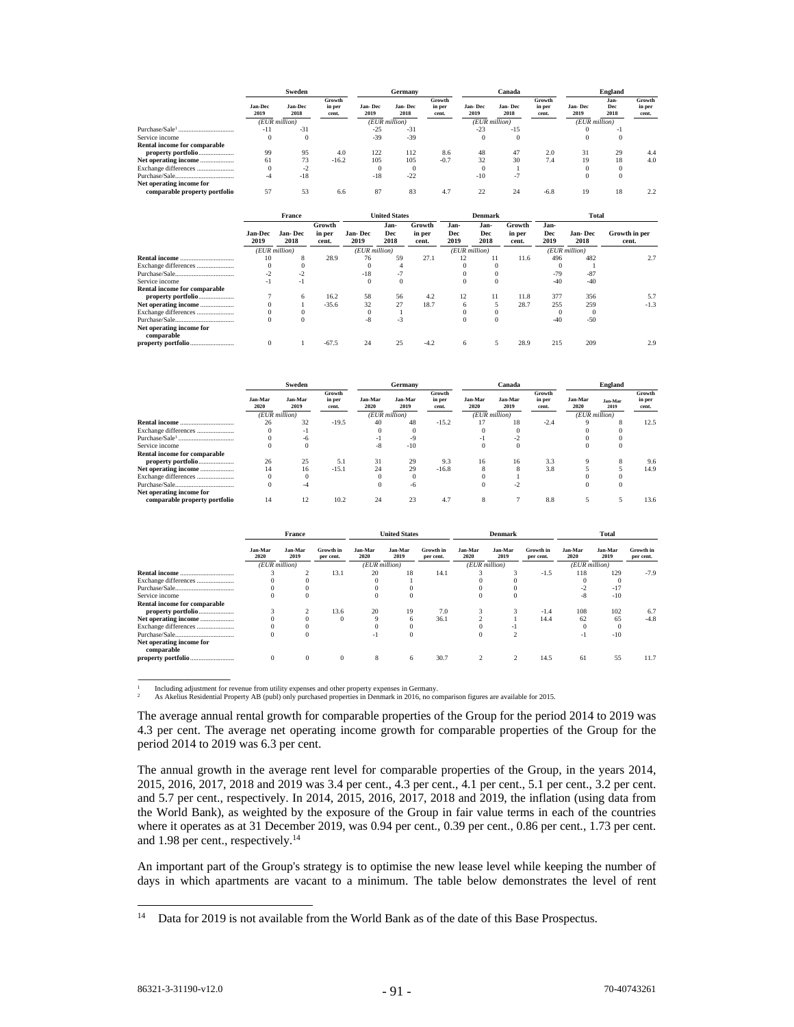|                               | Sweden                 |                        |                           |                 | Germany         |                           |                 | Canada          |                           | <b>England</b>  |                          |                           |  |
|-------------------------------|------------------------|------------------------|---------------------------|-----------------|-----------------|---------------------------|-----------------|-----------------|---------------------------|-----------------|--------------------------|---------------------------|--|
|                               | <b>Jan-Dec</b><br>2019 | <b>Jan-Dec</b><br>2018 | Growth<br>in per<br>cent. | Jan-Dec<br>2019 | Jan-Dec<br>2018 | Growth<br>in per<br>cent. | Jan-Dec<br>2019 | Jan-Dec<br>2018 | Growth<br>in per<br>cent. | Jan-Dec<br>2019 | Jan-<br>Dec<br>2018      | Growth<br>in per<br>cent. |  |
|                               | (EUR million)          |                        | (EUR million)             |                 |                 | (EUR million)             |                 |                 | (EUR million)             |                 |                          |                           |  |
| Purchase/Sale1<br>            | -11                    | $-31$                  |                           | $-25$           | $-31$           |                           | $-23$           | $-15$           |                           |                 | $\overline{\phantom{a}}$ |                           |  |
| Service income                |                        |                        |                           | $-39$           | $-39$           |                           |                 |                 |                           |                 |                          |                           |  |
| Rental income for comparable  |                        |                        |                           |                 |                 |                           |                 |                 |                           |                 |                          |                           |  |
| property portfolio            | 99                     | 95                     | 4.0                       | 122             | 112             | 8.6                       | 48              | 47              | 2.0                       | 31              | 29                       | 4.4                       |  |
| Net operating income          | 61                     | 73                     | $-16.2$                   | 105             | 105             | $-0.7$                    | 32              | 30              | 7.4                       | 19              | 18                       | 4.0                       |  |
| Exchange differences          |                        | $-2$                   |                           |                 |                 |                           |                 |                 |                           |                 |                          |                           |  |
|                               |                        | $-18$                  |                           | $-18$           | $-22$           |                           | $-10$           | ٠.              |                           |                 |                          |                           |  |
| Net operating income for      |                        |                        |                           |                 |                 |                           |                 |                 |                           |                 |                          |                           |  |
| comparable property portfolio | 57                     | 53                     | 6.6                       | 87              | 83              | 4.7                       | 22              | 24              | $-6.8$                    | 19              | 18                       |                           |  |

|                              |                        | France          |                           | <b>United States</b> |                     |                           | <b>Denmark</b>      |                     |                           | Total               |                 |                        |  |
|------------------------------|------------------------|-----------------|---------------------------|----------------------|---------------------|---------------------------|---------------------|---------------------|---------------------------|---------------------|-----------------|------------------------|--|
|                              | <b>Jan-Dec</b><br>2019 | Jan-Dec<br>2018 | Growth<br>in per<br>cent. | Jan-Dec<br>2019      | Jan-<br>Dec<br>2018 | Growth<br>in per<br>cent. | Jan-<br>Dec<br>2019 | Jan-<br>Dec<br>2018 | Growth<br>in per<br>cent. | Jan-<br>Dec<br>2019 | Jan-Dec<br>2018 | Growth in per<br>cent. |  |
|                              | (EUR million)          |                 |                           | (EUR million)        |                     |                           | (EUR million)       |                     |                           | (EUR million)       |                 |                        |  |
|                              | 10                     |                 | 28.9                      | 76                   | 59                  | 27.1                      | 12                  | 11                  | 11.6                      | 496                 | 482             | 2.7                    |  |
| Exchange differences         |                        |                 |                           |                      |                     |                           |                     |                     |                           |                     |                 |                        |  |
|                              |                        |                 |                           | $-18$                |                     |                           |                     |                     |                           | $-79$               | $-87$           |                        |  |
| Service income               | -1                     | - 1             |                           | $\Omega$             | $\Omega$            |                           |                     | $\bf{0}$            |                           | $-40$               | $-40$           |                        |  |
| Rental income for comparable |                        |                 |                           |                      |                     |                           |                     |                     |                           |                     |                 |                        |  |
|                              |                        | 6               | 16.2                      | 58                   | 56                  | 4.2                       | 12                  | 11                  | 11.8                      | 377                 | 356             | 5.7                    |  |
| Net operating income         |                        |                 | $-35.6$                   | 32                   | 27                  | 18.7                      | <sup>n</sup>        |                     | 28.7                      | 255                 | 259             | $-1.3$                 |  |
| Exchange differences         |                        |                 |                           |                      |                     |                           |                     |                     |                           |                     |                 |                        |  |
|                              |                        |                 |                           | $-8$                 | - 5                 |                           |                     | $\Omega$            |                           | $-40$               | $-50$           |                        |  |
| Net operating income for     |                        |                 |                           |                      |                     |                           |                     |                     |                           |                     |                 |                        |  |
| comparable                   |                        |                 |                           |                      |                     |                           |                     |                     |                           |                     |                 |                        |  |
|                              |                        |                 | $-67.5$                   | 24                   | 25                  | $-4.2$                    | o                   |                     | 28.9                      | 215                 | 209             | 2.9                    |  |

|                               | Sweden          |                 |                           |                 | Germany         |                           |                 | Canada          |                           | <b>England</b>  |                 |                           |
|-------------------------------|-----------------|-----------------|---------------------------|-----------------|-----------------|---------------------------|-----------------|-----------------|---------------------------|-----------------|-----------------|---------------------------|
|                               | Jan-Mar<br>2020 | Jan-Mar<br>2019 | Growth<br>in per<br>cent. | Jan-Mar<br>2020 | Jan-Mar<br>2019 | Growth<br>in per<br>cent. | Jan-Mar<br>2020 | Jan-Mar<br>2019 | Growth<br>in per<br>cent. | Jan-Mar<br>2020 | Jan-Mar<br>2019 | Growth<br>in per<br>cent. |
|                               | (EUR million)   |                 |                           | (EUR million)   |                 |                           |                 | (EUR million)   |                           | (EUR million)   |                 |                           |
|                               | 26              | 32              | $-19.5$                   | 40              | 48              | $-15.2$                   |                 | 18              | $-2.4$                    |                 |                 | 12.5                      |
| Exchange differences          |                 |                 |                           |                 |                 |                           |                 |                 |                           |                 |                 |                           |
|                               |                 |                 |                           | - 1             |                 |                           |                 |                 |                           |                 |                 |                           |
| Service income                |                 |                 |                           | -8              | $-10$           |                           | $\Omega$        |                 |                           |                 |                 |                           |
| Rental income for comparable  |                 |                 |                           |                 |                 |                           |                 |                 |                           |                 |                 |                           |
| property portfolio            | 26              | 25              | 5.1                       | 31              | 29              | 9.3                       | 16              | 16              | 3.3                       |                 |                 | 9.6                       |
|                               | 14              | 16              | $-15.1$                   | 24              | 29              | $-16.8$                   |                 | o               | 3.8                       |                 |                 | 14.9                      |
| Exchange differences          |                 |                 |                           |                 |                 |                           |                 |                 |                           |                 |                 |                           |
|                               |                 |                 |                           |                 | -6              |                           |                 |                 |                           |                 |                 |                           |
| Net operating income for      |                 |                 |                           |                 |                 |                           |                 |                 |                           |                 |                 |                           |
| comparable property portfolio |                 |                 | 10.2                      | 24              |                 | 4.7                       |                 |                 | 8.8                       |                 |                 | 13.6                      |

|                              | France          |                 |                        |                 | <b>United States</b> |                        |                 | <b>Denmark</b>  |                        | Total           |                 |                        |
|------------------------------|-----------------|-----------------|------------------------|-----------------|----------------------|------------------------|-----------------|-----------------|------------------------|-----------------|-----------------|------------------------|
|                              | Jan-Mar<br>2020 | Jan-Mar<br>2019 | Growth in<br>per cent. | Jan-Mar<br>2020 | Jan-Mar<br>2019      | Growth in<br>per cent. | Jan-Mar<br>2020 | Jan-Mar<br>2019 | Growth in<br>per cent. | Jan-Mar<br>2020 | Jan-Mar<br>2019 | Growth in<br>per cent. |
|                              | (EUR million)   |                 |                        |                 | (EUR million)        |                        | (EUR million)   |                 |                        | $(EUR$ million) |                 |                        |
|                              |                 |                 | 13.1                   | 20              | 18                   | 14.1                   |                 |                 | $-1.5$                 | 118             | 129             | $-7.9$                 |
| Exchange differences         |                 |                 |                        |                 |                      |                        |                 |                 |                        |                 |                 |                        |
|                              |                 |                 |                        |                 |                      |                        |                 |                 |                        |                 | $-17$           |                        |
| Service income               | $\Omega$        |                 |                        |                 |                      |                        | $^{()}$         |                 |                        | $-8$            | $-10$           |                        |
| Rental income for comparable |                 |                 |                        |                 |                      |                        |                 |                 |                        |                 |                 |                        |
| property portfolio           |                 | $\Delta$        | 13.6                   | 20              | 19                   | 7.0                    |                 | ñ               | $-1.4$                 | 108             | 102             | 6.7                    |
|                              |                 |                 |                        | 9               |                      | 36.1                   |                 |                 | 14.4                   | 62              | 65              | $-4.8$                 |
| Exchange differences         |                 |                 |                        |                 |                      |                        |                 |                 |                        |                 |                 |                        |
|                              |                 |                 |                        | - 1             |                      |                        | O               |                 |                        | $-1$            | $-10$           |                        |
| Net operating income for     |                 |                 |                        |                 |                      |                        |                 |                 |                        |                 |                 |                        |
| comparable                   |                 |                 |                        |                 |                      |                        |                 |                 |                        |                 |                 |                        |
|                              |                 |                 | 0                      | 8               | 6                    | 30.7                   |                 |                 | 14.5                   | 61              | 55              | 11.7                   |

Including adjustment for revenue from utility expenses and other property expenses in Germany.<br>As Akelius Residential Property AB (publ) only purchased properties in Denmark in 2016, no comparison figures are available for

The average annual rental growth for comparable properties of the Group for the period 2014 to 2019 was 4.3 per cent. The average net operating income growth for comparable properties of the Group for the period 2014 to 2019 was 6.3 per cent.

The annual growth in the average rent level for comparable properties of the Group, in the years 2014, 2015, 2016, 2017, 2018 and 2019 was 3.4 per cent., 4.3 per cent., 4.1 per cent., 5.1 per cent., 3.2 per cent. and 5.7 per cent., respectively. In 2014, 2015, 2016, 2017, 2018 and 2019, the inflation (using data from the World Bank), as weighted by the exposure of the Group in fair value terms in each of the countries where it operates as at 31 December 2019, was 0.94 per cent., 0.39 per cent., 0.86 per cent., 1.73 per cent. and 1.98 per cent., respectively.<sup>14</sup>

An important part of the Group's strategy is to optimise the new lease level while keeping the number of days in which apartments are vacant to a minimum. The table below demonstrates the level of rent

\_\_\_\_\_\_\_\_\_\_\_\_\_\_\_

<sup>&</sup>lt;sup>14</sup> Data for 2019 is not available from the World Bank as of the date of this Base Prospectus.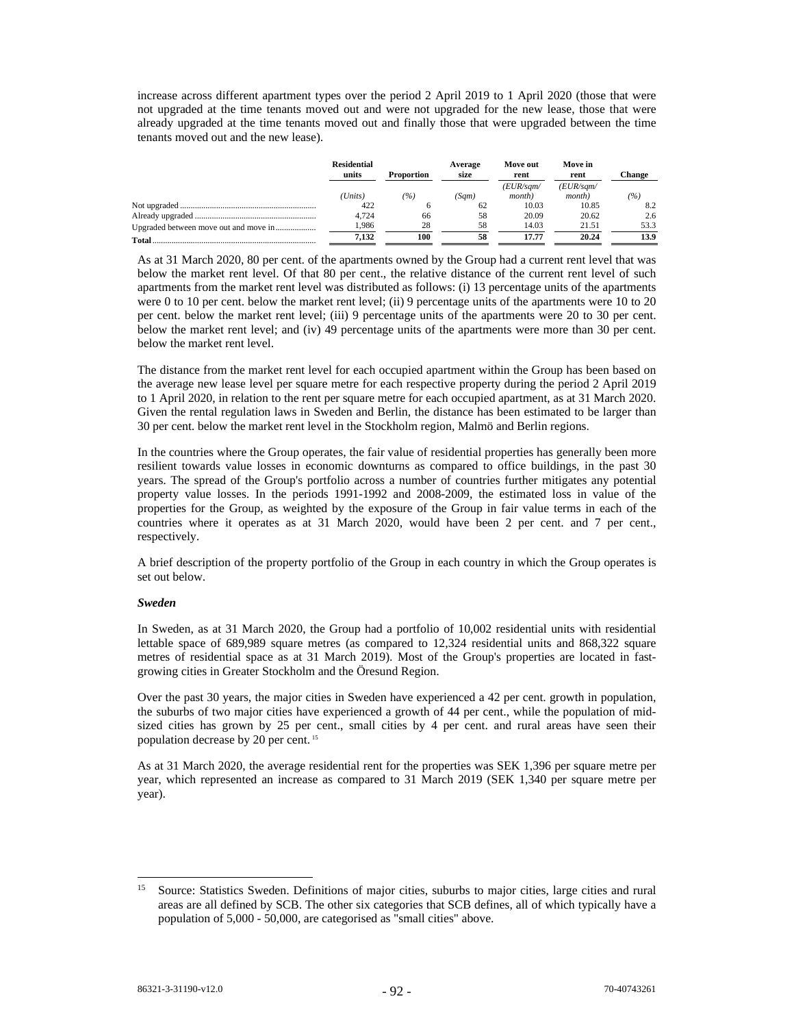increase across different apartment types over the period 2 April 2019 to 1 April 2020 (those that were not upgraded at the time tenants moved out and were not upgraded for the new lease, those that were already upgraded at the time tenants moved out and finally those that were upgraded between the time tenants moved out and the new lease).

|                                       | <b>Residential</b><br>units | <b>Proportion</b> | Average<br>size | Move out<br>rent            | Move in<br>rent             | <b>Change</b> |  |
|---------------------------------------|-----------------------------|-------------------|-----------------|-----------------------------|-----------------------------|---------------|--|
|                                       | (Units)                     | $( \% )$          | (Sam)           | (EUR/sgm/<br><i>month</i> ) | (EUR/sgm/<br><i>month</i> ) | (%)           |  |
|                                       | 422                         |                   | 62              | 10.03                       | 10.85                       | 8.2           |  |
|                                       | 4.724                       | 66                | 58              | 20.09                       | 20.62                       | 2.6           |  |
| Upgraded between move out and move in | 1.986                       | 28                | 58              | 14.03                       | 21.51                       | 53.3          |  |
|                                       | 7.132                       | 100               | 58              | 17.77                       | 20.24                       | 13.9          |  |

As at 31 March 2020, 80 per cent. of the apartments owned by the Group had a current rent level that was below the market rent level. Of that 80 per cent., the relative distance of the current rent level of such apartments from the market rent level was distributed as follows: (i) 13 percentage units of the apartments were 0 to 10 per cent. below the market rent level; (ii) 9 percentage units of the apartments were 10 to 20 per cent. below the market rent level; (iii) 9 percentage units of the apartments were 20 to 30 per cent. below the market rent level; and (iv) 49 percentage units of the apartments were more than 30 per cent. below the market rent level.

The distance from the market rent level for each occupied apartment within the Group has been based on the average new lease level per square metre for each respective property during the period 2 April 2019 to 1 April 2020, in relation to the rent per square metre for each occupied apartment, as at 31 March 2020. Given the rental regulation laws in Sweden and Berlin, the distance has been estimated to be larger than 30 per cent. below the market rent level in the Stockholm region, Malmö and Berlin regions.

In the countries where the Group operates, the fair value of residential properties has generally been more resilient towards value losses in economic downturns as compared to office buildings, in the past 30 years. The spread of the Group's portfolio across a number of countries further mitigates any potential property value losses. In the periods 1991-1992 and 2008-2009, the estimated loss in value of the properties for the Group, as weighted by the exposure of the Group in fair value terms in each of the countries where it operates as at 31 March 2020, would have been 2 per cent. and 7 per cent., respectively.

A brief description of the property portfolio of the Group in each country in which the Group operates is set out below.

## *Sweden*

In Sweden, as at 31 March 2020, the Group had a portfolio of 10,002 residential units with residential lettable space of 689,989 square metres (as compared to 12,324 residential units and 868,322 square metres of residential space as at 31 March 2019). Most of the Group's properties are located in fastgrowing cities in Greater Stockholm and the Öresund Region.

Over the past 30 years, the major cities in Sweden have experienced a 42 per cent. growth in population, the suburbs of two major cities have experienced a growth of 44 per cent., while the population of midsized cities has grown by 25 per cent., small cities by 4 per cent. and rural areas have seen their population decrease by 20 per cent. <sup>15</sup>

As at 31 March 2020, the average residential rent for the properties was SEK 1,396 per square metre per year, which represented an increase as compared to 31 March 2019 (SEK 1,340 per square metre per year).

<sup>15</sup> Source: Statistics Sweden. Definitions of major cities, suburbs to major cities, large cities and rural areas are all defined by SCB. The other six categories that SCB defines, all of which typically have a population of 5,000 - 50,000, are categorised as "small cities" above.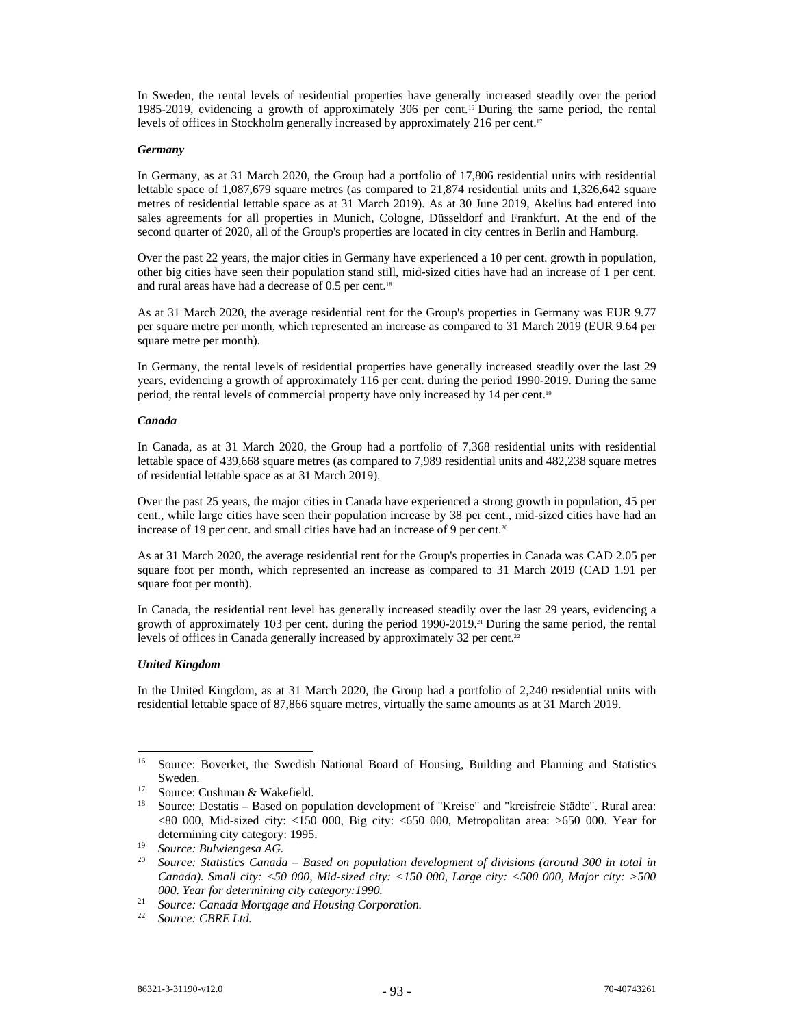In Sweden, the rental levels of residential properties have generally increased steadily over the period 1985-2019, evidencing a growth of approximately 306 per cent.16 During the same period, the rental levels of offices in Stockholm generally increased by approximately 216 per cent.<sup>17</sup>

### *Germany*

In Germany, as at 31 March 2020, the Group had a portfolio of 17,806 residential units with residential lettable space of 1,087,679 square metres (as compared to 21,874 residential units and 1,326,642 square metres of residential lettable space as at 31 March 2019). As at 30 June 2019, Akelius had entered into sales agreements for all properties in Munich, Cologne, Düsseldorf and Frankfurt. At the end of the second quarter of 2020, all of the Group's properties are located in city centres in Berlin and Hamburg.

Over the past 22 years, the major cities in Germany have experienced a 10 per cent. growth in population, other big cities have seen their population stand still, mid-sized cities have had an increase of 1 per cent. and rural areas have had a decrease of 0.5 per cent.<sup>18</sup>

As at 31 March 2020, the average residential rent for the Group's properties in Germany was EUR 9.77 per square metre per month, which represented an increase as compared to 31 March 2019 (EUR 9.64 per square metre per month).

In Germany, the rental levels of residential properties have generally increased steadily over the last 29 years, evidencing a growth of approximately 116 per cent. during the period 1990-2019. During the same period, the rental levels of commercial property have only increased by 14 per cent.<sup>19</sup>

### *Canada*

In Canada, as at 31 March 2020, the Group had a portfolio of 7,368 residential units with residential lettable space of 439,668 square metres (as compared to 7,989 residential units and 482,238 square metres of residential lettable space as at 31 March 2019).

Over the past 25 years, the major cities in Canada have experienced a strong growth in population, 45 per cent., while large cities have seen their population increase by 38 per cent., mid-sized cities have had an increase of 19 per cent. and small cities have had an increase of 9 per cent.<sup>20</sup>

As at 31 March 2020, the average residential rent for the Group's properties in Canada was CAD 2.05 per square foot per month, which represented an increase as compared to 31 March 2019 (CAD 1.91 per square foot per month).

In Canada, the residential rent level has generally increased steadily over the last 29 years, evidencing a growth of approximately 103 per cent. during the period 1990-2019.<sup>21</sup> During the same period, the rental levels of offices in Canada generally increased by approximately 32 per cent.<sup>22</sup>

# *United Kingdom*

In the United Kingdom, as at 31 March 2020, the Group had a portfolio of 2,240 residential units with residential lettable space of 87,866 square metres, virtually the same amounts as at 31 March 2019.

<sup>&</sup>lt;sup>16</sup> Source: Boverket, the Swedish National Board of Housing, Building and Planning and Statistics Sweden.<br><sup>17</sup> Source: Cushman & Wakefield.

<sup>&</sup>lt;sup>18</sup> Source: Destatis – Based on population development of "Kreise" and "kreisfreie Städte". Rural area: <80 000, Mid-sized city: <150 000, Big city: <650 000, Metropolitan area: >650 000. Year for determining city category: 1995. 19 *Source: Bulwiengesa AG.*

<sup>20</sup> *Source: Statistics Canada – Based on population development of divisions (around 300 in total in Canada). Small city: <50 000, Mid-sized city: <150 000, Large city: <500 000, Major city: >500 000. Year for determining city category:1990.*

<sup>21</sup> *Source: Canada Mortgage and Housing Corporation.* 

<sup>22</sup> *Source: CBRE Ltd.*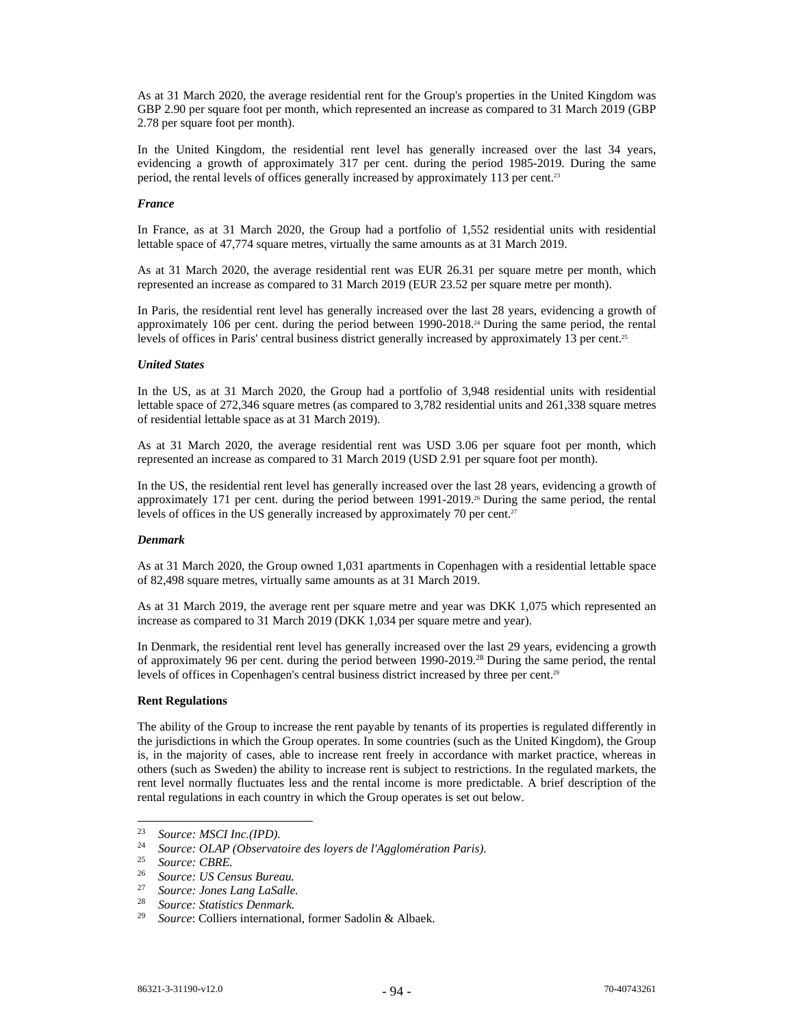As at 31 March 2020, the average residential rent for the Group's properties in the United Kingdom was GBP 2.90 per square foot per month, which represented an increase as compared to 31 March 2019 (GBP 2.78 per square foot per month).

In the United Kingdom, the residential rent level has generally increased over the last 34 years, evidencing a growth of approximately 317 per cent. during the period 1985-2019. During the same period, the rental levels of offices generally increased by approximately 113 per cent.<sup>23</sup>

#### *France*

In France, as at 31 March 2020, the Group had a portfolio of 1,552 residential units with residential lettable space of 47,774 square metres, virtually the same amounts as at 31 March 2019.

As at 31 March 2020, the average residential rent was EUR 26.31 per square metre per month, which represented an increase as compared to 31 March 2019 (EUR 23.52 per square metre per month).

In Paris, the residential rent level has generally increased over the last 28 years, evidencing a growth of approximately 106 per cent. during the period between 1990-2018.24 During the same period, the rental levels of offices in Paris' central business district generally increased by approximately 13 per cent.<sup>25</sup>

# *United States*

In the US, as at 31 March 2020, the Group had a portfolio of 3,948 residential units with residential lettable space of 272,346 square metres (as compared to 3,782 residential units and 261,338 square metres of residential lettable space as at 31 March 2019).

As at 31 March 2020, the average residential rent was USD 3.06 per square foot per month, which represented an increase as compared to 31 March 2019 (USD 2.91 per square foot per month).

In the US, the residential rent level has generally increased over the last 28 years, evidencing a growth of approximately 171 per cent. during the period between 1991-2019.26 During the same period, the rental levels of offices in the US generally increased by approximately 70 per cent.<sup>27</sup>

#### *Denmark*

As at 31 March 2020, the Group owned 1,031 apartments in Copenhagen with a residential lettable space of 82,498 square metres, virtually same amounts as at 31 March 2019.

As at 31 March 2019, the average rent per square metre and year was DKK 1,075 which represented an increase as compared to 31 March 2019 (DKK 1,034 per square metre and year).

In Denmark, the residential rent level has generally increased over the last 29 years, evidencing a growth of approximately 96 per cent. during the period between 1990-2019.28 During the same period, the rental levels of offices in Copenhagen's central business district increased by three per cent.<sup>29</sup>

#### **Rent Regulations**

The ability of the Group to increase the rent payable by tenants of its properties is regulated differently in the jurisdictions in which the Group operates. In some countries (such as the United Kingdom), the Group is, in the majority of cases, able to increase rent freely in accordance with market practice, whereas in others (such as Sweden) the ability to increase rent is subject to restrictions. In the regulated markets, the rent level normally fluctuates less and the rental income is more predictable. A brief description of the rental regulations in each country in which the Group operates is set out below.

<sup>23</sup> *Source: MSCI Inc.(IPD).*

<sup>24</sup> *Source: OLAP (Observatoire des loyers de l'Agglomération Paris).*

<sup>25</sup> *Source: CBRE.*

<sup>26</sup> *Source: US Census Bureau.*

<sup>27</sup> *Source: Jones Lang LaSalle.* 

<sup>28</sup> *Source: Statistics Denmark.*

Source: Colliers international, former Sadolin & Albaek.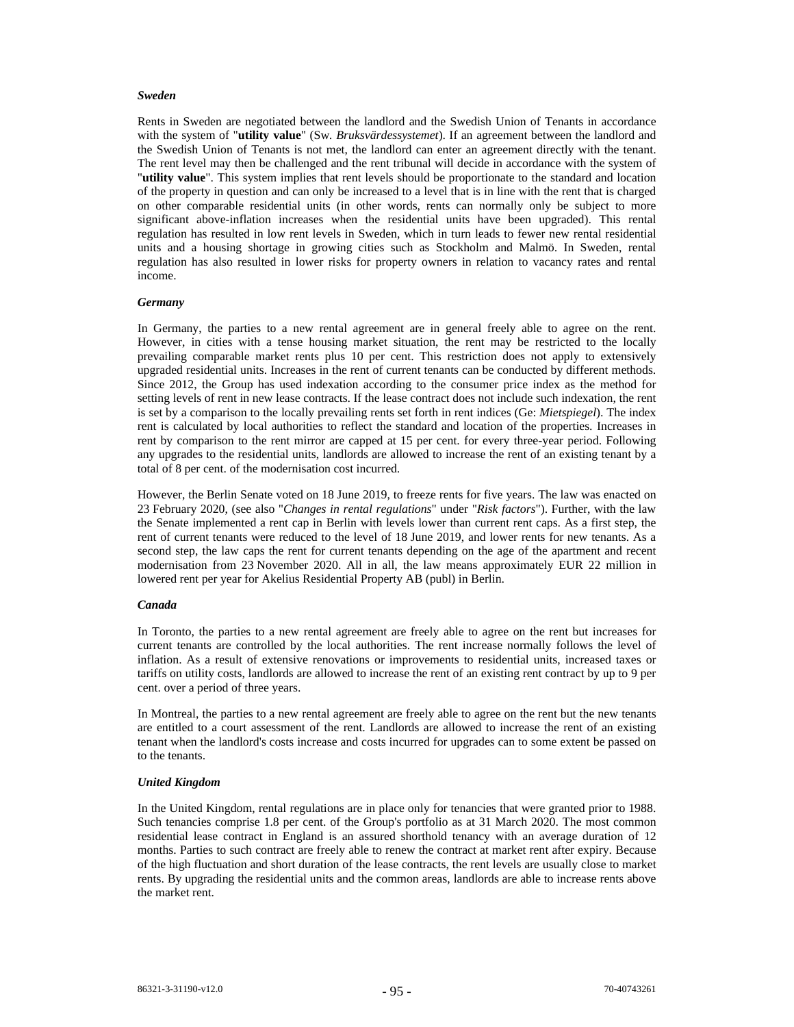#### *Sweden*

Rents in Sweden are negotiated between the landlord and the Swedish Union of Tenants in accordance with the system of "**utility value**" (Sw*. Bruksvärdessystemet*). If an agreement between the landlord and the Swedish Union of Tenants is not met, the landlord can enter an agreement directly with the tenant. The rent level may then be challenged and the rent tribunal will decide in accordance with the system of "**utility value**". This system implies that rent levels should be proportionate to the standard and location of the property in question and can only be increased to a level that is in line with the rent that is charged on other comparable residential units (in other words, rents can normally only be subject to more significant above-inflation increases when the residential units have been upgraded). This rental regulation has resulted in low rent levels in Sweden, which in turn leads to fewer new rental residential units and a housing shortage in growing cities such as Stockholm and Malmö. In Sweden, rental regulation has also resulted in lower risks for property owners in relation to vacancy rates and rental income.

#### *Germany*

In Germany, the parties to a new rental agreement are in general freely able to agree on the rent. However, in cities with a tense housing market situation, the rent may be restricted to the locally prevailing comparable market rents plus 10 per cent. This restriction does not apply to extensively upgraded residential units. Increases in the rent of current tenants can be conducted by different methods. Since 2012, the Group has used indexation according to the consumer price index as the method for setting levels of rent in new lease contracts. If the lease contract does not include such indexation, the rent is set by a comparison to the locally prevailing rents set forth in rent indices (Ge: *Mietspiegel*). The index rent is calculated by local authorities to reflect the standard and location of the properties. Increases in rent by comparison to the rent mirror are capped at 15 per cent. for every three-year period. Following any upgrades to the residential units, landlords are allowed to increase the rent of an existing tenant by a total of 8 per cent. of the modernisation cost incurred.

However, the Berlin Senate voted on 18 June 2019, to freeze rents for five years. The law was enacted on 23 February 2020, (see also "*Changes in rental regulations*" under "*Risk factors*"). Further, with the law the Senate implemented a rent cap in Berlin with levels lower than current rent caps. As a first step, the rent of current tenants were reduced to the level of 18 June 2019, and lower rents for new tenants. As a second step, the law caps the rent for current tenants depending on the age of the apartment and recent modernisation from 23 November 2020. All in all, the law means approximately EUR 22 million in lowered rent per year for Akelius Residential Property AB (publ) in Berlin.

#### *Canada*

In Toronto, the parties to a new rental agreement are freely able to agree on the rent but increases for current tenants are controlled by the local authorities. The rent increase normally follows the level of inflation. As a result of extensive renovations or improvements to residential units, increased taxes or tariffs on utility costs, landlords are allowed to increase the rent of an existing rent contract by up to 9 per cent. over a period of three years.

In Montreal, the parties to a new rental agreement are freely able to agree on the rent but the new tenants are entitled to a court assessment of the rent. Landlords are allowed to increase the rent of an existing tenant when the landlord's costs increase and costs incurred for upgrades can to some extent be passed on to the tenants.

#### *United Kingdom*

In the United Kingdom, rental regulations are in place only for tenancies that were granted prior to 1988. Such tenancies comprise 1.8 per cent. of the Group's portfolio as at 31 March 2020. The most common residential lease contract in England is an assured shorthold tenancy with an average duration of 12 months. Parties to such contract are freely able to renew the contract at market rent after expiry. Because of the high fluctuation and short duration of the lease contracts, the rent levels are usually close to market rents. By upgrading the residential units and the common areas, landlords are able to increase rents above the market rent.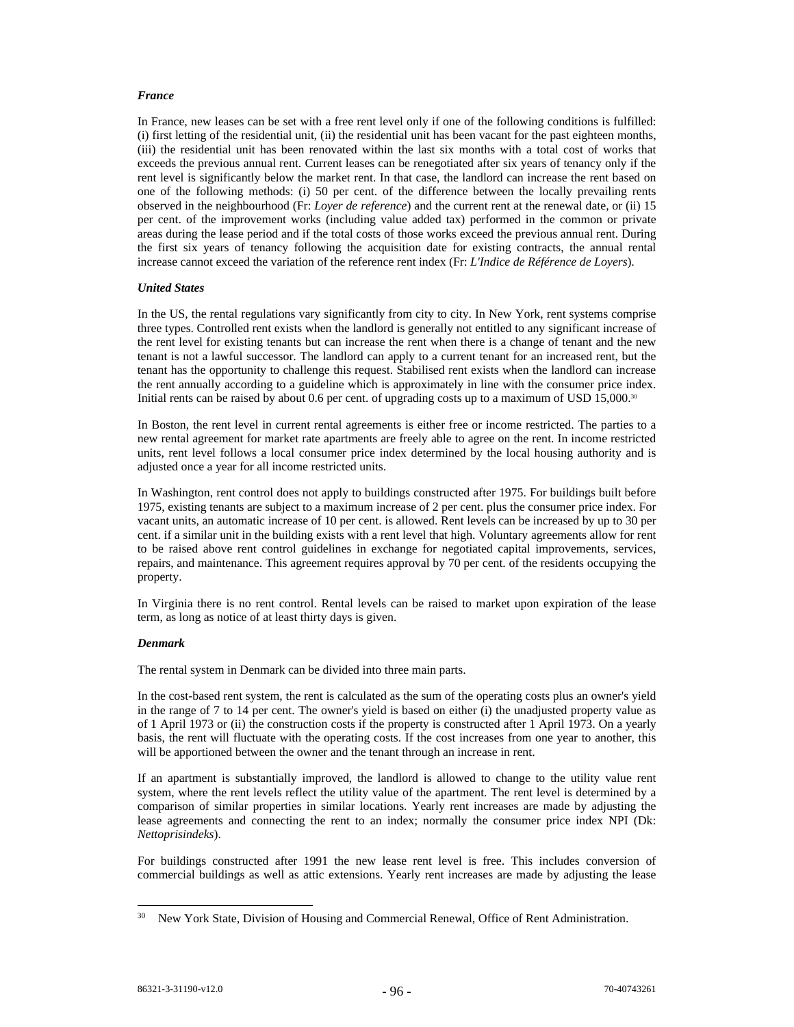# *France*

In France, new leases can be set with a free rent level only if one of the following conditions is fulfilled: (i) first letting of the residential unit, (ii) the residential unit has been vacant for the past eighteen months, (iii) the residential unit has been renovated within the last six months with a total cost of works that exceeds the previous annual rent. Current leases can be renegotiated after six years of tenancy only if the rent level is significantly below the market rent. In that case, the landlord can increase the rent based on one of the following methods: (i) 50 per cent. of the difference between the locally prevailing rents observed in the neighbourhood (Fr: *Loyer de reference*) and the current rent at the renewal date, or (ii) 15 per cent. of the improvement works (including value added tax) performed in the common or private areas during the lease period and if the total costs of those works exceed the previous annual rent. During the first six years of tenancy following the acquisition date for existing contracts, the annual rental increase cannot exceed the variation of the reference rent index (Fr: *L'Indice de Référence de Loyers*).

### *United States*

In the US, the rental regulations vary significantly from city to city. In New York, rent systems comprise three types. Controlled rent exists when the landlord is generally not entitled to any significant increase of the rent level for existing tenants but can increase the rent when there is a change of tenant and the new tenant is not a lawful successor. The landlord can apply to a current tenant for an increased rent, but the tenant has the opportunity to challenge this request. Stabilised rent exists when the landlord can increase the rent annually according to a guideline which is approximately in line with the consumer price index. Initial rents can be raised by about 0.6 per cent. of upgrading costs up to a maximum of USD 15,000.<sup>30</sup>

In Boston, the rent level in current rental agreements is either free or income restricted. The parties to a new rental agreement for market rate apartments are freely able to agree on the rent. In income restricted units, rent level follows a local consumer price index determined by the local housing authority and is adjusted once a year for all income restricted units.

In Washington, rent control does not apply to buildings constructed after 1975. For buildings built before 1975, existing tenants are subject to a maximum increase of 2 per cent. plus the consumer price index. For vacant units, an automatic increase of 10 per cent. is allowed. Rent levels can be increased by up to 30 per cent. if a similar unit in the building exists with a rent level that high. Voluntary agreements allow for rent to be raised above rent control guidelines in exchange for negotiated capital improvements, services, repairs, and maintenance. This agreement requires approval by 70 per cent. of the residents occupying the property.

In Virginia there is no rent control. Rental levels can be raised to market upon expiration of the lease term, as long as notice of at least thirty days is given.

#### *Denmark*

The rental system in Denmark can be divided into three main parts.

In the cost-based rent system, the rent is calculated as the sum of the operating costs plus an owner's yield in the range of 7 to 14 per cent. The owner's yield is based on either (i) the unadjusted property value as of 1 April 1973 or (ii) the construction costs if the property is constructed after 1 April 1973. On a yearly basis, the rent will fluctuate with the operating costs. If the cost increases from one year to another, this will be apportioned between the owner and the tenant through an increase in rent.

If an apartment is substantially improved, the landlord is allowed to change to the utility value rent system, where the rent levels reflect the utility value of the apartment. The rent level is determined by a comparison of similar properties in similar locations. Yearly rent increases are made by adjusting the lease agreements and connecting the rent to an index; normally the consumer price index NPI (Dk: *Nettoprisindeks*).

For buildings constructed after 1991 the new lease rent level is free. This includes conversion of commercial buildings as well as attic extensions. Yearly rent increases are made by adjusting the lease

<sup>&</sup>lt;sup>30</sup> New York State, Division of Housing and Commercial Renewal, Office of Rent Administration.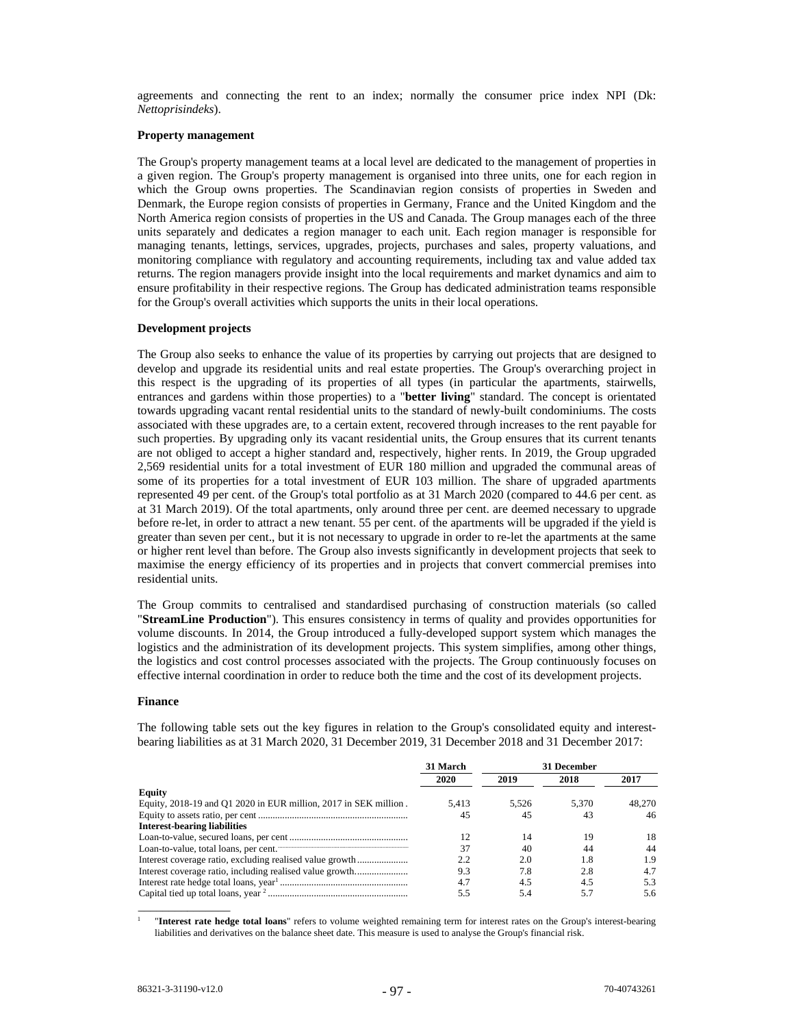agreements and connecting the rent to an index; normally the consumer price index NPI (Dk: *Nettoprisindeks*).

# **Property management**

The Group's property management teams at a local level are dedicated to the management of properties in a given region. The Group's property management is organised into three units, one for each region in which the Group owns properties. The Scandinavian region consists of properties in Sweden and Denmark, the Europe region consists of properties in Germany, France and the United Kingdom and the North America region consists of properties in the US and Canada. The Group manages each of the three units separately and dedicates a region manager to each unit. Each region manager is responsible for managing tenants, lettings, services, upgrades, projects, purchases and sales, property valuations, and monitoring compliance with regulatory and accounting requirements, including tax and value added tax returns. The region managers provide insight into the local requirements and market dynamics and aim to ensure profitability in their respective regions. The Group has dedicated administration teams responsible for the Group's overall activities which supports the units in their local operations.

### **Development projects**

The Group also seeks to enhance the value of its properties by carrying out projects that are designed to develop and upgrade its residential units and real estate properties. The Group's overarching project in this respect is the upgrading of its properties of all types (in particular the apartments, stairwells, entrances and gardens within those properties) to a "**better living**" standard. The concept is orientated towards upgrading vacant rental residential units to the standard of newly-built condominiums. The costs associated with these upgrades are, to a certain extent, recovered through increases to the rent payable for such properties. By upgrading only its vacant residential units, the Group ensures that its current tenants are not obliged to accept a higher standard and, respectively, higher rents. In 2019, the Group upgraded 2,569 residential units for a total investment of EUR 180 million and upgraded the communal areas of some of its properties for a total investment of EUR 103 million. The share of upgraded apartments represented 49 per cent. of the Group's total portfolio as at 31 March 2020 (compared to 44.6 per cent. as at 31 March 2019). Of the total apartments, only around three per cent. are deemed necessary to upgrade before re-let, in order to attract a new tenant. 55 per cent. of the apartments will be upgraded if the yield is greater than seven per cent., but it is not necessary to upgrade in order to re-let the apartments at the same or higher rent level than before. The Group also invests significantly in development projects that seek to maximise the energy efficiency of its properties and in projects that convert commercial premises into residential units.

The Group commits to centralised and standardised purchasing of construction materials (so called "**StreamLine Production**"). This ensures consistency in terms of quality and provides opportunities for volume discounts. In 2014, the Group introduced a fully-developed support system which manages the logistics and the administration of its development projects. This system simplifies, among other things, the logistics and cost control processes associated with the projects. The Group continuously focuses on effective internal coordination in order to reduce both the time and the cost of its development projects.

#### **Finance**

The following table sets out the key figures in relation to the Group's consolidated equity and interestbearing liabilities as at 31 March 2020, 31 December 2019, 31 December 2018 and 31 December 2017:

|                                                                                                                    | 31 March | 31 December |       |        |
|--------------------------------------------------------------------------------------------------------------------|----------|-------------|-------|--------|
|                                                                                                                    | 2020     | 2019        | 2018  | 2017   |
| <b>Equity</b>                                                                                                      |          |             |       |        |
| Equity, 2018-19 and Q1 2020 in EUR million, 2017 in SEK million.                                                   | 5.413    | 5.526       | 5.370 | 48.270 |
|                                                                                                                    | 45       | 45          | 43    | 46     |
| <b>Interest-bearing liabilities</b>                                                                                |          |             |       |        |
|                                                                                                                    |          | 14          | 19    | 18     |
| Loan-to-value, total loans, per cent. <b>Construction</b> and the set of the loan-to-value, total loans, per cent. | 37       | 40          | 44    | 44     |
|                                                                                                                    | 2.2      | 2.0         | 1.8   | 1.9    |
|                                                                                                                    | 9.3      | 7.8         | 2.8   | 4.7    |
|                                                                                                                    | 4.7      | 4.5         | 4.5   | 5.3    |
|                                                                                                                    | 5.5      | 5.4         | 5.7   | 5.6    |

1 "**Interest rate hedge total loans**" refers to volume weighted remaining term for interest rates on the Group's interest-bearing liabilities and derivatives on the balance sheet date. This measure is used to analyse the Group's financial risk.

 $\overline{\phantom{a}}$  ,  $\overline{\phantom{a}}$  ,  $\overline{\phantom{a}}$  ,  $\overline{\phantom{a}}$  ,  $\overline{\phantom{a}}$  ,  $\overline{\phantom{a}}$  ,  $\overline{\phantom{a}}$  ,  $\overline{\phantom{a}}$  ,  $\overline{\phantom{a}}$  ,  $\overline{\phantom{a}}$  ,  $\overline{\phantom{a}}$  ,  $\overline{\phantom{a}}$  ,  $\overline{\phantom{a}}$  ,  $\overline{\phantom{a}}$  ,  $\overline{\phantom{a}}$  ,  $\overline{\phantom{a}}$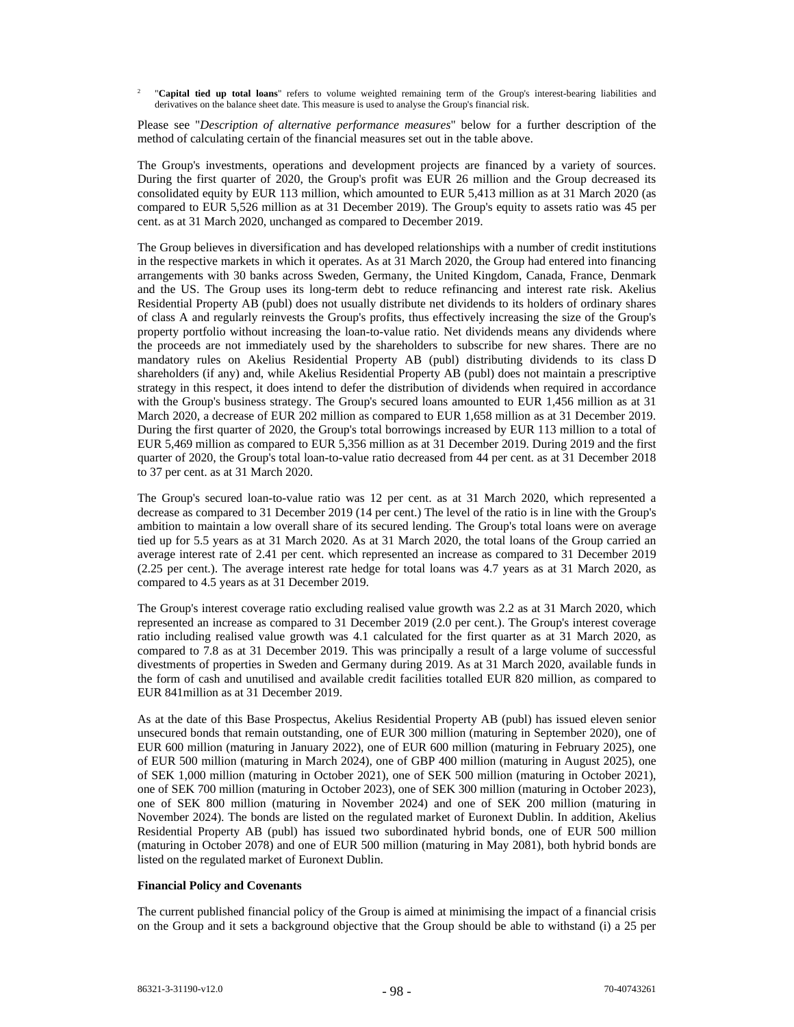$\overline{2}$  "**Capital tied up total loans**" refers to volume weighted remaining term of the Group's interest-bearing liabilities and derivatives on the balance sheet date. This measure is used to analyse the Group's financial risk.

Please see "*Description of alternative performance measures*" below for a further description of the method of calculating certain of the financial measures set out in the table above.

The Group's investments, operations and development projects are financed by a variety of sources. During the first quarter of 2020, the Group's profit was EUR 26 million and the Group decreased its consolidated equity by EUR 113 million, which amounted to EUR 5,413 million as at 31 March 2020 (as compared to EUR 5,526 million as at 31 December 2019). The Group's equity to assets ratio was 45 per cent. as at 31 March 2020, unchanged as compared to December 2019.

The Group believes in diversification and has developed relationships with a number of credit institutions in the respective markets in which it operates. As at 31 March 2020, the Group had entered into financing arrangements with 30 banks across Sweden, Germany, the United Kingdom, Canada, France, Denmark and the US. The Group uses its long-term debt to reduce refinancing and interest rate risk. Akelius Residential Property AB (publ) does not usually distribute net dividends to its holders of ordinary shares of class A and regularly reinvests the Group's profits, thus effectively increasing the size of the Group's property portfolio without increasing the loan-to-value ratio. Net dividends means any dividends where the proceeds are not immediately used by the shareholders to subscribe for new shares. There are no mandatory rules on Akelius Residential Property AB (publ) distributing dividends to its class D shareholders (if any) and, while Akelius Residential Property AB (publ) does not maintain a prescriptive strategy in this respect, it does intend to defer the distribution of dividends when required in accordance with the Group's business strategy. The Group's secured loans amounted to EUR 1,456 million as at 31 March 2020, a decrease of EUR 202 million as compared to EUR 1,658 million as at 31 December 2019. During the first quarter of 2020, the Group's total borrowings increased by EUR 113 million to a total of EUR 5,469 million as compared to EUR 5,356 million as at 31 December 2019. During 2019 and the first quarter of 2020, the Group's total loan-to-value ratio decreased from 44 per cent. as at 31 December 2018 to 37 per cent. as at 31 March 2020.

The Group's secured loan-to-value ratio was 12 per cent. as at 31 March 2020, which represented a decrease as compared to 31 December 2019 (14 per cent.) The level of the ratio is in line with the Group's ambition to maintain a low overall share of its secured lending. The Group's total loans were on average tied up for 5.5 years as at 31 March 2020. As at 31 March 2020, the total loans of the Group carried an average interest rate of 2.41 per cent. which represented an increase as compared to 31 December 2019 (2.25 per cent.). The average interest rate hedge for total loans was 4.7 years as at 31 March 2020, as compared to 4.5 years as at 31 December 2019.

The Group's interest coverage ratio excluding realised value growth was 2.2 as at 31 March 2020, which represented an increase as compared to 31 December 2019 (2.0 per cent.). The Group's interest coverage ratio including realised value growth was 4.1 calculated for the first quarter as at 31 March 2020, as compared to 7.8 as at 31 December 2019. This was principally a result of a large volume of successful divestments of properties in Sweden and Germany during 2019. As at 31 March 2020, available funds in the form of cash and unutilised and available credit facilities totalled EUR 820 million, as compared to EUR 841million as at 31 December 2019.

As at the date of this Base Prospectus, Akelius Residential Property AB (publ) has issued eleven senior unsecured bonds that remain outstanding, one of EUR 300 million (maturing in September 2020), one of EUR 600 million (maturing in January 2022), one of EUR 600 million (maturing in February 2025), one of EUR 500 million (maturing in March 2024), one of GBP 400 million (maturing in August 2025), one of SEK 1,000 million (maturing in October 2021), one of SEK 500 million (maturing in October 2021), one of SEK 700 million (maturing in October 2023), one of SEK 300 million (maturing in October 2023), one of SEK 800 million (maturing in November 2024) and one of SEK 200 million (maturing in November 2024). The bonds are listed on the regulated market of Euronext Dublin. In addition, Akelius Residential Property AB (publ) has issued two subordinated hybrid bonds, one of EUR 500 million (maturing in October 2078) and one of EUR 500 million (maturing in May 2081), both hybrid bonds are listed on the regulated market of Euronext Dublin.

# **Financial Policy and Covenants**

The current published financial policy of the Group is aimed at minimising the impact of a financial crisis on the Group and it sets a background objective that the Group should be able to withstand (i) a 25 per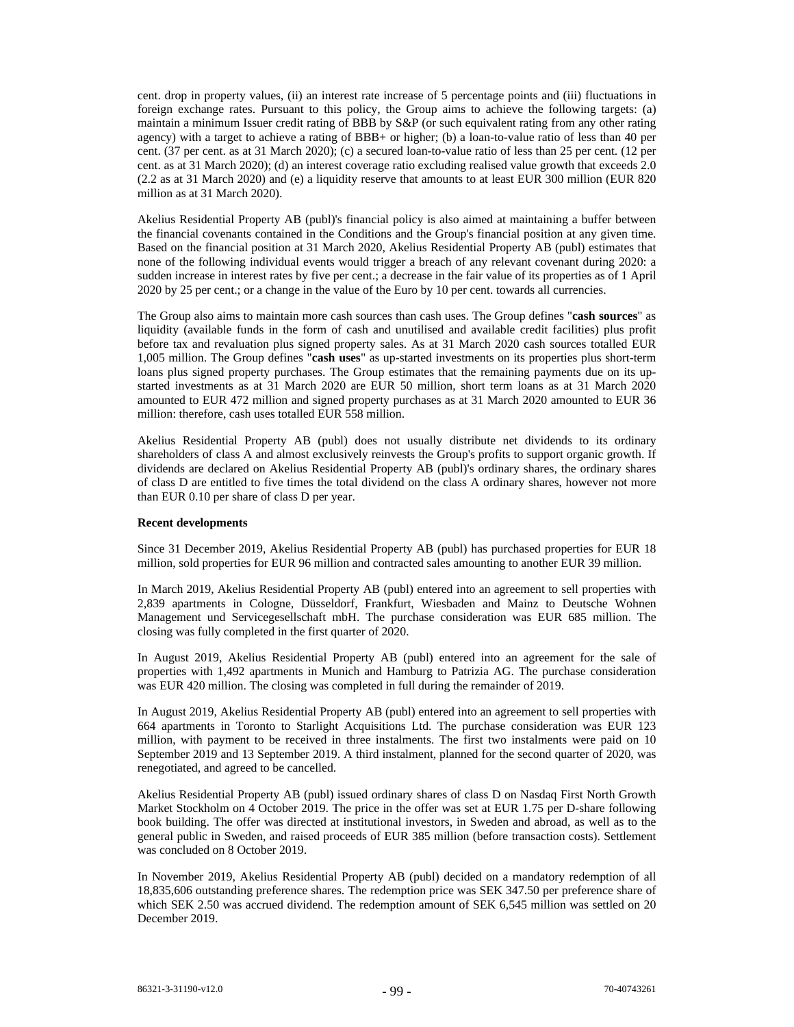cent. drop in property values, (ii) an interest rate increase of 5 percentage points and (iii) fluctuations in foreign exchange rates. Pursuant to this policy, the Group aims to achieve the following targets: (a) maintain a minimum Issuer credit rating of BBB by S&P (or such equivalent rating from any other rating agency) with a target to achieve a rating of BBB+ or higher; (b) a loan-to-value ratio of less than 40 per cent. (37 per cent. as at 31 March 2020); (c) a secured loan-to-value ratio of less than 25 per cent. (12 per cent. as at 31 March 2020); (d) an interest coverage ratio excluding realised value growth that exceeds 2.0 (2.2 as at 31 March 2020) and (e) a liquidity reserve that amounts to at least EUR 300 million (EUR 820 million as at 31 March 2020).

Akelius Residential Property AB (publ)'s financial policy is also aimed at maintaining a buffer between the financial covenants contained in the Conditions and the Group's financial position at any given time. Based on the financial position at 31 March 2020, Akelius Residential Property AB (publ) estimates that none of the following individual events would trigger a breach of any relevant covenant during 2020: a sudden increase in interest rates by five per cent.; a decrease in the fair value of its properties as of 1 April 2020 by 25 per cent.; or a change in the value of the Euro by 10 per cent. towards all currencies.

The Group also aims to maintain more cash sources than cash uses. The Group defines "**cash sources**" as liquidity (available funds in the form of cash and unutilised and available credit facilities) plus profit before tax and revaluation plus signed property sales. As at 31 March 2020 cash sources totalled EUR 1,005 million. The Group defines "**cash uses**" as up-started investments on its properties plus short-term loans plus signed property purchases. The Group estimates that the remaining payments due on its upstarted investments as at 31 March 2020 are EUR 50 million, short term loans as at 31 March 2020 amounted to EUR 472 million and signed property purchases as at 31 March 2020 amounted to EUR 36 million: therefore, cash uses totalled EUR 558 million.

Akelius Residential Property AB (publ) does not usually distribute net dividends to its ordinary shareholders of class A and almost exclusively reinvests the Group's profits to support organic growth. If dividends are declared on Akelius Residential Property AB (publ)'s ordinary shares, the ordinary shares of class D are entitled to five times the total dividend on the class A ordinary shares, however not more than EUR 0.10 per share of class D per year.

#### **Recent developments**

Since 31 December 2019, Akelius Residential Property AB (publ) has purchased properties for EUR 18 million, sold properties for EUR 96 million and contracted sales amounting to another EUR 39 million.

In March 2019, Akelius Residential Property AB (publ) entered into an agreement to sell properties with 2,839 apartments in Cologne, Düsseldorf, Frankfurt, Wiesbaden and Mainz to Deutsche Wohnen Management und Servicegesellschaft mbH. The purchase consideration was EUR 685 million. The closing was fully completed in the first quarter of 2020.

In August 2019, Akelius Residential Property AB (publ) entered into an agreement for the sale of properties with 1,492 apartments in Munich and Hamburg to Patrizia AG. The purchase consideration was EUR 420 million. The closing was completed in full during the remainder of 2019.

In August 2019, Akelius Residential Property AB (publ) entered into an agreement to sell properties with 664 apartments in Toronto to Starlight Acquisitions Ltd. The purchase consideration was EUR 123 million, with payment to be received in three instalments. The first two instalments were paid on 10 September 2019 and 13 September 2019. A third instalment, planned for the second quarter of 2020, was renegotiated, and agreed to be cancelled.

Akelius Residential Property AB (publ) issued ordinary shares of class D on Nasdaq First North Growth Market Stockholm on 4 October 2019. The price in the offer was set at EUR 1.75 per D-share following book building. The offer was directed at institutional investors, in Sweden and abroad, as well as to the general public in Sweden, and raised proceeds of EUR 385 million (before transaction costs). Settlement was concluded on 8 October 2019.

In November 2019, Akelius Residential Property AB (publ) decided on a mandatory redemption of all 18,835,606 outstanding preference shares. The redemption price was SEK 347.50 per preference share of which SEK 2.50 was accrued dividend. The redemption amount of SEK 6,545 million was settled on 20 December 2019.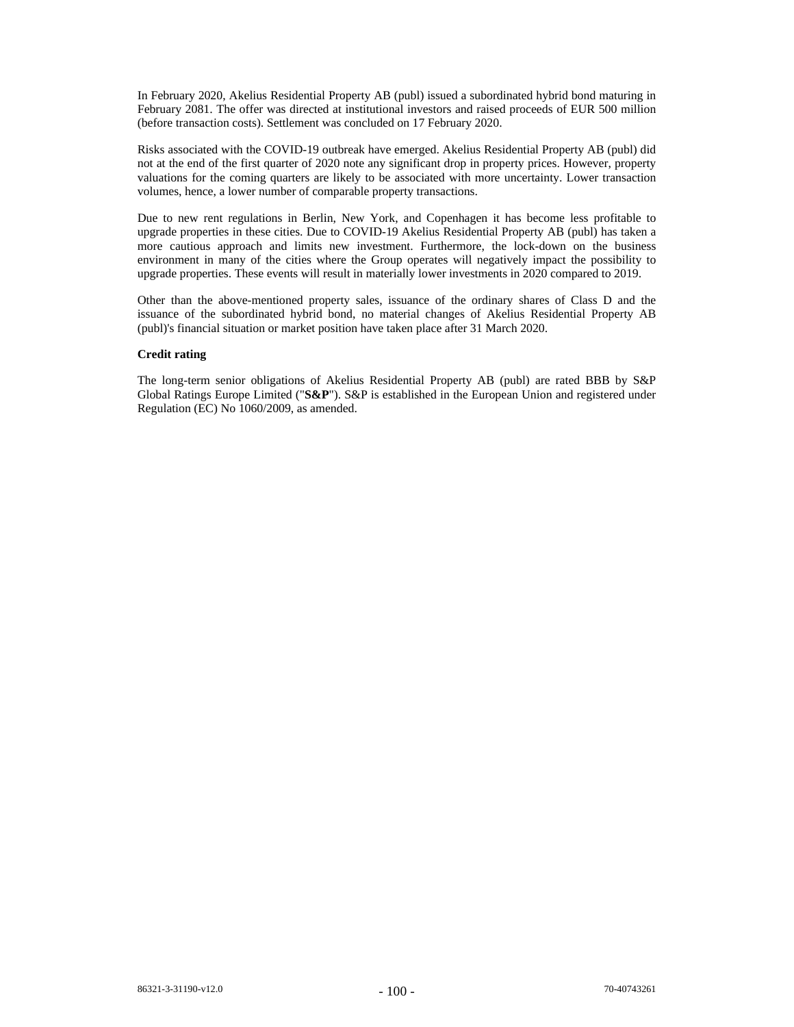In February 2020, Akelius Residential Property AB (publ) issued a subordinated hybrid bond maturing in February 2081. The offer was directed at institutional investors and raised proceeds of EUR 500 million (before transaction costs). Settlement was concluded on 17 February 2020.

Risks associated with the COVID-19 outbreak have emerged. Akelius Residential Property AB (publ) did not at the end of the first quarter of 2020 note any significant drop in property prices. However, property valuations for the coming quarters are likely to be associated with more uncertainty. Lower transaction volumes, hence, a lower number of comparable property transactions.

Due to new rent regulations in Berlin, New York, and Copenhagen it has become less profitable to upgrade properties in these cities. Due to COVID-19 Akelius Residential Property AB (publ) has taken a more cautious approach and limits new investment. Furthermore, the lock-down on the business environment in many of the cities where the Group operates will negatively impact the possibility to upgrade properties. These events will result in materially lower investments in 2020 compared to 2019.

Other than the above-mentioned property sales, issuance of the ordinary shares of Class D and the issuance of the subordinated hybrid bond, no material changes of Akelius Residential Property AB (publ)'s financial situation or market position have taken place after 31 March 2020.

### **Credit rating**

The long-term senior obligations of Akelius Residential Property AB (publ) are rated BBB by S&P Global Ratings Europe Limited ("**S&P**"). S&P is established in the European Union and registered under Regulation (EC) No 1060/2009, as amended.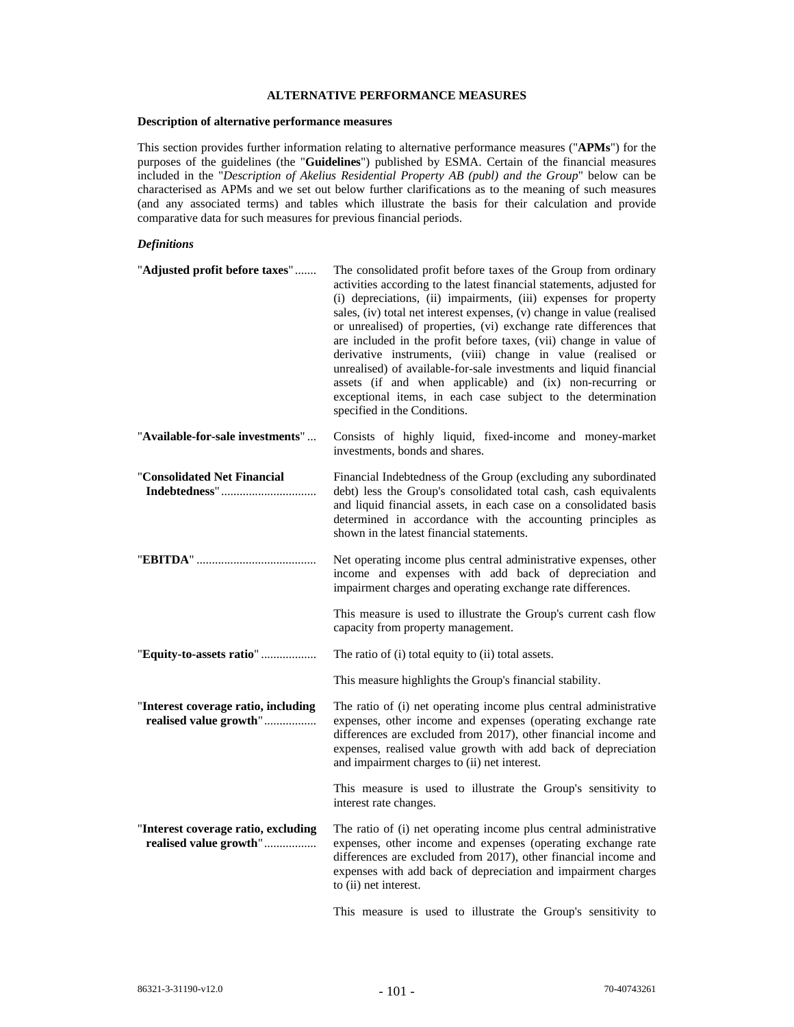# **ALTERNATIVE PERFORMANCE MEASURES**

# **Description of alternative performance measures**

This section provides further information relating to alternative performance measures ("**APMs**") for the purposes of the guidelines (the "**Guidelines**") published by ESMA. Certain of the financial measures included in the "*Description of Akelius Residential Property AB (publ) and the Group*" below can be characterised as APMs and we set out below further clarifications as to the meaning of such measures (and any associated terms) and tables which illustrate the basis for their calculation and provide comparative data for such measures for previous financial periods.

# *Definitions*

| "Adjusted profit before taxes"                                | The consolidated profit before taxes of the Group from ordinary<br>activities according to the latest financial statements, adjusted for<br>(i) depreciations, (ii) impairments, (iii) expenses for property<br>sales, (iv) total net interest expenses, (v) change in value (realised<br>or unrealised) of properties, (vi) exchange rate differences that<br>are included in the profit before taxes, (vii) change in value of<br>derivative instruments, (viii) change in value (realised or<br>unrealised) of available-for-sale investments and liquid financial<br>assets (if and when applicable) and (ix) non-recurring or<br>exceptional items, in each case subject to the determination<br>specified in the Conditions. |
|---------------------------------------------------------------|------------------------------------------------------------------------------------------------------------------------------------------------------------------------------------------------------------------------------------------------------------------------------------------------------------------------------------------------------------------------------------------------------------------------------------------------------------------------------------------------------------------------------------------------------------------------------------------------------------------------------------------------------------------------------------------------------------------------------------|
| "Available-for-sale investments"                              | Consists of highly liquid, fixed-income and money-market<br>investments, bonds and shares.                                                                                                                                                                                                                                                                                                                                                                                                                                                                                                                                                                                                                                         |
| "Consolidated Net Financial                                   | Financial Indebtedness of the Group (excluding any subordinated<br>debt) less the Group's consolidated total cash, cash equivalents<br>and liquid financial assets, in each case on a consolidated basis<br>determined in accordance with the accounting principles as<br>shown in the latest financial statements.                                                                                                                                                                                                                                                                                                                                                                                                                |
|                                                               | Net operating income plus central administrative expenses, other<br>income and expenses with add back of depreciation and<br>impairment charges and operating exchange rate differences.                                                                                                                                                                                                                                                                                                                                                                                                                                                                                                                                           |
|                                                               | This measure is used to illustrate the Group's current cash flow<br>capacity from property management.                                                                                                                                                                                                                                                                                                                                                                                                                                                                                                                                                                                                                             |
| "Equity-to-assets ratio"                                      | The ratio of (i) total equity to (ii) total assets.                                                                                                                                                                                                                                                                                                                                                                                                                                                                                                                                                                                                                                                                                |
|                                                               | This measure highlights the Group's financial stability.                                                                                                                                                                                                                                                                                                                                                                                                                                                                                                                                                                                                                                                                           |
| "Interest coverage ratio, including<br>realised value growth" | The ratio of (i) net operating income plus central administrative<br>expenses, other income and expenses (operating exchange rate<br>differences are excluded from 2017), other financial income and<br>expenses, realised value growth with add back of depreciation<br>and impairment charges to (ii) net interest.                                                                                                                                                                                                                                                                                                                                                                                                              |
|                                                               | This measure is used to illustrate the Group's sensitivity to<br>interest rate changes.                                                                                                                                                                                                                                                                                                                                                                                                                                                                                                                                                                                                                                            |
| "Interest coverage ratio, excluding<br>realised value growth" | The ratio of (i) net operating income plus central administrative<br>expenses, other income and expenses (operating exchange rate<br>differences are excluded from 2017), other financial income and<br>expenses with add back of depreciation and impairment charges<br>to (ii) net interest.                                                                                                                                                                                                                                                                                                                                                                                                                                     |
|                                                               | This measure is used to illustrate the Group's sensitivity to                                                                                                                                                                                                                                                                                                                                                                                                                                                                                                                                                                                                                                                                      |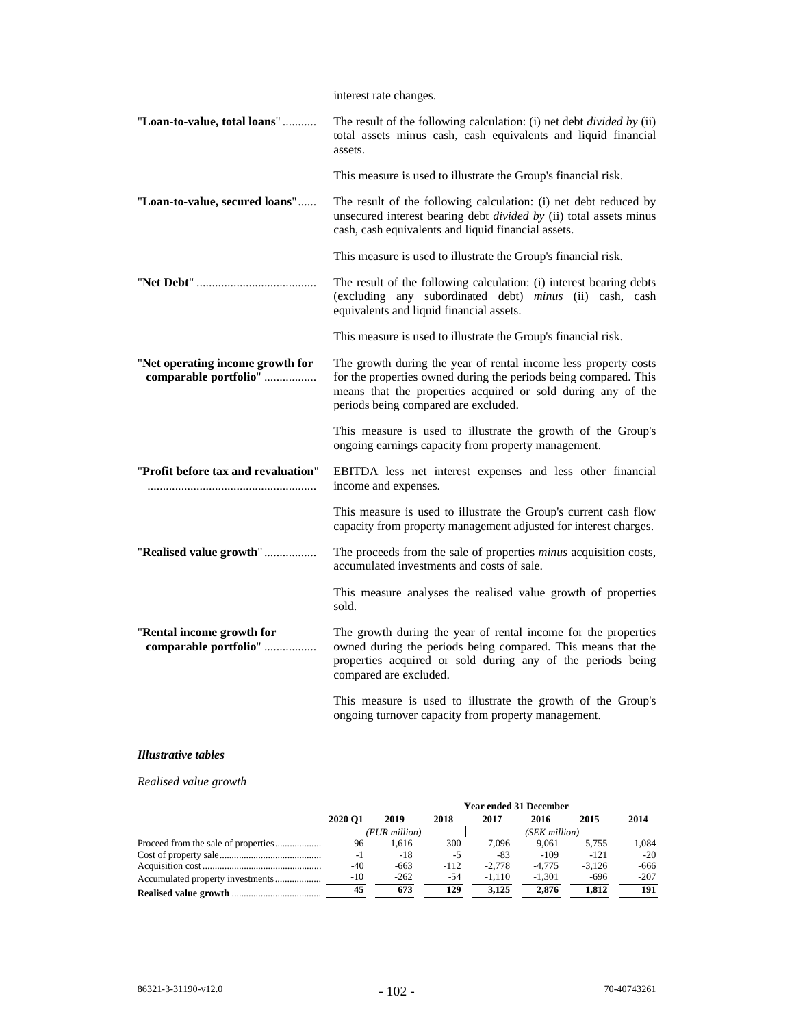|                                                           | interest rate changes.                                                                                                                                                                                                                      |
|-----------------------------------------------------------|---------------------------------------------------------------------------------------------------------------------------------------------------------------------------------------------------------------------------------------------|
| "Loan-to-value, total loans"                              | The result of the following calculation: (i) net debt <i>divided by</i> (ii)<br>total assets minus cash, cash equivalents and liquid financial<br>assets.                                                                                   |
|                                                           | This measure is used to illustrate the Group's financial risk.                                                                                                                                                                              |
| "Loan-to-value, secured loans"                            | The result of the following calculation: (i) net debt reduced by<br>unsecured interest bearing debt <i>divided by</i> (ii) total assets minus<br>cash, cash equivalents and liquid financial assets.                                        |
|                                                           | This measure is used to illustrate the Group's financial risk.                                                                                                                                                                              |
|                                                           | The result of the following calculation: (i) interest bearing debts<br>(excluding any subordinated debt) minus (ii) cash, cash<br>equivalents and liquid financial assets.                                                                  |
|                                                           | This measure is used to illustrate the Group's financial risk.                                                                                                                                                                              |
| "Net operating income growth for<br>comparable portfolio" | The growth during the year of rental income less property costs<br>for the properties owned during the periods being compared. This<br>means that the properties acquired or sold during any of the<br>periods being compared are excluded. |
|                                                           | This measure is used to illustrate the growth of the Group's<br>ongoing earnings capacity from property management.                                                                                                                         |
| "Profit before tax and revaluation"                       | EBITDA less net interest expenses and less other financial<br>income and expenses.                                                                                                                                                          |
|                                                           | This measure is used to illustrate the Group's current cash flow<br>capacity from property management adjusted for interest charges.                                                                                                        |
| "Realised value growth"                                   | The proceeds from the sale of properties <i>minus</i> acquisition costs,<br>accumulated investments and costs of sale.                                                                                                                      |
|                                                           | This measure analyses the realised value growth of properties<br>sold.                                                                                                                                                                      |
| "Rental income growth for<br>comparable portfolio"        | The growth during the year of rental income for the properties<br>owned during the periods being compared. This means that the<br>properties acquired or sold during any of the periods being<br>compared are excluded.                     |
|                                                           | This measure is used to illustrate the growth of the Group's                                                                                                                                                                                |

# *Illustrative tables*

# *Realised value growth*

|         |               |        |          | <b>Year ended 31 December</b> |          |        |
|---------|---------------|--------|----------|-------------------------------|----------|--------|
| 2020 O1 | 2019          | 2018   | 2017     | 2016                          | 2015     | 2014   |
|         | (EUR million) |        |          | (SEK million)                 |          |        |
| 96      | 1.616         | 300    | 7.096    | 9.061                         | 5.755    | 1.084  |
| $-1$    | $-18$         | $-5$   | $-83$    | $-109$                        | $-121$   | $-20$  |
| -40     | $-663$        | $-112$ | $-2.778$ | $-4.775$                      | $-3.126$ | -666   |
| $-10$   | $-262$        | $-54$  | $-1.110$ | $-1.301$                      | $-696$   | $-207$ |
| 45      | 673           | 129    | 3.125    | 2.876                         | 1.812    | 191    |

ongoing turnover capacity from property management.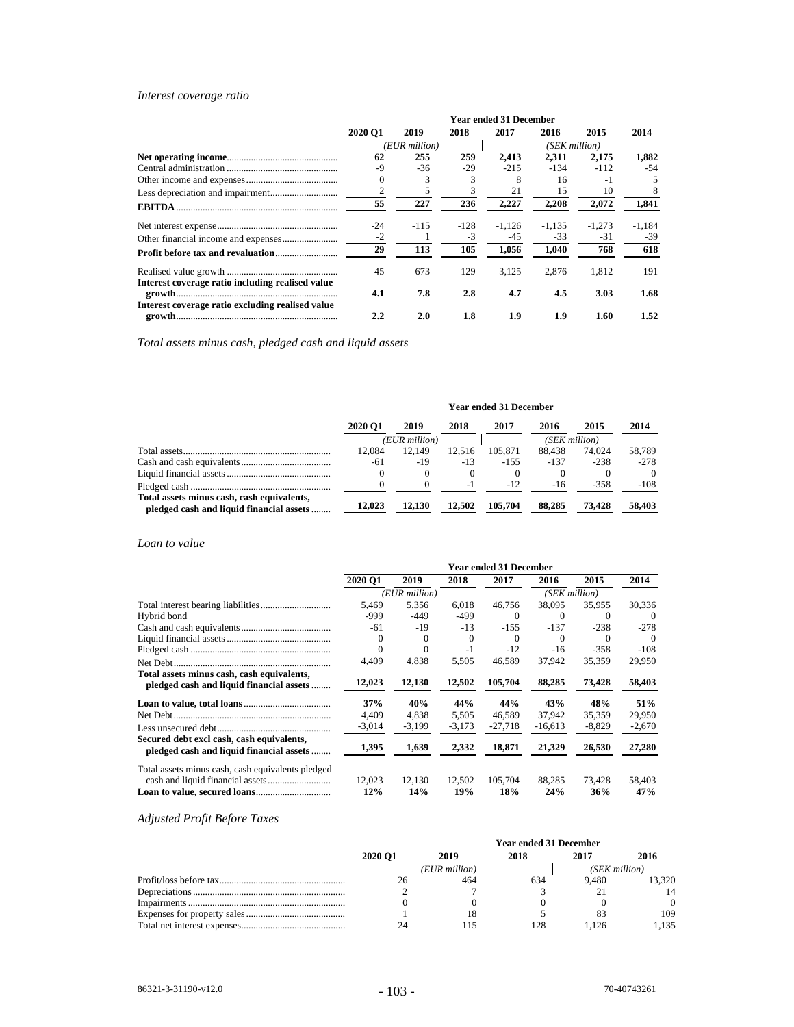# *Interest coverage ratio*

|                                                  |                             |               |       | <b>Year ended 31 December</b> |               |          |        |
|--------------------------------------------------|-----------------------------|---------------|-------|-------------------------------|---------------|----------|--------|
|                                                  | 2020 O1                     | 2019          | 2018  | 2017                          | 2016          | 2015     | 2014   |
|                                                  |                             | (EUR million) |       |                               | (SEK million) |          |        |
|                                                  | 62                          | 255           | 259   | 2,413                         | 2,311         | 2,175    | 1,882  |
|                                                  | $-9$                        | $-36$         | $-29$ | $-215$                        | $-134$        | $-112$   | $-54$  |
|                                                  | 0                           |               | 3     | 8                             | 16            | $-1$     | 5      |
|                                                  | $\mathcal{D}_{\mathcal{L}}$ |               | 3     | 21                            | 15            | 10       | 8      |
|                                                  | 55                          | 227           | 236   | 2,227                         | 2,208         | 2,072    | 1,841  |
|                                                  | $-24$                       | $-115$        | -128  | $-1.126$                      | $-1,135$      | $-1.273$ | -1,184 |
|                                                  | $-2$                        |               | $-3$  | -45                           | $-33$         | $-31$    | $-39$  |
|                                                  | 29                          | 113           | 105   | 1.056                         | 1.040         | 768      | 618    |
| Interest coverage ratio including realised value | 45                          | 673           | 129   | 3.125                         | 2.876         | 1,812    | 191    |
|                                                  | 4.1                         | 7.8           | 2.8   | 4.7                           | 4.5           | 3.03     | 1.68   |
| Interest coverage ratio excluding realised value | $2.2\phantom{0}$            | 2.0           | 1.8   | 1.9                           | 1.9           | 1.60     | 1.52   |

*Total assets minus cash, pledged cash and liquid assets* 

|                                                                                        |         |               |        | <b>Year ended 31 December</b> |               |         |          |
|----------------------------------------------------------------------------------------|---------|---------------|--------|-------------------------------|---------------|---------|----------|
|                                                                                        | 2020 O1 | 2019          | 2018   | 2017                          | 2016          | 2015    | 2014     |
|                                                                                        |         | (EUR million) |        |                               | (SEK million) |         |          |
|                                                                                        | 12.084  | 12.149        | 12.516 | 105.871                       | 88.438        | 74,024  | 58,789   |
|                                                                                        | -61     | $-19$         | $-13$  | $-155$                        | $-137$        | $-238$  | $-278$   |
|                                                                                        |         | $\theta$      |        | $\Omega$                      |               |         | $\Omega$ |
|                                                                                        |         |               | - 1    | $-12$                         | $-16$         | $-3.58$ | $-108$   |
| Total assets minus cash, cash equivalents,<br>pledged cash and liquid financial assets | 12.023  | 12.130        | 12.502 | 105.704                       | 88.285        | 73.428  | 58,403   |

# *Loan to value*

|                                                                                        |                |               |               | <b>Year ended 31 December</b> |               |               |               |
|----------------------------------------------------------------------------------------|----------------|---------------|---------------|-------------------------------|---------------|---------------|---------------|
|                                                                                        | <b>2020 O1</b> | 2019          | 2018          | 2017                          | 2016          | 2015          | 2014          |
|                                                                                        |                | (EUR million) |               |                               | (SEK million) |               |               |
|                                                                                        | 5.469          | 5.356         | 6.018         | 46.756                        | 38,095        | 35.955        | 30.336        |
| Hybrid bond                                                                            | -999           | -449          | -499          | $\Omega$                      | $\Omega$      | $\Omega$      | $\Omega$      |
|                                                                                        | -61            | $-19$         | $-13$         | $-155$                        | $-137$        | $-238$        | $-278$        |
|                                                                                        | $\Omega$       | $\Omega$      | $\Omega$      | $\Omega$                      | $\Omega$      | $\Omega$      | $\Omega$      |
|                                                                                        |                | $\Omega$      | $-1$          | $-12$                         | $-16$         | $-358$        | $-108$        |
|                                                                                        | 4,409          | 4,838         | 5,505         | 46,589                        | 37,942        | 35,359        | 29,950        |
| Total assets minus cash, cash equivalents,<br>pledged cash and liquid financial assets | 12,023         | 12,130        | 12,502        | 105,704                       | 88,285        | 73,428        | 58,403        |
|                                                                                        | 37%            | 40%           | 44%           | 44%                           | 43%           | 48%           | <b>51%</b>    |
|                                                                                        | 4.409          | 4.838         | 5.505         | 46.589                        | 37.942        | 35.359        | 29,950        |
|                                                                                        | $-3,014$       | $-3,199$      | $-3,173$      | $-27.718$                     | $-16.613$     | $-8.829$      | $-2,670$      |
| Secured debt excl cash, cash equivalents,<br>pledged cash and liquid financial assets  | 1,395          | 1,639         | 2,332         | 18,871                        | 21,329        | 26,530        | 27,280        |
| Total assets minus cash, cash equivalents pledged                                      | 12,023<br>12%  | 12.130<br>14% | 12.502<br>19% | 105.704<br>18%                | 88,285<br>24% | 73.428<br>36% | 58,403<br>47% |

# *Adjusted Profit Before Taxes*

|                |               | <b>Year ended 31 December</b> |       |               |
|----------------|---------------|-------------------------------|-------|---------------|
| <b>2020 O1</b> | 2019          | 2018                          | 2017  | 2016          |
|                | (EUR million) |                               |       | (SEK million) |
|                | 464           |                               | 9.480 | 13.320        |
|                |               |                               |       |               |
|                |               |                               |       | 0             |
|                |               |                               |       | 109           |
|                |               | 128                           | 126   | .135          |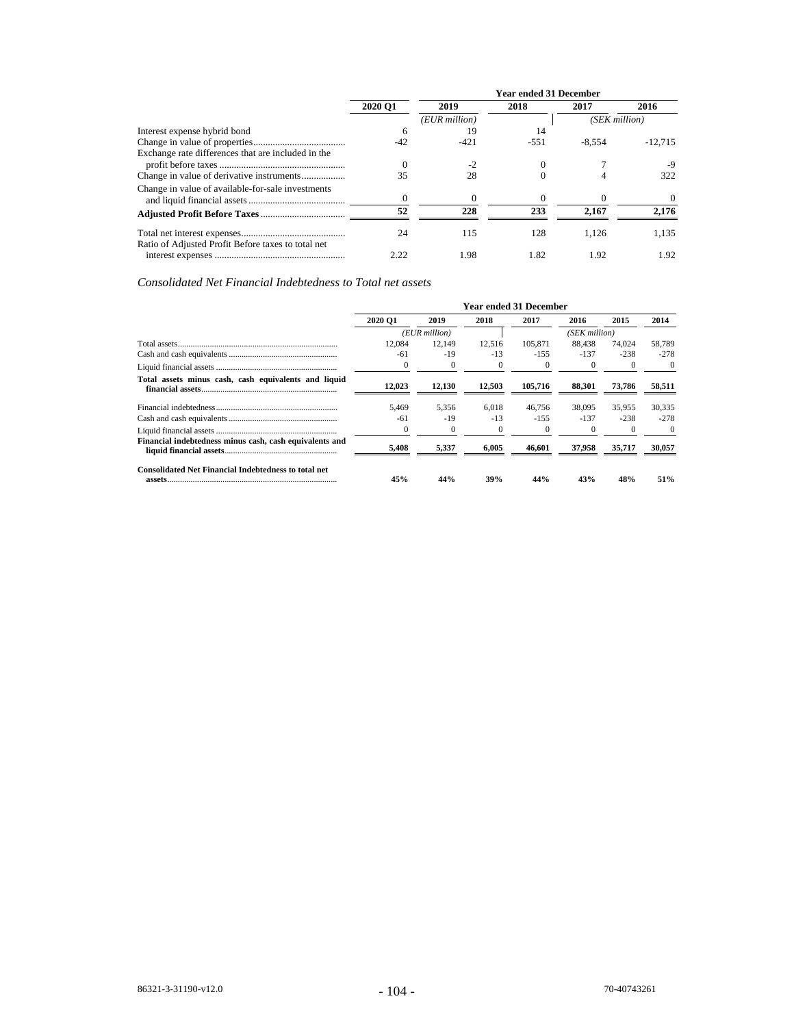|                                                    |                |               | <b>Year ended 31 December</b> |               |           |
|----------------------------------------------------|----------------|---------------|-------------------------------|---------------|-----------|
|                                                    | <b>2020 O1</b> | 2019          | 2018                          | 2017          | 2016      |
|                                                    |                | (EUR million) |                               | (SEK million) |           |
| Interest expense hybrid bond                       | 6              | 19            | 14                            |               |           |
|                                                    | $-42$          | $-421$        | $-551$                        | $-8.554$      | $-12.715$ |
| Exchange rate differences that are included in the |                |               |                               |               |           |
|                                                    | 0              | $-2$          | $\Omega$                      |               |           |
|                                                    | 35             | 28            | $\Omega$                      | 4             | 322       |
| Change in value of available-for-sale investments  |                |               |                               |               |           |
|                                                    |                | $\Omega$      | $\Omega$                      |               | $\Omega$  |
|                                                    | 52             | 228           | 233                           | 2.167         | 2.176     |
| Ratio of Adjusted Profit Before taxes to total net | 24             | 115           | 128                           | 1.126         | 1.135     |
|                                                    | 2.22           | 1.98          | 1.82                          | 1.92          | 1.92      |

*Consolidated Net Financial Indebtedness to Total net assets*

|                                                             |          |               |          | <b>Year ended 31 December</b> |               |          |          |
|-------------------------------------------------------------|----------|---------------|----------|-------------------------------|---------------|----------|----------|
|                                                             | 2020 O1  | 2019          | 2018     | 2017                          | 2016          | 2015     | 2014     |
|                                                             |          | (EUR million) |          |                               | (SEK million) |          |          |
|                                                             | 12.084   | 12.149        | 12,516   | 105.871                       | 88.438        | 74.024   | 58.789   |
|                                                             | -61      | -19           | $-13$    | $-1.55$                       | $-137$        | $-238$   | $-278$   |
|                                                             | $\Omega$ |               | $\bf{0}$ | $\Omega$                      |               | $\Omega$ | $\Omega$ |
| Total assets minus cash, cash equivalents and liquid        | 12.023   | 12,130        | 12.503   | 105.716                       | 88.301        | 73,786   | 58,511   |
|                                                             | 5.469    | 5.356         | 6.018    | 46.756                        | 38,095        | 35.955   | 30.335   |
|                                                             | -61      | $-19$         | $-13$    | $-155$                        | $-137$        | $-238$   | $-278$   |
|                                                             | $\Omega$ |               | $\bf{0}$ |                               | $\theta$      | $\Omega$ | $\Omega$ |
| Financial indebtedness minus cash, cash equivalents and     | 5,408    | 5,337         | 6.005    | 46.601                        | 37.958        | 35.717   | 30,057   |
| <b>Consolidated Net Financial Indebtedness to total net</b> | 45%      | 44%           | 39%      | 44%                           | 43%           | 48%      | 51%      |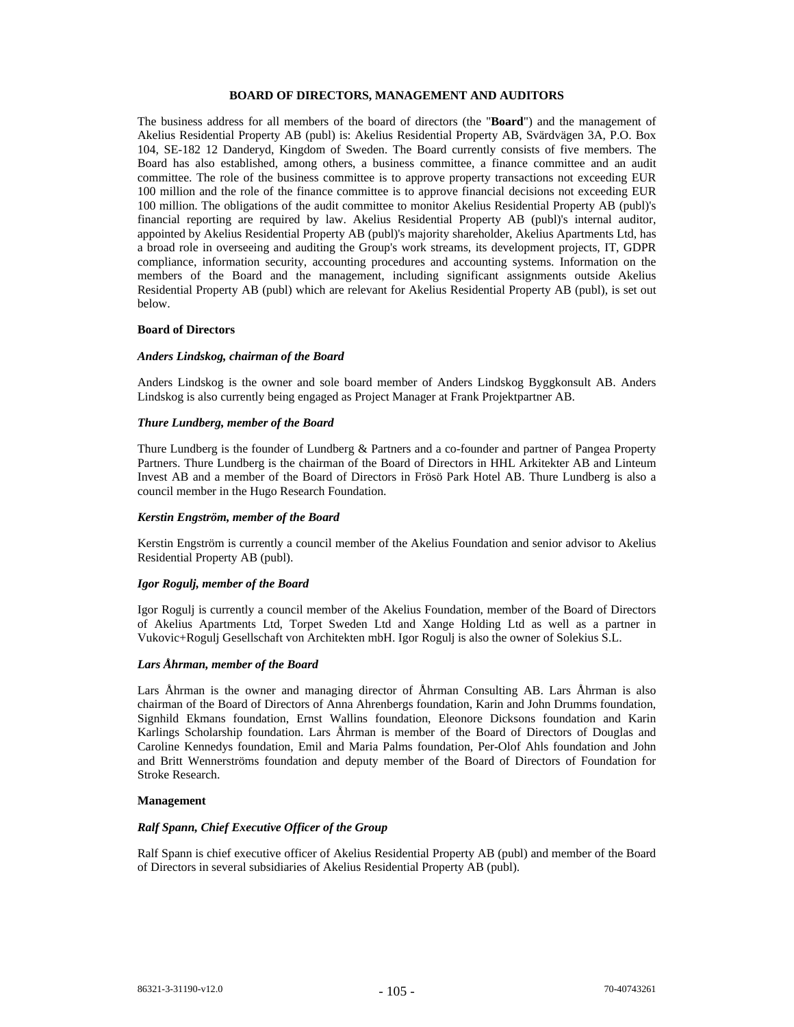#### **BOARD OF DIRECTORS, MANAGEMENT AND AUDITORS**

The business address for all members of the board of directors (the "**Board**") and the management of Akelius Residential Property AB (publ) is: Akelius Residential Property AB, Svärdvägen 3A, P.O. Box 104, SE-182 12 Danderyd, Kingdom of Sweden. The Board currently consists of five members. The Board has also established, among others, a business committee, a finance committee and an audit committee. The role of the business committee is to approve property transactions not exceeding EUR 100 million and the role of the finance committee is to approve financial decisions not exceeding EUR 100 million. The obligations of the audit committee to monitor Akelius Residential Property AB (publ)'s financial reporting are required by law. Akelius Residential Property AB (publ)'s internal auditor, appointed by Akelius Residential Property AB (publ)'s majority shareholder, Akelius Apartments Ltd, has a broad role in overseeing and auditing the Group's work streams, its development projects, IT, GDPR compliance, information security, accounting procedures and accounting systems. Information on the members of the Board and the management, including significant assignments outside Akelius Residential Property AB (publ) which are relevant for Akelius Residential Property AB (publ), is set out below.

#### **Board of Directors**

# *Anders Lindskog, chairman of the Board*

Anders Lindskog is the owner and sole board member of Anders Lindskog Byggkonsult AB. Anders Lindskog is also currently being engaged as Project Manager at Frank Projektpartner AB.

#### *Thure Lundberg, member of the Board*

Thure Lundberg is the founder of Lundberg & Partners and a co-founder and partner of Pangea Property Partners. Thure Lundberg is the chairman of the Board of Directors in HHL Arkitekter AB and Linteum Invest AB and a member of the Board of Directors in Frösö Park Hotel AB. Thure Lundberg is also a council member in the Hugo Research Foundation.

#### *Kerstin Engström, member of the Board*

Kerstin Engström is currently a council member of the Akelius Foundation and senior advisor to Akelius Residential Property AB (publ).

#### *Igor Rogulj, member of the Board*

Igor Rogulj is currently a council member of the Akelius Foundation, member of the Board of Directors of Akelius Apartments Ltd, Torpet Sweden Ltd and Xange Holding Ltd as well as a partner in Vukovic+Rogulj Gesellschaft von Architekten mbH. Igor Rogulj is also the owner of Solekius S.L.

# *Lars Åhrman, member of the Board*

Lars Åhrman is the owner and managing director of Åhrman Consulting AB. Lars Åhrman is also chairman of the Board of Directors of Anna Ahrenbergs foundation, Karin and John Drumms foundation, Signhild Ekmans foundation, Ernst Wallins foundation, Eleonore Dicksons foundation and Karin Karlings Scholarship foundation. Lars Åhrman is member of the Board of Directors of Douglas and Caroline Kennedys foundation, Emil and Maria Palms foundation, Per-Olof Ahls foundation and John and Britt Wennerströms foundation and deputy member of the Board of Directors of Foundation for Stroke Research.

#### **Management**

# *Ralf Spann, Chief Executive Officer of the Group*

Ralf Spann is chief executive officer of Akelius Residential Property AB (publ) and member of the Board of Directors in several subsidiaries of Akelius Residential Property AB (publ).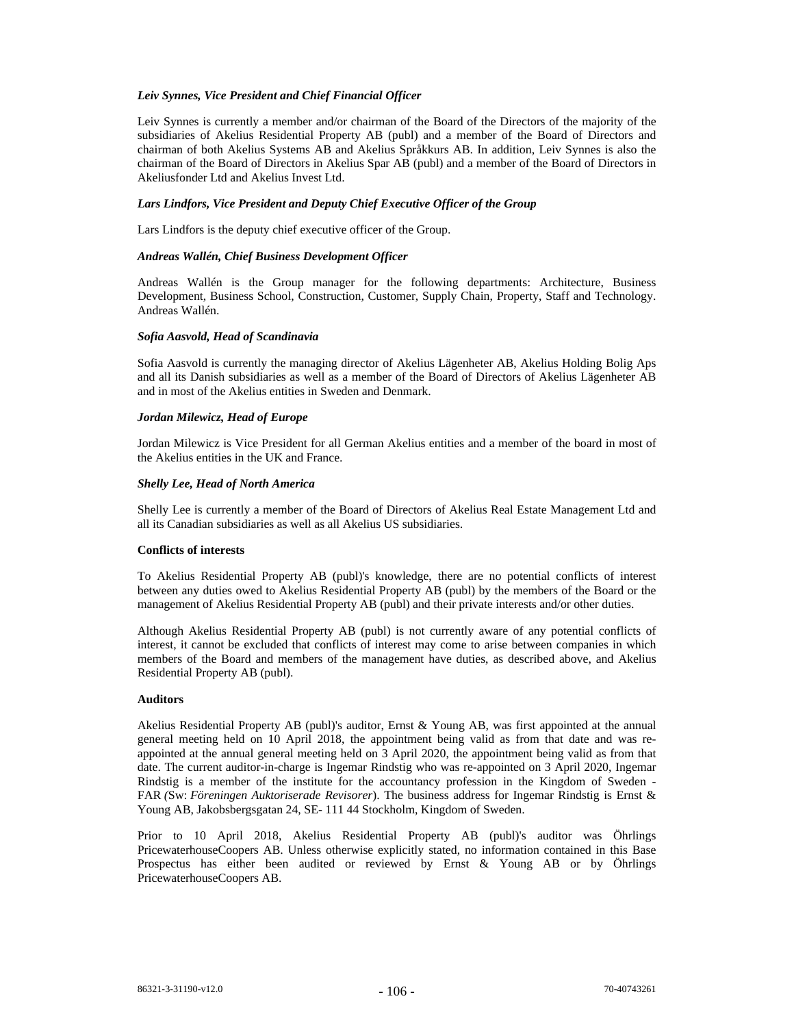### *Leiv Synnes, Vice President and Chief Financial Officer*

Leiv Synnes is currently a member and/or chairman of the Board of the Directors of the majority of the subsidiaries of Akelius Residential Property AB (publ) and a member of the Board of Directors and chairman of both Akelius Systems AB and Akelius Språkkurs AB. In addition, Leiv Synnes is also the chairman of the Board of Directors in Akelius Spar AB (publ) and a member of the Board of Directors in Akeliusfonder Ltd and Akelius Invest Ltd.

### *Lars Lindfors, Vice President and Deputy Chief Executive Officer of the Group*

Lars Lindfors is the deputy chief executive officer of the Group.

#### *Andreas Wallén, Chief Business Development Officer*

Andreas Wallén is the Group manager for the following departments: Architecture, Business Development, Business School, Construction, Customer, Supply Chain, Property, Staff and Technology. Andreas Wallén.

### *Sofia Aasvold, Head of Scandinavia*

Sofia Aasvold is currently the managing director of Akelius Lägenheter AB, Akelius Holding Bolig Aps and all its Danish subsidiaries as well as a member of the Board of Directors of Akelius Lägenheter AB and in most of the Akelius entities in Sweden and Denmark.

### *Jordan Milewicz, Head of Europe*

Jordan Milewicz is Vice President for all German Akelius entities and a member of the board in most of the Akelius entities in the UK and France.

# *Shelly Lee, Head of North America*

Shelly Lee is currently a member of the Board of Directors of Akelius Real Estate Management Ltd and all its Canadian subsidiaries as well as all Akelius US subsidiaries.

# **Conflicts of interests**

To Akelius Residential Property AB (publ)'s knowledge, there are no potential conflicts of interest between any duties owed to Akelius Residential Property AB (publ) by the members of the Board or the management of Akelius Residential Property AB (publ) and their private interests and/or other duties.

Although Akelius Residential Property AB (publ) is not currently aware of any potential conflicts of interest, it cannot be excluded that conflicts of interest may come to arise between companies in which members of the Board and members of the management have duties, as described above, and Akelius Residential Property AB (publ).

#### **Auditors**

Akelius Residential Property AB (publ)'s auditor, Ernst & Young AB, was first appointed at the annual general meeting held on 10 April 2018, the appointment being valid as from that date and was reappointed at the annual general meeting held on 3 April 2020, the appointment being valid as from that date. The current auditor-in-charge is Ingemar Rindstig who was re-appointed on 3 April 2020, Ingemar Rindstig is a member of the institute for the accountancy profession in the Kingdom of Sweden - FAR *(*Sw: *Föreningen Auktoriserade Revisorer*). The business address for Ingemar Rindstig is Ernst & Young AB, Jakobsbergsgatan 24, SE- 111 44 Stockholm, Kingdom of Sweden.

Prior to 10 April 2018, Akelius Residential Property AB (publ)'s auditor was Öhrlings PricewaterhouseCoopers AB. Unless otherwise explicitly stated, no information contained in this Base Prospectus has either been audited or reviewed by Ernst & Young AB or by Öhrlings PricewaterhouseCoopers AB.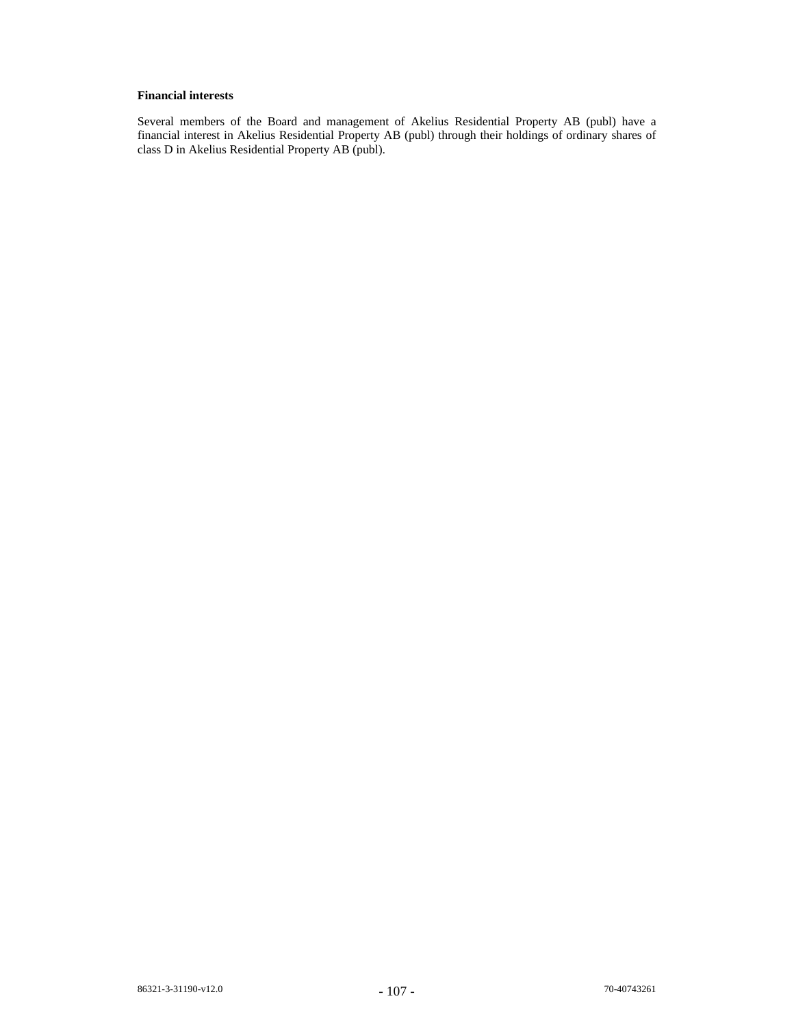# **Financial interests**

Several members of the Board and management of Akelius Residential Property AB (publ) have a financial interest in Akelius Residential Property AB (publ) through their holdings of ordinary shares of class D in Akelius Residential Property AB (publ).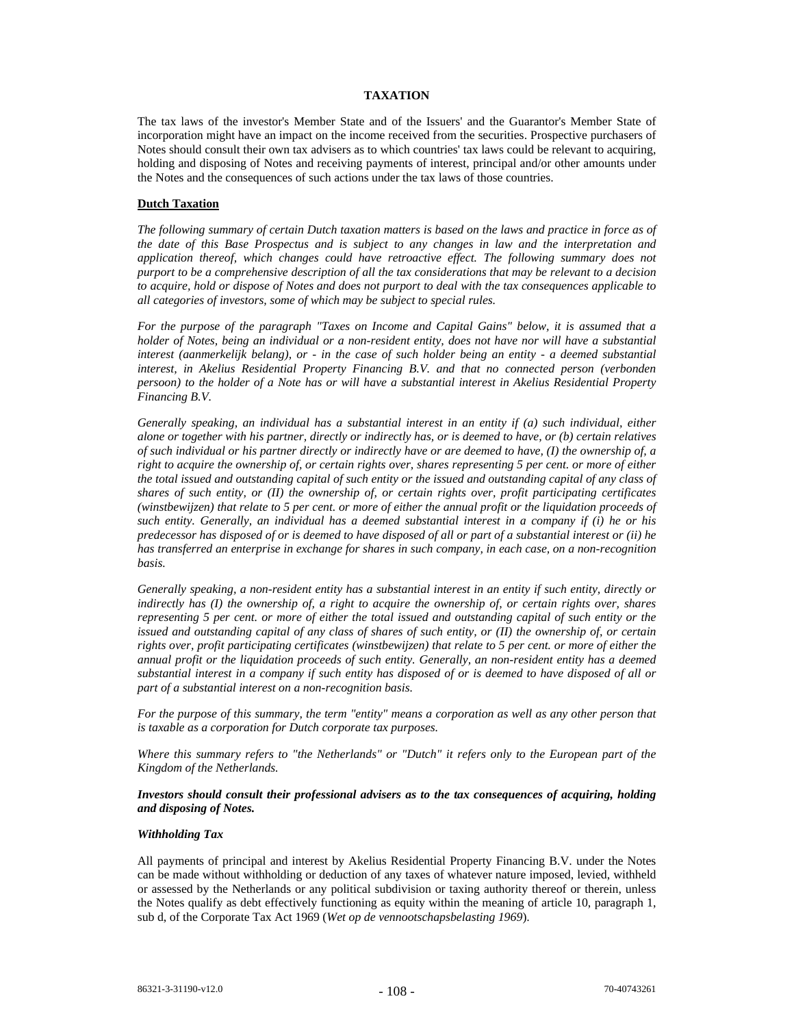### **TAXATION**

The tax laws of the investor's Member State and of the Issuers' and the Guarantor's Member State of incorporation might have an impact on the income received from the securities. Prospective purchasers of Notes should consult their own tax advisers as to which countries' tax laws could be relevant to acquiring, holding and disposing of Notes and receiving payments of interest, principal and/or other amounts under the Notes and the consequences of such actions under the tax laws of those countries.

### **Dutch Taxation**

*The following summary of certain Dutch taxation matters is based on the laws and practice in force as of the date of this Base Prospectus and is subject to any changes in law and the interpretation and application thereof, which changes could have retroactive effect. The following summary does not purport to be a comprehensive description of all the tax considerations that may be relevant to a decision to acquire, hold or dispose of Notes and does not purport to deal with the tax consequences applicable to all categories of investors, some of which may be subject to special rules.* 

*For the purpose of the paragraph "Taxes on Income and Capital Gains" below, it is assumed that a holder of Notes, being an individual or a non-resident entity, does not have nor will have a substantial interest (aanmerkelijk belang), or - in the case of such holder being an entity - a deemed substantial interest, in Akelius Residential Property Financing B.V. and that no connected person (verbonden persoon) to the holder of a Note has or will have a substantial interest in Akelius Residential Property Financing B.V.* 

*Generally speaking, an individual has a substantial interest in an entity if (a) such individual, either alone or together with his partner, directly or indirectly has, or is deemed to have, or (b) certain relatives of such individual or his partner directly or indirectly have or are deemed to have, (I) the ownership of, a right to acquire the ownership of, or certain rights over, shares representing 5 per cent. or more of either the total issued and outstanding capital of such entity or the issued and outstanding capital of any class of shares of such entity, or (II) the ownership of, or certain rights over, profit participating certificates (winstbewijzen) that relate to 5 per cent. or more of either the annual profit or the liquidation proceeds of such entity. Generally, an individual has a deemed substantial interest in a company if (i) he or his predecessor has disposed of or is deemed to have disposed of all or part of a substantial interest or (ii) he has transferred an enterprise in exchange for shares in such company, in each case, on a non-recognition basis.* 

*Generally speaking, a non-resident entity has a substantial interest in an entity if such entity, directly or indirectly has (I) the ownership of, a right to acquire the ownership of, or certain rights over, shares representing 5 per cent. or more of either the total issued and outstanding capital of such entity or the issued and outstanding capital of any class of shares of such entity, or (II) the ownership of, or certain rights over, profit participating certificates (winstbewijzen) that relate to 5 per cent. or more of either the annual profit or the liquidation proceeds of such entity. Generally, an non-resident entity has a deemed substantial interest in a company if such entity has disposed of or is deemed to have disposed of all or part of a substantial interest on a non-recognition basis.* 

*For the purpose of this summary, the term "entity" means a corporation as well as any other person that is taxable as a corporation for Dutch corporate tax purposes.* 

*Where this summary refers to "the Netherlands" or "Dutch" it refers only to the European part of the Kingdom of the Netherlands.* 

#### *Investors should consult their professional advisers as to the tax consequences of acquiring, holding and disposing of Notes.*

#### *Withholding Tax*

All payments of principal and interest by Akelius Residential Property Financing B.V. under the Notes can be made without withholding or deduction of any taxes of whatever nature imposed, levied, withheld or assessed by the Netherlands or any political subdivision or taxing authority thereof or therein, unless the Notes qualify as debt effectively functioning as equity within the meaning of article 10, paragraph 1, sub d, of the Corporate Tax Act 1969 (*Wet op de vennootschapsbelasting 1969*).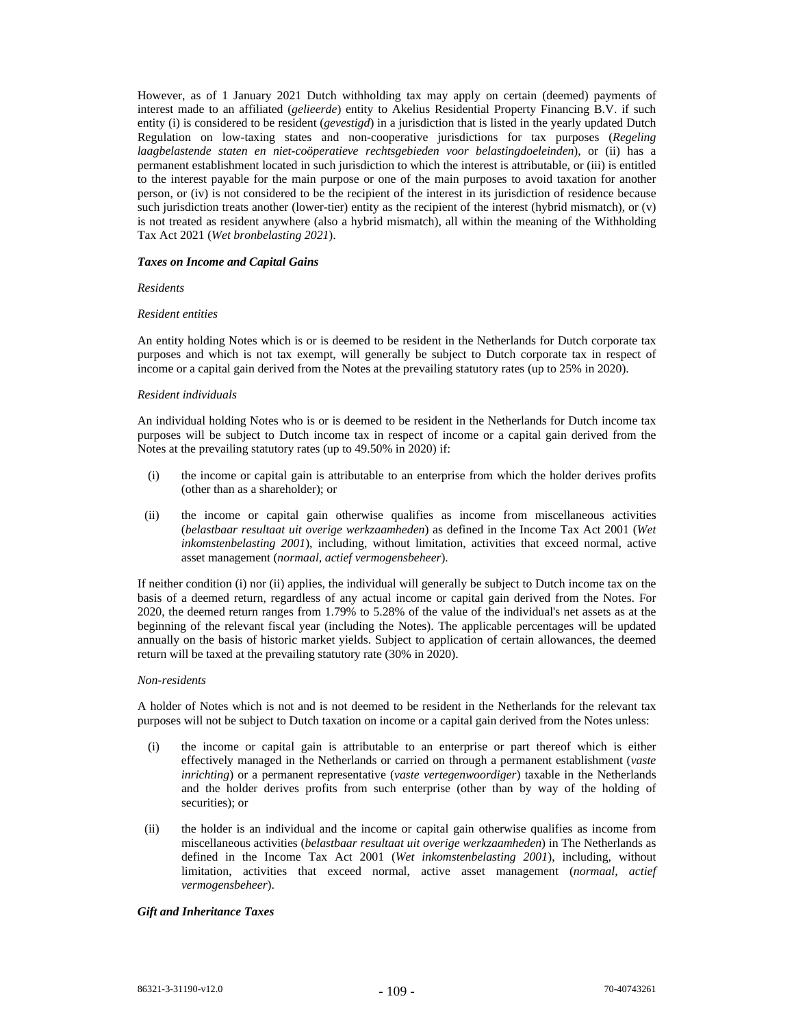However, as of 1 January 2021 Dutch withholding tax may apply on certain (deemed) payments of interest made to an affiliated (*gelieerde*) entity to Akelius Residential Property Financing B.V. if such entity (i) is considered to be resident (*gevestigd*) in a jurisdiction that is listed in the yearly updated Dutch Regulation on low-taxing states and non-cooperative jurisdictions for tax purposes (*Regeling laagbelastende staten en niet-coöperatieve rechtsgebieden voor belastingdoeleinden*), or (ii) has a permanent establishment located in such jurisdiction to which the interest is attributable, or (iii) is entitled to the interest payable for the main purpose or one of the main purposes to avoid taxation for another person, or (iv) is not considered to be the recipient of the interest in its jurisdiction of residence because such jurisdiction treats another (lower-tier) entity as the recipient of the interest (hybrid mismatch), or (v) is not treated as resident anywhere (also a hybrid mismatch), all within the meaning of the Withholding Tax Act 2021 (*Wet bronbelasting 2021*).

#### *Taxes on Income and Capital Gains*

#### *Residents*

### *Resident entities*

An entity holding Notes which is or is deemed to be resident in the Netherlands for Dutch corporate tax purposes and which is not tax exempt, will generally be subject to Dutch corporate tax in respect of income or a capital gain derived from the Notes at the prevailing statutory rates (up to 25% in 2020).

#### *Resident individuals*

An individual holding Notes who is or is deemed to be resident in the Netherlands for Dutch income tax purposes will be subject to Dutch income tax in respect of income or a capital gain derived from the Notes at the prevailing statutory rates (up to 49.50% in 2020) if:

- (i) the income or capital gain is attributable to an enterprise from which the holder derives profits (other than as a shareholder); or
- (ii) the income or capital gain otherwise qualifies as income from miscellaneous activities (*belastbaar resultaat uit overige werkzaamheden*) as defined in the Income Tax Act 2001 (*Wet inkomstenbelasting 2001*), including, without limitation, activities that exceed normal, active asset management (*normaal, actief vermogensbeheer*).

If neither condition (i) nor (ii) applies, the individual will generally be subject to Dutch income tax on the basis of a deemed return, regardless of any actual income or capital gain derived from the Notes. For 2020, the deemed return ranges from 1.79% to 5.28% of the value of the individual's net assets as at the beginning of the relevant fiscal year (including the Notes). The applicable percentages will be updated annually on the basis of historic market yields. Subject to application of certain allowances, the deemed return will be taxed at the prevailing statutory rate (30% in 2020).

#### *Non-residents*

A holder of Notes which is not and is not deemed to be resident in the Netherlands for the relevant tax purposes will not be subject to Dutch taxation on income or a capital gain derived from the Notes unless:

- (i) the income or capital gain is attributable to an enterprise or part thereof which is either effectively managed in the Netherlands or carried on through a permanent establishment (*vaste inrichting*) or a permanent representative (*vaste vertegenwoordiger*) taxable in the Netherlands and the holder derives profits from such enterprise (other than by way of the holding of securities); or
- (ii) the holder is an individual and the income or capital gain otherwise qualifies as income from miscellaneous activities (*belastbaar resultaat uit overige werkzaamheden*) in The Netherlands as defined in the Income Tax Act 2001 (*Wet inkomstenbelasting 2001*), including, without limitation, activities that exceed normal, active asset management (*normaal, actief vermogensbeheer*).

# *Gift and Inheritance Taxes*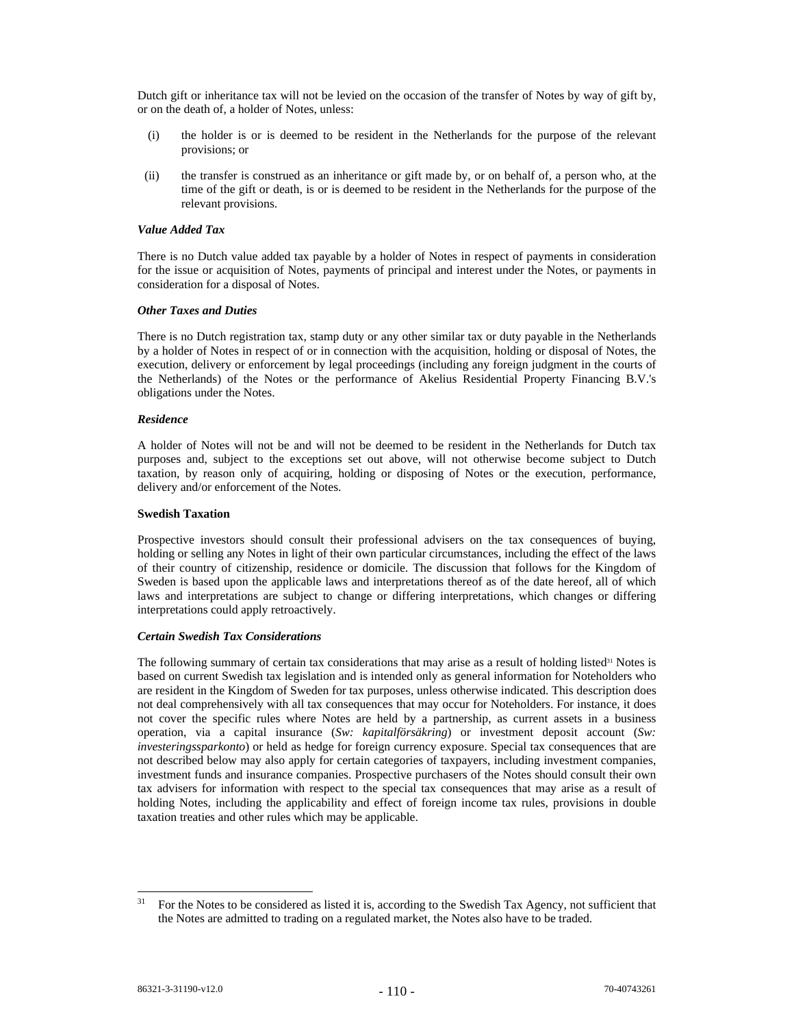Dutch gift or inheritance tax will not be levied on the occasion of the transfer of Notes by way of gift by, or on the death of, a holder of Notes, unless:

- (i) the holder is or is deemed to be resident in the Netherlands for the purpose of the relevant provisions; or
- (ii) the transfer is construed as an inheritance or gift made by, or on behalf of, a person who, at the time of the gift or death, is or is deemed to be resident in the Netherlands for the purpose of the relevant provisions.

# *Value Added Tax*

There is no Dutch value added tax payable by a holder of Notes in respect of payments in consideration for the issue or acquisition of Notes, payments of principal and interest under the Notes, or payments in consideration for a disposal of Notes.

#### *Other Taxes and Duties*

There is no Dutch registration tax, stamp duty or any other similar tax or duty payable in the Netherlands by a holder of Notes in respect of or in connection with the acquisition, holding or disposal of Notes, the execution, delivery or enforcement by legal proceedings (including any foreign judgment in the courts of the Netherlands) of the Notes or the performance of Akelius Residential Property Financing B.V.'s obligations under the Notes.

### *Residence*

A holder of Notes will not be and will not be deemed to be resident in the Netherlands for Dutch tax purposes and, subject to the exceptions set out above, will not otherwise become subject to Dutch taxation, by reason only of acquiring, holding or disposing of Notes or the execution, performance, delivery and/or enforcement of the Notes.

### **Swedish Taxation**

Prospective investors should consult their professional advisers on the tax consequences of buying, holding or selling any Notes in light of their own particular circumstances, including the effect of the laws of their country of citizenship, residence or domicile. The discussion that follows for the Kingdom of Sweden is based upon the applicable laws and interpretations thereof as of the date hereof, all of which laws and interpretations are subject to change or differing interpretations, which changes or differing interpretations could apply retroactively.

#### *Certain Swedish Tax Considerations*

The following summary of certain tax considerations that may arise as a result of holding listed<sup>31</sup> Notes is based on current Swedish tax legislation and is intended only as general information for Noteholders who are resident in the Kingdom of Sweden for tax purposes, unless otherwise indicated. This description does not deal comprehensively with all tax consequences that may occur for Noteholders. For instance, it does not cover the specific rules where Notes are held by a partnership, as current assets in a business operation, via a capital insurance (*Sw: kapitalförsäkring*) or investment deposit account (*Sw: investeringssparkonto*) or held as hedge for foreign currency exposure. Special tax consequences that are not described below may also apply for certain categories of taxpayers, including investment companies, investment funds and insurance companies. Prospective purchasers of the Notes should consult their own tax advisers for information with respect to the special tax consequences that may arise as a result of holding Notes, including the applicability and effect of foreign income tax rules, provisions in double taxation treaties and other rules which may be applicable.

 $31$  For the Notes to be considered as listed it is, according to the Swedish Tax Agency, not sufficient that the Notes are admitted to trading on a regulated market, the Notes also have to be traded.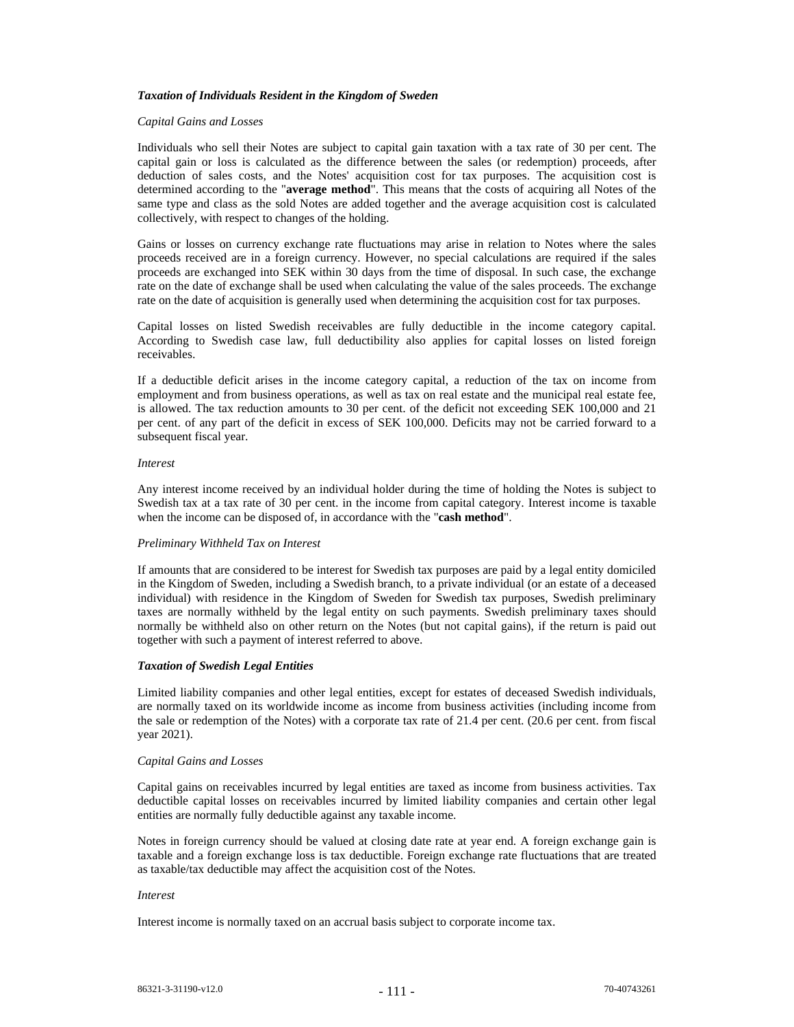### *Taxation of Individuals Resident in the Kingdom of Sweden*

#### *Capital Gains and Losses*

Individuals who sell their Notes are subject to capital gain taxation with a tax rate of 30 per cent. The capital gain or loss is calculated as the difference between the sales (or redemption) proceeds, after deduction of sales costs, and the Notes' acquisition cost for tax purposes. The acquisition cost is determined according to the "**average method**". This means that the costs of acquiring all Notes of the same type and class as the sold Notes are added together and the average acquisition cost is calculated collectively, with respect to changes of the holding.

Gains or losses on currency exchange rate fluctuations may arise in relation to Notes where the sales proceeds received are in a foreign currency. However, no special calculations are required if the sales proceeds are exchanged into SEK within 30 days from the time of disposal. In such case, the exchange rate on the date of exchange shall be used when calculating the value of the sales proceeds. The exchange rate on the date of acquisition is generally used when determining the acquisition cost for tax purposes.

Capital losses on listed Swedish receivables are fully deductible in the income category capital. According to Swedish case law, full deductibility also applies for capital losses on listed foreign receivables.

If a deductible deficit arises in the income category capital, a reduction of the tax on income from employment and from business operations, as well as tax on real estate and the municipal real estate fee, is allowed. The tax reduction amounts to 30 per cent. of the deficit not exceeding SEK 100,000 and 21 per cent. of any part of the deficit in excess of SEK 100,000. Deficits may not be carried forward to a subsequent fiscal year.

#### *Interest*

Any interest income received by an individual holder during the time of holding the Notes is subject to Swedish tax at a tax rate of 30 per cent. in the income from capital category. Interest income is taxable when the income can be disposed of, in accordance with the "**cash method**".

#### *Preliminary Withheld Tax on Interest*

If amounts that are considered to be interest for Swedish tax purposes are paid by a legal entity domiciled in the Kingdom of Sweden, including a Swedish branch, to a private individual (or an estate of a deceased individual) with residence in the Kingdom of Sweden for Swedish tax purposes, Swedish preliminary taxes are normally withheld by the legal entity on such payments. Swedish preliminary taxes should normally be withheld also on other return on the Notes (but not capital gains), if the return is paid out together with such a payment of interest referred to above.

#### *Taxation of Swedish Legal Entities*

Limited liability companies and other legal entities, except for estates of deceased Swedish individuals, are normally taxed on its worldwide income as income from business activities (including income from the sale or redemption of the Notes) with a corporate tax rate of 21.4 per cent. (20.6 per cent. from fiscal year 2021).

#### *Capital Gains and Losses*

Capital gains on receivables incurred by legal entities are taxed as income from business activities. Tax deductible capital losses on receivables incurred by limited liability companies and certain other legal entities are normally fully deductible against any taxable income.

Notes in foreign currency should be valued at closing date rate at year end. A foreign exchange gain is taxable and a foreign exchange loss is tax deductible. Foreign exchange rate fluctuations that are treated as taxable/tax deductible may affect the acquisition cost of the Notes.

#### *Interest*

Interest income is normally taxed on an accrual basis subject to corporate income tax.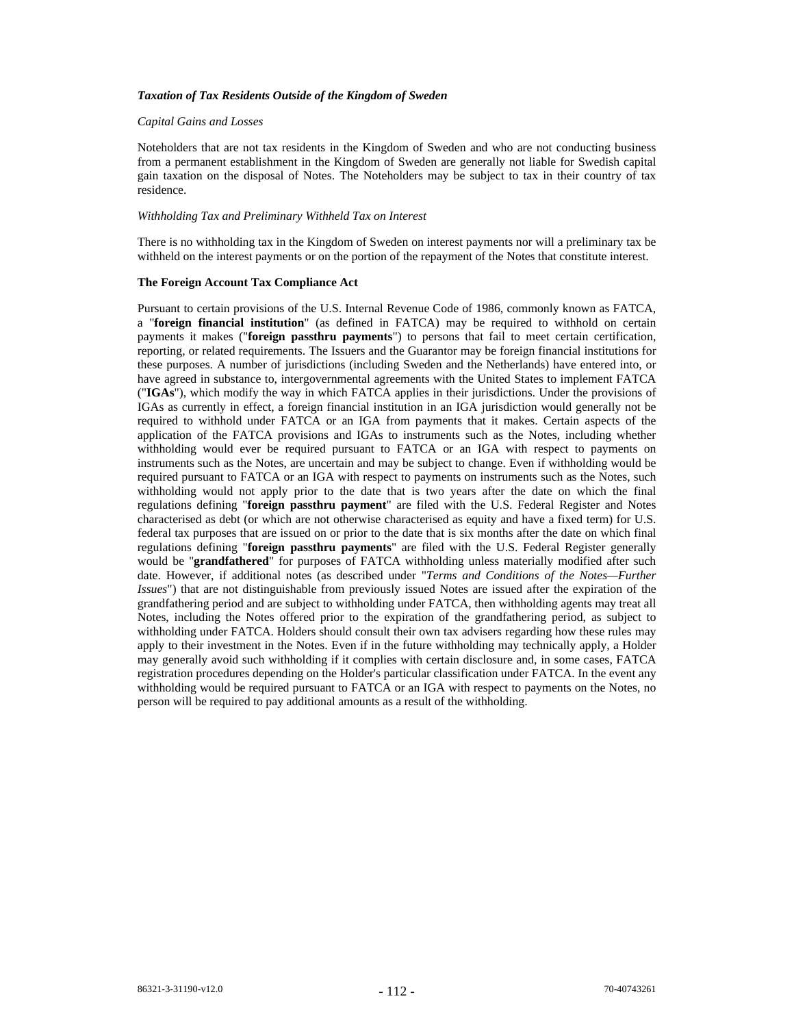#### *Taxation of Tax Residents Outside of the Kingdom of Sweden*

### *Capital Gains and Losses*

Noteholders that are not tax residents in the Kingdom of Sweden and who are not conducting business from a permanent establishment in the Kingdom of Sweden are generally not liable for Swedish capital gain taxation on the disposal of Notes. The Noteholders may be subject to tax in their country of tax residence.

#### *Withholding Tax and Preliminary Withheld Tax on Interest*

There is no withholding tax in the Kingdom of Sweden on interest payments nor will a preliminary tax be withheld on the interest payments or on the portion of the repayment of the Notes that constitute interest.

#### **The Foreign Account Tax Compliance Act**

Pursuant to certain provisions of the U.S. Internal Revenue Code of 1986, commonly known as FATCA, a "**foreign financial institution**" (as defined in FATCA) may be required to withhold on certain payments it makes ("**foreign passthru payments**") to persons that fail to meet certain certification, reporting, or related requirements. The Issuers and the Guarantor may be foreign financial institutions for these purposes. A number of jurisdictions (including Sweden and the Netherlands) have entered into, or have agreed in substance to, intergovernmental agreements with the United States to implement FATCA ("**IGAs**"), which modify the way in which FATCA applies in their jurisdictions. Under the provisions of IGAs as currently in effect, a foreign financial institution in an IGA jurisdiction would generally not be required to withhold under FATCA or an IGA from payments that it makes. Certain aspects of the application of the FATCA provisions and IGAs to instruments such as the Notes, including whether withholding would ever be required pursuant to FATCA or an IGA with respect to payments on instruments such as the Notes, are uncertain and may be subject to change. Even if withholding would be required pursuant to FATCA or an IGA with respect to payments on instruments such as the Notes, such withholding would not apply prior to the date that is two years after the date on which the final regulations defining "**foreign passthru payment**" are filed with the U.S. Federal Register and Notes characterised as debt (or which are not otherwise characterised as equity and have a fixed term) for U.S. federal tax purposes that are issued on or prior to the date that is six months after the date on which final regulations defining "**foreign passthru payments**" are filed with the U.S. Federal Register generally would be "**grandfathered**" for purposes of FATCA withholding unless materially modified after such date. However, if additional notes (as described under "*Terms and Conditions of the Notes—Further Issues*") that are not distinguishable from previously issued Notes are issued after the expiration of the grandfathering period and are subject to withholding under FATCA, then withholding agents may treat all Notes, including the Notes offered prior to the expiration of the grandfathering period, as subject to withholding under FATCA. Holders should consult their own tax advisers regarding how these rules may apply to their investment in the Notes. Even if in the future withholding may technically apply, a Holder may generally avoid such withholding if it complies with certain disclosure and, in some cases, FATCA registration procedures depending on the Holder's particular classification under FATCA. In the event any withholding would be required pursuant to FATCA or an IGA with respect to payments on the Notes, no person will be required to pay additional amounts as a result of the withholding.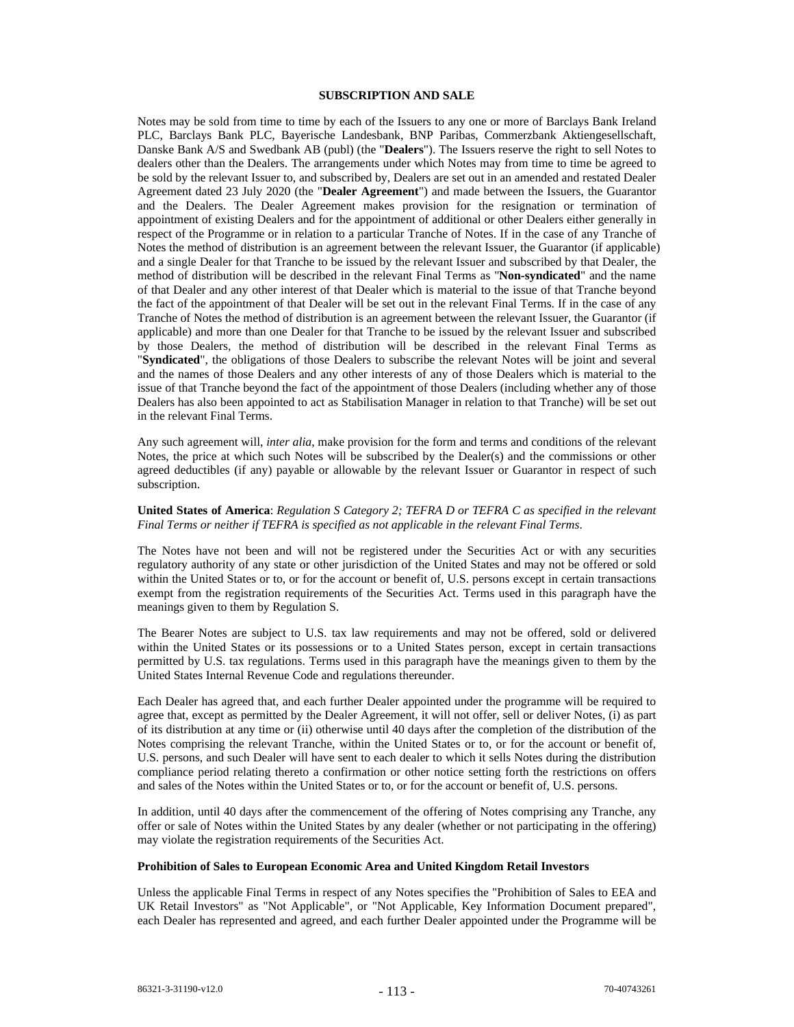# **SUBSCRIPTION AND SALE**

Notes may be sold from time to time by each of the Issuers to any one or more of Barclays Bank Ireland PLC, Barclays Bank PLC, Bayerische Landesbank, BNP Paribas, Commerzbank Aktiengesellschaft, Danske Bank A/S and Swedbank AB (publ) (the "**Dealers**"). The Issuers reserve the right to sell Notes to dealers other than the Dealers. The arrangements under which Notes may from time to time be agreed to be sold by the relevant Issuer to, and subscribed by, Dealers are set out in an amended and restated Dealer Agreement dated 23 July 2020 (the "**Dealer Agreement**") and made between the Issuers, the Guarantor and the Dealers. The Dealer Agreement makes provision for the resignation or termination of appointment of existing Dealers and for the appointment of additional or other Dealers either generally in respect of the Programme or in relation to a particular Tranche of Notes. If in the case of any Tranche of Notes the method of distribution is an agreement between the relevant Issuer, the Guarantor (if applicable) and a single Dealer for that Tranche to be issued by the relevant Issuer and subscribed by that Dealer, the method of distribution will be described in the relevant Final Terms as "**Non-syndicated**" and the name of that Dealer and any other interest of that Dealer which is material to the issue of that Tranche beyond the fact of the appointment of that Dealer will be set out in the relevant Final Terms. If in the case of any Tranche of Notes the method of distribution is an agreement between the relevant Issuer, the Guarantor (if applicable) and more than one Dealer for that Tranche to be issued by the relevant Issuer and subscribed by those Dealers, the method of distribution will be described in the relevant Final Terms as "**Syndicated**", the obligations of those Dealers to subscribe the relevant Notes will be joint and several and the names of those Dealers and any other interests of any of those Dealers which is material to the issue of that Tranche beyond the fact of the appointment of those Dealers (including whether any of those Dealers has also been appointed to act as Stabilisation Manager in relation to that Tranche) will be set out in the relevant Final Terms.

Any such agreement will, *inter alia*, make provision for the form and terms and conditions of the relevant Notes, the price at which such Notes will be subscribed by the Dealer(s) and the commissions or other agreed deductibles (if any) payable or allowable by the relevant Issuer or Guarantor in respect of such subscription.

## **United States of America**: *Regulation S Category 2; TEFRA D or TEFRA C as specified in the relevant Final Terms or neither if TEFRA is specified as not applicable in the relevant Final Terms*.

The Notes have not been and will not be registered under the Securities Act or with any securities regulatory authority of any state or other jurisdiction of the United States and may not be offered or sold within the United States or to, or for the account or benefit of, U.S. persons except in certain transactions exempt from the registration requirements of the Securities Act. Terms used in this paragraph have the meanings given to them by Regulation S.

The Bearer Notes are subject to U.S. tax law requirements and may not be offered, sold or delivered within the United States or its possessions or to a United States person, except in certain transactions permitted by U.S. tax regulations. Terms used in this paragraph have the meanings given to them by the United States Internal Revenue Code and regulations thereunder.

Each Dealer has agreed that, and each further Dealer appointed under the programme will be required to agree that, except as permitted by the Dealer Agreement, it will not offer, sell or deliver Notes, (i) as part of its distribution at any time or (ii) otherwise until 40 days after the completion of the distribution of the Notes comprising the relevant Tranche, within the United States or to, or for the account or benefit of, U.S. persons, and such Dealer will have sent to each dealer to which it sells Notes during the distribution compliance period relating thereto a confirmation or other notice setting forth the restrictions on offers and sales of the Notes within the United States or to, or for the account or benefit of, U.S. persons.

In addition, until 40 days after the commencement of the offering of Notes comprising any Tranche, any offer or sale of Notes within the United States by any dealer (whether or not participating in the offering) may violate the registration requirements of the Securities Act.

#### **Prohibition of Sales to European Economic Area and United Kingdom Retail Investors**

Unless the applicable Final Terms in respect of any Notes specifies the "Prohibition of Sales to EEA and UK Retail Investors" as "Not Applicable", or "Not Applicable, Key Information Document prepared", each Dealer has represented and agreed, and each further Dealer appointed under the Programme will be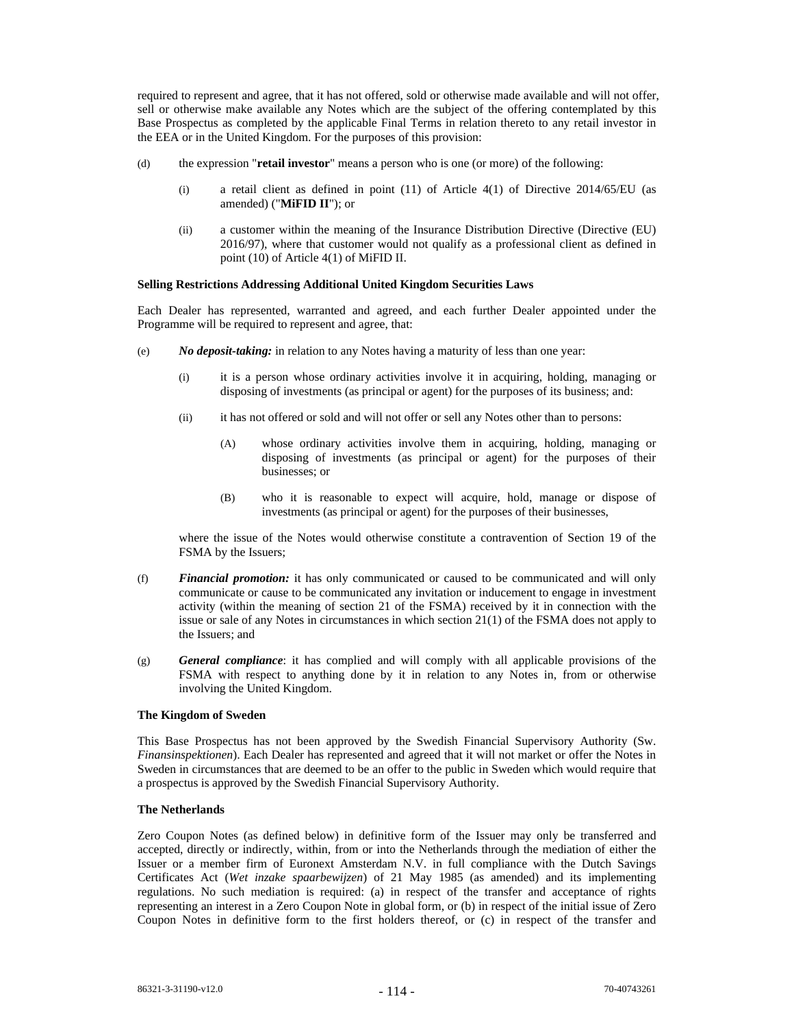required to represent and agree, that it has not offered, sold or otherwise made available and will not offer, sell or otherwise make available any Notes which are the subject of the offering contemplated by this Base Prospectus as completed by the applicable Final Terms in relation thereto to any retail investor in the EEA or in the United Kingdom. For the purposes of this provision:

- (d) the expression "**retail investor**" means a person who is one (or more) of the following:
	- (i) a retail client as defined in point (11) of Article 4(1) of Directive 2014/65/EU (as amended) ("**MiFID II**"); or
	- (ii) a customer within the meaning of the Insurance Distribution Directive (Directive (EU) 2016/97), where that customer would not qualify as a professional client as defined in point (10) of Article 4(1) of MiFID II.

#### **Selling Restrictions Addressing Additional United Kingdom Securities Laws**

Each Dealer has represented, warranted and agreed, and each further Dealer appointed under the Programme will be required to represent and agree, that:

- (e) *No deposit-taking:* in relation to any Notes having a maturity of less than one year:
	- (i) it is a person whose ordinary activities involve it in acquiring, holding, managing or disposing of investments (as principal or agent) for the purposes of its business; and:
	- (ii) it has not offered or sold and will not offer or sell any Notes other than to persons:
		- (A) whose ordinary activities involve them in acquiring, holding, managing or disposing of investments (as principal or agent) for the purposes of their businesses; or
		- (B) who it is reasonable to expect will acquire, hold, manage or dispose of investments (as principal or agent) for the purposes of their businesses,

where the issue of the Notes would otherwise constitute a contravention of Section 19 of the FSMA by the Issuers;

- (f) *Financial promotion:* it has only communicated or caused to be communicated and will only communicate or cause to be communicated any invitation or inducement to engage in investment activity (within the meaning of section 21 of the FSMA) received by it in connection with the issue or sale of any Notes in circumstances in which section 21(1) of the FSMA does not apply to the Issuers; and
- (g) *General compliance*: it has complied and will comply with all applicable provisions of the FSMA with respect to anything done by it in relation to any Notes in, from or otherwise involving the United Kingdom.

### **The Kingdom of Sweden**

This Base Prospectus has not been approved by the Swedish Financial Supervisory Authority (Sw. *Finansinspektionen*). Each Dealer has represented and agreed that it will not market or offer the Notes in Sweden in circumstances that are deemed to be an offer to the public in Sweden which would require that a prospectus is approved by the Swedish Financial Supervisory Authority.

### **The Netherlands**

Zero Coupon Notes (as defined below) in definitive form of the Issuer may only be transferred and accepted, directly or indirectly, within, from or into the Netherlands through the mediation of either the Issuer or a member firm of Euronext Amsterdam N.V. in full compliance with the Dutch Savings Certificates Act (*Wet inzake spaarbewijzen*) of 21 May 1985 (as amended) and its implementing regulations. No such mediation is required: (a) in respect of the transfer and acceptance of rights representing an interest in a Zero Coupon Note in global form, or (b) in respect of the initial issue of Zero Coupon Notes in definitive form to the first holders thereof, or (c) in respect of the transfer and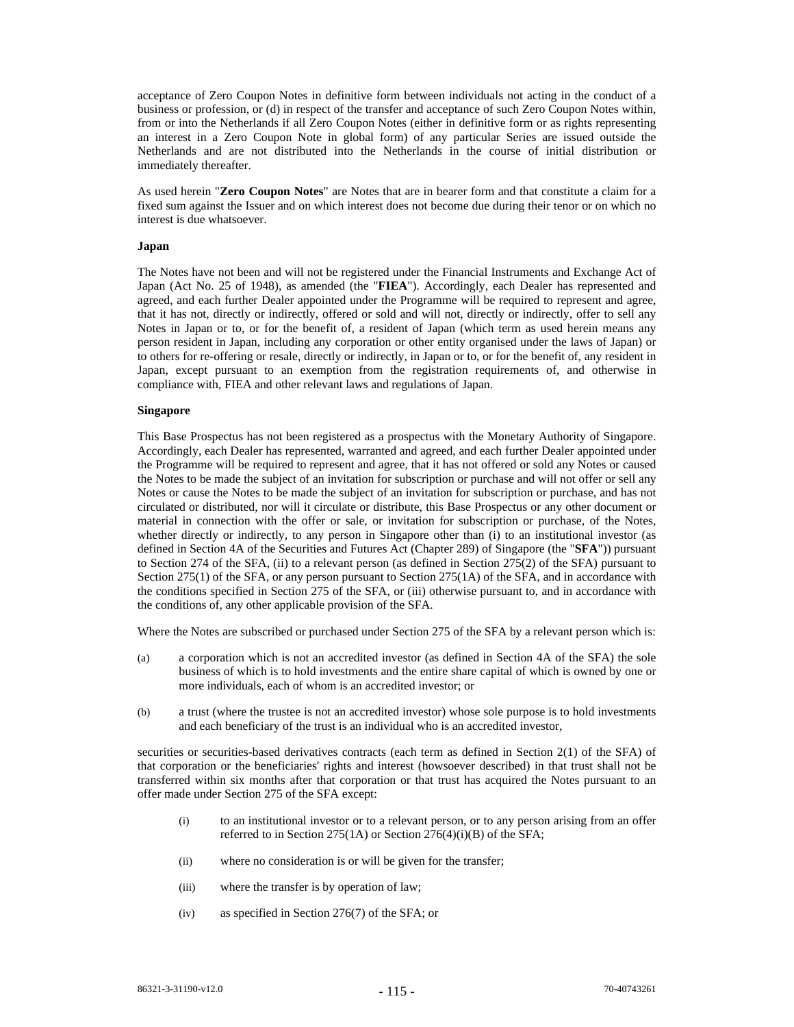acceptance of Zero Coupon Notes in definitive form between individuals not acting in the conduct of a business or profession, or (d) in respect of the transfer and acceptance of such Zero Coupon Notes within, from or into the Netherlands if all Zero Coupon Notes (either in definitive form or as rights representing an interest in a Zero Coupon Note in global form) of any particular Series are issued outside the Netherlands and are not distributed into the Netherlands in the course of initial distribution or immediately thereafter.

As used herein "**Zero Coupon Notes**" are Notes that are in bearer form and that constitute a claim for a fixed sum against the Issuer and on which interest does not become due during their tenor or on which no interest is due whatsoever.

#### **Japan**

The Notes have not been and will not be registered under the Financial Instruments and Exchange Act of Japan (Act No. 25 of 1948), as amended (the "**FIEA**"). Accordingly, each Dealer has represented and agreed, and each further Dealer appointed under the Programme will be required to represent and agree, that it has not, directly or indirectly, offered or sold and will not, directly or indirectly, offer to sell any Notes in Japan or to, or for the benefit of, a resident of Japan (which term as used herein means any person resident in Japan, including any corporation or other entity organised under the laws of Japan) or to others for re-offering or resale, directly or indirectly, in Japan or to, or for the benefit of, any resident in Japan, except pursuant to an exemption from the registration requirements of, and otherwise in compliance with, FIEA and other relevant laws and regulations of Japan.

### **Singapore**

This Base Prospectus has not been registered as a prospectus with the Monetary Authority of Singapore. Accordingly, each Dealer has represented, warranted and agreed, and each further Dealer appointed under the Programme will be required to represent and agree, that it has not offered or sold any Notes or caused the Notes to be made the subject of an invitation for subscription or purchase and will not offer or sell any Notes or cause the Notes to be made the subject of an invitation for subscription or purchase, and has not circulated or distributed, nor will it circulate or distribute, this Base Prospectus or any other document or material in connection with the offer or sale, or invitation for subscription or purchase, of the Notes, whether directly or indirectly, to any person in Singapore other than (i) to an institutional investor (as defined in Section 4A of the Securities and Futures Act (Chapter 289) of Singapore (the "**SFA**")) pursuant to Section 274 of the SFA, (ii) to a relevant person (as defined in Section 275(2) of the SFA) pursuant to Section 275(1) of the SFA, or any person pursuant to Section 275(1A) of the SFA, and in accordance with the conditions specified in Section 275 of the SFA, or (iii) otherwise pursuant to, and in accordance with the conditions of, any other applicable provision of the SFA.

Where the Notes are subscribed or purchased under Section 275 of the SFA by a relevant person which is:

- (a) a corporation which is not an accredited investor (as defined in Section 4A of the SFA) the sole business of which is to hold investments and the entire share capital of which is owned by one or more individuals, each of whom is an accredited investor; or
- (b) a trust (where the trustee is not an accredited investor) whose sole purpose is to hold investments and each beneficiary of the trust is an individual who is an accredited investor,

securities or securities-based derivatives contracts (each term as defined in Section 2(1) of the SFA) of that corporation or the beneficiaries' rights and interest (howsoever described) in that trust shall not be transferred within six months after that corporation or that trust has acquired the Notes pursuant to an offer made under Section 275 of the SFA except:

- (i) to an institutional investor or to a relevant person, or to any person arising from an offer referred to in Section 275(1A) or Section 276(4)(i)(B) of the SFA;
- (ii) where no consideration is or will be given for the transfer;
- (iii) where the transfer is by operation of law;
- (iv) as specified in Section 276(7) of the SFA; or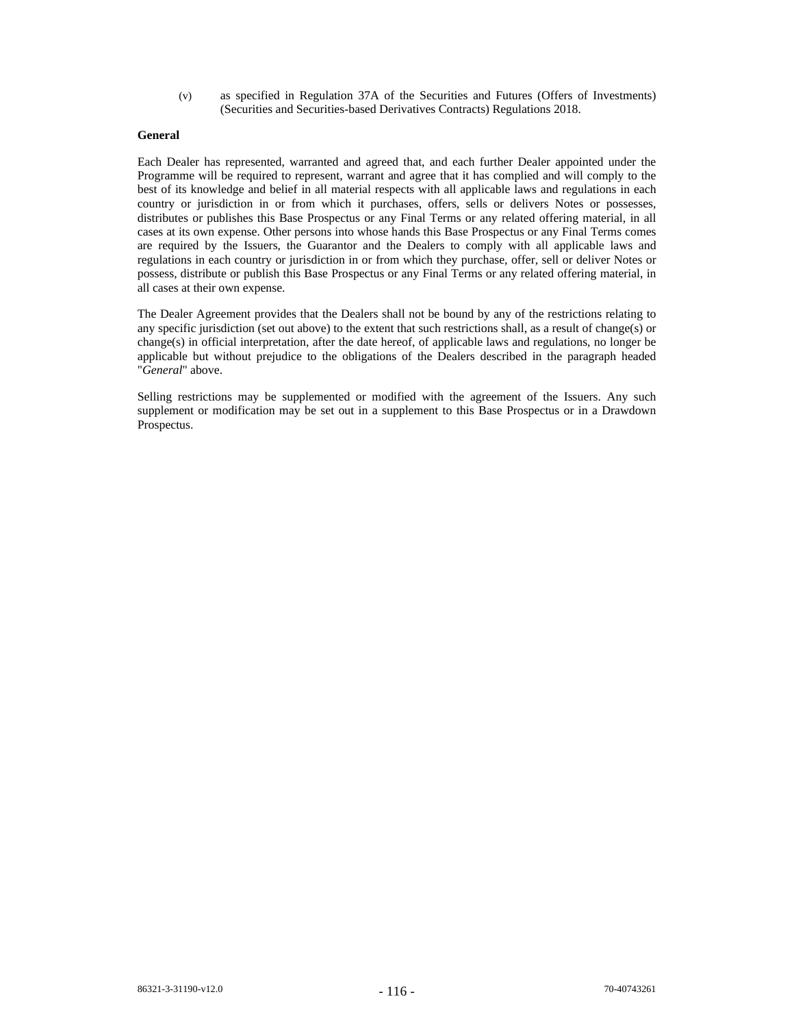(v) as specified in Regulation 37A of the Securities and Futures (Offers of Investments) (Securities and Securities-based Derivatives Contracts) Regulations 2018.

# **General**

Each Dealer has represented, warranted and agreed that, and each further Dealer appointed under the Programme will be required to represent, warrant and agree that it has complied and will comply to the best of its knowledge and belief in all material respects with all applicable laws and regulations in each country or jurisdiction in or from which it purchases, offers, sells or delivers Notes or possesses, distributes or publishes this Base Prospectus or any Final Terms or any related offering material, in all cases at its own expense. Other persons into whose hands this Base Prospectus or any Final Terms comes are required by the Issuers, the Guarantor and the Dealers to comply with all applicable laws and regulations in each country or jurisdiction in or from which they purchase, offer, sell or deliver Notes or possess, distribute or publish this Base Prospectus or any Final Terms or any related offering material, in all cases at their own expense.

The Dealer Agreement provides that the Dealers shall not be bound by any of the restrictions relating to any specific jurisdiction (set out above) to the extent that such restrictions shall, as a result of change(s) or change(s) in official interpretation, after the date hereof, of applicable laws and regulations, no longer be applicable but without prejudice to the obligations of the Dealers described in the paragraph headed "*General*" above.

Selling restrictions may be supplemented or modified with the agreement of the Issuers. Any such supplement or modification may be set out in a supplement to this Base Prospectus or in a Drawdown Prospectus.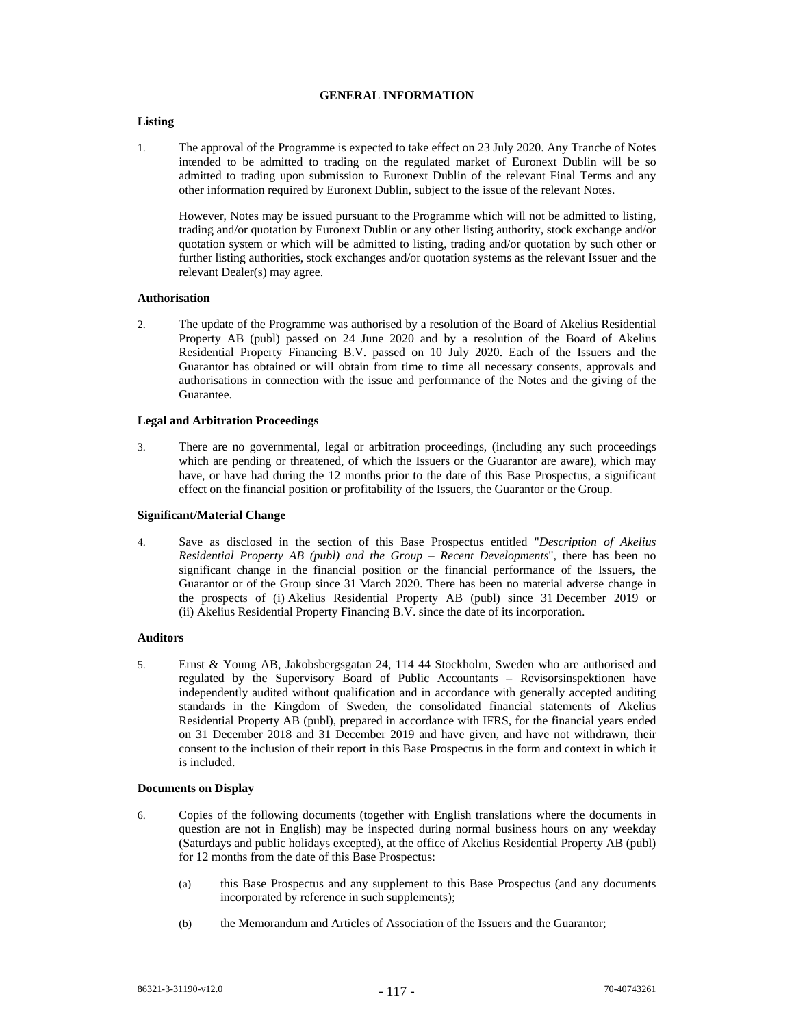### **GENERAL INFORMATION**

# **Listing**

1. The approval of the Programme is expected to take effect on 23 July 2020. Any Tranche of Notes intended to be admitted to trading on the regulated market of Euronext Dublin will be so admitted to trading upon submission to Euronext Dublin of the relevant Final Terms and any other information required by Euronext Dublin, subject to the issue of the relevant Notes.

However, Notes may be issued pursuant to the Programme which will not be admitted to listing, trading and/or quotation by Euronext Dublin or any other listing authority, stock exchange and/or quotation system or which will be admitted to listing, trading and/or quotation by such other or further listing authorities, stock exchanges and/or quotation systems as the relevant Issuer and the relevant Dealer(s) may agree.

# **Authorisation**

2. The update of the Programme was authorised by a resolution of the Board of Akelius Residential Property AB (publ) passed on 24 June 2020 and by a resolution of the Board of Akelius Residential Property Financing B.V. passed on 10 July 2020. Each of the Issuers and the Guarantor has obtained or will obtain from time to time all necessary consents, approvals and authorisations in connection with the issue and performance of the Notes and the giving of the Guarantee.

### **Legal and Arbitration Proceedings**

3. There are no governmental, legal or arbitration proceedings, (including any such proceedings which are pending or threatened, of which the Issuers or the Guarantor are aware), which may have, or have had during the 12 months prior to the date of this Base Prospectus, a significant effect on the financial position or profitability of the Issuers, the Guarantor or the Group.

#### **Significant/Material Change**

4. Save as disclosed in the section of this Base Prospectus entitled "*Description of Akelius Residential Property AB (publ) and the Group – Recent Developments*", there has been no significant change in the financial position or the financial performance of the Issuers, the Guarantor or of the Group since 31 March 2020. There has been no material adverse change in the prospects of (i) Akelius Residential Property AB (publ) since 31 December 2019 or (ii) Akelius Residential Property Financing B.V. since the date of its incorporation.

# **Auditors**

5. Ernst & Young AB, Jakobsbergsgatan 24, 114 44 Stockholm, Sweden who are authorised and regulated by the Supervisory Board of Public Accountants – Revisorsinspektionen have independently audited without qualification and in accordance with generally accepted auditing standards in the Kingdom of Sweden, the consolidated financial statements of Akelius Residential Property AB (publ), prepared in accordance with IFRS, for the financial years ended on 31 December 2018 and 31 December 2019 and have given, and have not withdrawn, their consent to the inclusion of their report in this Base Prospectus in the form and context in which it is included.

#### **Documents on Display**

- 6. Copies of the following documents (together with English translations where the documents in question are not in English) may be inspected during normal business hours on any weekday (Saturdays and public holidays excepted), at the office of Akelius Residential Property AB (publ) for 12 months from the date of this Base Prospectus:
	- (a) this Base Prospectus and any supplement to this Base Prospectus (and any documents incorporated by reference in such supplements);
	- (b) the Memorandum and Articles of Association of the Issuers and the Guarantor;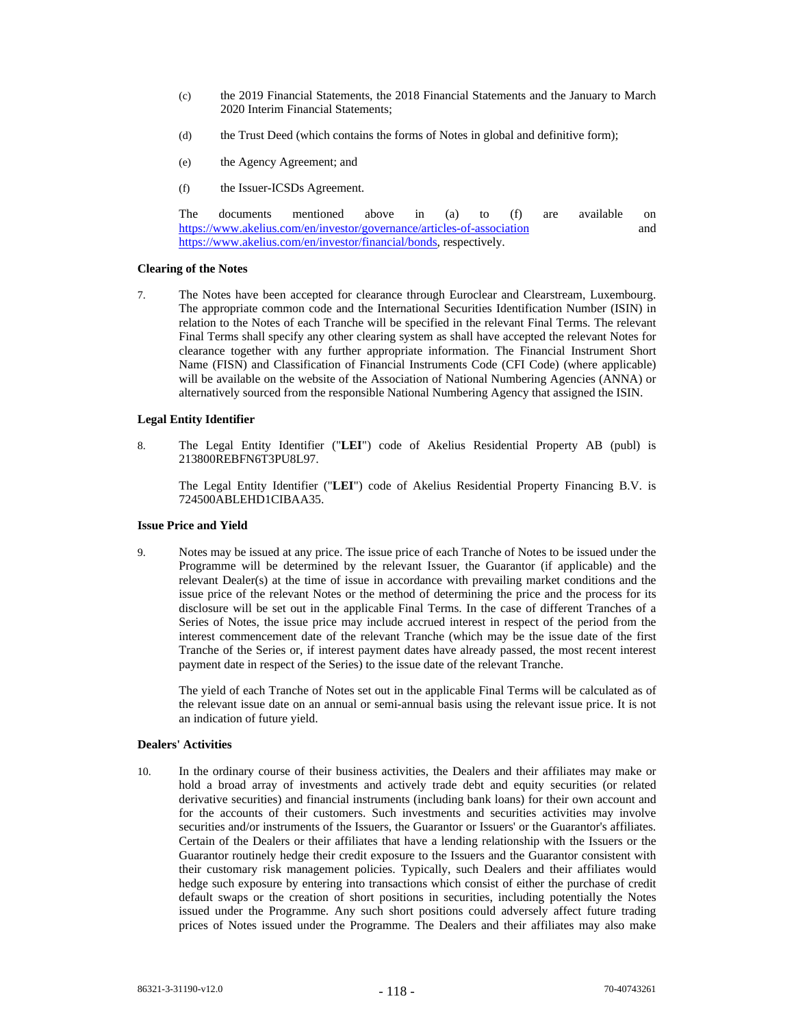- (c) the 2019 Financial Statements, the 2018 Financial Statements and the January to March 2020 Interim Financial Statements;
- (d) the Trust Deed (which contains the forms of Notes in global and definitive form);
- (e) the Agency Agreement; and
- (f) the Issuer-ICSDs Agreement.

The documents mentioned above in (a) to (f) are available on https://www.akelius.com/en/investor/governance/articles-of-association and https://www.akelius.com/en/investor/financial/bonds, respectively.

### **Clearing of the Notes**

7. The Notes have been accepted for clearance through Euroclear and Clearstream, Luxembourg. The appropriate common code and the International Securities Identification Number (ISIN) in relation to the Notes of each Tranche will be specified in the relevant Final Terms. The relevant Final Terms shall specify any other clearing system as shall have accepted the relevant Notes for clearance together with any further appropriate information. The Financial Instrument Short Name (FISN) and Classification of Financial Instruments Code (CFI Code) (where applicable) will be available on the website of the Association of National Numbering Agencies (ANNA) or alternatively sourced from the responsible National Numbering Agency that assigned the ISIN.

### **Legal Entity Identifier**

8. The Legal Entity Identifier ("**LEI**") code of Akelius Residential Property AB (publ) is 213800REBFN6T3PU8L97.

The Legal Entity Identifier ("**LEI**") code of Akelius Residential Property Financing B.V. is 724500ABLEHD1CIBAA35.

#### **Issue Price and Yield**

9. Notes may be issued at any price. The issue price of each Tranche of Notes to be issued under the Programme will be determined by the relevant Issuer, the Guarantor (if applicable) and the relevant Dealer(s) at the time of issue in accordance with prevailing market conditions and the issue price of the relevant Notes or the method of determining the price and the process for its disclosure will be set out in the applicable Final Terms. In the case of different Tranches of a Series of Notes, the issue price may include accrued interest in respect of the period from the interest commencement date of the relevant Tranche (which may be the issue date of the first Tranche of the Series or, if interest payment dates have already passed, the most recent interest payment date in respect of the Series) to the issue date of the relevant Tranche.

The yield of each Tranche of Notes set out in the applicable Final Terms will be calculated as of the relevant issue date on an annual or semi-annual basis using the relevant issue price. It is not an indication of future yield.

# **Dealers' Activities**

10. In the ordinary course of their business activities, the Dealers and their affiliates may make or hold a broad array of investments and actively trade debt and equity securities (or related derivative securities) and financial instruments (including bank loans) for their own account and for the accounts of their customers. Such investments and securities activities may involve securities and/or instruments of the Issuers, the Guarantor or Issuers' or the Guarantor's affiliates. Certain of the Dealers or their affiliates that have a lending relationship with the Issuers or the Guarantor routinely hedge their credit exposure to the Issuers and the Guarantor consistent with their customary risk management policies. Typically, such Dealers and their affiliates would hedge such exposure by entering into transactions which consist of either the purchase of credit default swaps or the creation of short positions in securities, including potentially the Notes issued under the Programme. Any such short positions could adversely affect future trading prices of Notes issued under the Programme. The Dealers and their affiliates may also make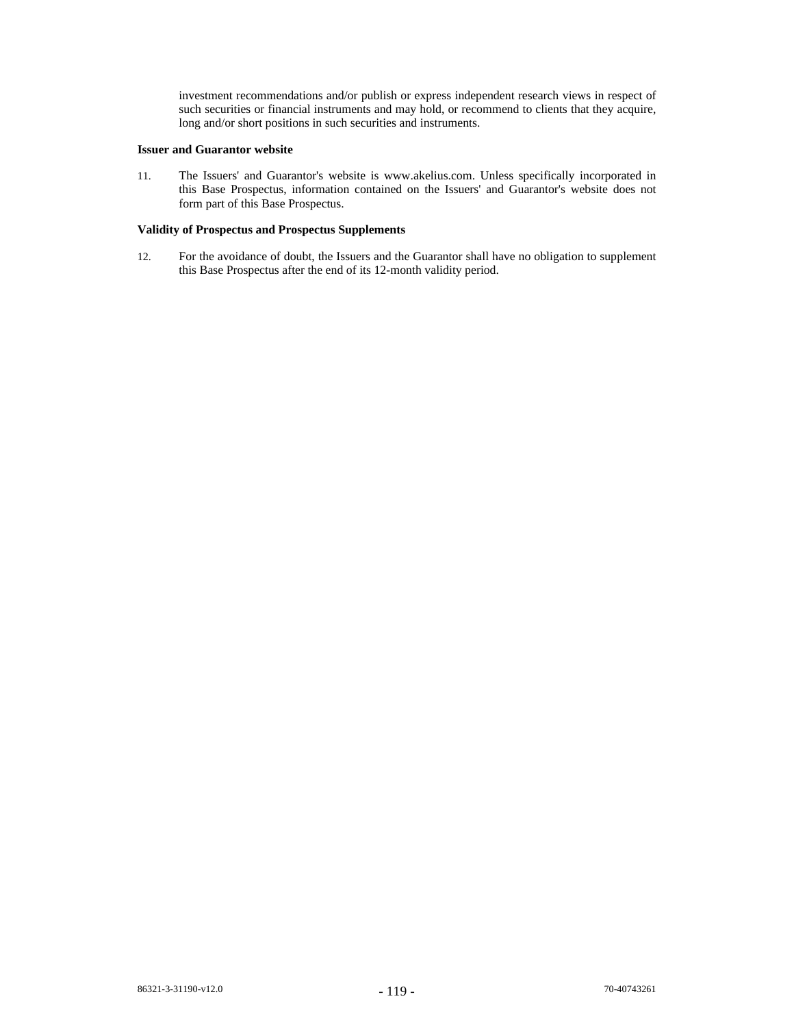investment recommendations and/or publish or express independent research views in respect of such securities or financial instruments and may hold, or recommend to clients that they acquire, long and/or short positions in such securities and instruments.

# **Issuer and Guarantor website**

11. The Issuers' and Guarantor's website is www.akelius.com. Unless specifically incorporated in this Base Prospectus, information contained on the Issuers' and Guarantor's website does not form part of this Base Prospectus.

# **Validity of Prospectus and Prospectus Supplements**

12. For the avoidance of doubt, the Issuers and the Guarantor shall have no obligation to supplement this Base Prospectus after the end of its 12-month validity period.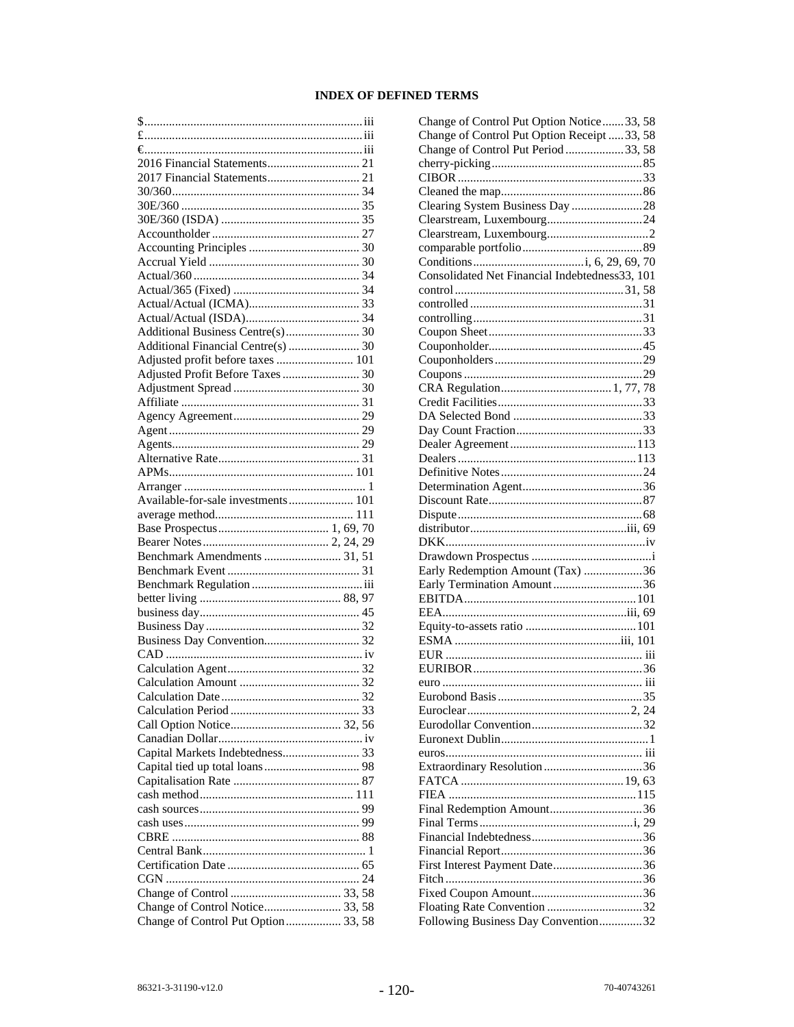# **INDEX OF DEFINED TERMS**

| $$$                                                                                                                                                                                                                                                                                                                                                                                                                                                      |
|----------------------------------------------------------------------------------------------------------------------------------------------------------------------------------------------------------------------------------------------------------------------------------------------------------------------------------------------------------------------------------------------------------------------------------------------------------|
| $f_{\ldots}, f_{\ldots}, f_{\ldots}, f_{\ldots}, f_{\ldots}, f_{\ldots}, f_{\ldots}, f_{\ldots}, f_{\ldots}, f_{\ldots}, f_{\ldots}, f_{\ldots}, f_{\ldots}, f_{\ldots}, f_{\ldots}, f_{\ldots}, f_{\ldots}, f_{\ldots}, f_{\ldots}, f_{\ldots}, f_{\ldots}, f_{\ldots}, f_{\ldots}, f_{\ldots}, f_{\ldots}, f_{\ldots}, f_{\ldots}, f_{\ldots}, f_{\ldots}, f_{\ldots}, f_{\ldots}, f_{\ldots}, f_{\ldots}, f_{\ldots}, f_{\ldots}, f_{\ldots}, f_{\ld$ |
|                                                                                                                                                                                                                                                                                                                                                                                                                                                          |
|                                                                                                                                                                                                                                                                                                                                                                                                                                                          |
| 2017 Financial Statements 21                                                                                                                                                                                                                                                                                                                                                                                                                             |
|                                                                                                                                                                                                                                                                                                                                                                                                                                                          |
|                                                                                                                                                                                                                                                                                                                                                                                                                                                          |
|                                                                                                                                                                                                                                                                                                                                                                                                                                                          |
|                                                                                                                                                                                                                                                                                                                                                                                                                                                          |
|                                                                                                                                                                                                                                                                                                                                                                                                                                                          |
|                                                                                                                                                                                                                                                                                                                                                                                                                                                          |
|                                                                                                                                                                                                                                                                                                                                                                                                                                                          |
|                                                                                                                                                                                                                                                                                                                                                                                                                                                          |
|                                                                                                                                                                                                                                                                                                                                                                                                                                                          |
|                                                                                                                                                                                                                                                                                                                                                                                                                                                          |
|                                                                                                                                                                                                                                                                                                                                                                                                                                                          |
|                                                                                                                                                                                                                                                                                                                                                                                                                                                          |
| Additional Financial Centre(s)  30                                                                                                                                                                                                                                                                                                                                                                                                                       |
| Adjusted profit before taxes  101                                                                                                                                                                                                                                                                                                                                                                                                                        |
| Adjusted Profit Before Taxes  30                                                                                                                                                                                                                                                                                                                                                                                                                         |
|                                                                                                                                                                                                                                                                                                                                                                                                                                                          |
|                                                                                                                                                                                                                                                                                                                                                                                                                                                          |
|                                                                                                                                                                                                                                                                                                                                                                                                                                                          |
|                                                                                                                                                                                                                                                                                                                                                                                                                                                          |
|                                                                                                                                                                                                                                                                                                                                                                                                                                                          |
|                                                                                                                                                                                                                                                                                                                                                                                                                                                          |
|                                                                                                                                                                                                                                                                                                                                                                                                                                                          |
|                                                                                                                                                                                                                                                                                                                                                                                                                                                          |
|                                                                                                                                                                                                                                                                                                                                                                                                                                                          |
| Available-for-sale investments 101                                                                                                                                                                                                                                                                                                                                                                                                                       |
|                                                                                                                                                                                                                                                                                                                                                                                                                                                          |
|                                                                                                                                                                                                                                                                                                                                                                                                                                                          |
|                                                                                                                                                                                                                                                                                                                                                                                                                                                          |
|                                                                                                                                                                                                                                                                                                                                                                                                                                                          |
| Benchmark Amendments  31, 51                                                                                                                                                                                                                                                                                                                                                                                                                             |
|                                                                                                                                                                                                                                                                                                                                                                                                                                                          |
|                                                                                                                                                                                                                                                                                                                                                                                                                                                          |
|                                                                                                                                                                                                                                                                                                                                                                                                                                                          |
|                                                                                                                                                                                                                                                                                                                                                                                                                                                          |
|                                                                                                                                                                                                                                                                                                                                                                                                                                                          |
|                                                                                                                                                                                                                                                                                                                                                                                                                                                          |
|                                                                                                                                                                                                                                                                                                                                                                                                                                                          |
|                                                                                                                                                                                                                                                                                                                                                                                                                                                          |
|                                                                                                                                                                                                                                                                                                                                                                                                                                                          |
|                                                                                                                                                                                                                                                                                                                                                                                                                                                          |
|                                                                                                                                                                                                                                                                                                                                                                                                                                                          |
|                                                                                                                                                                                                                                                                                                                                                                                                                                                          |
|                                                                                                                                                                                                                                                                                                                                                                                                                                                          |
|                                                                                                                                                                                                                                                                                                                                                                                                                                                          |
| Capital Markets Indebtedness 33                                                                                                                                                                                                                                                                                                                                                                                                                          |
|                                                                                                                                                                                                                                                                                                                                                                                                                                                          |
|                                                                                                                                                                                                                                                                                                                                                                                                                                                          |
|                                                                                                                                                                                                                                                                                                                                                                                                                                                          |
|                                                                                                                                                                                                                                                                                                                                                                                                                                                          |
|                                                                                                                                                                                                                                                                                                                                                                                                                                                          |
|                                                                                                                                                                                                                                                                                                                                                                                                                                                          |
|                                                                                                                                                                                                                                                                                                                                                                                                                                                          |
|                                                                                                                                                                                                                                                                                                                                                                                                                                                          |
|                                                                                                                                                                                                                                                                                                                                                                                                                                                          |
|                                                                                                                                                                                                                                                                                                                                                                                                                                                          |
|                                                                                                                                                                                                                                                                                                                                                                                                                                                          |
| Change of Control Notice 33, 58<br>Change of Control Put Option 33, 58                                                                                                                                                                                                                                                                                                                                                                                   |

| Change of Control Put Option Notice33, 58      |
|------------------------------------------------|
| Change of Control Put Option Receipt  33, 58   |
| Change of Control Put Period 33, 58            |
|                                                |
|                                                |
|                                                |
| Clearing System Business Day 28                |
|                                                |
|                                                |
|                                                |
|                                                |
| Consolidated Net Financial Indebtedness33, 101 |
|                                                |
|                                                |
|                                                |
|                                                |
|                                                |
|                                                |
|                                                |
|                                                |
|                                                |
|                                                |
|                                                |
|                                                |
|                                                |
|                                                |
|                                                |
|                                                |
|                                                |
|                                                |
|                                                |
|                                                |
|                                                |
| Early Redemption Amount (Tax) 36               |
| Early Termination Amount36                     |
|                                                |
|                                                |
|                                                |
|                                                |
|                                                |
|                                                |
|                                                |
| Furnbond Basis 35                              |
|                                                |
|                                                |
|                                                |
|                                                |
|                                                |
|                                                |
|                                                |
|                                                |
| Final Redemption Amount36                      |
|                                                |
|                                                |
|                                                |
| First Interest Payment Date36                  |
|                                                |
|                                                |
| Floating Rate Convention 32                    |
| Following Business Day Convention32            |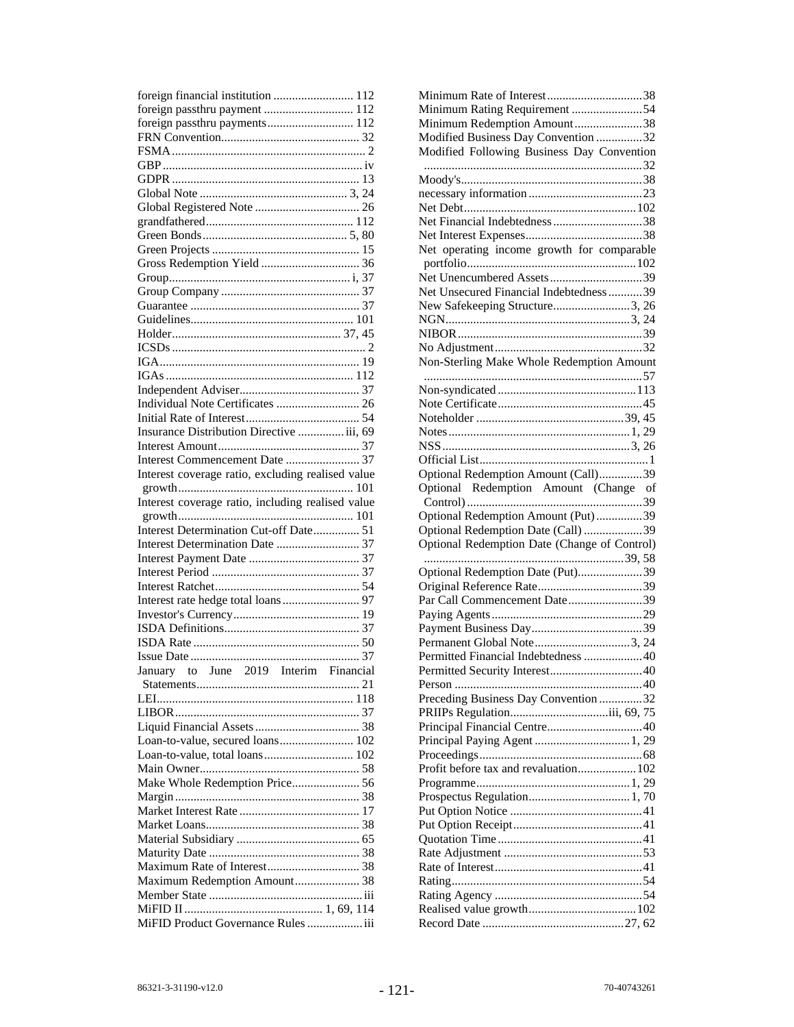| foreign financial institution  112                |
|---------------------------------------------------|
| foreign passthru payment  112                     |
| foreign passthru payments 112                     |
|                                                   |
|                                                   |
|                                                   |
|                                                   |
|                                                   |
|                                                   |
|                                                   |
|                                                   |
|                                                   |
|                                                   |
|                                                   |
|                                                   |
|                                                   |
|                                                   |
|                                                   |
|                                                   |
|                                                   |
|                                                   |
|                                                   |
| Individual Note Certificates  26                  |
|                                                   |
| Insurance Distribution Directive  iii, 69         |
|                                                   |
|                                                   |
| Interest coverage ratio, excluding realised value |
|                                                   |
|                                                   |
| Interest coverage ratio, including realised value |
|                                                   |
| Interest Determination Cut-off Date 51            |
| Interest Determination Date  37                   |
|                                                   |
|                                                   |
|                                                   |
|                                                   |
|                                                   |
|                                                   |
|                                                   |
|                                                   |
| January to June 2019 Interim Financial            |
|                                                   |
|                                                   |
|                                                   |
|                                                   |
| Loan-to-value, secured loans 102                  |
| Loan-to-value, total loans 102                    |
|                                                   |
| Make Whole Redemption Price 56                    |
|                                                   |
|                                                   |
|                                                   |
|                                                   |
|                                                   |
|                                                   |
| Maximum Redemption Amount 38                      |
|                                                   |
| MiFID Product Governance Rules  iii               |

| Minimum Rating Requirement 54                |
|----------------------------------------------|
| Minimum Redemption Amount38                  |
|                                              |
| Modified Business Day Convention 32          |
| Modified Following Business Day Convention   |
|                                              |
|                                              |
|                                              |
|                                              |
|                                              |
| Net Financial Indebtedness 38                |
|                                              |
|                                              |
| Net operating income growth for comparable   |
|                                              |
|                                              |
| Net Unsecured Financial Indebtedness 39      |
|                                              |
| New Safekeeping Structure3, 26               |
|                                              |
|                                              |
|                                              |
|                                              |
| Non-Sterling Make Whole Redemption Amount    |
|                                              |
|                                              |
|                                              |
|                                              |
|                                              |
|                                              |
|                                              |
|                                              |
|                                              |
| Optional Redemption Amount (Call)39          |
| Optional Redemption Amount (Change of        |
|                                              |
|                                              |
|                                              |
| Optional Redemption Amount (Put)39           |
| Optional Redemption Date (Call) 39           |
|                                              |
| Optional Redemption Date (Change of Control) |
|                                              |
| Optional Redemption Date (Put)39             |
|                                              |
| Par Call Commencement Date39                 |
|                                              |
|                                              |
|                                              |
| Permanent Global Note3, 24                   |
| Permitted Financial Indebtedness 40          |
|                                              |
|                                              |
|                                              |
| Preceding Business Day Convention 32         |
| PRIIPs Regulationiii, 69, 75                 |
|                                              |
|                                              |
| Principal Paying Agent  1, 29                |
|                                              |
| Profit before tax and revaluation 102        |
|                                              |
|                                              |
|                                              |
|                                              |
|                                              |
|                                              |
|                                              |
|                                              |
|                                              |
|                                              |
|                                              |
|                                              |
|                                              |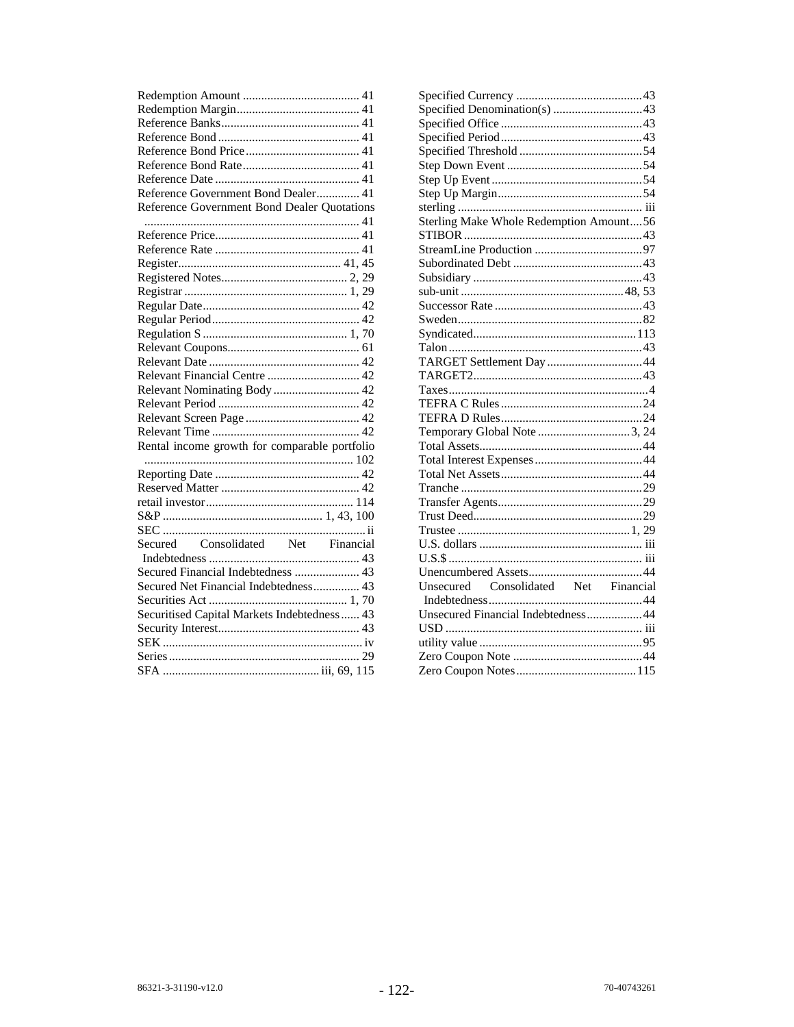| Reference Government Bond Dealer 41           |
|-----------------------------------------------|
| Reference Government Bond Dealer Quotations   |
|                                               |
|                                               |
|                                               |
|                                               |
|                                               |
|                                               |
|                                               |
|                                               |
|                                               |
|                                               |
|                                               |
| Relevant Financial Centre  42                 |
| Relevant Nominating Body  42                  |
|                                               |
|                                               |
|                                               |
| Rental income growth for comparable portfolio |
|                                               |
|                                               |
|                                               |
|                                               |
|                                               |
|                                               |
|                                               |
|                                               |
| Secured Financial Indebtedness  43            |
| Secured Net Financial Indebtedness 43         |
|                                               |
| Securitised Capital Markets Indebtedness  43  |
|                                               |
|                                               |
|                                               |
|                                               |

| Sterling Make Whole Redemption Amount56 |  |
|-----------------------------------------|--|
|                                         |  |
|                                         |  |
|                                         |  |
|                                         |  |
|                                         |  |
|                                         |  |
|                                         |  |
|                                         |  |
|                                         |  |
|                                         |  |
|                                         |  |
|                                         |  |
|                                         |  |
|                                         |  |
| Temporary Global Note 3, 24             |  |
|                                         |  |
|                                         |  |
|                                         |  |
|                                         |  |
|                                         |  |
|                                         |  |
|                                         |  |
|                                         |  |
|                                         |  |
|                                         |  |
| Unsecured Consolidated Net Financial    |  |
|                                         |  |
| Unsecured Financial Indebtedness44      |  |
|                                         |  |
|                                         |  |
|                                         |  |
|                                         |  |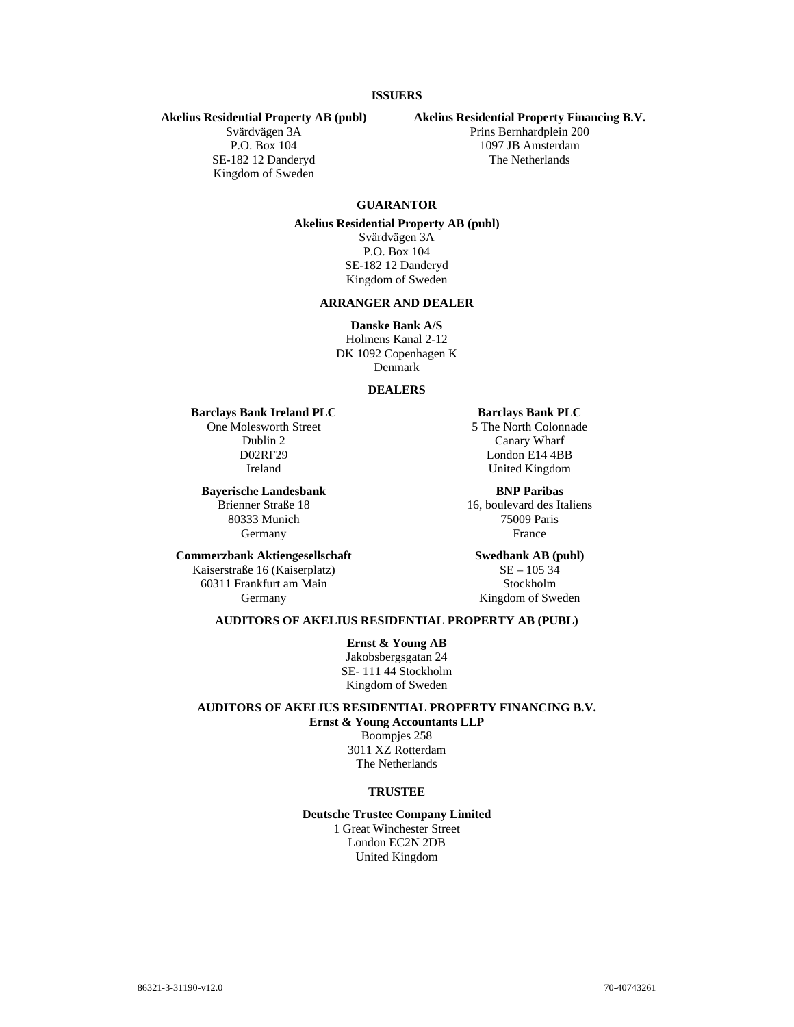# **ISSUERS**

#### **Akelius Residential Property AB (publ)**

Svärdvägen 3A P.O. Box 104 SE-182 12 Danderyd Kingdom of Sweden

#### **Akelius Residential Property Financing B.V.**

Prins Bernhardplein 200 1097 JB Amsterdam The Netherlands

# **GUARANTOR**

# **Akelius Residential Property AB (publ)**

Svärdvägen 3A P.O. Box 104 SE-182 12 Danderyd Kingdom of Sweden

# **ARRANGER AND DEALER**

**Danske Bank A/S** Holmens Kanal 2-12 DK 1092 Copenhagen K Denmark

#### **DEALERS**

#### **Barclays Bank Ireland PLC**

One Molesworth Street Dublin 2 D02RF29 Ireland

**Bayerische Landesbank**  Brienner Straße 18

80333 Munich Germany

### **Commerzbank Aktiengesellschaft**

Kaiserstraße 16 (Kaiserplatz) 60311 Frankfurt am Main Germany

#### **Barclays Bank PLC**

5 The North Colonnade Canary Wharf London E14 4BB United Kingdom

**BNP Paribas**  16, boulevard des Italiens 75009 Paris France

**Swedbank AB (publ)**   $SE - 10534$ Stockholm Kingdom of Sweden

# **AUDITORS OF AKELIUS RESIDENTIAL PROPERTY AB (PUBL)**

**Ernst & Young AB** Jakobsbergsgatan 24 SE- 111 44 Stockholm Kingdom of Sweden

# **AUDITORS OF AKELIUS RESIDENTIAL PROPERTY FINANCING B.V. Ernst & Young Accountants LLP**

Boompjes 258 3011 XZ Rotterdam The Netherlands

# **TRUSTEE**

**Deutsche Trustee Company Limited** 1 Great Winchester Street London EC2N 2DB United Kingdom